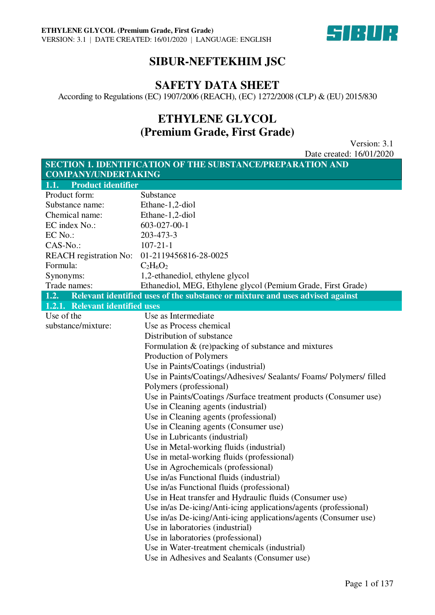

# **SIBUR-NEFTEKHIM JSC**

# **SAFETY DATA SHEET**

According to Regulations (EC) 1907/2006 (REACH), (EC) 1272/2008 (CLP) & (EU) 2015/830

# **ETHYLENE GLYCOL (Premium Grade, First Grade)**

Version: 3.1 Date created: 16/01/2020

|                                   | <b>SECTION 1. IDENTIFICATION OF THE SUBSTANCE/PREPARATION AND</b>             |
|-----------------------------------|-------------------------------------------------------------------------------|
| <b>COMPANY/UNDERTAKING</b>        |                                                                               |
| <b>Product identifier</b><br>1.1. |                                                                               |
| Product form:                     | Substance                                                                     |
| Substance name:                   | Ethane-1,2-diol                                                               |
| Chemical name:                    | Ethane-1,2-diol                                                               |
| EC index No.:                     | 603-027-00-1                                                                  |
| EC No.:                           | 203-473-3                                                                     |
| CAS-No.:                          | $107 - 21 - 1$                                                                |
| <b>REACH</b> registration No:     | 01-2119456816-28-0025                                                         |
| Formula:                          | $C_2H_6O_2$                                                                   |
| Synonyms:                         | 1,2-ethanediol, ethylene glycol                                               |
| Trade names:                      | Ethanediol, MEG, Ethylene glycol (Pemium Grade, First Grade)                  |
| 1.2.                              | Relevant identified uses of the substance or mixture and uses advised against |
| 1.2.1. Relevant identified uses   |                                                                               |
| Use of the                        | Use as Intermediate                                                           |
| substance/mixture:                | Use as Process chemical                                                       |
|                                   | Distribution of substance                                                     |
|                                   | Formulation & (re)packing of substance and mixtures                           |
|                                   | Production of Polymers                                                        |
|                                   | Use in Paints/Coatings (industrial)                                           |
|                                   | Use in Paints/Coatings/Adhesives/ Sealants/ Foams/ Polymers/ filled           |
|                                   | Polymers (professional)                                                       |
|                                   | Use in Paints/Coatings /Surface treatment products (Consumer use)             |
|                                   | Use in Cleaning agents (industrial)                                           |
|                                   | Use in Cleaning agents (professional)                                         |
|                                   | Use in Cleaning agents (Consumer use)                                         |
|                                   | Use in Lubricants (industrial)                                                |
|                                   | Use in Metal-working fluids (industrial)                                      |
|                                   | Use in metal-working fluids (professional)                                    |
|                                   | Use in Agrochemicals (professional)                                           |
|                                   | Use in/as Functional fluids (industrial)                                      |
|                                   | Use in/as Functional fluids (professional)                                    |
|                                   | Use in Heat transfer and Hydraulic fluids (Consumer use)                      |
|                                   | Use in/as De-icing/Anti-icing applications/agents (professional)              |
|                                   | Use in/as De-icing/Anti-icing applications/agents (Consumer use)              |
|                                   | Use in laboratories (industrial)                                              |
|                                   | Use in laboratories (professional)                                            |
|                                   | Use in Water-treatment chemicals (industrial)                                 |
|                                   | Use in Adhesives and Sealants (Consumer use)                                  |
|                                   |                                                                               |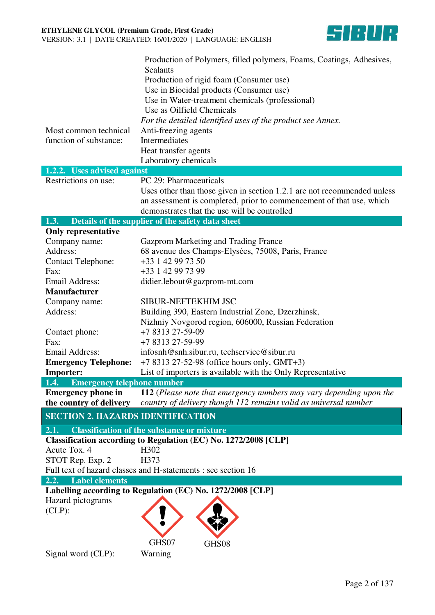

| Most common technical<br>function of substance:                                                                                                                                                                                                                                                                                                           | Production of Polymers, filled polymers, Foams, Coatings, Adhesives,<br>Sealants<br>Production of rigid foam (Consumer use)<br>Use in Biocidal products (Consumer use)<br>Use in Water-treatment chemicals (professional)<br>Use as Oilfield Chemicals<br>For the detailed identified uses of the product see Annex.<br>Anti-freezing agents<br>Intermediates<br>Heat transfer agents<br>Laboratory chemicals                                                                                                                                                                       |
|-----------------------------------------------------------------------------------------------------------------------------------------------------------------------------------------------------------------------------------------------------------------------------------------------------------------------------------------------------------|-------------------------------------------------------------------------------------------------------------------------------------------------------------------------------------------------------------------------------------------------------------------------------------------------------------------------------------------------------------------------------------------------------------------------------------------------------------------------------------------------------------------------------------------------------------------------------------|
| 1.2.2. Uses advised against                                                                                                                                                                                                                                                                                                                               |                                                                                                                                                                                                                                                                                                                                                                                                                                                                                                                                                                                     |
| Restrictions on use:                                                                                                                                                                                                                                                                                                                                      | PC 29: Pharmaceuticals<br>Uses other than those given in section 1.2.1 are not recommended unless<br>an assessment is completed, prior to commencement of that use, which<br>demonstrates that the use will be controlled                                                                                                                                                                                                                                                                                                                                                           |
| 1.3.                                                                                                                                                                                                                                                                                                                                                      | Details of the supplier of the safety data sheet                                                                                                                                                                                                                                                                                                                                                                                                                                                                                                                                    |
| <b>Only representative</b><br>Company name:<br>Address:<br><b>Contact Telephone:</b><br>Fax:<br><b>Email Address:</b><br><b>Manufacturer</b><br>Company name:<br>Address:<br>Contact phone:<br>Fax:<br><b>Email Address:</b><br><b>Emergency Telephone:</b><br><b>Importer:</b><br><b>Emergency telephone number</b><br>1.4.<br><b>Emergency phone in</b> | Gazprom Marketing and Trading France<br>68 avenue des Champs-Elysées, 75008, Paris, France<br>+33 1 42 99 73 50<br>+33 1 42 99 73 99<br>didier.lebout@gazprom-mt.com<br>SIBUR-NEFTEKHIM JSC<br>Building 390, Eastern Industrial Zone, Dzerzhinsk,<br>Nizhniy Novgorod region, 606000, Russian Federation<br>+7 8313 27-59-09<br>+7 8313 27-59-99<br>infosnh@snh.sibur.ru, techservice@sibur.ru<br>+7 8313 27-52-98 (office hours only, GMT+3)<br>List of importers is available with the Only Representative<br>112 (Please note that emergency numbers may vary depending upon the |
| the country of delivery                                                                                                                                                                                                                                                                                                                                   | country of delivery though 112 remains valid as universal number                                                                                                                                                                                                                                                                                                                                                                                                                                                                                                                    |
| <b>SECTION 2. HAZARDS IDENTIFICATION</b>                                                                                                                                                                                                                                                                                                                  |                                                                                                                                                                                                                                                                                                                                                                                                                                                                                                                                                                                     |
| 2.1.                                                                                                                                                                                                                                                                                                                                                      | <b>Classification of the substance or mixture</b>                                                                                                                                                                                                                                                                                                                                                                                                                                                                                                                                   |
| Acute Tox. 4<br>STOT Rep. Exp. 2                                                                                                                                                                                                                                                                                                                          | Classification according to Regulation (EC) No. 1272/2008 [CLP]<br>H302<br>H373<br>Full text of hazard classes and H-statements : see section 16                                                                                                                                                                                                                                                                                                                                                                                                                                    |
| <b>Label elements</b><br>2.2.                                                                                                                                                                                                                                                                                                                             |                                                                                                                                                                                                                                                                                                                                                                                                                                                                                                                                                                                     |
| Hazard pictograms<br>$CLP)$ :                                                                                                                                                                                                                                                                                                                             | Labelling according to Regulation (EC) No. 1272/2008 [CLP]<br>GHS07                                                                                                                                                                                                                                                                                                                                                                                                                                                                                                                 |
| Signal word (CLP):                                                                                                                                                                                                                                                                                                                                        | GHS08<br>Warning                                                                                                                                                                                                                                                                                                                                                                                                                                                                                                                                                                    |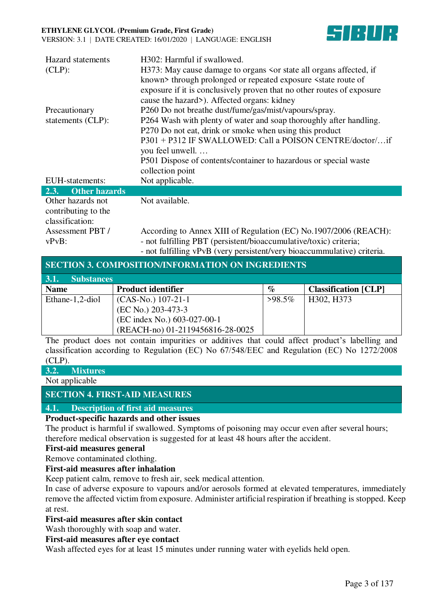

| Hazard statements<br>$CLP)$ :            | H302: Harmful if swallowed.<br>H373: May cause damage to organs <or affected,="" all="" if<br="" organs="" state="">known&gt; through prolonged or repeated exposure <state of<br="" route="">exposure if it is conclusively proven that no other routes of exposure<br/>cause the hazard&gt;). Affected organs: kidney</state></or> |
|------------------------------------------|--------------------------------------------------------------------------------------------------------------------------------------------------------------------------------------------------------------------------------------------------------------------------------------------------------------------------------------|
| Precautionary                            | P260 Do not breathe dust/fume/gas/mist/vapours/spray.                                                                                                                                                                                                                                                                                |
| statements (CLP):                        | P264 Wash with plenty of water and soap thoroughly after handling.                                                                                                                                                                                                                                                                   |
|                                          | P270 Do not eat, drink or smoke when using this product                                                                                                                                                                                                                                                                              |
|                                          | P301 + P312 IF SWALLOWED: Call a POISON CENTRE/doctor/if<br>you feel unwell                                                                                                                                                                                                                                                          |
|                                          | P501 Dispose of contents/container to hazardous or special waste                                                                                                                                                                                                                                                                     |
|                                          | collection point                                                                                                                                                                                                                                                                                                                     |
| EUH-statements:                          | Not applicable.                                                                                                                                                                                                                                                                                                                      |
| <b>Other hazards</b><br>2.3.             |                                                                                                                                                                                                                                                                                                                                      |
| Other hazards not<br>contributing to the | Not available.                                                                                                                                                                                                                                                                                                                       |
| classification:                          |                                                                                                                                                                                                                                                                                                                                      |
|                                          |                                                                                                                                                                                                                                                                                                                                      |
| <b>Assessment PBT</b> /<br>$vPvB$ :      | According to Annex XIII of Regulation (EC) No.1907/2006 (REACH):<br>- not fulfilling PBT (persistent/bioaccumulative/toxic) criteria;                                                                                                                                                                                                |

- not fulfilling vPvB (very persistent/very bioaccummulative) criteria.

# **SECTION 3. COMPOSITION/INFORMATION ON INGREDIENTS**

| 3.1.<br><b>Substances</b> |                                  |                |                             |
|---------------------------|----------------------------------|----------------|-----------------------------|
| <b>Name</b>               | <b>Product identifier</b>        | $\mathcal{O}'$ | <b>Classification</b> [CLP] |
| Ethane-1,2-diol           | $(CAS-N0.)$ 107-21-1             | $>98.5\%$      | H302, H373                  |
|                           | (EC No.) 203-473-3               |                |                             |
|                           | (EC index No.) 603-027-00-1      |                |                             |
|                           | (REACH-no) 01-2119456816-28-0025 |                |                             |

The product does not contain impurities or additives that could affect product's labelling and classification according to Regulation (EC) No 67/548/ЕЕС and Regulation (EC) No 1272/2008 (CLP).

**3.2. Mixtures**  Not applicable

## **SECTION 4. FIRST-AID MEASURES**

# **4.1. Description of first aid measures**

#### **Product-specific hazards and other issues**

The product is harmful if swallowed. Symptoms of poisoning may occur even after several hours; therefore medical observation is suggested for at least 48 hours after the accident.

#### **First-aid measures general**

Remove contaminated clothing.

#### **First-aid measures after inhalation**

Keep patient calm, remove to fresh air, seek medical attention.

In case of adverse exposure to vapours and/or aerosols formed at elevated temperatures, immediately remove the affected victim from exposure. Administer artificial respiration if breathing is stopped. Keep at rest.

#### **First-aid measures after skin contact**

Wash thoroughly with soap and water.

#### **First-aid measures after eye contact**

Wash affected eyes for at least 15 minutes under running water with eyelids held open.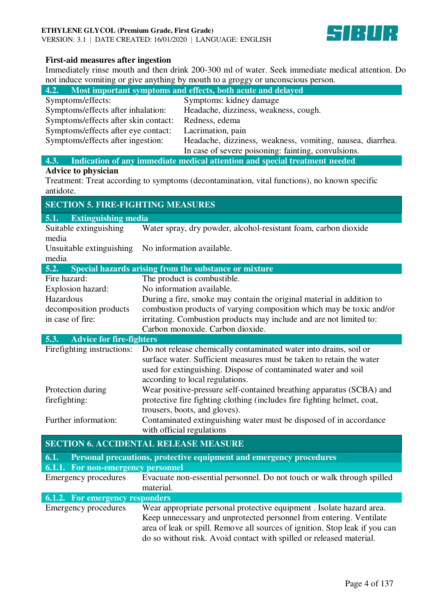SIBUR

# **First-aid measures after ingestion**

Immediately rinse mouth and then drink 200-300 ml of water. Seek immediate medical attention. Do not induce vomiting or give anything by mouth to a groggy or unconscious person.

|                                           | not maace vorming of give anything by mouth to a groggy of unconsenous person.               |  |
|-------------------------------------------|----------------------------------------------------------------------------------------------|--|
| 4.2.                                      | Most important symptoms and effects, both acute and delayed                                  |  |
| Symptoms/effects:                         | Symptoms: kidney damage                                                                      |  |
| Symptoms/effects after inhalation:        | Headache, dizziness, weakness, cough.                                                        |  |
| Symptoms/effects after skin contact:      | Redness, edema                                                                               |  |
| Symptoms/effects after eye contact:       | Lacrimation, pain                                                                            |  |
| Symptoms/effects after ingestion:         | Headache, dizziness, weakness, vomiting, nausea, diarrhea.                                   |  |
|                                           | In case of severe poisoning: fainting, convulsions.                                          |  |
| 4.3.                                      |                                                                                              |  |
|                                           | Indication of any immediate medical attention and special treatment needed                   |  |
| <b>Advice to physician</b>                |                                                                                              |  |
|                                           | Treatment: Treat according to symptoms (decontamination, vital functions), no known specific |  |
| antidote.                                 |                                                                                              |  |
| <b>SECTION 5. FIRE-FIGHTING MEASURES</b>  |                                                                                              |  |
| 5.1.<br><b>Extinguishing media</b>        |                                                                                              |  |
| Suitable extinguishing                    | Water spray, dry powder, alcohol-resistant foam, carbon dioxide                              |  |
| media                                     |                                                                                              |  |
| Unsuitable extinguishing                  | No information available.                                                                    |  |
| media                                     |                                                                                              |  |
| 5.2.                                      | Special hazards arising from the substance or mixture                                        |  |
| Fire hazard:                              | The product is combustible.                                                                  |  |
| Explosion hazard:                         | No information available.                                                                    |  |
| Hazardous                                 | During a fire, smoke may contain the original material in addition to                        |  |
|                                           |                                                                                              |  |
| decomposition products                    | combustion products of varying composition which may be toxic and/or                         |  |
| in case of fire:                          | irritating. Combustion products may include and are not limited to:                          |  |
|                                           | Carbon monoxide. Carbon dioxide.                                                             |  |
| 5.3.<br><b>Advice for fire-fighters</b>   |                                                                                              |  |
| Firefighting instructions:                | Do not release chemically contaminated water into drains, soil or                            |  |
|                                           | surface water. Sufficient measures must be taken to retain the water                         |  |
|                                           | used for extinguishing. Dispose of contaminated water and soil                               |  |
|                                           | according to local regulations.                                                              |  |
| Protection during                         | Wear positive-pressure self-contained breathing apparatus (SCBA) and                         |  |
| firefighting:                             | protective fire fighting clothing (includes fire fighting helmet, coat,                      |  |
|                                           | trousers, boots, and gloves).                                                                |  |
| Further information:                      | Contaminated extinguishing water must be disposed of in accordance                           |  |
|                                           | with official regulations                                                                    |  |
|                                           |                                                                                              |  |
|                                           | <b>SECTION 6. ACCIDENTAL RELEASE MEASURE</b>                                                 |  |
| 6.1.                                      | Personal precautions, protective equipment and emergency procedures                          |  |
| <b>6.1.1. For non-emergency personnel</b> |                                                                                              |  |
| <b>Emergency procedures</b>               | Evacuate non-essential personnel. Do not touch or walk through spilled                       |  |
|                                           | material.                                                                                    |  |
| <b>6.1.2. For emergency responders</b>    |                                                                                              |  |
| <b>Emergency procedures</b>               | Wear appropriate personal protective equipment. Isolate hazard area.                         |  |
|                                           | Keep unnecessary and unprotected personnel from entering. Ventilate                          |  |
|                                           | area of leak or spill. Remove all sources of ignition. Stop leak if you can                  |  |
|                                           | do so without risk. Avoid contact with spilled or released material.                         |  |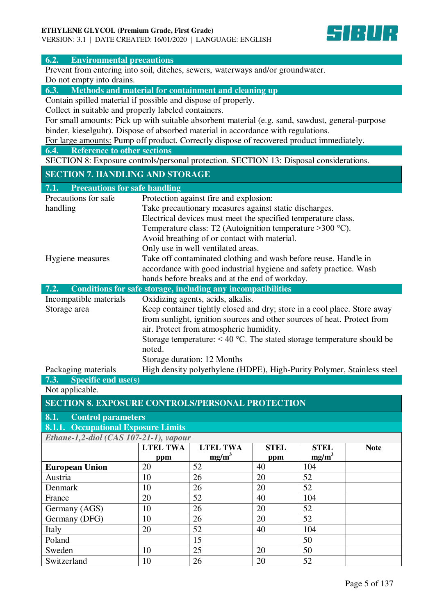

|                                                                                                  | 6.2.<br><b>Environmental precautions</b>                                 |                                                                          |             |                   |                                   |
|--------------------------------------------------------------------------------------------------|--------------------------------------------------------------------------|--------------------------------------------------------------------------|-------------|-------------------|-----------------------------------|
| Prevent from entering into soil, ditches, sewers, waterways and/or groundwater.                  |                                                                          |                                                                          |             |                   |                                   |
| Do not empty into drains.                                                                        |                                                                          |                                                                          |             |                   |                                   |
| Methods and material for containment and cleaning up<br>6.3.                                     |                                                                          |                                                                          |             |                   |                                   |
| Contain spilled material if possible and dispose of properly.                                    |                                                                          |                                                                          |             |                   |                                   |
| Collect in suitable and properly labeled containers.                                             |                                                                          |                                                                          |             |                   |                                   |
| For small amounts: Pick up with suitable absorbent material (e.g. sand, sawdust, general-purpose |                                                                          |                                                                          |             |                   |                                   |
| binder, kieselguhr). Dispose of absorbed material in accordance with regulations.                |                                                                          |                                                                          |             |                   |                                   |
| For large amounts: Pump off product. Correctly dispose of recovered product immediately.         |                                                                          |                                                                          |             |                   |                                   |
| <b>Reference to other sections</b><br>6.4.                                                       |                                                                          |                                                                          |             |                   |                                   |
| SECTION 8: Exposure controls/personal protection. SECTION 13: Disposal considerations.           |                                                                          |                                                                          |             |                   |                                   |
| <b>SECTION 7. HANDLING AND STORAGE</b>                                                           |                                                                          |                                                                          |             |                   |                                   |
| <b>Precautions for safe handling</b><br>7.1.                                                     |                                                                          |                                                                          |             |                   |                                   |
| Precautions for safe                                                                             |                                                                          | Protection against fire and explosion:                                   |             |                   |                                   |
| handling                                                                                         |                                                                          | Take precautionary measures against static discharges.                   |             |                   |                                   |
|                                                                                                  |                                                                          | Electrical devices must meet the specified temperature class.            |             |                   |                                   |
|                                                                                                  |                                                                          | Temperature class: T2 (Autoignition temperature $>$ 300 °C).             |             |                   |                                   |
|                                                                                                  |                                                                          | Avoid breathing of or contact with material.                             |             |                   |                                   |
|                                                                                                  |                                                                          | Only use in well ventilated areas.                                       |             |                   |                                   |
| Hygiene measures                                                                                 |                                                                          | Take off contaminated clothing and wash before reuse. Handle in          |             |                   |                                   |
|                                                                                                  |                                                                          | accordance with good industrial hygiene and safety practice. Wash        |             |                   |                                   |
|                                                                                                  |                                                                          | hands before breaks and at the end of workday.                           |             |                   |                                   |
| 7.2.<br>Conditions for safe storage, including any incompatibilities                             |                                                                          |                                                                          |             |                   |                                   |
| Incompatible materials                                                                           |                                                                          | Oxidizing agents, acids, alkalis.                                        |             |                   |                                   |
| Storage area                                                                                     |                                                                          | Keep container tightly closed and dry; store in a cool place. Store away |             |                   |                                   |
|                                                                                                  |                                                                          | from sunlight, ignition sources and other sources of heat. Protect from  |             |                   |                                   |
|                                                                                                  |                                                                          | air. Protect from atmospheric humidity.                                  |             |                   |                                   |
|                                                                                                  | Storage temperature: $<$ 40 °C. The stated storage temperature should be |                                                                          |             |                   |                                   |
|                                                                                                  | noted.<br>Storage duration: 12 Months                                    |                                                                          |             |                   |                                   |
|                                                                                                  |                                                                          |                                                                          |             |                   |                                   |
| Packaging materials<br>7.3.<br><b>Specific end use(s)</b>                                        |                                                                          | High density polyethylene (HDPE), High-Purity Polymer, Stainless steel   |             |                   |                                   |
| Not applicable.                                                                                  |                                                                          |                                                                          |             |                   |                                   |
|                                                                                                  |                                                                          |                                                                          |             |                   |                                   |
| <b>SECTION 8. EXPOSURE CONTROLS/PERSONAL PROTECTION</b>                                          |                                                                          |                                                                          |             |                   |                                   |
| 8.1.<br><b>Control parameters</b>                                                                |                                                                          |                                                                          |             |                   |                                   |
| <b>8.1.1. Occupational Exposure Limits</b>                                                       |                                                                          |                                                                          |             |                   |                                   |
| Ethane-1,2-diol (CAS 107-21-1), vapour                                                           |                                                                          |                                                                          |             |                   |                                   |
|                                                                                                  | <b>LTEL TWA</b>                                                          | <b>LTEL TWA</b>                                                          | <b>STEL</b> | <b>STEL</b>       | <b>Note</b>                       |
|                                                                                                  | ppm                                                                      | mg/m <sup>3</sup>                                                        | ppm         | mg/m <sup>3</sup> |                                   |
| <b>European Union</b>                                                                            | 20                                                                       | 52                                                                       | 40          | 104               |                                   |
| Austria                                                                                          | 10                                                                       | 26                                                                       | 20          | 52                |                                   |
| Denmark                                                                                          | 10                                                                       | 26                                                                       | 20          | 52                |                                   |
| France                                                                                           | 20                                                                       | 52                                                                       | 40          | 104               |                                   |
| Germany (AGS)                                                                                    | 10                                                                       | 26                                                                       | 20          | 52                |                                   |
| Germany (DFG)                                                                                    | 10                                                                       | 26                                                                       | 20          | 52                |                                   |
| Italy                                                                                            | 20                                                                       | 52                                                                       | 40          | 104               |                                   |
| Poland                                                                                           |                                                                          | 15                                                                       |             | 50                |                                   |
| Sweden                                                                                           | 10                                                                       | 25                                                                       | 20          | 50                |                                   |
| Switzerland                                                                                      | 10                                                                       | 26                                                                       | 20          | 52                |                                   |
|                                                                                                  |                                                                          |                                                                          |             |                   | $\sim$ C 1 2 $\sim$<br>$\epsilon$ |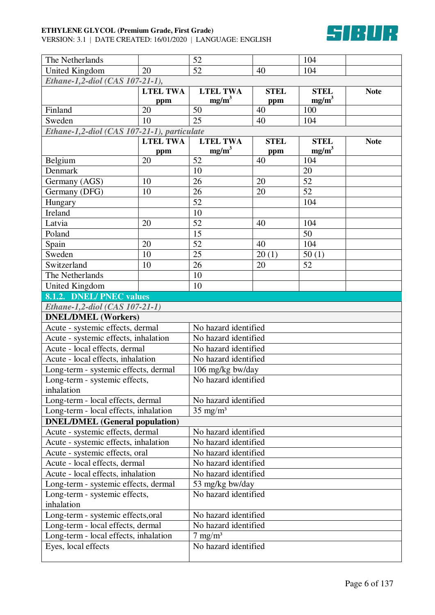

| The Netherlands                                                                                   |                                                    | 52                   |             | 104               |             |
|---------------------------------------------------------------------------------------------------|----------------------------------------------------|----------------------|-------------|-------------------|-------------|
| United Kingdom                                                                                    | 20                                                 | 52                   | 40          | 104               |             |
| Ethane-1,2-diol (CAS 107-21-1),                                                                   |                                                    |                      |             |                   |             |
|                                                                                                   | <b>LTEL TWA</b>                                    | <b>LTEL TWA</b>      | <b>STEL</b> | <b>STEL</b>       | <b>Note</b> |
|                                                                                                   | ppm                                                | mg/m <sup>3</sup>    | ppm         | mg/m <sup>3</sup> |             |
| Finland                                                                                           | 20                                                 | 50                   | 40          | 100               |             |
| Sweden                                                                                            | 10                                                 | 25                   | 40          | 104               |             |
| Ethane-1,2-diol (CAS 107-21-1), particulate                                                       |                                                    |                      |             |                   |             |
|                                                                                                   | <b>LTEL TWA</b>                                    | <b>LTEL TWA</b>      | <b>STEL</b> | <b>STEL</b>       | <b>Note</b> |
|                                                                                                   | ppm                                                | mg/m <sup>3</sup>    | ppm         | mg/m <sup>3</sup> |             |
| <b>Belgium</b>                                                                                    | 20                                                 | 52                   | 40          | 104<br>20         |             |
| Denmark                                                                                           |                                                    | 10                   | 20          | 52                |             |
| Germany (AGS)                                                                                     | 10<br>10                                           | 26<br>26             | 20          | 52                |             |
| Germany (DFG)                                                                                     |                                                    |                      |             | 104               |             |
| Hungary                                                                                           |                                                    | 52                   |             |                   |             |
| Ireland<br>Latvia                                                                                 | 20                                                 | 10<br>52             | 40          | 104               |             |
|                                                                                                   |                                                    |                      |             |                   |             |
| Poland                                                                                            |                                                    | 15                   |             | 50                |             |
| Spain                                                                                             | 20<br>10                                           | 52<br>25             | 40          | 104               |             |
| Sweden                                                                                            |                                                    |                      | 20(1)       | 50(1)             |             |
| Switzerland<br>The Netherlands                                                                    | 10                                                 | 26<br>10             | 20          | 52                |             |
|                                                                                                   |                                                    |                      |             |                   |             |
| <b>United Kingdom</b>                                                                             |                                                    | 10                   |             |                   |             |
| 8.1.2. DNEL/PNEC values                                                                           |                                                    |                      |             |                   |             |
| Ethane-1,2-diol (CAS 107-21-1)                                                                    |                                                    |                      |             |                   |             |
|                                                                                                   | <b>DNEL/DMEL (Workers)</b><br>No hazard identified |                      |             |                   |             |
| Acute - systemic effects, dermal                                                                  |                                                    | No hazard identified |             |                   |             |
| Acute - systemic effects, inhalation                                                              |                                                    | No hazard identified |             |                   |             |
| Acute - local effects, dermal                                                                     |                                                    | No hazard identified |             |                   |             |
| Acute - local effects, inhalation                                                                 |                                                    | 106 mg/kg bw/day     |             |                   |             |
| Long-term - systemic effects, dermal                                                              |                                                    | No hazard identified |             |                   |             |
| Long-term - systemic effects,                                                                     |                                                    |                      |             |                   |             |
| inhalation<br>Long-term - local effects, dermal                                                   |                                                    | No hazard identified |             |                   |             |
| Long-term - local effects, inhalation                                                             |                                                    | $35 \text{ mg/m}^3$  |             |                   |             |
|                                                                                                   |                                                    |                      |             |                   |             |
| <b>DNEL/DMEL</b> (General population)<br>No hazard identified<br>Acute - systemic effects, dermal |                                                    |                      |             |                   |             |
| Acute - systemic effects, inhalation                                                              |                                                    | No hazard identified |             |                   |             |
| Acute - systemic effects, oral                                                                    |                                                    | No hazard identified |             |                   |             |
| Acute - local effects, dermal                                                                     |                                                    | No hazard identified |             |                   |             |
| Acute - local effects, inhalation                                                                 |                                                    | No hazard identified |             |                   |             |
| Long-term - systemic effects, dermal                                                              |                                                    | 53 mg/kg bw/day      |             |                   |             |
| Long-term - systemic effects,                                                                     |                                                    | No hazard identified |             |                   |             |
| inhalation                                                                                        |                                                    |                      |             |                   |             |
| Long-term - systemic effects, oral                                                                |                                                    | No hazard identified |             |                   |             |
| Long-term - local effects, dermal                                                                 |                                                    | No hazard identified |             |                   |             |
| Long-term - local effects, inhalation                                                             |                                                    | $7 \text{ mg/m}^3$   |             |                   |             |
| Eyes, local effects                                                                               |                                                    | No hazard identified |             |                   |             |
|                                                                                                   |                                                    |                      |             |                   |             |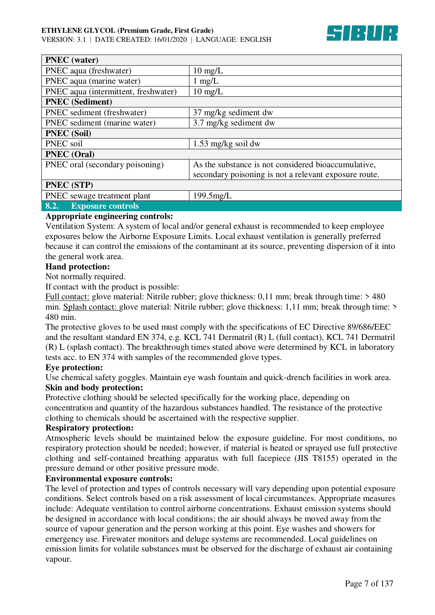

| <b>PNEC</b> (water)                  |                                                       |
|--------------------------------------|-------------------------------------------------------|
| PNEC aqua (freshwater)               | $10 \text{ mg/L}$                                     |
| PNEC aqua (marine water)             | $1 \text{ mg/L}$                                      |
| PNEC aqua (intermittent, freshwater) | $10 \text{ mg/L}$                                     |
| <b>PNEC</b> (Sediment)               |                                                       |
| PNEC sediment (freshwater)           | 37 mg/kg sediment dw                                  |
| PNEC sediment (marine water)         | 3.7 mg/kg sediment dw                                 |
| <b>PNEC</b> (Soil)                   |                                                       |
| PNEC soil                            | $1.53$ mg/kg soil dw                                  |
| <b>PNEC</b> (Oral)                   |                                                       |
| PNEC oral (secondary poisoning)      | As the substance is not considered bioaccumulative,   |
|                                      | secondary poisoning is not a relevant exposure route. |
| <b>PNEC (STP)</b>                    |                                                       |

| $\sim$ $\sim$ $\sim$ $\sim$ $\sim$ $\sim$ $\sim$ $\sim$ |           |
|---------------------------------------------------------|-----------|
| PNEC sewage treatment plant                             | 199.5mg/L |
| $\sim$ $\sim$                                           |           |

**8.2. Exposure controls** 

## **Appropriate engineering controls:**

Ventilation System: A system of local and/or general exhaust is recommended to keep employee exposures below the Airborne Exposure Limits. Local exhaust ventilation is generally preferred because it can control the emissions of the contaminant at its source, preventing dispersion of it into the general work area.

## **Hand protection:**

Not normally required.

If contact with the product is possible:

Full contact: glove material: Nitrile rubber; glove thickness: 0,11 mm; break through time: > 480 min. Splash contact: glove material: Nitrile rubber; glove thickness: 1,11 mm; break through time: > 480 min.

The protective gloves to be used must comply with the specifications of EC Directive 89/686/EEC and the resultant standard EN 374, e.g. KCL 741 Dermatril (R) L (full contact), KCL 741 Dermatril (R) L (splash contact). The breakthrough times stated above were determined by KCL in laboratory tests acc. to EN 374 with samples of the recommended glove types.

#### **Eye protection:**

Use chemical safety goggles. Maintain eye wash fountain and quick-drench facilities in work area. **Skin and body protection:**

Protective clothing should be selected specifically for the working place, depending on concentration and quantity of the hazardous substances handled. The resistance of the protective clothing to chemicals should be ascertained with the respective supplier.

#### **Respiratory protection:**

Atmospheric levels should be maintained below the exposure guideline. For most conditions, no respiratory protection should be needed; however, if material is heated or sprayed use full protective clothing and self-contained breathing apparatus with full facepiece (JIS T8155) operated in the pressure demand or other positive pressure mode.

#### **Environmental exposure controls:**

The level of protection and types of controls necessary will vary depending upon potential exposure conditions. Select controls based on a risk assessment of local circumstances. Appropriate measures include: Adequate ventilation to control airborne concentrations. Exhaust emission systems should be designed in accordance with local conditions; the air should always be moved away from the source of vapour generation and the person working at this point. Eye washes and showers for emergency use. Firewater monitors and deluge systems are recommended. Local guidelines on emission limits for volatile substances must be observed for the discharge of exhaust air containing vapour.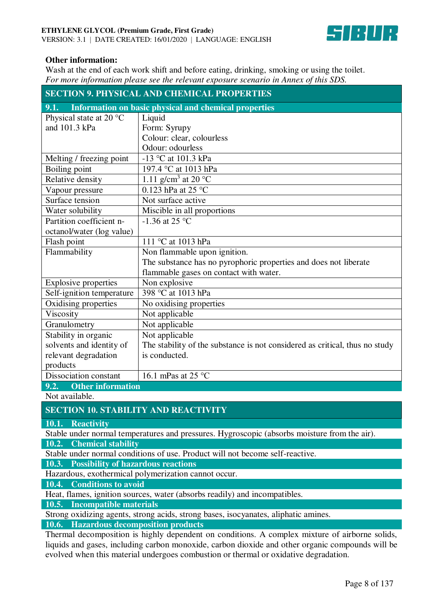VERSION: 3.1 DATE CREATED: 16/01/2020 LANGUAGE: ENGLISH



#### **Other information:**

Wash at the end of each work shift and before eating, drinking, smoking or using the toilet. *For more information please see the relevant exposure scenario in Annex of this SDS.*

| <b>SECTION 9. PHYSICAL AND CHEMICAL PROPERTIES</b> |                                                                             |  |  |
|----------------------------------------------------|-----------------------------------------------------------------------------|--|--|
| 9.1.                                               | Information on basic physical and chemical properties                       |  |  |
| Physical state at 20 °C                            | Liquid                                                                      |  |  |
| and 101.3 kPa                                      | Form: Syrupy                                                                |  |  |
|                                                    | Colour: clear, colourless                                                   |  |  |
|                                                    | Odour: odourless                                                            |  |  |
| Melting / freezing point                           | -13 °C at 101.3 kPa                                                         |  |  |
| Boiling point                                      | 197.4 °C at 1013 hPa                                                        |  |  |
| Relative density                                   | 1.11 g/cm <sup>3</sup> at 20 $^{\circ}$ C                                   |  |  |
| Vapour pressure                                    | 0.123 hPa at 25 °C                                                          |  |  |
| Surface tension                                    | Not surface active                                                          |  |  |
| Water solubility                                   | Miscible in all proportions                                                 |  |  |
| Partition coefficient n-                           | -1.36 at 25 °C                                                              |  |  |
| octanol/water (log value)                          |                                                                             |  |  |
| Flash point                                        | 111 °C at 1013 hPa                                                          |  |  |
| Flammability                                       | Non flammable upon ignition.                                                |  |  |
|                                                    | The substance has no pyrophoric properties and does not liberate            |  |  |
|                                                    | flammable gases on contact with water.                                      |  |  |
| <b>Explosive properties</b>                        | Non explosive                                                               |  |  |
| Self-ignition temperature                          | 398 °C at 1013 hPa                                                          |  |  |
| Oxidising properties                               | No oxidising properties                                                     |  |  |
| Viscosity                                          | Not applicable                                                              |  |  |
| Granulometry                                       | Not applicable                                                              |  |  |
| Stability in organic                               | Not applicable                                                              |  |  |
| solvents and identity of                           | The stability of the substance is not considered as critical, thus no study |  |  |
| relevant degradation                               | is conducted.                                                               |  |  |
| products                                           |                                                                             |  |  |
| Dissociation constant                              | 16.1 mPas at 25 $^{\circ}$ C                                                |  |  |
| 9.2. Other information                             |                                                                             |  |  |

Not available.

**SECTION 10. STABILITY AND REACTIVITY** 

**10.1. Reactivity** 

Stable under normal temperatures and pressures. Hygroscopic (absorbs moisture from the air). **10.2. Chemical stability** 

Stable under normal conditions of use. Product will not become self-reactive.

**10.3. Possibility of hazardous reactions** 

Hazardous, exothermical polymerization cannot occur.

**10.4. Conditions to avoid** 

Heat, flames, ignition sources, water (absorbs readily) and incompatibles.

**10.5. Incompatible materials** 

Strong oxidizing agents, strong acids, strong bases, isocyanates, aliphatic amines.

**10.6. Hazardous decomposition products** 

Thermal decomposition is highly dependent on conditions. A complex mixture of airborne solids, liquids and gases, including carbon monoxide, carbon dioxide and other organic compounds will be evolved when this material undergoes combustion or thermal or oxidative degradation.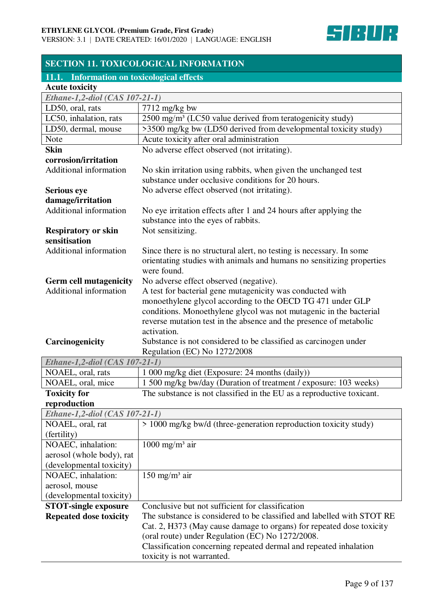

# **SECTION 11. TOXICOLOGICAL INFORMATION**

# **11.1. Information on toxicological effects**

| <b>Acute toxicity</b>          |                                                                        |  |  |
|--------------------------------|------------------------------------------------------------------------|--|--|
| Ethane-1,2-diol (CAS 107-21-1) |                                                                        |  |  |
| LD50, oral, rats               | 7712 mg/kg bw                                                          |  |  |
| LC50, inhalation, rats         | 2500 mg/m <sup>3</sup> (LC50 value derived from teratogenicity study)  |  |  |
| LD50, dermal, mouse            | >3500 mg/kg bw (LD50 derived from developmental toxicity study)        |  |  |
| <b>Note</b>                    | Acute toxicity after oral administration                               |  |  |
| <b>Skin</b>                    | No adverse effect observed (not irritating).                           |  |  |
| corrosion/irritation           |                                                                        |  |  |
| Additional information         | No skin irritation using rabbits, when given the unchanged test        |  |  |
|                                | substance under occlusive conditions for 20 hours.                     |  |  |
| <b>Serious eye</b>             | No adverse effect observed (not irritating).                           |  |  |
| damage/irritation              |                                                                        |  |  |
| Additional information         | No eye irritation effects after 1 and 24 hours after applying the      |  |  |
|                                | substance into the eyes of rabbits.                                    |  |  |
| <b>Respiratory or skin</b>     | Not sensitizing.                                                       |  |  |
| sensitisation                  |                                                                        |  |  |
| <b>Additional information</b>  | Since there is no structural alert, no testing is necessary. In some   |  |  |
|                                | orientating studies with animals and humans no sensitizing properties  |  |  |
|                                | were found.                                                            |  |  |
| <b>Germ cell mutagenicity</b>  | No adverse effect observed (negative).                                 |  |  |
| Additional information         | A test for bacterial gene mutagenicity was conducted with              |  |  |
|                                | monoethylene glycol according to the OECD TG 471 under GLP             |  |  |
|                                | conditions. Monoethylene glycol was not mutagenic in the bacterial     |  |  |
|                                | reverse mutation test in the absence and the presence of metabolic     |  |  |
|                                | activation.                                                            |  |  |
| Carcinogenicity                | Substance is not considered to be classified as carcinogen under       |  |  |
|                                | Regulation (EC) No 1272/2008                                           |  |  |
| Ethane-1,2-diol (CAS 107-21-1) |                                                                        |  |  |
| NOAEL, oral, rats              | 1 000 mg/kg diet (Exposure: 24 months (daily))                         |  |  |
| NOAEL, oral, mice              | 1 500 mg/kg bw/day (Duration of treatment / exposure: 103 weeks)       |  |  |
| <b>Toxicity for</b>            | The substance is not classified in the EU as a reproductive toxicant.  |  |  |
| reproduction                   |                                                                        |  |  |
| Ethane-1,2-diol (CAS 107-21-1) |                                                                        |  |  |
| NOAEL, oral, rat               | > 1000 mg/kg bw/d (three-generation reproduction toxicity study)       |  |  |
| (fertility)                    |                                                                        |  |  |
| NOAEC, inhalation:             | $1000$ mg/m <sup>3</sup> air                                           |  |  |
| aerosol (whole body), rat      |                                                                        |  |  |
| (developmental toxicity)       |                                                                        |  |  |
| NOAEC, inhalation:             | $150 \text{ mg/m}^3$ air                                               |  |  |
| aerosol, mouse                 |                                                                        |  |  |
| (developmental toxicity)       |                                                                        |  |  |
| <b>STOT-single exposure</b>    | Conclusive but not sufficient for classification                       |  |  |
| <b>Repeated dose toxicity</b>  | The substance is considered to be classified and labelled with STOT RE |  |  |
|                                | Cat. 2, H373 (May cause damage to organs) for repeated dose toxicity   |  |  |
|                                | (oral route) under Regulation (EC) No 1272/2008.                       |  |  |
|                                | Classification concerning repeated dermal and repeated inhalation      |  |  |
|                                | toxicity is not warranted.                                             |  |  |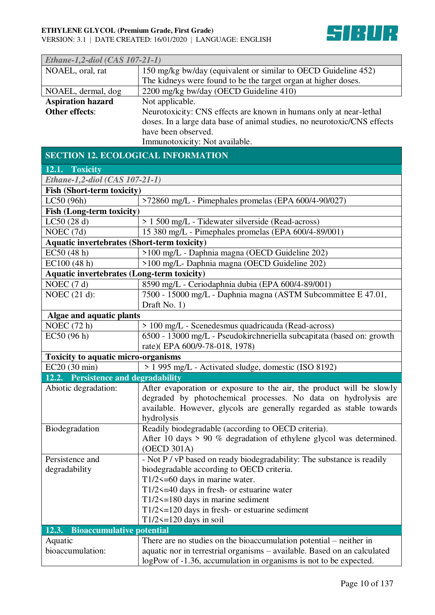| <b>Ethane-1,2-diol (CAS 107-21-1)</b> |                                                                          |  |
|---------------------------------------|--------------------------------------------------------------------------|--|
| NOAEL, oral, rat                      | 150 mg/kg bw/day (equivalent or similar to OECD Guideline 452)           |  |
|                                       | The kidneys were found to be the target organ at higher doses.           |  |
| NOAEL, dermal, dog                    | 2200 mg/kg bw/day (OECD Guideline 410)                                   |  |
| <b>Aspiration hazard</b>              | Not applicable.                                                          |  |
| Other effects:                        | Neurotoxicity: CNS effects are known in humans only at near-lethal       |  |
|                                       | doses. In a large data base of animal studies, no neurotoxic/CNS effects |  |
|                                       | have been observed.                                                      |  |
|                                       | Immunotoxicity: Not available.                                           |  |

# **SECTION 12. ECOLOGICAL INFORMATION**

| <b>12.1.</b> | <b>Toxicity</b> |
|--------------|-----------------|
|              |                 |

*Ethaner* 1,2-di*I* (CAS 107-21-1)

| Einane-1,2-aioi (CAS 10/-21-1)                     |                                                                                                                                               |  |  |
|----------------------------------------------------|-----------------------------------------------------------------------------------------------------------------------------------------------|--|--|
| <b>Fish (Short-term toxicity)</b>                  |                                                                                                                                               |  |  |
| LC50 (96h)                                         | >72860 mg/L - Pimephales promelas (EPA 600/4-90/027)                                                                                          |  |  |
| <b>Fish (Long-term toxicity)</b>                   |                                                                                                                                               |  |  |
| LC50(28 d)                                         | > 1 500 mg/L - Tidewater silverside (Read-across)                                                                                             |  |  |
| NOEC $(7d)$                                        | 15 380 mg/L - Pimephales promelas (EPA 600/4-89/001)                                                                                          |  |  |
| <b>Aquatic invertebrates (Short-term toxicity)</b> |                                                                                                                                               |  |  |
| EC50 (48 h)                                        | >100 mg/L - Daphnia magna (OECD Guideline 202)                                                                                                |  |  |
| EC100(48 h)                                        | >100 mg/L- Daphnia magna (OECD Guideline 202)                                                                                                 |  |  |
| <b>Aquatic invertebrates (Long-term toxicity)</b>  |                                                                                                                                               |  |  |
| NOEC $(7 d)$                                       | 8590 mg/L - Ceriodaphnia dubia (EPA 600/4-89/001)                                                                                             |  |  |
| NOEC $(21 d)$ :                                    | 7500 - 15000 mg/L - Daphnia magna (ASTM Subcommittee E 47.01,<br>Draft No. 1)                                                                 |  |  |
|                                                    |                                                                                                                                               |  |  |
| Algae and aquatic plants                           |                                                                                                                                               |  |  |
| NOEC $(72 h)$<br>EC50(96 h)                        | > 100 mg/L - Scenedesmus quadricauda (Read-across)                                                                                            |  |  |
|                                                    | 6500 - 13000 mg/L - Pseudokirchneriella subcapitata (based on: growth<br>rate)(EPA 600/9-78-018, 1978)                                        |  |  |
| <b>Toxicity to aquatic micro-organisms</b>         |                                                                                                                                               |  |  |
| EC20 (30 min)                                      | > 1 995 mg/L - Activated sludge, domestic (ISO 8192)                                                                                          |  |  |
| 12.2. Persistence and degradability                |                                                                                                                                               |  |  |
|                                                    |                                                                                                                                               |  |  |
| Abiotic degradation:                               | After evaporation or exposure to the air, the product will be slowly                                                                          |  |  |
|                                                    | degraded by photochemical processes. No data on hydrolysis are                                                                                |  |  |
|                                                    | available. However, glycols are generally regarded as stable towards                                                                          |  |  |
|                                                    | hydrolysis                                                                                                                                    |  |  |
| Biodegradation                                     | Readily biodegradable (according to OECD criteria).                                                                                           |  |  |
|                                                    | After 10 days $> 90$ % degradation of ethylene glycol was determined.                                                                         |  |  |
|                                                    | (OECD 301A)                                                                                                                                   |  |  |
| Persistence and                                    | - Not P / vP based on ready biodegradability: The substance is readily                                                                        |  |  |
| degradability                                      | biodegradable according to OECD criteria.                                                                                                     |  |  |
|                                                    | $T1/2 \leq 60$ days in marine water.                                                                                                          |  |  |
|                                                    | $T1/2 \leq 40$ days in fresh- or estuarine water                                                                                              |  |  |
|                                                    | $T1/2 \leq 180$ days in marine sediment                                                                                                       |  |  |
|                                                    | $T1/2 \leq 120$ days in fresh- or estuarine sediment                                                                                          |  |  |
|                                                    | T1/2 $\le$ = 120 days in soil                                                                                                                 |  |  |
| <b>Bioaccumulative potential</b><br>12.3.          |                                                                                                                                               |  |  |
| Aquatic                                            | There are no studies on the bioaccumulation potential – neither in                                                                            |  |  |
| bioaccumulation:                                   | aquatic nor in terrestrial organisms - available. Based on an calculated<br>logPow of -1.36, accumulation in organisms is not to be expected. |  |  |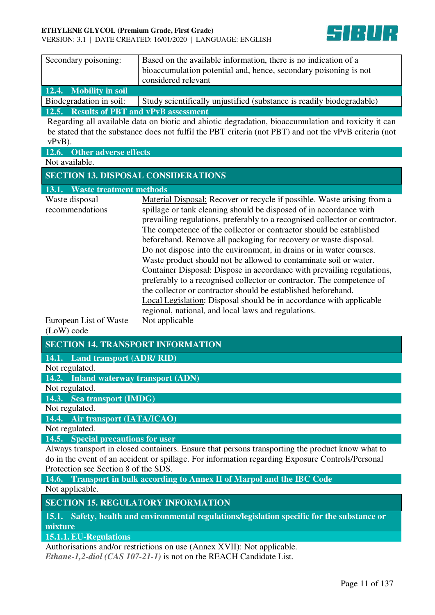

| Secondary poisoning:<br>Based on the available information, there is no indication of a                |                                                                       |  |
|--------------------------------------------------------------------------------------------------------|-----------------------------------------------------------------------|--|
|                                                                                                        | bioaccumulation potential and, hence, secondary poisoning is not      |  |
|                                                                                                        | considered relevant                                                   |  |
| 12.4. Mobility in soil                                                                                 |                                                                       |  |
| Biodegradation in soil:                                                                                | Study scientifically unjustified (substance is readily biodegradable) |  |
| 12.5. Results of PBT and vPvB assessment                                                               |                                                                       |  |
| Regarding all available data on biotic and abiotic degradation, bioaccumulation and toxicity it can    |                                                                       |  |
| be stated that the substance does not fulfil the PBT criteria (not PBT) and not the vPvB criteria (not |                                                                       |  |
| $vPvB$ ).                                                                                              |                                                                       |  |

## **12.6. Other adverse effects**

## Not available.

#### **SECTION 13. DISPOSAL CONSIDERATIONS**

## **13.1. Waste treatment methods**

| <u>TT UDIV DEVULDITUM MUSULUMI</u> |                                                                             |  |  |
|------------------------------------|-----------------------------------------------------------------------------|--|--|
| Waste disposal                     | Material Disposal: Recover or recycle if possible. Waste arising from a     |  |  |
| recommendations                    | spillage or tank cleaning should be disposed of in accordance with          |  |  |
|                                    | prevailing regulations, preferably to a recognised collector or contractor. |  |  |
|                                    | The competence of the collector or contractor should be established         |  |  |
|                                    | beforehand. Remove all packaging for recovery or waste disposal.            |  |  |
|                                    | Do not dispose into the environment, in drains or in water courses.         |  |  |
|                                    | Waste product should not be allowed to contaminate soil or water.           |  |  |
|                                    | Container Disposal: Dispose in accordance with prevailing regulations,      |  |  |
|                                    | preferably to a recognised collector or contractor. The competence of       |  |  |
|                                    | the collector or contractor should be established beforehand.               |  |  |
|                                    | Local Legislation: Disposal should be in accordance with applicable         |  |  |
|                                    | regional, national, and local laws and regulations.                         |  |  |
| European List of Waste             | Not applicable                                                              |  |  |
|                                    |                                                                             |  |  |

#### (LoW) code

# **SECTION 14. TRANSPORT INFORMATION**

**14.1. Land transport (ADR/ RID)** 

Not regulated.

**14.2. Inland waterway transport (ADN)**

## Not regulated.

**14.3. Sea transport (IMDG)** 

Not regulated.

**14.4. Air transport (IATA/ICAO)** 

Not regulated.

**14.5. Special precautions for user** 

Always transport in closed containers. Ensure that persons transporting the product know what to do in the event of an accident or spillage. For information regarding Exposure Controls/Personal Protection see Section 8 of the SDS.

**14.6. Transport in bulk according to Annex II of Marpol and the IBC Code** 

Not applicable.

**SECTION 15. REGULATORY INFORMATION** 

**15.1. Safety, health and environmental regulations/legislation specific for the substance or mixture** 

**15.1.1. EU-Regulations** 

Authorisations and/or restrictions on use (Annex XVII): Not applicable. *Ethane-1,2-diol (CAS 107-21-1)* is not on the REACH Candidate List.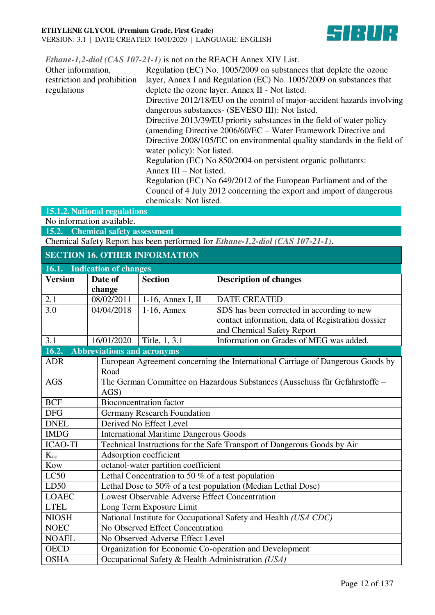

#### *Ethane-1,2-diol (CAS 107-21-1)* is not on the REACH Annex XIV List.

| Other information,          | Regulation (EC) No. 1005/2009 on substances that deplete the ozone       |
|-----------------------------|--------------------------------------------------------------------------|
| restriction and prohibition | layer, Annex I and Regulation (EC) No. 1005/2009 on substances that      |
| regulations                 | deplete the ozone layer. Annex II - Not listed.                          |
|                             | Directive 2012/18/EU on the control of major-accident hazards involving  |
|                             | dangerous substances- (SEVESO III): Not listed.                          |
|                             | Directive 2013/39/EU priority substances in the field of water policy    |
|                             | (amending Directive 2006/60/EC – Water Framework Directive and           |
|                             | Directive 2008/105/EC on environmental quality standards in the field of |
|                             | water policy): Not listed.                                               |
|                             | Regulation (EC) No 850/2004 on persistent organic pollutants:            |
|                             | Annex III – Not listed.                                                  |
|                             | Regulation (EC) No 649/2012 of the European Parliament and of the        |
|                             |                                                                          |

Council of 4 July 2012 concerning the export and import of dangerous chemicals: Not listed.

#### **15.1.2. National regulations**

No information available.

**15.2. Chemical safety assessment** 

Chemical Safety Report has been performed for *Ethane-1,2-diol (CAS 107-21-1)*.

**SECTION 16. OTHER INFORMATION** 

| 16.1. Indication of changes |                                   |                                                                         |                                                                                |  |
|-----------------------------|-----------------------------------|-------------------------------------------------------------------------|--------------------------------------------------------------------------------|--|
| <b>Version</b>              | Date of                           | <b>Section</b>                                                          | <b>Description of changes</b>                                                  |  |
|                             | change                            |                                                                         |                                                                                |  |
| 2.1                         | 08/02/2011                        | 1-16, Annex I, II                                                       | <b>DATE CREATED</b>                                                            |  |
| 3.0                         | 04/04/2018                        | $1-16$ , Annex                                                          | SDS has been corrected in according to new                                     |  |
|                             |                                   |                                                                         | contact information, data of Registration dossier                              |  |
|                             |                                   |                                                                         | and Chemical Safety Report                                                     |  |
| 3.1                         | 16/01/2020                        | Title, 1, 3.1                                                           | Information on Grades of MEG was added.                                        |  |
| 16.2.                       | <b>Abbreviations and acronyms</b> |                                                                         |                                                                                |  |
| <b>ADR</b>                  |                                   |                                                                         | European Agreement concerning the International Carriage of Dangerous Goods by |  |
|                             | Road                              |                                                                         |                                                                                |  |
| <b>AGS</b>                  |                                   |                                                                         | The German Committee on Hazardous Substances (Ausschuss für Gefahrstoffe -     |  |
|                             | AGS                               |                                                                         |                                                                                |  |
| <b>BCF</b>                  |                                   | <b>Bioconcentration factor</b>                                          |                                                                                |  |
| <b>DFG</b>                  |                                   | <b>Germany Research Foundation</b>                                      |                                                                                |  |
| <b>DNEL</b>                 |                                   | Derived No Effect Level                                                 |                                                                                |  |
| <b>IMDG</b>                 |                                   | <b>International Maritime Dangerous Goods</b>                           |                                                                                |  |
| <b>ICAO-TI</b>              |                                   | Technical Instructions for the Safe Transport of Dangerous Goods by Air |                                                                                |  |
| $K_{oc}$                    |                                   | Adsorption coefficient                                                  |                                                                                |  |
| Kow                         |                                   | octanol-water partition coefficient                                     |                                                                                |  |
| LC50                        |                                   | Lethal Concentration to 50 $%$ of a test population                     |                                                                                |  |
| LD50                        |                                   | Lethal Dose to 50% of a test population (Median Lethal Dose)            |                                                                                |  |
| <b>LOAEC</b>                |                                   | Lowest Observable Adverse Effect Concentration                          |                                                                                |  |
| <b>LTEL</b>                 |                                   | Long Term Exposure Limit                                                |                                                                                |  |
| <b>NIOSH</b>                |                                   | National Institute for Occupational Safety and Health (USA CDC)         |                                                                                |  |
| <b>NOEC</b>                 |                                   | No Observed Effect Concentration                                        |                                                                                |  |
| <b>NOAEL</b>                |                                   | No Observed Adverse Effect Level                                        |                                                                                |  |
| <b>OECD</b>                 |                                   | Organization for Economic Co-operation and Development                  |                                                                                |  |
| <b>OSHA</b>                 |                                   | Occupational Safety & Health Administration (USA)                       |                                                                                |  |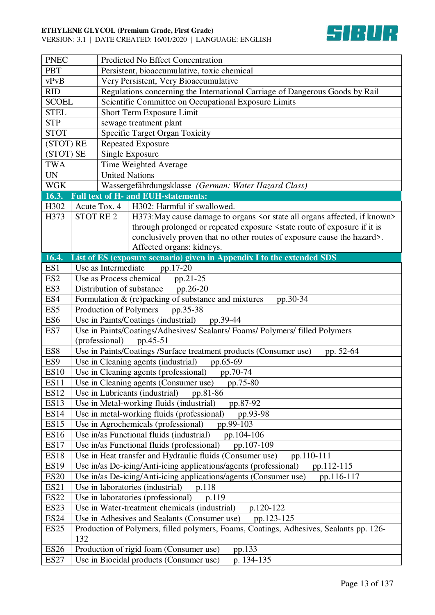

| <b>PNEC</b>     | Predicted No Effect Concentration                                                                  |                                                                                   |                                                                                                  |
|-----------------|----------------------------------------------------------------------------------------------------|-----------------------------------------------------------------------------------|--------------------------------------------------------------------------------------------------|
| <b>PBT</b>      |                                                                                                    | Persistent, bioaccumulative, toxic chemical                                       |                                                                                                  |
| vPvB            |                                                                                                    | Very Persistent, Very Bioaccumulative                                             |                                                                                                  |
| <b>RID</b>      |                                                                                                    | Regulations concerning the International Carriage of Dangerous Goods by Rail      |                                                                                                  |
| <b>SCOEL</b>    |                                                                                                    |                                                                                   |                                                                                                  |
| <b>STEL</b>     |                                                                                                    | Scientific Committee on Occupational Exposure Limits<br>Short Term Exposure Limit |                                                                                                  |
| <b>STP</b>      |                                                                                                    |                                                                                   | sewage treatment plant                                                                           |
| <b>STOT</b>     |                                                                                                    |                                                                                   | Specific Target Organ Toxicity                                                                   |
|                 |                                                                                                    |                                                                                   |                                                                                                  |
| (STOT) RE       |                                                                                                    |                                                                                   | <b>Repeated Exposure</b>                                                                         |
| (STOT) SE       |                                                                                                    |                                                                                   | Single Exposure                                                                                  |
| <b>TWA</b>      |                                                                                                    |                                                                                   | Time Weighted Average                                                                            |
| <b>UN</b>       |                                                                                                    | <b>United Nations</b>                                                             |                                                                                                  |
| <b>WGK</b>      |                                                                                                    |                                                                                   | Wassergefährdungsklasse (German: Water Hazard Class)                                             |
| 16.3.           |                                                                                                    |                                                                                   | <b>Full text of H- and EUH-statements:</b>                                                       |
| H302            |                                                                                                    | Acute Tox. 4                                                                      | H302: Harmful if swallowed.                                                                      |
| H373            |                                                                                                    | STOT RE 2                                                                         | H373: May cause damage to organs <or affected,="" all="" if="" known="" organs="" state=""></or> |
|                 |                                                                                                    |                                                                                   | through prolonged or repeated exposure $\leq$ state route of exposure if it is                   |
|                 |                                                                                                    |                                                                                   | conclusively proven that no other routes of exposure cause the hazard>.                          |
|                 |                                                                                                    |                                                                                   | Affected organs: kidneys.                                                                        |
| 16.4.           |                                                                                                    |                                                                                   | List of ES (exposure scenario) given in Appendix I to the extended SDS                           |
| ES1             |                                                                                                    | Use as Intermediate                                                               | pp.17-20                                                                                         |
| ES <sub>2</sub> |                                                                                                    |                                                                                   | Use as Process chemical pp.21-25                                                                 |
| ES3             |                                                                                                    |                                                                                   | Distribution of substance<br>pp.26-20                                                            |
| ES4             |                                                                                                    |                                                                                   | Formulation $\&$ (re)packing of substance and mixtures<br>pp.30-34                               |
| ES <sub>5</sub> |                                                                                                    |                                                                                   | Production of Polymers<br>pp.35-38                                                               |
| ES <sub>6</sub> | Use in Paints/Coatings (industrial)<br>pp.39-44                                                    |                                                                                   |                                                                                                  |
| ES7             | Use in Paints/Coatings/Adhesives/ Sealants/ Foams/ Polymers/ filled Polymers                       |                                                                                   |                                                                                                  |
|                 | (professional)<br>pp.45-51                                                                         |                                                                                   |                                                                                                  |
| ES8             | Use in Paints/Coatings /Surface treatment products (Consumer use)                                  |                                                                                   | pp. 52-64                                                                                        |
| ES9             |                                                                                                    |                                                                                   | Use in Cleaning agents (industrial)<br>pp.65-69                                                  |
| <b>ES10</b>     |                                                                                                    |                                                                                   | Use in Cleaning agents (professional)<br>pp.70-74                                                |
| <b>ES11</b>     |                                                                                                    |                                                                                   | pp.75-80                                                                                         |
| <b>ES12</b>     | Use in Cleaning agents (Consumer use)<br>Use in Lubricants (industrial)<br>pp.81-86                |                                                                                   |                                                                                                  |
| <b>ES13</b>     |                                                                                                    |                                                                                   | pp.87-92                                                                                         |
| <b>ES14</b>     | Use in Metal-working fluids (industrial)<br>Use in metal-working fluids (professional)<br>pp.93-98 |                                                                                   |                                                                                                  |
| <b>ES15</b>     | pp.99-103<br>Use in Agrochemicals (professional)                                                   |                                                                                   |                                                                                                  |
| <b>ES16</b>     | Use in/as Functional fluids (industrial)                                                           |                                                                                   |                                                                                                  |
| <b>ES17</b>     | pp.104-106                                                                                         |                                                                                   |                                                                                                  |
| <b>ES18</b>     | Use in/as Functional fluids (professional)<br>pp.107-109                                           |                                                                                   |                                                                                                  |
|                 | Use in Heat transfer and Hydraulic fluids (Consumer use)<br>pp.110-111                             |                                                                                   |                                                                                                  |
| <b>ES19</b>     | Use in/as De-icing/Anti-icing applications/agents (professional)<br>pp.112-115                     |                                                                                   |                                                                                                  |
| <b>ES20</b>     | Use in/as De-icing/Anti-icing applications/agents (Consumer use)<br>pp.116-117                     |                                                                                   |                                                                                                  |
| <b>ES21</b>     | Use in laboratories (industrial)<br>p.118                                                          |                                                                                   |                                                                                                  |
| <b>ES22</b>     |                                                                                                    |                                                                                   | Use in laboratories (professional)<br>p.119                                                      |
| <b>ES23</b>     | p.120-122<br>Use in Water-treatment chemicals (industrial)                                         |                                                                                   |                                                                                                  |
| <b>ES24</b>     | Use in Adhesives and Sealants (Consumer use)<br>pp.123-125                                         |                                                                                   |                                                                                                  |
| <b>ES25</b>     | Production of Polymers, filled polymers, Foams, Coatings, Adhesives, Sealants pp. 126-<br>132      |                                                                                   |                                                                                                  |
| <b>ES26</b>     |                                                                                                    |                                                                                   | Production of rigid foam (Consumer use)<br>pp.133                                                |
| <b>ES27</b>     | Use in Biocidal products (Consumer use)<br>p. 134-135                                              |                                                                                   |                                                                                                  |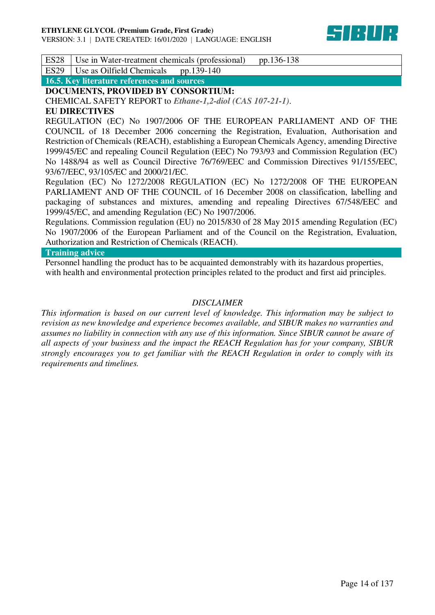

ES28 Use in Water-treatment chemicals (professional) pp.136-138

ES29 Use as Oilfield Chemicals pp.139-140

**16.5. Key literature references and sources**

## **DOCUMENTS, PROVIDED BY CONSORTIUM:**

CHEMICAL SAFETY REPORT to *Ethane-1,2-diol (CAS 107-21-1)*.

## **EU DIRECTIVES**

REGULATION (EC) No 1907/2006 OF THE EUROPEAN PARLIAMENT AND OF THE COUNCIL of 18 December 2006 concerning the Registration, Evaluation, Authorisation and Restriction of Chemicals (REACH), establishing a European Chemicals Agency, amending Directive 1999/45/EC and repealing Council Regulation (EEC) No 793/93 and Commission Regulation (EC) No 1488/94 as well as Council Directive 76/769/EEC and Commission Directives 91/155/EEC, 93/67/EEC, 93/105/EC and 2000/21/EC.

Regulation (EC) No 1272/2008 REGULATION (EC) No 1272/2008 OF THE EUROPEAN PARLIAMENT AND OF THE COUNCIL of 16 December 2008 on classification, labelling and packaging of substances and mixtures, amending and repealing Directives 67/548/EEC and 1999/45/EC, and amending Regulation (EC) No 1907/2006.

Regulations. Commission regulation (EU) no 2015/830 of 28 May 2015 amending Regulation (EC) No 1907/2006 of the European Parliament and of the Council on the Registration, Evaluation, Authorization and Restriction of Chemicals (REACH).

#### **Training advice**

Personnel handling the product has to be acquainted demonstrably with its hazardous properties, with health and environmental protection principles related to the product and first aid principles.

## *DISCLAIMER*

*This information is based on our current level of knowledge. This information may be subject to revision as new knowledge and experience becomes available, and SIBUR makes no warranties and assumes no liability in connection with any use of this information. Since SIBUR cannot be aware of all aspects of your business and the impact the REACH Regulation has for your company, SIBUR strongly encourages you to get familiar with the REACH Regulation in order to comply with its requirements and timelines.*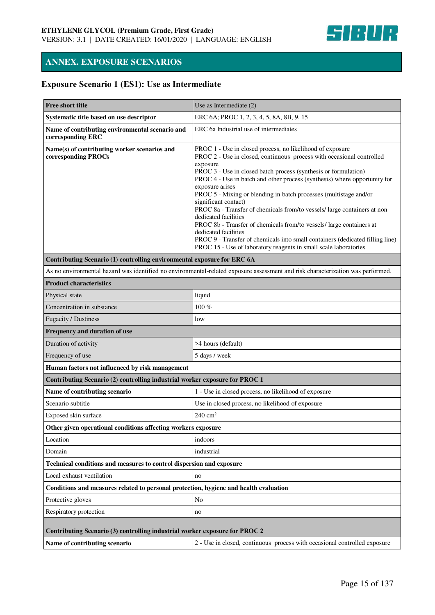

# **ANNEX. EXPOSURE SCENARIOS**

## **Exposure Scenario 1 (ES1): Use as Intermediate**

| <b>Free short title</b>                                                               | Use as Intermediate $(2)$                                                                                                                                                                                                                                                                                                                                                                                                                                                                                                                                                                                                                                                                                                                                               |  |
|---------------------------------------------------------------------------------------|-------------------------------------------------------------------------------------------------------------------------------------------------------------------------------------------------------------------------------------------------------------------------------------------------------------------------------------------------------------------------------------------------------------------------------------------------------------------------------------------------------------------------------------------------------------------------------------------------------------------------------------------------------------------------------------------------------------------------------------------------------------------------|--|
| Systematic title based on use descriptor                                              | ERC 6A; PROC 1, 2, 3, 4, 5, 8A, 8B, 9, 15                                                                                                                                                                                                                                                                                                                                                                                                                                                                                                                                                                                                                                                                                                                               |  |
| Name of contributing environmental scenario and<br>corresponding ERC                  | ERC 6a Industrial use of intermediates                                                                                                                                                                                                                                                                                                                                                                                                                                                                                                                                                                                                                                                                                                                                  |  |
| Name(s) of contributing worker scenarios and<br>corresponding PROCs                   | PROC 1 - Use in closed process, no likelihood of exposure<br>PROC 2 - Use in closed, continuous process with occasional controlled<br>exposure<br>PROC 3 - Use in closed batch process (synthesis or formulation)<br>PROC 4 - Use in batch and other process (synthesis) where opportunity for<br>exposure arises<br>PROC 5 - Mixing or blending in batch processes (multistage and/or<br>significant contact)<br>PROC 8a - Transfer of chemicals from/to vessels/ large containers at non<br>dedicated facilities<br>PROC 8b - Transfer of chemicals from/to vessels/ large containers at<br>dedicated facilities<br>PROC 9 - Transfer of chemicals into small containers (dedicated filling line)<br>PROC 15 - Use of laboratory reagents in small scale laboratories |  |
| Contributing Scenario (1) controlling environmental exposure for ERC 6A               |                                                                                                                                                                                                                                                                                                                                                                                                                                                                                                                                                                                                                                                                                                                                                                         |  |
|                                                                                       | As no environmental hazard was identified no environmental-related exposure assessment and risk characterization was performed.                                                                                                                                                                                                                                                                                                                                                                                                                                                                                                                                                                                                                                         |  |
| <b>Product characteristics</b>                                                        |                                                                                                                                                                                                                                                                                                                                                                                                                                                                                                                                                                                                                                                                                                                                                                         |  |
| Physical state                                                                        | liquid                                                                                                                                                                                                                                                                                                                                                                                                                                                                                                                                                                                                                                                                                                                                                                  |  |
| Concentration in substance                                                            | $100~\%$                                                                                                                                                                                                                                                                                                                                                                                                                                                                                                                                                                                                                                                                                                                                                                |  |
| <b>Fugacity / Dustiness</b>                                                           | low                                                                                                                                                                                                                                                                                                                                                                                                                                                                                                                                                                                                                                                                                                                                                                     |  |
| Frequency and duration of use                                                         |                                                                                                                                                                                                                                                                                                                                                                                                                                                                                                                                                                                                                                                                                                                                                                         |  |
| Duration of activity                                                                  | >4 hours (default)                                                                                                                                                                                                                                                                                                                                                                                                                                                                                                                                                                                                                                                                                                                                                      |  |
| Frequency of use                                                                      | 5 days / week                                                                                                                                                                                                                                                                                                                                                                                                                                                                                                                                                                                                                                                                                                                                                           |  |
| Human factors not influenced by risk management                                       |                                                                                                                                                                                                                                                                                                                                                                                                                                                                                                                                                                                                                                                                                                                                                                         |  |
| Contributing Scenario (2) controlling industrial worker exposure for PROC 1           |                                                                                                                                                                                                                                                                                                                                                                                                                                                                                                                                                                                                                                                                                                                                                                         |  |
| Name of contributing scenario                                                         | 1 - Use in closed process, no likelihood of exposure                                                                                                                                                                                                                                                                                                                                                                                                                                                                                                                                                                                                                                                                                                                    |  |
| Scenario subtitle                                                                     | Use in closed process, no likelihood of exposure                                                                                                                                                                                                                                                                                                                                                                                                                                                                                                                                                                                                                                                                                                                        |  |
| Exposed skin surface                                                                  | $240$ cm <sup>2</sup>                                                                                                                                                                                                                                                                                                                                                                                                                                                                                                                                                                                                                                                                                                                                                   |  |
| Other given operational conditions affecting workers exposure                         |                                                                                                                                                                                                                                                                                                                                                                                                                                                                                                                                                                                                                                                                                                                                                                         |  |
| Location                                                                              | indoors                                                                                                                                                                                                                                                                                                                                                                                                                                                                                                                                                                                                                                                                                                                                                                 |  |
| Domain                                                                                | industrial                                                                                                                                                                                                                                                                                                                                                                                                                                                                                                                                                                                                                                                                                                                                                              |  |
| Technical conditions and measures to control dispersion and exposure                  |                                                                                                                                                                                                                                                                                                                                                                                                                                                                                                                                                                                                                                                                                                                                                                         |  |
| Local exhaust ventilation                                                             | no                                                                                                                                                                                                                                                                                                                                                                                                                                                                                                                                                                                                                                                                                                                                                                      |  |
| Conditions and measures related to personal protection, hygiene and health evaluation |                                                                                                                                                                                                                                                                                                                                                                                                                                                                                                                                                                                                                                                                                                                                                                         |  |
| Protective gloves                                                                     | No                                                                                                                                                                                                                                                                                                                                                                                                                                                                                                                                                                                                                                                                                                                                                                      |  |
| Respiratory protection                                                                | no                                                                                                                                                                                                                                                                                                                                                                                                                                                                                                                                                                                                                                                                                                                                                                      |  |
| Contributing Scenario (3) controlling industrial worker exposure for PROC 2           |                                                                                                                                                                                                                                                                                                                                                                                                                                                                                                                                                                                                                                                                                                                                                                         |  |
| Name of contributing scenario                                                         | 2 - Use in closed, continuous process with occasional controlled exposure                                                                                                                                                                                                                                                                                                                                                                                                                                                                                                                                                                                                                                                                                               |  |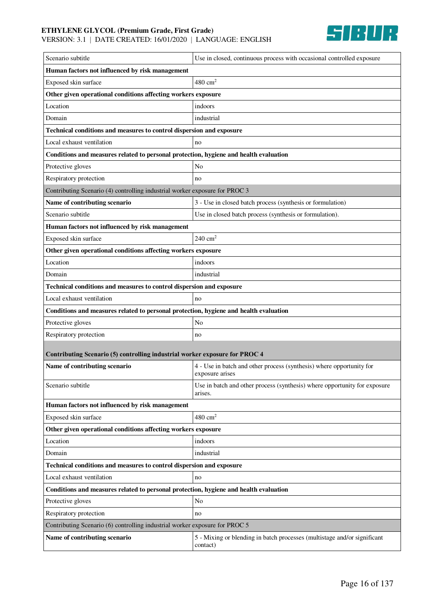

| Scenario subtitle                                                                     | Use in closed, continuous process with occasional controlled exposure                   |  |  |
|---------------------------------------------------------------------------------------|-----------------------------------------------------------------------------------------|--|--|
| Human factors not influenced by risk management                                       |                                                                                         |  |  |
| Exposed skin surface                                                                  | $480 \text{ cm}^2$                                                                      |  |  |
| Other given operational conditions affecting workers exposure                         |                                                                                         |  |  |
| Location                                                                              | indoors                                                                                 |  |  |
| Domain                                                                                | industrial                                                                              |  |  |
| Technical conditions and measures to control dispersion and exposure                  |                                                                                         |  |  |
| Local exhaust ventilation                                                             | no                                                                                      |  |  |
| Conditions and measures related to personal protection, hygiene and health evaluation |                                                                                         |  |  |
| Protective gloves                                                                     | N <sub>o</sub>                                                                          |  |  |
| Respiratory protection                                                                | no                                                                                      |  |  |
| Contributing Scenario (4) controlling industrial worker exposure for PROC 3           |                                                                                         |  |  |
| Name of contributing scenario                                                         | 3 - Use in closed batch process (synthesis or formulation)                              |  |  |
| Scenario subtitle                                                                     | Use in closed batch process (synthesis or formulation).                                 |  |  |
| Human factors not influenced by risk management                                       |                                                                                         |  |  |
| Exposed skin surface                                                                  | $240$ cm <sup>2</sup>                                                                   |  |  |
| Other given operational conditions affecting workers exposure                         |                                                                                         |  |  |
| Location                                                                              | indoors                                                                                 |  |  |
| Domain                                                                                | industrial                                                                              |  |  |
| Technical conditions and measures to control dispersion and exposure                  |                                                                                         |  |  |
| Local exhaust ventilation                                                             | no                                                                                      |  |  |
| Conditions and measures related to personal protection, hygiene and health evaluation |                                                                                         |  |  |
| Protective gloves                                                                     | No                                                                                      |  |  |
| Respiratory protection                                                                | no                                                                                      |  |  |
|                                                                                       |                                                                                         |  |  |
| Contributing Scenario (5) controlling industrial worker exposure for PROC 4           |                                                                                         |  |  |
| Name of contributing scenario                                                         | 4 - Use in batch and other process (synthesis) where opportunity for<br>exposure arises |  |  |
| Scenario subtitle                                                                     | Use in batch and other process (synthesis) where opportunity for exposure<br>arises.    |  |  |
| Human factors not influenced by risk management                                       |                                                                                         |  |  |
| Exposed skin surface                                                                  | $480$ cm <sup>2</sup>                                                                   |  |  |
| Other given operational conditions affecting workers exposure                         |                                                                                         |  |  |
| Location                                                                              | indoors                                                                                 |  |  |
| Domain                                                                                | industrial                                                                              |  |  |
| Technical conditions and measures to control dispersion and exposure                  |                                                                                         |  |  |
| Local exhaust ventilation                                                             | no                                                                                      |  |  |
| Conditions and measures related to personal protection, hygiene and health evaluation |                                                                                         |  |  |
| Protective gloves                                                                     | No                                                                                      |  |  |
| Respiratory protection                                                                | no                                                                                      |  |  |
| Contributing Scenario (6) controlling industrial worker exposure for PROC 5           |                                                                                         |  |  |
| Name of contributing scenario                                                         | 5 - Mixing or blending in batch processes (multistage and/or significant<br>contact)    |  |  |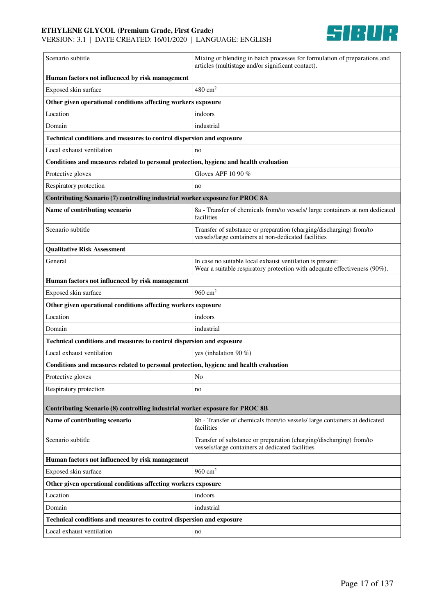

| Scenario subtitle                                                                     | Mixing or blending in batch processes for formulation of preparations and<br>articles (multistage and/or significant contact).         |  |  |
|---------------------------------------------------------------------------------------|----------------------------------------------------------------------------------------------------------------------------------------|--|--|
| Human factors not influenced by risk management                                       |                                                                                                                                        |  |  |
| Exposed skin surface                                                                  | $480 \text{ cm}^2$                                                                                                                     |  |  |
| Other given operational conditions affecting workers exposure                         |                                                                                                                                        |  |  |
| Location                                                                              | indoors                                                                                                                                |  |  |
| Domain                                                                                | industrial                                                                                                                             |  |  |
| Technical conditions and measures to control dispersion and exposure                  |                                                                                                                                        |  |  |
| Local exhaust ventilation                                                             | no                                                                                                                                     |  |  |
| Conditions and measures related to personal protection, hygiene and health evaluation |                                                                                                                                        |  |  |
| Protective gloves                                                                     | Gloves APF 10 90 %                                                                                                                     |  |  |
| Respiratory protection                                                                | no                                                                                                                                     |  |  |
| Contributing Scenario (7) controlling industrial worker exposure for PROC 8A          |                                                                                                                                        |  |  |
| Name of contributing scenario                                                         | 8a - Transfer of chemicals from/to vessels/ large containers at non dedicated<br>facilities                                            |  |  |
| Scenario subtitle                                                                     | Transfer of substance or preparation (charging/discharging) from/to<br>vessels/large containers at non-dedicated facilities            |  |  |
| <b>Qualitative Risk Assessment</b>                                                    |                                                                                                                                        |  |  |
| General                                                                               | In case no suitable local exhaust ventilation is present:<br>Wear a suitable respiratory protection with adequate effectiveness (90%). |  |  |
| Human factors not influenced by risk management                                       |                                                                                                                                        |  |  |
| Exposed skin surface                                                                  | $960 \text{ cm}^2$                                                                                                                     |  |  |
| Other given operational conditions affecting workers exposure                         |                                                                                                                                        |  |  |
| Location                                                                              | indoors                                                                                                                                |  |  |
| Domain                                                                                | industrial                                                                                                                             |  |  |
| Technical conditions and measures to control dispersion and exposure                  |                                                                                                                                        |  |  |
| Local exhaust ventilation                                                             | yes (inhalation 90 $\%$ )                                                                                                              |  |  |
| Conditions and measures related to personal protection, hygiene and health evaluation |                                                                                                                                        |  |  |
| Protective gloves                                                                     | $\rm No$                                                                                                                               |  |  |
| Respiratory protection                                                                | no                                                                                                                                     |  |  |
| Contributing Scenario (8) controlling industrial worker exposure for PROC 8B          |                                                                                                                                        |  |  |
| Name of contributing scenario                                                         | 8b - Transfer of chemicals from/to vessels/ large containers at dedicated<br>facilities                                                |  |  |
| Scenario subtitle                                                                     | Transfer of substance or preparation (charging/discharging) from/to<br>vessels/large containers at dedicated facilities                |  |  |
| Human factors not influenced by risk management                                       |                                                                                                                                        |  |  |
| Exposed skin surface                                                                  | $960 \text{ cm}^2$                                                                                                                     |  |  |
| Other given operational conditions affecting workers exposure                         |                                                                                                                                        |  |  |
| Location                                                                              | indoors                                                                                                                                |  |  |
| Domain                                                                                | industrial                                                                                                                             |  |  |
| Technical conditions and measures to control dispersion and exposure                  |                                                                                                                                        |  |  |
| Local exhaust ventilation                                                             | no                                                                                                                                     |  |  |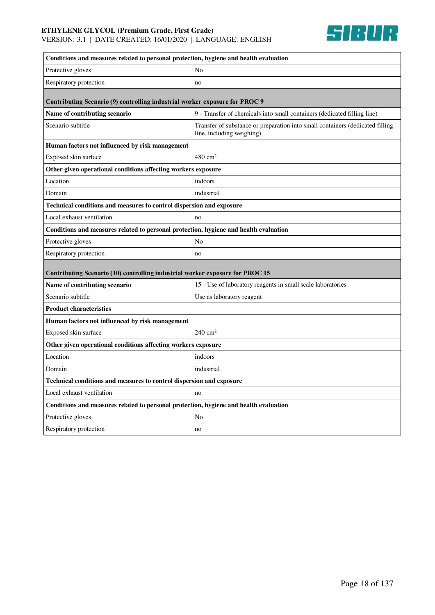

| Conditions and measures related to personal protection, hygiene and health evaluation |                                                                                                            |  |
|---------------------------------------------------------------------------------------|------------------------------------------------------------------------------------------------------------|--|
| Protective gloves                                                                     | No                                                                                                         |  |
| Respiratory protection                                                                | no                                                                                                         |  |
| Contributing Scenario (9) controlling industrial worker exposure for PROC 9           |                                                                                                            |  |
| Name of contributing scenario                                                         | 9 - Transfer of chemicals into small containers (dedicated filling line)                                   |  |
| Scenario subtitle                                                                     | Transfer of substance or preparation into small containers (dedicated filling<br>line, including weighing) |  |
| Human factors not influenced by risk management                                       |                                                                                                            |  |
| Exposed skin surface                                                                  | $480$ cm <sup>2</sup>                                                                                      |  |
| Other given operational conditions affecting workers exposure                         |                                                                                                            |  |
| Location                                                                              | indoors                                                                                                    |  |
| Domain                                                                                | industrial                                                                                                 |  |
| Technical conditions and measures to control dispersion and exposure                  |                                                                                                            |  |
| Local exhaust ventilation                                                             | no                                                                                                         |  |
| Conditions and measures related to personal protection, hygiene and health evaluation |                                                                                                            |  |
| Protective gloves                                                                     | No                                                                                                         |  |
| Respiratory protection                                                                | no                                                                                                         |  |
| Contributing Scenario (10) controlling industrial worker exposure for PROC 15         |                                                                                                            |  |
| Name of contributing scenario                                                         | 15 - Use of laboratory reagents in small scale laboratories                                                |  |
| Scenario subtitle                                                                     | Use as laboratory reagent                                                                                  |  |
| <b>Product characteristics</b>                                                        |                                                                                                            |  |
| Human factors not influenced by risk management                                       |                                                                                                            |  |
| Exposed skin surface                                                                  | $240 \text{ cm}^2$                                                                                         |  |
| Other given operational conditions affecting workers exposure                         |                                                                                                            |  |
| Location                                                                              | indoors                                                                                                    |  |
| Domain                                                                                | industrial                                                                                                 |  |
| Technical conditions and measures to control dispersion and exposure                  |                                                                                                            |  |
| Local exhaust ventilation                                                             | no                                                                                                         |  |
| Conditions and measures related to personal protection, hygiene and health evaluation |                                                                                                            |  |
| Protective gloves                                                                     | No                                                                                                         |  |
| Respiratory protection                                                                | no                                                                                                         |  |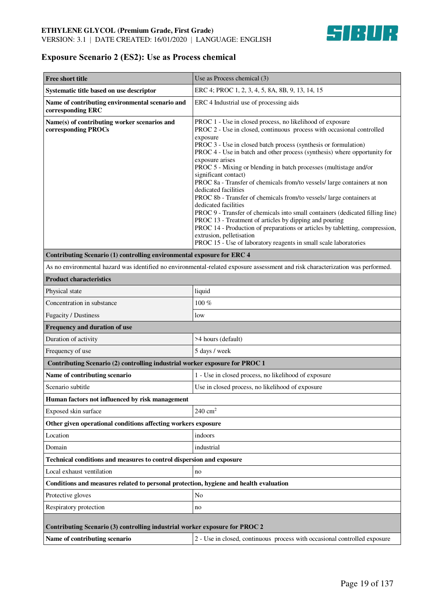

# **Exposure Scenario 2 (ES2): Use as Process chemical**

| <b>Free short title</b>                                                               | Use as Process chemical (3)                                                                                                                                                                                                                                                                                                                                                                                             |  |
|---------------------------------------------------------------------------------------|-------------------------------------------------------------------------------------------------------------------------------------------------------------------------------------------------------------------------------------------------------------------------------------------------------------------------------------------------------------------------------------------------------------------------|--|
| Systematic title based on use descriptor                                              | ERC 4; PROC 1, 2, 3, 4, 5, 8A, 8B, 9, 13, 14, 15                                                                                                                                                                                                                                                                                                                                                                        |  |
| Name of contributing environmental scenario and<br>corresponding ERC                  | ERC 4 Industrial use of processing aids                                                                                                                                                                                                                                                                                                                                                                                 |  |
| Name(s) of contributing worker scenarios and<br>corresponding PROCs                   | PROC 1 - Use in closed process, no likelihood of exposure<br>PROC 2 - Use in closed, continuous process with occasional controlled                                                                                                                                                                                                                                                                                      |  |
|                                                                                       | exposure<br>PROC 3 - Use in closed batch process (synthesis or formulation)<br>PROC 4 - Use in batch and other process (synthesis) where opportunity for<br>exposure arises<br>PROC 5 - Mixing or blending in batch processes (multistage and/or<br>significant contact)<br>PROC 8a - Transfer of chemicals from/to vessels/ large containers at non<br>dedicated facilities                                            |  |
|                                                                                       | PROC 8b - Transfer of chemicals from/to vessels/ large containers at<br>dedicated facilities<br>PROC 9 - Transfer of chemicals into small containers (dedicated filling line)<br>PROC 13 - Treatment of articles by dipping and pouring<br>PROC 14 - Production of preparations or articles by tabletting, compression,<br>extrusion, pelletisation<br>PROC 15 - Use of laboratory reagents in small scale laboratories |  |
| Contributing Scenario (1) controlling environmental exposure for ERC 4                |                                                                                                                                                                                                                                                                                                                                                                                                                         |  |
|                                                                                       | As no environmental hazard was identified no environmental-related exposure assessment and risk characterization was performed.                                                                                                                                                                                                                                                                                         |  |
| <b>Product characteristics</b>                                                        |                                                                                                                                                                                                                                                                                                                                                                                                                         |  |
| Physical state                                                                        | liquid                                                                                                                                                                                                                                                                                                                                                                                                                  |  |
| Concentration in substance                                                            | 100 %                                                                                                                                                                                                                                                                                                                                                                                                                   |  |
| <b>Fugacity / Dustiness</b>                                                           | low                                                                                                                                                                                                                                                                                                                                                                                                                     |  |
| Frequency and duration of use                                                         |                                                                                                                                                                                                                                                                                                                                                                                                                         |  |
| Duration of activity                                                                  | >4 hours (default)                                                                                                                                                                                                                                                                                                                                                                                                      |  |
| Frequency of use                                                                      | 5 days / week                                                                                                                                                                                                                                                                                                                                                                                                           |  |
| Contributing Scenario (2) controlling industrial worker exposure for PROC 1           |                                                                                                                                                                                                                                                                                                                                                                                                                         |  |
| Name of contributing scenario                                                         | 1 - Use in closed process, no likelihood of exposure                                                                                                                                                                                                                                                                                                                                                                    |  |
| Scenario subtitle                                                                     | Use in closed process, no likelihood of exposure                                                                                                                                                                                                                                                                                                                                                                        |  |
| Human factors not influenced by risk management                                       |                                                                                                                                                                                                                                                                                                                                                                                                                         |  |
| Exposed skin surface                                                                  | $240 \text{ cm}^2$                                                                                                                                                                                                                                                                                                                                                                                                      |  |
| Other given operational conditions affecting workers exposure                         |                                                                                                                                                                                                                                                                                                                                                                                                                         |  |
| Location                                                                              | indoors                                                                                                                                                                                                                                                                                                                                                                                                                 |  |
| Domain                                                                                | industrial                                                                                                                                                                                                                                                                                                                                                                                                              |  |
| Technical conditions and measures to control dispersion and exposure                  |                                                                                                                                                                                                                                                                                                                                                                                                                         |  |
| Local exhaust ventilation                                                             | no                                                                                                                                                                                                                                                                                                                                                                                                                      |  |
| Conditions and measures related to personal protection, hygiene and health evaluation |                                                                                                                                                                                                                                                                                                                                                                                                                         |  |
| Protective gloves                                                                     | N <sub>o</sub>                                                                                                                                                                                                                                                                                                                                                                                                          |  |
| Respiratory protection                                                                | no                                                                                                                                                                                                                                                                                                                                                                                                                      |  |
| Contributing Scenario (3) controlling industrial worker exposure for PROC 2           |                                                                                                                                                                                                                                                                                                                                                                                                                         |  |
| Name of contributing scenario                                                         | 2 - Use in closed, continuous process with occasional controlled exposure                                                                                                                                                                                                                                                                                                                                               |  |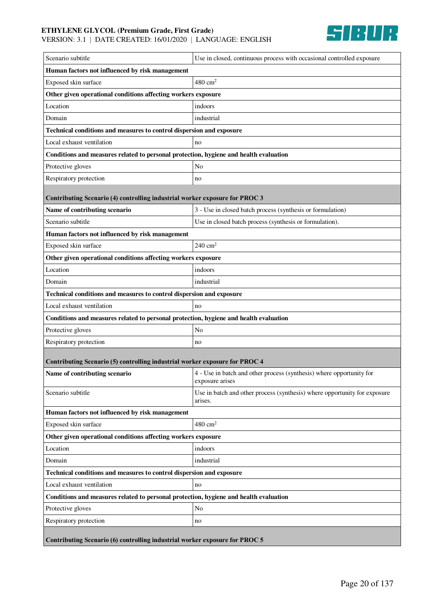

| Scenario subtitle                                                                     | Use in closed, continuous process with occasional controlled exposure                   |  |
|---------------------------------------------------------------------------------------|-----------------------------------------------------------------------------------------|--|
| Human factors not influenced by risk management                                       |                                                                                         |  |
| Exposed skin surface                                                                  | $480 \text{ cm}^2$                                                                      |  |
| Other given operational conditions affecting workers exposure                         |                                                                                         |  |
| Location                                                                              | indoors                                                                                 |  |
| Domain                                                                                | industrial                                                                              |  |
| Technical conditions and measures to control dispersion and exposure                  |                                                                                         |  |
| Local exhaust ventilation                                                             | no                                                                                      |  |
| Conditions and measures related to personal protection, hygiene and health evaluation |                                                                                         |  |
| Protective gloves                                                                     | No                                                                                      |  |
| Respiratory protection                                                                | no                                                                                      |  |
| Contributing Scenario (4) controlling industrial worker exposure for PROC 3           |                                                                                         |  |
| Name of contributing scenario                                                         | 3 - Use in closed batch process (synthesis or formulation)                              |  |
| Scenario subtitle                                                                     | Use in closed batch process (synthesis or formulation).                                 |  |
| Human factors not influenced by risk management                                       |                                                                                         |  |
| Exposed skin surface                                                                  | $240$ cm <sup>2</sup>                                                                   |  |
| Other given operational conditions affecting workers exposure                         |                                                                                         |  |
| Location                                                                              | indoors                                                                                 |  |
| Domain                                                                                | industrial                                                                              |  |
| Technical conditions and measures to control dispersion and exposure                  |                                                                                         |  |
| Local exhaust ventilation                                                             | no                                                                                      |  |
| Conditions and measures related to personal protection, hygiene and health evaluation |                                                                                         |  |
| Protective gloves                                                                     | No                                                                                      |  |
| Respiratory protection                                                                | no                                                                                      |  |
|                                                                                       |                                                                                         |  |
| Contributing Scenario (5) controlling industrial worker exposure for PROC 4           |                                                                                         |  |
| Name of contributing scenario                                                         | 4 - Use in batch and other process (synthesis) where opportunity for<br>exposure arises |  |
| Scenario subtitle                                                                     | Use in batch and other process (synthesis) where opportunity for exposure<br>arises.    |  |
| Human factors not influenced by risk management                                       |                                                                                         |  |
| Exposed skin surface                                                                  | $480$ cm <sup>2</sup>                                                                   |  |
| Other given operational conditions affecting workers exposure                         |                                                                                         |  |
| Location                                                                              | indoors                                                                                 |  |
| Domain                                                                                | industrial                                                                              |  |
| Technical conditions and measures to control dispersion and exposure                  |                                                                                         |  |
| Local exhaust ventilation                                                             | no                                                                                      |  |
|                                                                                       | Conditions and measures related to personal protection, hygiene and health evaluation   |  |
|                                                                                       |                                                                                         |  |
| Protective gloves                                                                     | No                                                                                      |  |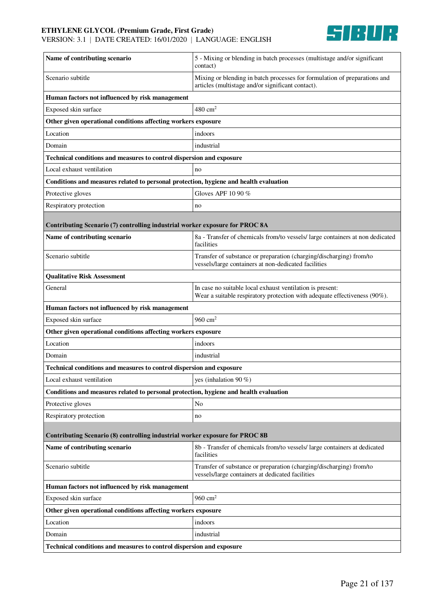

| Name of contributing scenario                                                         | 5 - Mixing or blending in batch processes (multistage and/or significant<br>contact)                                                   |  |
|---------------------------------------------------------------------------------------|----------------------------------------------------------------------------------------------------------------------------------------|--|
| Scenario subtitle                                                                     | Mixing or blending in batch processes for formulation of preparations and<br>articles (multistage and/or significant contact).         |  |
| Human factors not influenced by risk management                                       |                                                                                                                                        |  |
| Exposed skin surface                                                                  | $480 \text{ cm}^2$                                                                                                                     |  |
| Other given operational conditions affecting workers exposure                         |                                                                                                                                        |  |
| Location                                                                              | indoors                                                                                                                                |  |
| Domain                                                                                | industrial                                                                                                                             |  |
| Technical conditions and measures to control dispersion and exposure                  |                                                                                                                                        |  |
| Local exhaust ventilation                                                             | no                                                                                                                                     |  |
| Conditions and measures related to personal protection, hygiene and health evaluation |                                                                                                                                        |  |
| Protective gloves                                                                     | Gloves APF 10 90 %                                                                                                                     |  |
| Respiratory protection                                                                | no                                                                                                                                     |  |
| Contributing Scenario (7) controlling industrial worker exposure for PROC 8A          |                                                                                                                                        |  |
| Name of contributing scenario                                                         | 8a - Transfer of chemicals from/to vessels/ large containers at non dedicated<br>facilities                                            |  |
| Scenario subtitle                                                                     | Transfer of substance or preparation (charging/discharging) from/to<br>vessels/large containers at non-dedicated facilities            |  |
| <b>Qualitative Risk Assessment</b>                                                    |                                                                                                                                        |  |
| General                                                                               | In case no suitable local exhaust ventilation is present:<br>Wear a suitable respiratory protection with adequate effectiveness (90%). |  |
| Human factors not influenced by risk management                                       |                                                                                                                                        |  |
| Exposed skin surface                                                                  | $960 \text{ cm}^2$                                                                                                                     |  |
| Other given operational conditions affecting workers exposure                         |                                                                                                                                        |  |
| Location                                                                              | indoors                                                                                                                                |  |
| Domain                                                                                | industrial                                                                                                                             |  |
| Technical conditions and measures to control dispersion and exposure                  |                                                                                                                                        |  |
| Local exhaust ventilation                                                             | yes (inhalation 90 %)                                                                                                                  |  |
| Conditions and measures related to personal protection, hygiene and health evaluation |                                                                                                                                        |  |
| Protective gloves                                                                     | No                                                                                                                                     |  |
| Respiratory protection                                                                | no                                                                                                                                     |  |
| Contributing Scenario (8) controlling industrial worker exposure for PROC 8B          |                                                                                                                                        |  |
| Name of contributing scenario                                                         | 8b - Transfer of chemicals from/to vessels/ large containers at dedicated<br>facilities                                                |  |
| Scenario subtitle                                                                     | Transfer of substance or preparation (charging/discharging) from/to<br>vessels/large containers at dedicated facilities                |  |
| Human factors not influenced by risk management                                       |                                                                                                                                        |  |
| Exposed skin surface                                                                  | 960 $cm2$                                                                                                                              |  |
| Other given operational conditions affecting workers exposure                         |                                                                                                                                        |  |
| Location                                                                              | indoors                                                                                                                                |  |
| Domain                                                                                | industrial                                                                                                                             |  |
| Technical conditions and measures to control dispersion and exposure                  |                                                                                                                                        |  |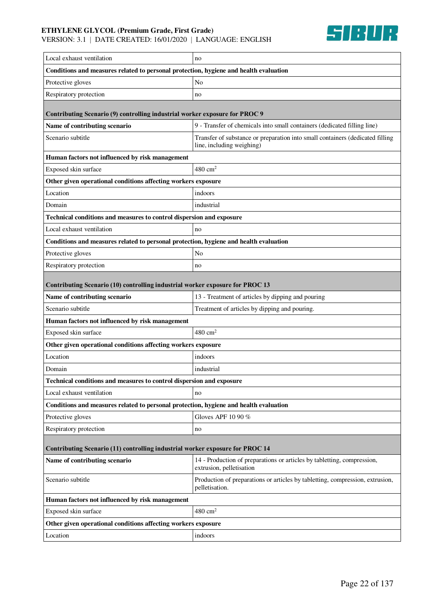

| Local exhaust ventilation                                                             | no                                                                                                         |  |
|---------------------------------------------------------------------------------------|------------------------------------------------------------------------------------------------------------|--|
| Conditions and measures related to personal protection, hygiene and health evaluation |                                                                                                            |  |
| Protective gloves                                                                     | No                                                                                                         |  |
| Respiratory protection                                                                | no                                                                                                         |  |
| Contributing Scenario (9) controlling industrial worker exposure for PROC 9           |                                                                                                            |  |
| Name of contributing scenario                                                         | 9 - Transfer of chemicals into small containers (dedicated filling line)                                   |  |
| Scenario subtitle                                                                     | Transfer of substance or preparation into small containers (dedicated filling<br>line, including weighing) |  |
| Human factors not influenced by risk management                                       |                                                                                                            |  |
| Exposed skin surface                                                                  | $480$ cm <sup>2</sup>                                                                                      |  |
| Other given operational conditions affecting workers exposure                         |                                                                                                            |  |
| Location                                                                              | indoors                                                                                                    |  |
| Domain                                                                                | industrial                                                                                                 |  |
| Technical conditions and measures to control dispersion and exposure                  |                                                                                                            |  |
| Local exhaust ventilation                                                             | no                                                                                                         |  |
| Conditions and measures related to personal protection, hygiene and health evaluation |                                                                                                            |  |
| Protective gloves                                                                     | No                                                                                                         |  |
| Respiratory protection                                                                | no                                                                                                         |  |
| Contributing Scenario (10) controlling industrial worker exposure for PROC 13         |                                                                                                            |  |
| Name of contributing scenario                                                         | 13 - Treatment of articles by dipping and pouring                                                          |  |
| Scenario subtitle                                                                     | Treatment of articles by dipping and pouring.                                                              |  |
| Human factors not influenced by risk management                                       |                                                                                                            |  |
| Exposed skin surface                                                                  | $480$ cm <sup>2</sup>                                                                                      |  |
| Other given operational conditions affecting workers exposure                         |                                                                                                            |  |
| Location                                                                              | indoors                                                                                                    |  |
| Domain                                                                                | industrial                                                                                                 |  |
| Technical conditions and measures to control dispersion and exposure                  |                                                                                                            |  |
| Local exhaust ventilation                                                             | no                                                                                                         |  |
| Conditions and measures related to personal protection, hygiene and health evaluation |                                                                                                            |  |
| Protective gloves                                                                     | Gloves APF 10 90 %                                                                                         |  |
| Respiratory protection                                                                | no                                                                                                         |  |
| Contributing Scenario (11) controlling industrial worker exposure for PROC 14         |                                                                                                            |  |
| Name of contributing scenario                                                         | 14 - Production of preparations or articles by tabletting, compression,<br>extrusion, pelletisation        |  |
| Scenario subtitle                                                                     | Production of preparations or articles by tabletting, compression, extrusion,<br>pelletisation.            |  |
| Human factors not influenced by risk management                                       |                                                                                                            |  |
| Exposed skin surface                                                                  | $480$ cm <sup>2</sup>                                                                                      |  |
| Other given operational conditions affecting workers exposure                         |                                                                                                            |  |
| Location                                                                              | indoors                                                                                                    |  |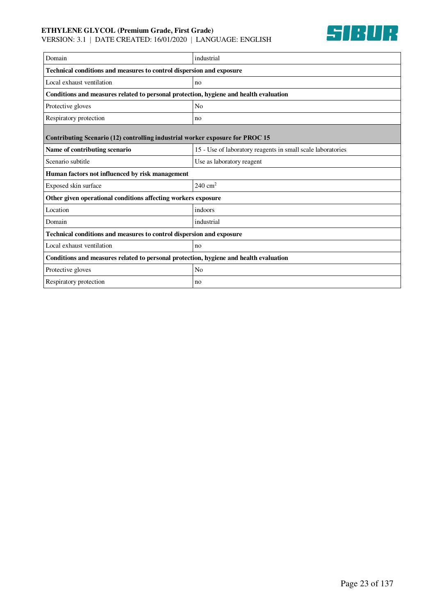

| Domain                                                                                | industrial                                                  |  |
|---------------------------------------------------------------------------------------|-------------------------------------------------------------|--|
| <b>Technical conditions and measures to control dispersion and exposure</b>           |                                                             |  |
| Local exhaust ventilation                                                             | no                                                          |  |
| Conditions and measures related to personal protection, hygiene and health evaluation |                                                             |  |
| Protective gloves                                                                     | N <sub>0</sub>                                              |  |
| Respiratory protection                                                                | no                                                          |  |
| Contributing Scenario (12) controlling industrial worker exposure for PROC 15         |                                                             |  |
| Name of contributing scenario                                                         | 15 - Use of laboratory reagents in small scale laboratories |  |
|                                                                                       |                                                             |  |
| Scenario subtitle                                                                     | Use as laboratory reagent                                   |  |
| Human factors not influenced by risk management                                       |                                                             |  |
| Exposed skin surface                                                                  | $240 \text{ cm}^2$                                          |  |
| Other given operational conditions affecting workers exposure                         |                                                             |  |
| Location                                                                              | indoors                                                     |  |
| Domain                                                                                | industrial                                                  |  |
| Technical conditions and measures to control dispersion and exposure                  |                                                             |  |
| Local exhaust ventilation                                                             | no                                                          |  |
| Conditions and measures related to personal protection, hygiene and health evaluation |                                                             |  |
| Protective gloves                                                                     | N <sub>0</sub>                                              |  |
| Respiratory protection                                                                | no                                                          |  |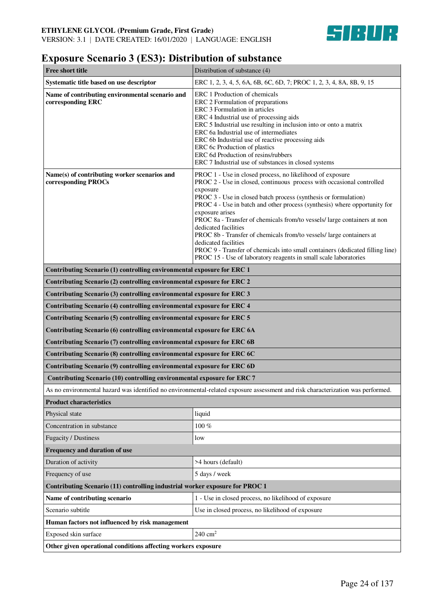

# **Exposure Scenario 3 (ES3): Distribution of substance**

| <b>Free short title</b>                                                                                                         | Distribution of substance (4)                                                                                                                                                                                                                                                                                                                                                                                                                                                                                                                                                                                                                                              |  |
|---------------------------------------------------------------------------------------------------------------------------------|----------------------------------------------------------------------------------------------------------------------------------------------------------------------------------------------------------------------------------------------------------------------------------------------------------------------------------------------------------------------------------------------------------------------------------------------------------------------------------------------------------------------------------------------------------------------------------------------------------------------------------------------------------------------------|--|
| Systematic title based on use descriptor                                                                                        | ERC 1, 2, 3, 4, 5, 6A, 6B, 6C, 6D, 7; PROC 1, 2, 3, 4, 8A, 8B, 9, 15                                                                                                                                                                                                                                                                                                                                                                                                                                                                                                                                                                                                       |  |
| Name of contributing environmental scenario and<br>corresponding ERC                                                            | ERC 1 Production of chemicals<br>ERC 2 Formulation of preparations<br>ERC 3 Formulation in articles<br>ERC 4 Industrial use of processing aids<br>ERC 5 Industrial use resulting in inclusion into or onto a matrix<br>ERC 6a Industrial use of intermediates<br>ERC 6b Industrial use of reactive processing aids<br>ERC 6c Production of plastics<br>ERC 6d Production of resins/rubbers<br>ERC 7 Industrial use of substances in closed systems                                                                                                                                                                                                                         |  |
| Name(s) of contributing worker scenarios and<br>corresponding PROCs                                                             | PROC 1 - Use in closed process, no likelihood of exposure<br>PROC 2 - Use in closed, continuous process with occasional controlled<br>exposure<br>PROC 3 - Use in closed batch process (synthesis or formulation)<br>PROC 4 - Use in batch and other process (synthesis) where opportunity for<br>exposure arises<br>PROC 8a - Transfer of chemicals from/to vessels/ large containers at non<br>dedicated facilities<br>PROC 8b - Transfer of chemicals from/to vessels/ large containers at<br>dedicated facilities<br>PROC 9 - Transfer of chemicals into small containers (dedicated filling line)<br>PROC 15 - Use of laboratory reagents in small scale laboratories |  |
| Contributing Scenario (1) controlling environmental exposure for ERC 1                                                          |                                                                                                                                                                                                                                                                                                                                                                                                                                                                                                                                                                                                                                                                            |  |
| Contributing Scenario (2) controlling environmental exposure for ERC 2                                                          |                                                                                                                                                                                                                                                                                                                                                                                                                                                                                                                                                                                                                                                                            |  |
| Contributing Scenario (3) controlling environmental exposure for ERC 3                                                          |                                                                                                                                                                                                                                                                                                                                                                                                                                                                                                                                                                                                                                                                            |  |
| Contributing Scenario (4) controlling environmental exposure for ERC 4                                                          |                                                                                                                                                                                                                                                                                                                                                                                                                                                                                                                                                                                                                                                                            |  |
| Contributing Scenario (5) controlling environmental exposure for ERC 5                                                          |                                                                                                                                                                                                                                                                                                                                                                                                                                                                                                                                                                                                                                                                            |  |
| Contributing Scenario (6) controlling environmental exposure for ERC 6A                                                         |                                                                                                                                                                                                                                                                                                                                                                                                                                                                                                                                                                                                                                                                            |  |
| Contributing Scenario (7) controlling environmental exposure for ERC 6B                                                         |                                                                                                                                                                                                                                                                                                                                                                                                                                                                                                                                                                                                                                                                            |  |
| Contributing Scenario (8) controlling environmental exposure for ERC 6C                                                         |                                                                                                                                                                                                                                                                                                                                                                                                                                                                                                                                                                                                                                                                            |  |
| Contributing Scenario (9) controlling environmental exposure for ERC 6D                                                         |                                                                                                                                                                                                                                                                                                                                                                                                                                                                                                                                                                                                                                                                            |  |
| Contributing Scenario (10) controlling environmental exposure for ERC 7                                                         |                                                                                                                                                                                                                                                                                                                                                                                                                                                                                                                                                                                                                                                                            |  |
| As no environmental hazard was identified no environmental-related exposure assessment and risk characterization was performed. |                                                                                                                                                                                                                                                                                                                                                                                                                                                                                                                                                                                                                                                                            |  |
| <b>Product characteristics</b>                                                                                                  |                                                                                                                                                                                                                                                                                                                                                                                                                                                                                                                                                                                                                                                                            |  |
| Physical state                                                                                                                  | liquid                                                                                                                                                                                                                                                                                                                                                                                                                                                                                                                                                                                                                                                                     |  |
| Concentration in substance                                                                                                      | 100 %                                                                                                                                                                                                                                                                                                                                                                                                                                                                                                                                                                                                                                                                      |  |
| Fugacity / Dustiness                                                                                                            | low                                                                                                                                                                                                                                                                                                                                                                                                                                                                                                                                                                                                                                                                        |  |
| Frequency and duration of use                                                                                                   |                                                                                                                                                                                                                                                                                                                                                                                                                                                                                                                                                                                                                                                                            |  |
| Duration of activity                                                                                                            | >4 hours (default)                                                                                                                                                                                                                                                                                                                                                                                                                                                                                                                                                                                                                                                         |  |
| Frequency of use                                                                                                                | 5 days / week                                                                                                                                                                                                                                                                                                                                                                                                                                                                                                                                                                                                                                                              |  |
| Contributing Scenario (11) controlling industrial worker exposure for PROC 1                                                    |                                                                                                                                                                                                                                                                                                                                                                                                                                                                                                                                                                                                                                                                            |  |
| Name of contributing scenario                                                                                                   | 1 - Use in closed process, no likelihood of exposure                                                                                                                                                                                                                                                                                                                                                                                                                                                                                                                                                                                                                       |  |
| Scenario subtitle                                                                                                               | Use in closed process, no likelihood of exposure                                                                                                                                                                                                                                                                                                                                                                                                                                                                                                                                                                                                                           |  |
| Human factors not influenced by risk management                                                                                 |                                                                                                                                                                                                                                                                                                                                                                                                                                                                                                                                                                                                                                                                            |  |
| Exposed skin surface                                                                                                            | $240$ cm <sup>2</sup>                                                                                                                                                                                                                                                                                                                                                                                                                                                                                                                                                                                                                                                      |  |
| Other given operational conditions affecting workers exposure                                                                   |                                                                                                                                                                                                                                                                                                                                                                                                                                                                                                                                                                                                                                                                            |  |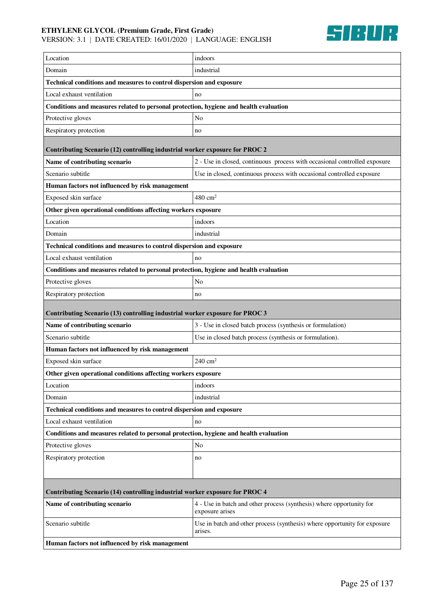



| Location                                                                              | indoors                                                                              |  |
|---------------------------------------------------------------------------------------|--------------------------------------------------------------------------------------|--|
| Domain                                                                                | industrial                                                                           |  |
| Technical conditions and measures to control dispersion and exposure                  |                                                                                      |  |
| Local exhaust ventilation                                                             | no                                                                                   |  |
| Conditions and measures related to personal protection, hygiene and health evaluation |                                                                                      |  |
| Protective gloves                                                                     | N <sub>0</sub>                                                                       |  |
| Respiratory protection                                                                | no                                                                                   |  |
| Contributing Scenario (12) controlling industrial worker exposure for PROC 2          |                                                                                      |  |
| Name of contributing scenario                                                         | 2 - Use in closed, continuous process with occasional controlled exposure            |  |
| Scenario subtitle                                                                     | Use in closed, continuous process with occasional controlled exposure                |  |
| Human factors not influenced by risk management                                       |                                                                                      |  |
| Exposed skin surface                                                                  | $480$ cm <sup>2</sup>                                                                |  |
| Other given operational conditions affecting workers exposure                         |                                                                                      |  |
| Location                                                                              | indoors                                                                              |  |
| Domain                                                                                | industrial                                                                           |  |
| Technical conditions and measures to control dispersion and exposure                  |                                                                                      |  |
| Local exhaust ventilation                                                             | no                                                                                   |  |
| Conditions and measures related to personal protection, hygiene and health evaluation |                                                                                      |  |
| Protective gloves                                                                     | N <sub>0</sub>                                                                       |  |
| Respiratory protection                                                                | no                                                                                   |  |
| Contributing Scenario (13) controlling industrial worker exposure for PROC 3          |                                                                                      |  |
| Name of contributing scenario                                                         | 3 - Use in closed batch process (synthesis or formulation)                           |  |
| Scenario subtitle                                                                     | Use in closed batch process (synthesis or formulation).                              |  |
| Human factors not influenced by risk management                                       |                                                                                      |  |
|                                                                                       |                                                                                      |  |
| Exposed skin surface                                                                  | $240$ cm <sup>2</sup>                                                                |  |
| Other given operational conditions affecting workers exposure                         |                                                                                      |  |
| Location                                                                              | indoors                                                                              |  |
| Domain                                                                                | industrial                                                                           |  |
| Technical conditions and measures to control dispersion and exposure                  |                                                                                      |  |
| Local exhaust ventilation                                                             | no                                                                                   |  |
| Conditions and measures related to personal protection, hygiene and health evaluation |                                                                                      |  |
| Protective gloves                                                                     | No                                                                                   |  |
| Respiratory protection                                                                | no                                                                                   |  |
|                                                                                       |                                                                                      |  |
| Contributing Scenario (14) controlling industrial worker exposure for PROC 4          |                                                                                      |  |
| Name of contributing scenario                                                         | 4 - Use in batch and other process (synthesis) where opportunity for                 |  |
|                                                                                       | exposure arises                                                                      |  |
| Scenario subtitle                                                                     | Use in batch and other process (synthesis) where opportunity for exposure<br>arises. |  |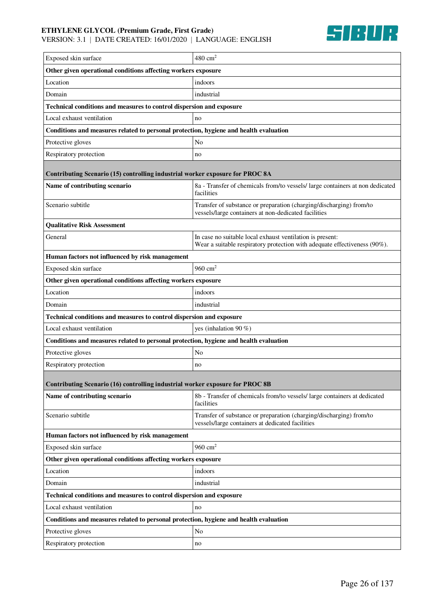

| Exposed skin surface                                                                  | $480 \text{ cm}^2$                                                                                                                     |  |
|---------------------------------------------------------------------------------------|----------------------------------------------------------------------------------------------------------------------------------------|--|
| Other given operational conditions affecting workers exposure                         |                                                                                                                                        |  |
| Location                                                                              | indoors                                                                                                                                |  |
| Domain                                                                                | industrial                                                                                                                             |  |
| Technical conditions and measures to control dispersion and exposure                  |                                                                                                                                        |  |
| Local exhaust ventilation                                                             | no                                                                                                                                     |  |
| Conditions and measures related to personal protection, hygiene and health evaluation |                                                                                                                                        |  |
| Protective gloves                                                                     | No                                                                                                                                     |  |
| Respiratory protection                                                                | no                                                                                                                                     |  |
| Contributing Scenario (15) controlling industrial worker exposure for PROC 8A         |                                                                                                                                        |  |
| Name of contributing scenario                                                         | 8a - Transfer of chemicals from/to vessels/ large containers at non dedicated<br>facilities                                            |  |
| Scenario subtitle                                                                     | Transfer of substance or preparation (charging/discharging) from/to<br>vessels/large containers at non-dedicated facilities            |  |
| <b>Qualitative Risk Assessment</b>                                                    |                                                                                                                                        |  |
| General                                                                               | In case no suitable local exhaust ventilation is present:<br>Wear a suitable respiratory protection with adequate effectiveness (90%). |  |
| Human factors not influenced by risk management                                       |                                                                                                                                        |  |
| Exposed skin surface                                                                  | 960 $cm2$                                                                                                                              |  |
| Other given operational conditions affecting workers exposure                         |                                                                                                                                        |  |
| Location                                                                              | indoors                                                                                                                                |  |
| Domain                                                                                | industrial                                                                                                                             |  |
| Technical conditions and measures to control dispersion and exposure                  |                                                                                                                                        |  |
| Local exhaust ventilation                                                             | yes (inhalation 90 %)                                                                                                                  |  |
| Conditions and measures related to personal protection, hygiene and health evaluation |                                                                                                                                        |  |
| Protective gloves                                                                     | No                                                                                                                                     |  |
| Respiratory protection                                                                | no                                                                                                                                     |  |
| Contributing Scenario (16) controlling industrial worker exposure for PROC 8B         |                                                                                                                                        |  |
| Name of contributing scenario                                                         | 8b - Transfer of chemicals from/to vessels/ large containers at dedicated<br>facilities                                                |  |
| Scenario subtitle                                                                     | Transfer of substance or preparation (charging/discharging) from/to<br>vessels/large containers at dedicated facilities                |  |
| Human factors not influenced by risk management                                       |                                                                                                                                        |  |
| Exposed skin surface                                                                  | 960 $cm2$                                                                                                                              |  |
| Other given operational conditions affecting workers exposure                         |                                                                                                                                        |  |
| Location                                                                              | indoors                                                                                                                                |  |
| Domain                                                                                | industrial                                                                                                                             |  |
| Technical conditions and measures to control dispersion and exposure                  |                                                                                                                                        |  |
| Local exhaust ventilation                                                             | no                                                                                                                                     |  |
| Conditions and measures related to personal protection, hygiene and health evaluation |                                                                                                                                        |  |
| Protective gloves                                                                     | No                                                                                                                                     |  |
| Respiratory protection                                                                | no                                                                                                                                     |  |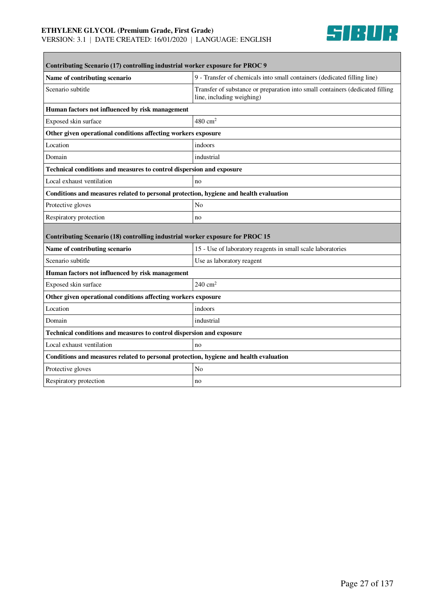<u> Tanzania de la contrada de la contrada de la contrada de la contrada de la contrada de la contrada de la con</u>



| Contributing Scenario (17) controlling industrial worker exposure for PROC 9          |                                                                                                            |  |
|---------------------------------------------------------------------------------------|------------------------------------------------------------------------------------------------------------|--|
| Name of contributing scenario                                                         | 9 - Transfer of chemicals into small containers (dedicated filling line)                                   |  |
| Scenario subtitle                                                                     | Transfer of substance or preparation into small containers (dedicated filling<br>line, including weighing) |  |
| Human factors not influenced by risk management                                       |                                                                                                            |  |
| Exposed skin surface                                                                  | $480 \text{ cm}^2$                                                                                         |  |
| Other given operational conditions affecting workers exposure                         |                                                                                                            |  |
| Location                                                                              | indoors                                                                                                    |  |
| Domain                                                                                | industrial                                                                                                 |  |
| Technical conditions and measures to control dispersion and exposure                  |                                                                                                            |  |
| Local exhaust ventilation                                                             | no                                                                                                         |  |
| Conditions and measures related to personal protection, hygiene and health evaluation |                                                                                                            |  |
| Protective gloves                                                                     | N <sub>o</sub>                                                                                             |  |
| Respiratory protection                                                                | no                                                                                                         |  |
| Contributing Scenario (18) controlling industrial worker exposure for PROC 15         |                                                                                                            |  |
| Name of contributing scenario                                                         | 15 - Use of laboratory reagents in small scale laboratories                                                |  |
| Scenario subtitle                                                                     | Use as laboratory reagent                                                                                  |  |
| Human factors not influenced by risk management                                       |                                                                                                            |  |
| Exposed skin surface                                                                  | $240 \text{ cm}^2$                                                                                         |  |
| Other given operational conditions affecting workers exposure                         |                                                                                                            |  |
| Location                                                                              | indoors                                                                                                    |  |
| Domain                                                                                | industrial                                                                                                 |  |
| Technical conditions and measures to control dispersion and exposure                  |                                                                                                            |  |
| Local exhaust ventilation                                                             | no                                                                                                         |  |
| Conditions and measures related to personal protection, hygiene and health evaluation |                                                                                                            |  |
| Protective gloves                                                                     | No                                                                                                         |  |
| Respiratory protection                                                                | no                                                                                                         |  |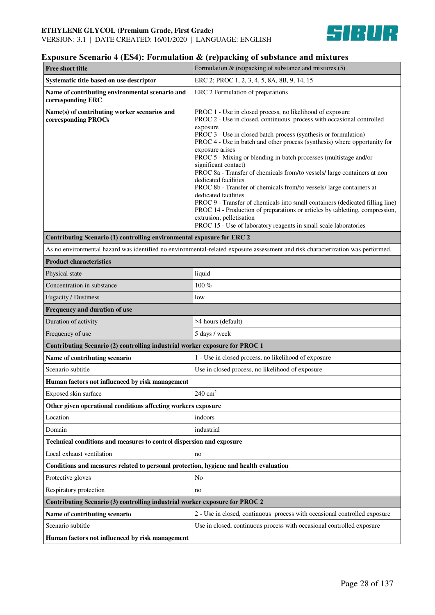

#### **Exposure Scenario 4 (ES4): Formulation & (re)packing of substance and mixtures**

| <b>Free short title</b>                                                               | Formulation $\&$ (re)packing of substance and mixtures (5)                                                                                                                                                                                                                                                                                                                                                                                                                                                                                                                                                                                                                                                                                                                                                                                                                          |
|---------------------------------------------------------------------------------------|-------------------------------------------------------------------------------------------------------------------------------------------------------------------------------------------------------------------------------------------------------------------------------------------------------------------------------------------------------------------------------------------------------------------------------------------------------------------------------------------------------------------------------------------------------------------------------------------------------------------------------------------------------------------------------------------------------------------------------------------------------------------------------------------------------------------------------------------------------------------------------------|
| Systematic title based on use descriptor                                              | ERC 2; PROC 1, 2, 3, 4, 5, 8A, 8B, 9, 14, 15                                                                                                                                                                                                                                                                                                                                                                                                                                                                                                                                                                                                                                                                                                                                                                                                                                        |
| Name of contributing environmental scenario and<br>corresponding ERC                  | ERC 2 Formulation of preparations                                                                                                                                                                                                                                                                                                                                                                                                                                                                                                                                                                                                                                                                                                                                                                                                                                                   |
| Name(s) of contributing worker scenarios and<br>corresponding PROCs                   | PROC 1 - Use in closed process, no likelihood of exposure<br>PROC 2 - Use in closed, continuous process with occasional controlled<br>exposure<br>PROC 3 - Use in closed batch process (synthesis or formulation)<br>PROC 4 - Use in batch and other process (synthesis) where opportunity for<br>exposure arises<br>PROC 5 - Mixing or blending in batch processes (multistage and/or<br>significant contact)<br>PROC 8a - Transfer of chemicals from/to vessels/ large containers at non<br>dedicated facilities<br>PROC 8b - Transfer of chemicals from/to vessels/ large containers at<br>dedicated facilities<br>PROC 9 - Transfer of chemicals into small containers (dedicated filling line)<br>PROC 14 - Production of preparations or articles by tabletting, compression,<br>extrusion, pelletisation<br>PROC 15 - Use of laboratory reagents in small scale laboratories |
| Contributing Scenario (1) controlling environmental exposure for ERC 2                |                                                                                                                                                                                                                                                                                                                                                                                                                                                                                                                                                                                                                                                                                                                                                                                                                                                                                     |
|                                                                                       | As no environmental hazard was identified no environmental-related exposure assessment and risk characterization was performed.                                                                                                                                                                                                                                                                                                                                                                                                                                                                                                                                                                                                                                                                                                                                                     |
| <b>Product characteristics</b>                                                        |                                                                                                                                                                                                                                                                                                                                                                                                                                                                                                                                                                                                                                                                                                                                                                                                                                                                                     |
| Physical state                                                                        | liquid                                                                                                                                                                                                                                                                                                                                                                                                                                                                                                                                                                                                                                                                                                                                                                                                                                                                              |
| Concentration in substance                                                            | 100 %                                                                                                                                                                                                                                                                                                                                                                                                                                                                                                                                                                                                                                                                                                                                                                                                                                                                               |
| <b>Fugacity / Dustiness</b>                                                           | low                                                                                                                                                                                                                                                                                                                                                                                                                                                                                                                                                                                                                                                                                                                                                                                                                                                                                 |
| Frequency and duration of use                                                         |                                                                                                                                                                                                                                                                                                                                                                                                                                                                                                                                                                                                                                                                                                                                                                                                                                                                                     |
| Duration of activity                                                                  | >4 hours (default)                                                                                                                                                                                                                                                                                                                                                                                                                                                                                                                                                                                                                                                                                                                                                                                                                                                                  |
| Frequency of use                                                                      | 5 days / week                                                                                                                                                                                                                                                                                                                                                                                                                                                                                                                                                                                                                                                                                                                                                                                                                                                                       |
| Contributing Scenario (2) controlling industrial worker exposure for PROC 1           |                                                                                                                                                                                                                                                                                                                                                                                                                                                                                                                                                                                                                                                                                                                                                                                                                                                                                     |
| Name of contributing scenario                                                         | 1 - Use in closed process, no likelihood of exposure                                                                                                                                                                                                                                                                                                                                                                                                                                                                                                                                                                                                                                                                                                                                                                                                                                |
| Scenario subtitle                                                                     | Use in closed process, no likelihood of exposure                                                                                                                                                                                                                                                                                                                                                                                                                                                                                                                                                                                                                                                                                                                                                                                                                                    |
| Human factors not influenced by risk management                                       |                                                                                                                                                                                                                                                                                                                                                                                                                                                                                                                                                                                                                                                                                                                                                                                                                                                                                     |
| Exposed skin surface                                                                  | $240$ cm <sup>2</sup>                                                                                                                                                                                                                                                                                                                                                                                                                                                                                                                                                                                                                                                                                                                                                                                                                                                               |
| Other given operational conditions affecting workers exposure                         |                                                                                                                                                                                                                                                                                                                                                                                                                                                                                                                                                                                                                                                                                                                                                                                                                                                                                     |
| Location                                                                              | indoors                                                                                                                                                                                                                                                                                                                                                                                                                                                                                                                                                                                                                                                                                                                                                                                                                                                                             |
| Domain                                                                                | industrial                                                                                                                                                                                                                                                                                                                                                                                                                                                                                                                                                                                                                                                                                                                                                                                                                                                                          |
| Technical conditions and measures to control dispersion and exposure                  |                                                                                                                                                                                                                                                                                                                                                                                                                                                                                                                                                                                                                                                                                                                                                                                                                                                                                     |
| Local exhaust ventilation                                                             | no                                                                                                                                                                                                                                                                                                                                                                                                                                                                                                                                                                                                                                                                                                                                                                                                                                                                                  |
| Conditions and measures related to personal protection, hygiene and health evaluation |                                                                                                                                                                                                                                                                                                                                                                                                                                                                                                                                                                                                                                                                                                                                                                                                                                                                                     |
| Protective gloves                                                                     | N <sub>o</sub>                                                                                                                                                                                                                                                                                                                                                                                                                                                                                                                                                                                                                                                                                                                                                                                                                                                                      |
| Respiratory protection                                                                | no                                                                                                                                                                                                                                                                                                                                                                                                                                                                                                                                                                                                                                                                                                                                                                                                                                                                                  |
| Contributing Scenario (3) controlling industrial worker exposure for PROC 2           |                                                                                                                                                                                                                                                                                                                                                                                                                                                                                                                                                                                                                                                                                                                                                                                                                                                                                     |
| Name of contributing scenario                                                         | 2 - Use in closed, continuous process with occasional controlled exposure                                                                                                                                                                                                                                                                                                                                                                                                                                                                                                                                                                                                                                                                                                                                                                                                           |
| Scenario subtitle                                                                     | Use in closed, continuous process with occasional controlled exposure                                                                                                                                                                                                                                                                                                                                                                                                                                                                                                                                                                                                                                                                                                                                                                                                               |
| Human factors not influenced by risk management                                       |                                                                                                                                                                                                                                                                                                                                                                                                                                                                                                                                                                                                                                                                                                                                                                                                                                                                                     |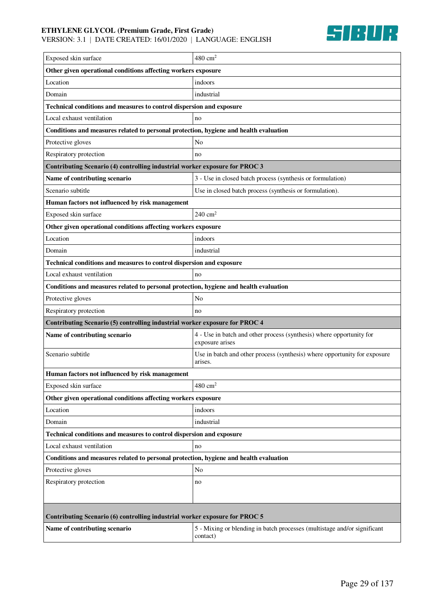

| Exposed skin surface                                                                  | 480 cm <sup>2</sup>                                                                     |  |
|---------------------------------------------------------------------------------------|-----------------------------------------------------------------------------------------|--|
| Other given operational conditions affecting workers exposure                         |                                                                                         |  |
| Location                                                                              | indoors                                                                                 |  |
| Domain                                                                                | industrial                                                                              |  |
| Technical conditions and measures to control dispersion and exposure                  |                                                                                         |  |
| Local exhaust ventilation                                                             | no                                                                                      |  |
| Conditions and measures related to personal protection, hygiene and health evaluation |                                                                                         |  |
| Protective gloves                                                                     | No                                                                                      |  |
| Respiratory protection                                                                | no                                                                                      |  |
| Contributing Scenario (4) controlling industrial worker exposure for PROC 3           |                                                                                         |  |
| Name of contributing scenario                                                         | 3 - Use in closed batch process (synthesis or formulation)                              |  |
| Scenario subtitle                                                                     | Use in closed batch process (synthesis or formulation).                                 |  |
| Human factors not influenced by risk management                                       |                                                                                         |  |
| Exposed skin surface                                                                  | 240 cm <sup>2</sup>                                                                     |  |
| Other given operational conditions affecting workers exposure                         |                                                                                         |  |
| Location                                                                              | indoors                                                                                 |  |
| Domain                                                                                | industrial                                                                              |  |
| Technical conditions and measures to control dispersion and exposure                  |                                                                                         |  |
| Local exhaust ventilation                                                             | no                                                                                      |  |
| Conditions and measures related to personal protection, hygiene and health evaluation |                                                                                         |  |
| Protective gloves                                                                     | No                                                                                      |  |
| Respiratory protection                                                                | no                                                                                      |  |
| Contributing Scenario (5) controlling industrial worker exposure for PROC 4           |                                                                                         |  |
| Name of contributing scenario                                                         | 4 - Use in batch and other process (synthesis) where opportunity for<br>exposure arises |  |
| Scenario subtitle                                                                     | Use in batch and other process (synthesis) where opportunity for exposure<br>arises.    |  |
| Human factors not influenced by risk management                                       |                                                                                         |  |
| Exposed skin surface                                                                  | $480$ cm <sup>2</sup>                                                                   |  |
| Other given operational conditions affecting workers exposure                         |                                                                                         |  |
| Location                                                                              | indoors                                                                                 |  |
| Domain                                                                                | industrial                                                                              |  |
| Technical conditions and measures to control dispersion and exposure                  |                                                                                         |  |
| Local exhaust ventilation                                                             | no                                                                                      |  |
| Conditions and measures related to personal protection, hygiene and health evaluation |                                                                                         |  |
| Protective gloves                                                                     | N <sub>o</sub>                                                                          |  |
| Respiratory protection                                                                | no                                                                                      |  |
|                                                                                       |                                                                                         |  |
| Contributing Scenario (6) controlling industrial worker exposure for PROC 5           |                                                                                         |  |
| Name of contributing scenario                                                         | 5 - Mixing or blending in batch processes (multistage and/or significant<br>contact)    |  |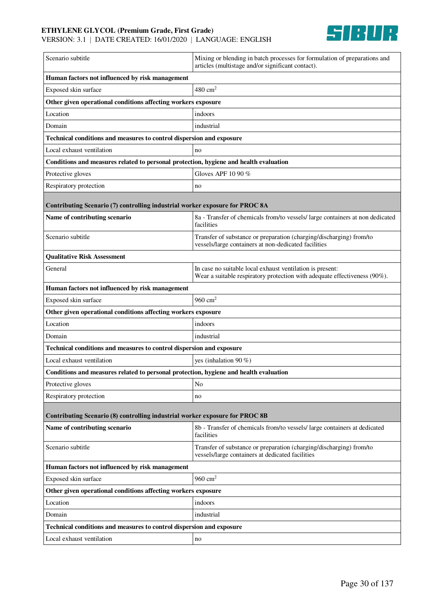

| Scenario subtitle                                                                     | Mixing or blending in batch processes for formulation of preparations and<br>articles (multistage and/or significant contact).         |  |
|---------------------------------------------------------------------------------------|----------------------------------------------------------------------------------------------------------------------------------------|--|
| Human factors not influenced by risk management                                       |                                                                                                                                        |  |
| Exposed skin surface                                                                  | $480 \text{ cm}^2$                                                                                                                     |  |
| Other given operational conditions affecting workers exposure                         |                                                                                                                                        |  |
| Location                                                                              | indoors                                                                                                                                |  |
| Domain                                                                                | industrial                                                                                                                             |  |
| Technical conditions and measures to control dispersion and exposure                  |                                                                                                                                        |  |
| Local exhaust ventilation                                                             | no                                                                                                                                     |  |
| Conditions and measures related to personal protection, hygiene and health evaluation |                                                                                                                                        |  |
| Protective gloves                                                                     | Gloves APF 10 90 $%$                                                                                                                   |  |
| Respiratory protection                                                                | no                                                                                                                                     |  |
| Contributing Scenario (7) controlling industrial worker exposure for PROC 8A          |                                                                                                                                        |  |
| Name of contributing scenario                                                         | 8a - Transfer of chemicals from/to vessels/ large containers at non dedicated<br>facilities                                            |  |
| Scenario subtitle                                                                     | Transfer of substance or preparation (charging/discharging) from/to<br>vessels/large containers at non-dedicated facilities            |  |
| <b>Qualitative Risk Assessment</b>                                                    |                                                                                                                                        |  |
| General                                                                               | In case no suitable local exhaust ventilation is present:<br>Wear a suitable respiratory protection with adequate effectiveness (90%). |  |
| Human factors not influenced by risk management                                       |                                                                                                                                        |  |
| Exposed skin surface                                                                  | $960 \text{ cm}^2$                                                                                                                     |  |
| Other given operational conditions affecting workers exposure                         |                                                                                                                                        |  |
| Location                                                                              | indoors                                                                                                                                |  |
| Domain                                                                                | industrial                                                                                                                             |  |
| Technical conditions and measures to control dispersion and exposure                  |                                                                                                                                        |  |
| Local exhaust ventilation                                                             | yes (inhalation 90 $\%$ )                                                                                                              |  |
| Conditions and measures related to personal protection, hygiene and health evaluation |                                                                                                                                        |  |
| Protective gloves                                                                     | No                                                                                                                                     |  |
| Respiratory protection                                                                | no                                                                                                                                     |  |
| Contributing Scenario (8) controlling industrial worker exposure for PROC 8B          |                                                                                                                                        |  |
| Name of contributing scenario                                                         | 8b - Transfer of chemicals from/to vessels/ large containers at dedicated<br>facilities                                                |  |
| Scenario subtitle                                                                     | Transfer of substance or preparation (charging/discharging) from/to<br>vessels/large containers at dedicated facilities                |  |
| Human factors not influenced by risk management                                       |                                                                                                                                        |  |
| Exposed skin surface                                                                  | 960 $cm2$                                                                                                                              |  |
| Other given operational conditions affecting workers exposure                         |                                                                                                                                        |  |
| Location                                                                              | indoors                                                                                                                                |  |
| Domain                                                                                | industrial                                                                                                                             |  |
| Technical conditions and measures to control dispersion and exposure                  |                                                                                                                                        |  |
| Local exhaust ventilation                                                             | no                                                                                                                                     |  |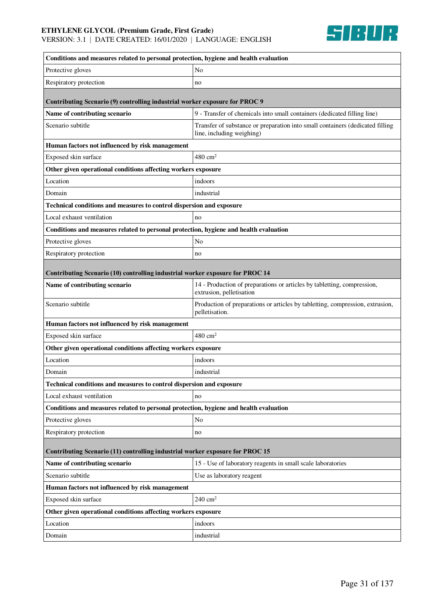

| Conditions and measures related to personal protection, hygiene and health evaluation |                                                                                                            |  |
|---------------------------------------------------------------------------------------|------------------------------------------------------------------------------------------------------------|--|
| Protective gloves                                                                     | N <sub>0</sub>                                                                                             |  |
| Respiratory protection                                                                | no                                                                                                         |  |
|                                                                                       |                                                                                                            |  |
| Contributing Scenario (9) controlling industrial worker exposure for PROC 9           |                                                                                                            |  |
| Name of contributing scenario                                                         | 9 - Transfer of chemicals into small containers (dedicated filling line)                                   |  |
| Scenario subtitle                                                                     | Transfer of substance or preparation into small containers (dedicated filling<br>line, including weighing) |  |
| Human factors not influenced by risk management                                       |                                                                                                            |  |
| Exposed skin surface                                                                  | $480 \text{ cm}^2$                                                                                         |  |
| Other given operational conditions affecting workers exposure                         |                                                                                                            |  |
| Location                                                                              | indoors                                                                                                    |  |
| Domain                                                                                | industrial                                                                                                 |  |
| Technical conditions and measures to control dispersion and exposure                  |                                                                                                            |  |
| Local exhaust ventilation                                                             | no                                                                                                         |  |
| Conditions and measures related to personal protection, hygiene and health evaluation |                                                                                                            |  |
| Protective gloves                                                                     | N <sub>o</sub>                                                                                             |  |
| Respiratory protection                                                                | no                                                                                                         |  |
| Contributing Scenario (10) controlling industrial worker exposure for PROC 14         |                                                                                                            |  |
| Name of contributing scenario                                                         | 14 - Production of preparations or articles by tabletting, compression,<br>extrusion, pelletisation        |  |
| Scenario subtitle                                                                     | Production of preparations or articles by tabletting, compression, extrusion,<br>pelletisation.            |  |
| Human factors not influenced by risk management                                       |                                                                                                            |  |
| Exposed skin surface                                                                  | 480 $cm2$                                                                                                  |  |
| Other given operational conditions affecting workers exposure                         |                                                                                                            |  |
| Location                                                                              | indoors                                                                                                    |  |
| Domain                                                                                | industrial                                                                                                 |  |
| Technical conditions and measures to control dispersion and exposure                  |                                                                                                            |  |
| Local exhaust ventilation                                                             | no                                                                                                         |  |
| Conditions and measures related to personal protection, hygiene and health evaluation |                                                                                                            |  |
| Protective gloves                                                                     | No                                                                                                         |  |
| Respiratory protection                                                                | no                                                                                                         |  |
|                                                                                       |                                                                                                            |  |
| Contributing Scenario (11) controlling industrial worker exposure for PROC 15         |                                                                                                            |  |
| Name of contributing scenario                                                         | 15 - Use of laboratory reagents in small scale laboratories                                                |  |
| Scenario subtitle                                                                     | Use as laboratory reagent                                                                                  |  |
| Human factors not influenced by risk management                                       |                                                                                                            |  |
| Exposed skin surface                                                                  | $240$ cm <sup>2</sup>                                                                                      |  |
| Other given operational conditions affecting workers exposure                         |                                                                                                            |  |
| Location                                                                              | indoors                                                                                                    |  |
| Domain                                                                                | industrial                                                                                                 |  |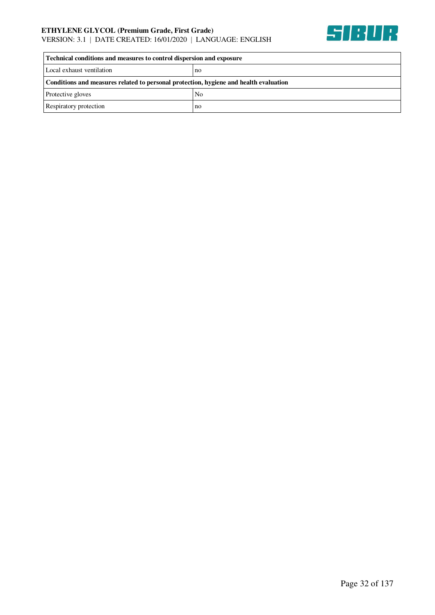

| Technical conditions and measures to control dispersion and exposure                  |    |  |
|---------------------------------------------------------------------------------------|----|--|
| Local exhaust ventilation                                                             | no |  |
| Conditions and measures related to personal protection, hygiene and health evaluation |    |  |
| Protective gloves                                                                     | No |  |
| Respiratory protection                                                                | no |  |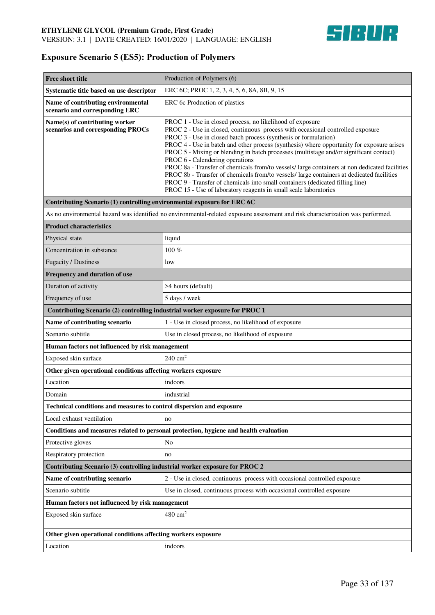

# **Exposure Scenario 5 (ES5): Production of Polymers**

| <b>Free short title</b>                                                               | Production of Polymers (6)                                                                                                                                                                                                                                                                                                                                                                                                                                                                                                                                                                                                                                                                                                                                                                  |  |
|---------------------------------------------------------------------------------------|---------------------------------------------------------------------------------------------------------------------------------------------------------------------------------------------------------------------------------------------------------------------------------------------------------------------------------------------------------------------------------------------------------------------------------------------------------------------------------------------------------------------------------------------------------------------------------------------------------------------------------------------------------------------------------------------------------------------------------------------------------------------------------------------|--|
| Systematic title based on use descriptor                                              | ERC 6C; PROC 1, 2, 3, 4, 5, 6, 8A, 8B, 9, 15                                                                                                                                                                                                                                                                                                                                                                                                                                                                                                                                                                                                                                                                                                                                                |  |
| Name of contributing environmental<br>scenario and corresponding ERC                  | ERC 6c Production of plastics                                                                                                                                                                                                                                                                                                                                                                                                                                                                                                                                                                                                                                                                                                                                                               |  |
| Name(s) of contributing worker<br>scenarios and corresponding PROCs                   | PROC 1 - Use in closed process, no likelihood of exposure<br>PROC 2 - Use in closed, continuous process with occasional controlled exposure<br>PROC 3 - Use in closed batch process (synthesis or formulation)<br>PROC 4 - Use in batch and other process (synthesis) where opportunity for exposure arises<br>PROC 5 - Mixing or blending in batch processes (multistage and/or significant contact)<br>PROC 6 - Calendering operations<br>PROC 8a - Transfer of chemicals from/to vessels/ large containers at non dedicated facilities<br>PROC 8b - Transfer of chemicals from/to vessels/ large containers at dedicated facilities<br>PROC 9 - Transfer of chemicals into small containers (dedicated filling line)<br>PROC 15 - Use of laboratory reagents in small scale laboratories |  |
| Contributing Scenario (1) controlling environmental exposure for ERC 6C               |                                                                                                                                                                                                                                                                                                                                                                                                                                                                                                                                                                                                                                                                                                                                                                                             |  |
|                                                                                       | As no environmental hazard was identified no environmental-related exposure assessment and risk characterization was performed.                                                                                                                                                                                                                                                                                                                                                                                                                                                                                                                                                                                                                                                             |  |
| <b>Product characteristics</b>                                                        |                                                                                                                                                                                                                                                                                                                                                                                                                                                                                                                                                                                                                                                                                                                                                                                             |  |
| Physical state                                                                        | liquid                                                                                                                                                                                                                                                                                                                                                                                                                                                                                                                                                                                                                                                                                                                                                                                      |  |
| Concentration in substance                                                            | 100 %                                                                                                                                                                                                                                                                                                                                                                                                                                                                                                                                                                                                                                                                                                                                                                                       |  |
| <b>Fugacity / Dustiness</b>                                                           | low                                                                                                                                                                                                                                                                                                                                                                                                                                                                                                                                                                                                                                                                                                                                                                                         |  |
| <b>Frequency and duration of use</b>                                                  |                                                                                                                                                                                                                                                                                                                                                                                                                                                                                                                                                                                                                                                                                                                                                                                             |  |
| Duration of activity                                                                  | >4 hours (default)                                                                                                                                                                                                                                                                                                                                                                                                                                                                                                                                                                                                                                                                                                                                                                          |  |
| Frequency of use                                                                      | 5 days / week                                                                                                                                                                                                                                                                                                                                                                                                                                                                                                                                                                                                                                                                                                                                                                               |  |
| Contributing Scenario (2) controlling industrial worker exposure for PROC 1           |                                                                                                                                                                                                                                                                                                                                                                                                                                                                                                                                                                                                                                                                                                                                                                                             |  |
| Name of contributing scenario                                                         | 1 - Use in closed process, no likelihood of exposure                                                                                                                                                                                                                                                                                                                                                                                                                                                                                                                                                                                                                                                                                                                                        |  |
| Scenario subtitle                                                                     | Use in closed process, no likelihood of exposure                                                                                                                                                                                                                                                                                                                                                                                                                                                                                                                                                                                                                                                                                                                                            |  |
| Human factors not influenced by risk management                                       |                                                                                                                                                                                                                                                                                                                                                                                                                                                                                                                                                                                                                                                                                                                                                                                             |  |
| Exposed skin surface                                                                  | $240$ cm <sup>2</sup>                                                                                                                                                                                                                                                                                                                                                                                                                                                                                                                                                                                                                                                                                                                                                                       |  |
| Other given operational conditions affecting workers exposure                         |                                                                                                                                                                                                                                                                                                                                                                                                                                                                                                                                                                                                                                                                                                                                                                                             |  |
| Location                                                                              | indoors                                                                                                                                                                                                                                                                                                                                                                                                                                                                                                                                                                                                                                                                                                                                                                                     |  |
| Domain                                                                                | industrial                                                                                                                                                                                                                                                                                                                                                                                                                                                                                                                                                                                                                                                                                                                                                                                  |  |
| Technical conditions and measures to control dispersion and exposure                  |                                                                                                                                                                                                                                                                                                                                                                                                                                                                                                                                                                                                                                                                                                                                                                                             |  |
| Local exhaust ventilation                                                             | no                                                                                                                                                                                                                                                                                                                                                                                                                                                                                                                                                                                                                                                                                                                                                                                          |  |
| Conditions and measures related to personal protection, hygiene and health evaluation |                                                                                                                                                                                                                                                                                                                                                                                                                                                                                                                                                                                                                                                                                                                                                                                             |  |
| Protective gloves                                                                     | N <sub>0</sub>                                                                                                                                                                                                                                                                                                                                                                                                                                                                                                                                                                                                                                                                                                                                                                              |  |
| Respiratory protection                                                                | no                                                                                                                                                                                                                                                                                                                                                                                                                                                                                                                                                                                                                                                                                                                                                                                          |  |
| Contributing Scenario (3) controlling industrial worker exposure for PROC 2           |                                                                                                                                                                                                                                                                                                                                                                                                                                                                                                                                                                                                                                                                                                                                                                                             |  |
| Name of contributing scenario                                                         | 2 - Use in closed, continuous process with occasional controlled exposure                                                                                                                                                                                                                                                                                                                                                                                                                                                                                                                                                                                                                                                                                                                   |  |
| Scenario subtitle                                                                     | Use in closed, continuous process with occasional controlled exposure                                                                                                                                                                                                                                                                                                                                                                                                                                                                                                                                                                                                                                                                                                                       |  |
| Human factors not influenced by risk management                                       |                                                                                                                                                                                                                                                                                                                                                                                                                                                                                                                                                                                                                                                                                                                                                                                             |  |
| Exposed skin surface                                                                  | $480$ cm <sup>2</sup>                                                                                                                                                                                                                                                                                                                                                                                                                                                                                                                                                                                                                                                                                                                                                                       |  |
| Other given operational conditions affecting workers exposure                         |                                                                                                                                                                                                                                                                                                                                                                                                                                                                                                                                                                                                                                                                                                                                                                                             |  |
| Location                                                                              | indoors                                                                                                                                                                                                                                                                                                                                                                                                                                                                                                                                                                                                                                                                                                                                                                                     |  |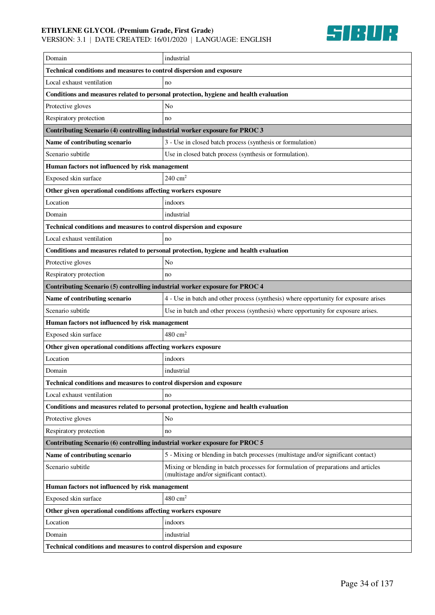

| Domain                                                                                | industrial                                                                                                                     |  |  |
|---------------------------------------------------------------------------------------|--------------------------------------------------------------------------------------------------------------------------------|--|--|
|                                                                                       | Technical conditions and measures to control dispersion and exposure                                                           |  |  |
| Local exhaust ventilation                                                             | no                                                                                                                             |  |  |
|                                                                                       | Conditions and measures related to personal protection, hygiene and health evaluation                                          |  |  |
| Protective gloves                                                                     | N <sub>o</sub>                                                                                                                 |  |  |
| Respiratory protection                                                                | no                                                                                                                             |  |  |
| Contributing Scenario (4) controlling industrial worker exposure for PROC 3           |                                                                                                                                |  |  |
| Name of contributing scenario                                                         | 3 - Use in closed batch process (synthesis or formulation)                                                                     |  |  |
| Scenario subtitle                                                                     | Use in closed batch process (synthesis or formulation).                                                                        |  |  |
| Human factors not influenced by risk management                                       |                                                                                                                                |  |  |
| Exposed skin surface                                                                  | $240$ cm <sup>2</sup>                                                                                                          |  |  |
| Other given operational conditions affecting workers exposure                         |                                                                                                                                |  |  |
| Location                                                                              | indoors                                                                                                                        |  |  |
| Domain                                                                                | industrial                                                                                                                     |  |  |
| Technical conditions and measures to control dispersion and exposure                  |                                                                                                                                |  |  |
| Local exhaust ventilation                                                             | no                                                                                                                             |  |  |
| Conditions and measures related to personal protection, hygiene and health evaluation |                                                                                                                                |  |  |
| Protective gloves                                                                     | N <sub>o</sub>                                                                                                                 |  |  |
| Respiratory protection                                                                | no                                                                                                                             |  |  |
| Contributing Scenario (5) controlling industrial worker exposure for PROC 4           |                                                                                                                                |  |  |
| Name of contributing scenario                                                         | 4 - Use in batch and other process (synthesis) where opportunity for exposure arises                                           |  |  |
| Scenario subtitle                                                                     | Use in batch and other process (synthesis) where opportunity for exposure arises.                                              |  |  |
| Human factors not influenced by risk management                                       |                                                                                                                                |  |  |
| Exposed skin surface                                                                  | $480$ cm <sup>2</sup>                                                                                                          |  |  |
| Other given operational conditions affecting workers exposure                         |                                                                                                                                |  |  |
| Location                                                                              | indoors                                                                                                                        |  |  |
| Domain                                                                                | industrial                                                                                                                     |  |  |
| Technical conditions and measures to control dispersion and exposure                  |                                                                                                                                |  |  |
| Local exhaust ventilation                                                             | no                                                                                                                             |  |  |
|                                                                                       | Conditions and measures related to personal protection, hygiene and health evaluation                                          |  |  |
| Protective gloves                                                                     | N <sub>0</sub>                                                                                                                 |  |  |
| Respiratory protection                                                                | no                                                                                                                             |  |  |
| Contributing Scenario (6) controlling industrial worker exposure for PROC 5           |                                                                                                                                |  |  |
| Name of contributing scenario                                                         | 5 - Mixing or blending in batch processes (multistage and/or significant contact)                                              |  |  |
| Scenario subtitle                                                                     | Mixing or blending in batch processes for formulation of preparations and articles<br>(multistage and/or significant contact). |  |  |
| Human factors not influenced by risk management                                       |                                                                                                                                |  |  |
| Exposed skin surface                                                                  | $480$ cm <sup>2</sup>                                                                                                          |  |  |
| Other given operational conditions affecting workers exposure                         |                                                                                                                                |  |  |
| Location                                                                              | indoors                                                                                                                        |  |  |
| Domain                                                                                | industrial                                                                                                                     |  |  |
|                                                                                       | Technical conditions and measures to control dispersion and exposure                                                           |  |  |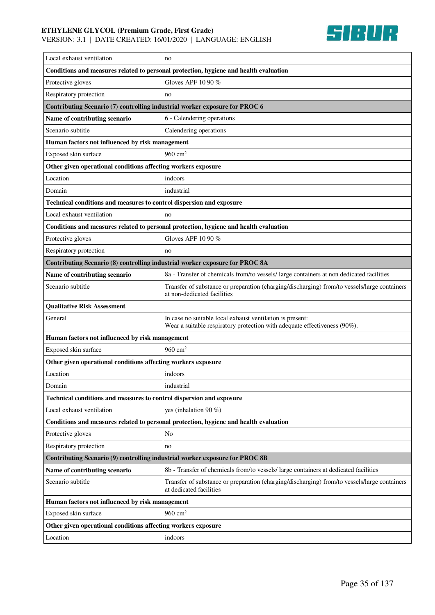

| Local exhaust ventilation                                                    | no                                                                                                                                     |  |
|------------------------------------------------------------------------------|----------------------------------------------------------------------------------------------------------------------------------------|--|
|                                                                              | Conditions and measures related to personal protection, hygiene and health evaluation                                                  |  |
| Protective gloves                                                            | Gloves APF 10 90 %                                                                                                                     |  |
| Respiratory protection                                                       | no                                                                                                                                     |  |
| Contributing Scenario (7) controlling industrial worker exposure for PROC 6  |                                                                                                                                        |  |
| Name of contributing scenario                                                | 6 - Calendering operations                                                                                                             |  |
| Scenario subtitle                                                            | Calendering operations                                                                                                                 |  |
| Human factors not influenced by risk management                              |                                                                                                                                        |  |
| Exposed skin surface                                                         | 960 $cm2$                                                                                                                              |  |
| Other given operational conditions affecting workers exposure                |                                                                                                                                        |  |
| Location                                                                     | indoors                                                                                                                                |  |
| Domain                                                                       | industrial                                                                                                                             |  |
| Technical conditions and measures to control dispersion and exposure         |                                                                                                                                        |  |
| Local exhaust ventilation                                                    | no                                                                                                                                     |  |
|                                                                              | Conditions and measures related to personal protection, hygiene and health evaluation                                                  |  |
| Protective gloves                                                            | Gloves APF 10 90 %                                                                                                                     |  |
| Respiratory protection                                                       | no                                                                                                                                     |  |
| Contributing Scenario (8) controlling industrial worker exposure for PROC 8A |                                                                                                                                        |  |
| Name of contributing scenario                                                | 8a - Transfer of chemicals from/to vessels/ large containers at non dedicated facilities                                               |  |
| Scenario subtitle                                                            | Transfer of substance or preparation (charging/discharging) from/to vessels/large containers<br>at non-dedicated facilities            |  |
| <b>Qualitative Risk Assessment</b>                                           |                                                                                                                                        |  |
| General                                                                      | In case no suitable local exhaust ventilation is present:<br>Wear a suitable respiratory protection with adequate effectiveness (90%). |  |
| Human factors not influenced by risk management                              |                                                                                                                                        |  |
| Exposed skin surface                                                         | $960 \text{ cm}^2$                                                                                                                     |  |
| Other given operational conditions affecting workers exposure                |                                                                                                                                        |  |
| Location                                                                     | indoors                                                                                                                                |  |
| Domain                                                                       | industrial                                                                                                                             |  |
| Technical conditions and measures to control dispersion and exposure         |                                                                                                                                        |  |
| Local exhaust ventilation                                                    | yes (inhalation 90 %)                                                                                                                  |  |
|                                                                              | Conditions and measures related to personal protection, hygiene and health evaluation                                                  |  |
| Protective gloves                                                            | N <sub>o</sub>                                                                                                                         |  |
| Respiratory protection                                                       | no                                                                                                                                     |  |
| Contributing Scenario (9) controlling industrial worker exposure for PROC 8B |                                                                                                                                        |  |
| Name of contributing scenario                                                | 8b - Transfer of chemicals from/to vessels/ large containers at dedicated facilities                                                   |  |
| Scenario subtitle                                                            | Transfer of substance or preparation (charging/discharging) from/to vessels/large containers<br>at dedicated facilities                |  |
| Human factors not influenced by risk management                              |                                                                                                                                        |  |
| Exposed skin surface                                                         | 960 $cm2$                                                                                                                              |  |
| Other given operational conditions affecting workers exposure                |                                                                                                                                        |  |
|                                                                              |                                                                                                                                        |  |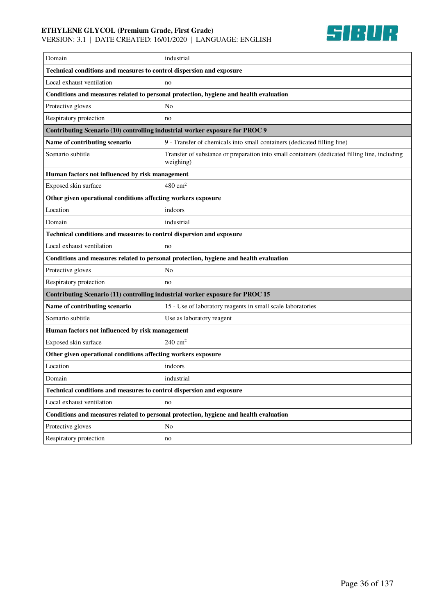

| Domain                                                                                | industrial                                                                                                 |  |
|---------------------------------------------------------------------------------------|------------------------------------------------------------------------------------------------------------|--|
| Technical conditions and measures to control dispersion and exposure                  |                                                                                                            |  |
| Local exhaust ventilation                                                             | no                                                                                                         |  |
|                                                                                       | Conditions and measures related to personal protection, hygiene and health evaluation                      |  |
| Protective gloves                                                                     | No                                                                                                         |  |
| Respiratory protection                                                                | no                                                                                                         |  |
| Contributing Scenario (10) controlling industrial worker exposure for PROC 9          |                                                                                                            |  |
| Name of contributing scenario                                                         | 9 - Transfer of chemicals into small containers (dedicated filling line)                                   |  |
| Scenario subtitle                                                                     | Transfer of substance or preparation into small containers (dedicated filling line, including<br>weighing) |  |
| Human factors not influenced by risk management                                       |                                                                                                            |  |
| Exposed skin surface                                                                  | 480 cm <sup>2</sup>                                                                                        |  |
| Other given operational conditions affecting workers exposure                         |                                                                                                            |  |
| Location                                                                              | indoors                                                                                                    |  |
| Domain                                                                                | industrial                                                                                                 |  |
| Technical conditions and measures to control dispersion and exposure                  |                                                                                                            |  |
| Local exhaust ventilation                                                             | no                                                                                                         |  |
|                                                                                       | Conditions and measures related to personal protection, hygiene and health evaluation                      |  |
| Protective gloves                                                                     | No                                                                                                         |  |
| Respiratory protection                                                                | no                                                                                                         |  |
| Contributing Scenario (11) controlling industrial worker exposure for PROC 15         |                                                                                                            |  |
| Name of contributing scenario                                                         | 15 - Use of laboratory reagents in small scale laboratories                                                |  |
| Scenario subtitle                                                                     | Use as laboratory reagent                                                                                  |  |
| Human factors not influenced by risk management                                       |                                                                                                            |  |
| Exposed skin surface                                                                  | $240$ cm <sup>2</sup>                                                                                      |  |
| Other given operational conditions affecting workers exposure                         |                                                                                                            |  |
| Location                                                                              | indoors                                                                                                    |  |
| Domain                                                                                | industrial                                                                                                 |  |
| Technical conditions and measures to control dispersion and exposure                  |                                                                                                            |  |
| Local exhaust ventilation                                                             | no                                                                                                         |  |
| Conditions and measures related to personal protection, hygiene and health evaluation |                                                                                                            |  |
| Protective gloves                                                                     | N <sub>o</sub>                                                                                             |  |
| Respiratory protection                                                                | no                                                                                                         |  |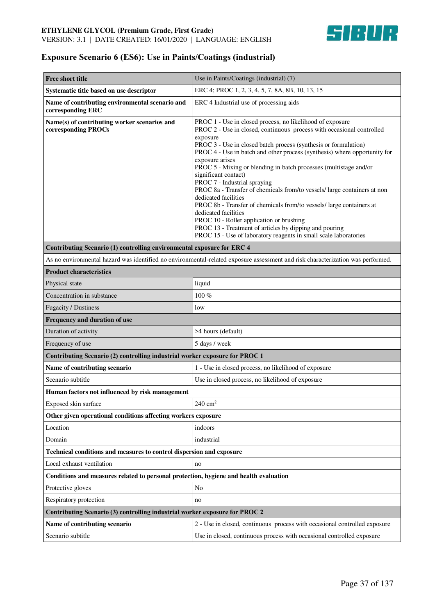

# **Exposure Scenario 6 (ES6): Use in Paints/Coatings (industrial)**

| <b>Free short title</b>                                                                                                         | Use in Paints/Coatings (industrial) (7)                                                                                                                                                                                                                                                                                                                                                                                                                                                                                                                                                                                                                                                                                                                                                                                      |
|---------------------------------------------------------------------------------------------------------------------------------|------------------------------------------------------------------------------------------------------------------------------------------------------------------------------------------------------------------------------------------------------------------------------------------------------------------------------------------------------------------------------------------------------------------------------------------------------------------------------------------------------------------------------------------------------------------------------------------------------------------------------------------------------------------------------------------------------------------------------------------------------------------------------------------------------------------------------|
| Systematic title based on use descriptor                                                                                        | ERC 4; PROC 1, 2, 3, 4, 5, 7, 8A, 8B, 10, 13, 15                                                                                                                                                                                                                                                                                                                                                                                                                                                                                                                                                                                                                                                                                                                                                                             |
| Name of contributing environmental scenario and<br>corresponding ERC                                                            | ERC 4 Industrial use of processing aids                                                                                                                                                                                                                                                                                                                                                                                                                                                                                                                                                                                                                                                                                                                                                                                      |
| Name(s) of contributing worker scenarios and<br>corresponding PROCs                                                             | PROC 1 - Use in closed process, no likelihood of exposure<br>PROC 2 - Use in closed, continuous process with occasional controlled<br>exposure<br>PROC 3 - Use in closed batch process (synthesis or formulation)<br>PROC 4 - Use in batch and other process (synthesis) where opportunity for<br>exposure arises<br>PROC 5 - Mixing or blending in batch processes (multistage and/or<br>significant contact)<br>PROC 7 - Industrial spraying<br>PROC 8a - Transfer of chemicals from/to vessels/ large containers at non<br>dedicated facilities<br>PROC 8b - Transfer of chemicals from/to vessels/ large containers at<br>dedicated facilities<br>PROC 10 - Roller application or brushing<br>PROC 13 - Treatment of articles by dipping and pouring<br>PROC 15 - Use of laboratory reagents in small scale laboratories |
| Contributing Scenario (1) controlling environmental exposure for ERC 4                                                          |                                                                                                                                                                                                                                                                                                                                                                                                                                                                                                                                                                                                                                                                                                                                                                                                                              |
| As no environmental hazard was identified no environmental-related exposure assessment and risk characterization was performed. |                                                                                                                                                                                                                                                                                                                                                                                                                                                                                                                                                                                                                                                                                                                                                                                                                              |
| <b>Product characteristics</b>                                                                                                  |                                                                                                                                                                                                                                                                                                                                                                                                                                                                                                                                                                                                                                                                                                                                                                                                                              |
| Physical state                                                                                                                  | liquid                                                                                                                                                                                                                                                                                                                                                                                                                                                                                                                                                                                                                                                                                                                                                                                                                       |
| Concentration in substance                                                                                                      | 100 %                                                                                                                                                                                                                                                                                                                                                                                                                                                                                                                                                                                                                                                                                                                                                                                                                        |
| Fugacity / Dustiness                                                                                                            | low                                                                                                                                                                                                                                                                                                                                                                                                                                                                                                                                                                                                                                                                                                                                                                                                                          |
| <b>Frequency and duration of use</b>                                                                                            |                                                                                                                                                                                                                                                                                                                                                                                                                                                                                                                                                                                                                                                                                                                                                                                                                              |
| Duration of activity                                                                                                            | >4 hours (default)                                                                                                                                                                                                                                                                                                                                                                                                                                                                                                                                                                                                                                                                                                                                                                                                           |
| Frequency of use                                                                                                                | 5 days / week                                                                                                                                                                                                                                                                                                                                                                                                                                                                                                                                                                                                                                                                                                                                                                                                                |
| Contributing Scenario (2) controlling industrial worker exposure for PROC 1                                                     |                                                                                                                                                                                                                                                                                                                                                                                                                                                                                                                                                                                                                                                                                                                                                                                                                              |
| Name of contributing scenario                                                                                                   | 1 - Use in closed process, no likelihood of exposure                                                                                                                                                                                                                                                                                                                                                                                                                                                                                                                                                                                                                                                                                                                                                                         |
| Scenario subtitle                                                                                                               | Use in closed process, no likelihood of exposure                                                                                                                                                                                                                                                                                                                                                                                                                                                                                                                                                                                                                                                                                                                                                                             |
| Human factors not influenced by risk management                                                                                 |                                                                                                                                                                                                                                                                                                                                                                                                                                                                                                                                                                                                                                                                                                                                                                                                                              |
| Exposed skin surface                                                                                                            | $240 \text{ cm}^2$                                                                                                                                                                                                                                                                                                                                                                                                                                                                                                                                                                                                                                                                                                                                                                                                           |
| Other given operational conditions affecting workers exposure                                                                   |                                                                                                                                                                                                                                                                                                                                                                                                                                                                                                                                                                                                                                                                                                                                                                                                                              |
| Location                                                                                                                        | indoors                                                                                                                                                                                                                                                                                                                                                                                                                                                                                                                                                                                                                                                                                                                                                                                                                      |
| Domain                                                                                                                          | industrial                                                                                                                                                                                                                                                                                                                                                                                                                                                                                                                                                                                                                                                                                                                                                                                                                   |
| Technical conditions and measures to control dispersion and exposure                                                            |                                                                                                                                                                                                                                                                                                                                                                                                                                                                                                                                                                                                                                                                                                                                                                                                                              |
| Local exhaust ventilation                                                                                                       | no                                                                                                                                                                                                                                                                                                                                                                                                                                                                                                                                                                                                                                                                                                                                                                                                                           |
| Conditions and measures related to personal protection, hygiene and health evaluation                                           |                                                                                                                                                                                                                                                                                                                                                                                                                                                                                                                                                                                                                                                                                                                                                                                                                              |
| Protective gloves                                                                                                               | N <sub>o</sub>                                                                                                                                                                                                                                                                                                                                                                                                                                                                                                                                                                                                                                                                                                                                                                                                               |
| Respiratory protection                                                                                                          | no                                                                                                                                                                                                                                                                                                                                                                                                                                                                                                                                                                                                                                                                                                                                                                                                                           |
| Contributing Scenario (3) controlling industrial worker exposure for PROC 2                                                     |                                                                                                                                                                                                                                                                                                                                                                                                                                                                                                                                                                                                                                                                                                                                                                                                                              |
| Name of contributing scenario                                                                                                   | 2 - Use in closed, continuous process with occasional controlled exposure                                                                                                                                                                                                                                                                                                                                                                                                                                                                                                                                                                                                                                                                                                                                                    |
| Scenario subtitle                                                                                                               | Use in closed, continuous process with occasional controlled exposure                                                                                                                                                                                                                                                                                                                                                                                                                                                                                                                                                                                                                                                                                                                                                        |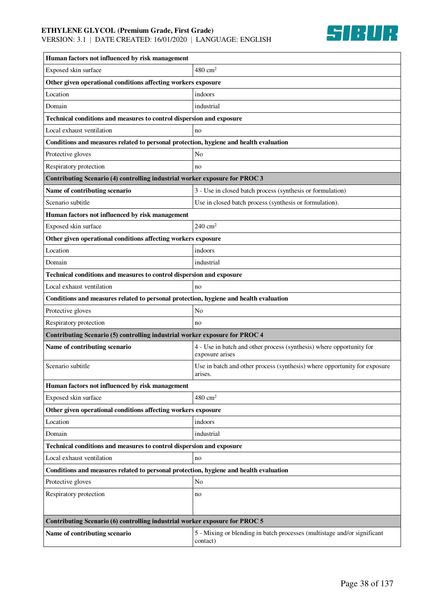

| Human factors not influenced by risk management                                       |                                                                                         |  |
|---------------------------------------------------------------------------------------|-----------------------------------------------------------------------------------------|--|
| Exposed skin surface                                                                  | $480 \text{ cm}^2$                                                                      |  |
| Other given operational conditions affecting workers exposure                         |                                                                                         |  |
| Location                                                                              | indoors                                                                                 |  |
| Domain                                                                                | industrial                                                                              |  |
| Technical conditions and measures to control dispersion and exposure                  |                                                                                         |  |
| Local exhaust ventilation                                                             | no                                                                                      |  |
| Conditions and measures related to personal protection, hygiene and health evaluation |                                                                                         |  |
| Protective gloves                                                                     | No                                                                                      |  |
| Respiratory protection                                                                | no                                                                                      |  |
| Contributing Scenario (4) controlling industrial worker exposure for PROC 3           |                                                                                         |  |
| Name of contributing scenario                                                         | 3 - Use in closed batch process (synthesis or formulation)                              |  |
| Scenario subtitle                                                                     | Use in closed batch process (synthesis or formulation).                                 |  |
| Human factors not influenced by risk management                                       |                                                                                         |  |
| Exposed skin surface                                                                  | $240$ cm <sup>2</sup>                                                                   |  |
| Other given operational conditions affecting workers exposure                         |                                                                                         |  |
| Location                                                                              | indoors                                                                                 |  |
| Domain                                                                                | industrial                                                                              |  |
| Technical conditions and measures to control dispersion and exposure                  |                                                                                         |  |
| Local exhaust ventilation                                                             | no                                                                                      |  |
| Conditions and measures related to personal protection, hygiene and health evaluation |                                                                                         |  |
| Protective gloves                                                                     | No                                                                                      |  |
| Respiratory protection                                                                | no                                                                                      |  |
| Contributing Scenario (5) controlling industrial worker exposure for PROC 4           |                                                                                         |  |
| Name of contributing scenario                                                         | 4 - Use in batch and other process (synthesis) where opportunity for<br>exposure arises |  |
| Scenario subtitle                                                                     | Use in batch and other process (synthesis) where opportunity for exposure<br>arises.    |  |
| Human factors not influenced by risk management                                       |                                                                                         |  |
| Exposed skin surface                                                                  | $480$ cm <sup>2</sup>                                                                   |  |
| Other given operational conditions affecting workers exposure                         |                                                                                         |  |
| Location                                                                              | indoors                                                                                 |  |
| Domain                                                                                | industrial                                                                              |  |
| Technical conditions and measures to control dispersion and exposure                  |                                                                                         |  |
| Local exhaust ventilation                                                             | no                                                                                      |  |
| Conditions and measures related to personal protection, hygiene and health evaluation |                                                                                         |  |
| Protective gloves                                                                     | No                                                                                      |  |
| Respiratory protection                                                                | no                                                                                      |  |
|                                                                                       |                                                                                         |  |
| Contributing Scenario (6) controlling industrial worker exposure for PROC 5           |                                                                                         |  |
| Name of contributing scenario                                                         | 5 - Mixing or blending in batch processes (multistage and/or significant<br>contact)    |  |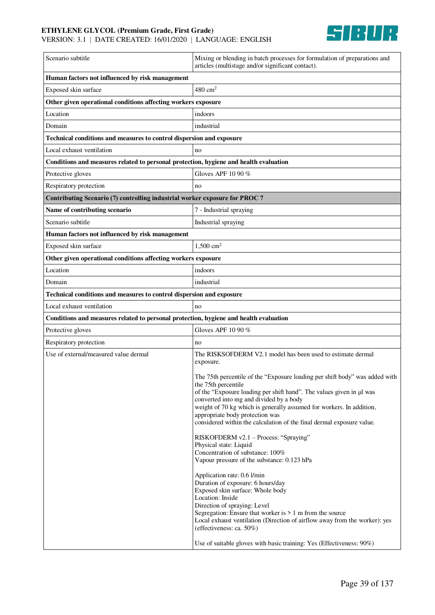

| Scenario subtitle                                                                     | Mixing or blending in batch processes for formulation of preparations and<br>articles (multistage and/or significant contact).                                                                                                                                                                                                                                                                                                                                                                                                                                 |  |
|---------------------------------------------------------------------------------------|----------------------------------------------------------------------------------------------------------------------------------------------------------------------------------------------------------------------------------------------------------------------------------------------------------------------------------------------------------------------------------------------------------------------------------------------------------------------------------------------------------------------------------------------------------------|--|
| Human factors not influenced by risk management                                       |                                                                                                                                                                                                                                                                                                                                                                                                                                                                                                                                                                |  |
| Exposed skin surface                                                                  | 480 cm <sup>2</sup>                                                                                                                                                                                                                                                                                                                                                                                                                                                                                                                                            |  |
| Other given operational conditions affecting workers exposure                         |                                                                                                                                                                                                                                                                                                                                                                                                                                                                                                                                                                |  |
| Location                                                                              | indoors                                                                                                                                                                                                                                                                                                                                                                                                                                                                                                                                                        |  |
| Domain                                                                                | industrial                                                                                                                                                                                                                                                                                                                                                                                                                                                                                                                                                     |  |
| Technical conditions and measures to control dispersion and exposure                  |                                                                                                                                                                                                                                                                                                                                                                                                                                                                                                                                                                |  |
| Local exhaust ventilation                                                             | no                                                                                                                                                                                                                                                                                                                                                                                                                                                                                                                                                             |  |
| Conditions and measures related to personal protection, hygiene and health evaluation |                                                                                                                                                                                                                                                                                                                                                                                                                                                                                                                                                                |  |
| Protective gloves                                                                     | Gloves APF 10 90 %                                                                                                                                                                                                                                                                                                                                                                                                                                                                                                                                             |  |
| Respiratory protection                                                                | no                                                                                                                                                                                                                                                                                                                                                                                                                                                                                                                                                             |  |
| Contributing Scenario (7) controlling industrial worker exposure for PROC 7           |                                                                                                                                                                                                                                                                                                                                                                                                                                                                                                                                                                |  |
| Name of contributing scenario                                                         | 7 - Industrial spraying                                                                                                                                                                                                                                                                                                                                                                                                                                                                                                                                        |  |
| Scenario subtitle                                                                     | Industrial spraying                                                                                                                                                                                                                                                                                                                                                                                                                                                                                                                                            |  |
| Human factors not influenced by risk management                                       |                                                                                                                                                                                                                                                                                                                                                                                                                                                                                                                                                                |  |
| Exposed skin surface                                                                  | $1,500$ cm <sup>2</sup>                                                                                                                                                                                                                                                                                                                                                                                                                                                                                                                                        |  |
| Other given operational conditions affecting workers exposure                         |                                                                                                                                                                                                                                                                                                                                                                                                                                                                                                                                                                |  |
| Location                                                                              | indoors                                                                                                                                                                                                                                                                                                                                                                                                                                                                                                                                                        |  |
| Domain                                                                                | industrial                                                                                                                                                                                                                                                                                                                                                                                                                                                                                                                                                     |  |
| Technical conditions and measures to control dispersion and exposure                  |                                                                                                                                                                                                                                                                                                                                                                                                                                                                                                                                                                |  |
| Local exhaust ventilation                                                             | no                                                                                                                                                                                                                                                                                                                                                                                                                                                                                                                                                             |  |
| Conditions and measures related to personal protection, hygiene and health evaluation |                                                                                                                                                                                                                                                                                                                                                                                                                                                                                                                                                                |  |
| Protective gloves                                                                     | Gloves APF 10 90 %                                                                                                                                                                                                                                                                                                                                                                                                                                                                                                                                             |  |
| Respiratory protection                                                                | no                                                                                                                                                                                                                                                                                                                                                                                                                                                                                                                                                             |  |
| Use of external/measured value dermal                                                 | The RISKSOFDERM V2.1 model has been used to estimate dermal<br>exposure.                                                                                                                                                                                                                                                                                                                                                                                                                                                                                       |  |
|                                                                                       | The 75th percentile of the "Exposure loading per shift body" was added with<br>the 75th percentile<br>of the "Exposure loading per shift hand". The values given in µl was<br>converted into mg and divided by a body<br>weight of 70 kg which is generally assumed for workers. In addition,<br>appropriate body protection was<br>considered within the calculation of the final dermal exposure value.                                                                                                                                                      |  |
|                                                                                       | RISKOFDERM v2.1 - Process: "Spraying"<br>Physical state: Liquid<br>Concentration of substance: 100%<br>Vapour pressure of the substance: 0.123 hPa<br>Application rate: 0.6 l/min<br>Duration of exposure: 6 hours/day<br>Exposed skin surface: Whole body<br>Location: Inside<br>Direction of spraying: Level<br>Segregation: Ensure that worker is $> 1$ m from the source<br>Local exhaust ventilation (Direction of airflow away from the worker): yes<br>(effectiveness: ca. 50%)<br>Use of suitable gloves with basic training: Yes (Effectiveness: 90%) |  |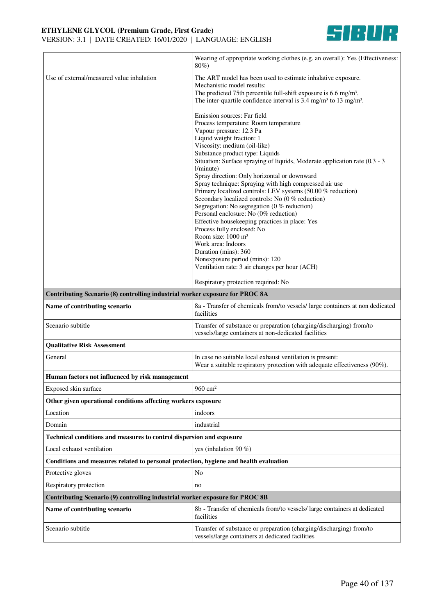

|                                                                                       | Wearing of appropriate working clothes (e.g. an overall): Yes (Effectiveness:<br>$80\%)$                                                                                  |  |
|---------------------------------------------------------------------------------------|---------------------------------------------------------------------------------------------------------------------------------------------------------------------------|--|
| Use of external/measured value inhalation                                             | The ART model has been used to estimate inhalative exposure.                                                                                                              |  |
|                                                                                       | Mechanistic model results:                                                                                                                                                |  |
|                                                                                       | The predicted 75th percentile full-shift exposure is $6.6$ mg/m <sup>3</sup> .<br>The inter-quartile confidence interval is $3.4 \text{ mg/m}^3$ to $13 \text{ mg/m}^3$ . |  |
|                                                                                       |                                                                                                                                                                           |  |
|                                                                                       | Emission sources: Far field                                                                                                                                               |  |
|                                                                                       | Process temperature: Room temperature<br>Vapour pressure: 12.3 Pa                                                                                                         |  |
|                                                                                       | Liquid weight fraction: 1                                                                                                                                                 |  |
|                                                                                       | Viscosity: medium (oil-like)<br>Substance product type: Liquids                                                                                                           |  |
|                                                                                       | Situation: Surface spraying of liquids, Moderate application rate (0.3 - 3                                                                                                |  |
|                                                                                       | l/minute)                                                                                                                                                                 |  |
|                                                                                       | Spray direction: Only horizontal or downward<br>Spray technique: Spraying with high compressed air use                                                                    |  |
|                                                                                       | Primary localized controls: LEV systems (50.00 % reduction)                                                                                                               |  |
|                                                                                       | Secondary localized controls: No (0 % reduction)                                                                                                                          |  |
|                                                                                       | Segregation: No segregation $(0 %$ reduction)<br>Personal enclosure: No (0% reduction)                                                                                    |  |
|                                                                                       | Effective housekeeping practices in place: Yes                                                                                                                            |  |
|                                                                                       | Process fully enclosed: No<br>Room size: 1000 m <sup>3</sup>                                                                                                              |  |
|                                                                                       | Work area: Indoors                                                                                                                                                        |  |
|                                                                                       | Duration (mins): 360                                                                                                                                                      |  |
|                                                                                       | Nonexposure period (mins): 120<br>Ventilation rate: 3 air changes per hour (ACH)                                                                                          |  |
|                                                                                       |                                                                                                                                                                           |  |
|                                                                                       | Respiratory protection required: No                                                                                                                                       |  |
| Contributing Scenario (8) controlling industrial worker exposure for PROC 8A          |                                                                                                                                                                           |  |
| Name of contributing scenario                                                         | 8a - Transfer of chemicals from/to vessels/large containers at non dedicated<br>facilities                                                                                |  |
| Scenario subtitle                                                                     | Transfer of substance or preparation (charging/discharging) from/to<br>vessels/large containers at non-dedicated facilities                                               |  |
| <b>Qualitative Risk Assessment</b>                                                    |                                                                                                                                                                           |  |
| General                                                                               | In case no suitable local exhaust ventilation is present:<br>Wear a suitable respiratory protection with adequate effectiveness (90%).                                    |  |
| Human factors not influenced by risk management                                       |                                                                                                                                                                           |  |
| Exposed skin surface                                                                  | 960 $cm2$                                                                                                                                                                 |  |
| Other given operational conditions affecting workers exposure                         |                                                                                                                                                                           |  |
| Location                                                                              | indoors                                                                                                                                                                   |  |
| Domain                                                                                | industrial                                                                                                                                                                |  |
| Technical conditions and measures to control dispersion and exposure                  |                                                                                                                                                                           |  |
| Local exhaust ventilation                                                             | yes (inhalation 90 $\%$ )                                                                                                                                                 |  |
| Conditions and measures related to personal protection, hygiene and health evaluation |                                                                                                                                                                           |  |
| Protective gloves                                                                     | N <sub>o</sub>                                                                                                                                                            |  |
| Respiratory protection                                                                | no                                                                                                                                                                        |  |
| Contributing Scenario (9) controlling industrial worker exposure for PROC 8B          |                                                                                                                                                                           |  |
| Name of contributing scenario                                                         | 8b - Transfer of chemicals from/to vessels/ large containers at dedicated<br>facilities                                                                                   |  |
| Scenario subtitle                                                                     | Transfer of substance or preparation (charging/discharging) from/to<br>vessels/large containers at dedicated facilities                                                   |  |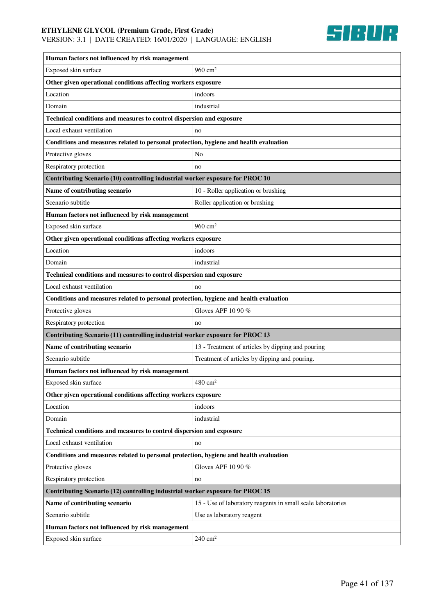

| Human factors not influenced by risk management                                       |                                                             |  |
|---------------------------------------------------------------------------------------|-------------------------------------------------------------|--|
| Exposed skin surface                                                                  | $960 \text{ cm}^2$                                          |  |
| Other given operational conditions affecting workers exposure                         |                                                             |  |
| Location                                                                              | indoors                                                     |  |
| Domain                                                                                | industrial                                                  |  |
| Technical conditions and measures to control dispersion and exposure                  |                                                             |  |
| Local exhaust ventilation                                                             | no                                                          |  |
| Conditions and measures related to personal protection, hygiene and health evaluation |                                                             |  |
| Protective gloves                                                                     | No                                                          |  |
| Respiratory protection                                                                | no                                                          |  |
| Contributing Scenario (10) controlling industrial worker exposure for PROC 10         |                                                             |  |
| Name of contributing scenario                                                         | 10 - Roller application or brushing                         |  |
| Scenario subtitle                                                                     | Roller application or brushing                              |  |
| Human factors not influenced by risk management                                       |                                                             |  |
| Exposed skin surface                                                                  | 960 cm <sup>2</sup>                                         |  |
| Other given operational conditions affecting workers exposure                         |                                                             |  |
| Location                                                                              | indoors                                                     |  |
| Domain                                                                                | industrial                                                  |  |
| Technical conditions and measures to control dispersion and exposure                  |                                                             |  |
| Local exhaust ventilation                                                             | no                                                          |  |
| Conditions and measures related to personal protection, hygiene and health evaluation |                                                             |  |
| Protective gloves                                                                     | Gloves APF 10 90 $\%$                                       |  |
| Respiratory protection                                                                | no                                                          |  |
| Contributing Scenario (11) controlling industrial worker exposure for PROC 13         |                                                             |  |
| Name of contributing scenario                                                         | 13 - Treatment of articles by dipping and pouring           |  |
| Scenario subtitle                                                                     | Treatment of articles by dipping and pouring.               |  |
| Human factors not influenced by risk management                                       |                                                             |  |
| Exposed skin surface                                                                  | $480 \text{ cm}^2$                                          |  |
| Other given operational conditions affecting workers exposure                         |                                                             |  |
| Location                                                                              | indoors                                                     |  |
| Domain                                                                                | industrial                                                  |  |
| Technical conditions and measures to control dispersion and exposure                  |                                                             |  |
| Local exhaust ventilation                                                             | no                                                          |  |
| Conditions and measures related to personal protection, hygiene and health evaluation |                                                             |  |
| Protective gloves                                                                     | Gloves APF 10 90 %                                          |  |
| Respiratory protection                                                                | no                                                          |  |
| Contributing Scenario (12) controlling industrial worker exposure for PROC 15         |                                                             |  |
| Name of contributing scenario                                                         | 15 - Use of laboratory reagents in small scale laboratories |  |
| Scenario subtitle                                                                     | Use as laboratory reagent                                   |  |
| Human factors not influenced by risk management                                       |                                                             |  |
| Exposed skin surface                                                                  | $240$ cm <sup>2</sup>                                       |  |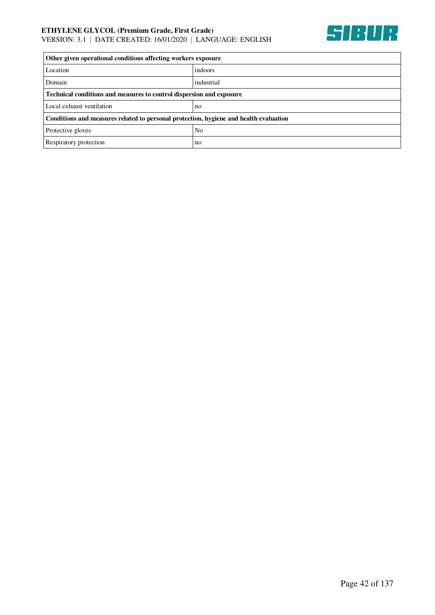

| Other given operational conditions affecting workers exposure                         |                |  |
|---------------------------------------------------------------------------------------|----------------|--|
| Location                                                                              | indoors        |  |
| Domain                                                                                | industrial     |  |
| Technical conditions and measures to control dispersion and exposure                  |                |  |
| Local exhaust ventilation                                                             | no             |  |
| Conditions and measures related to personal protection, hygiene and health evaluation |                |  |
| Protective gloves                                                                     | N <sub>0</sub> |  |
| Respiratory protection                                                                | no             |  |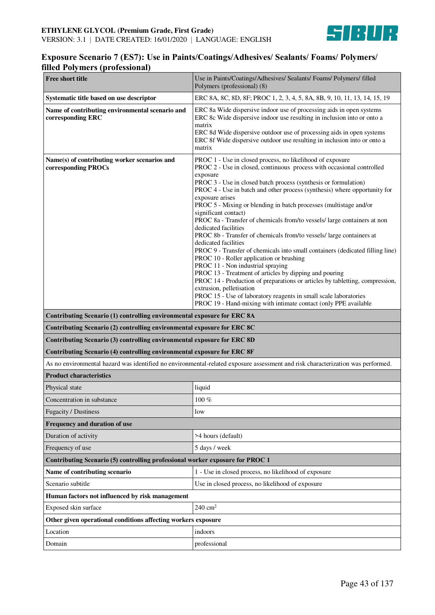

## **Exposure Scenario 7 (ES7): Use in Paints/Coatings/Adhesives/ Sealants/ Foams/ Polymers/ filled Polymers (professional)**

| <b>Free short title</b>                                                                                                                            | Use in Paints/Coatings/Adhesives/ Sealants/ Foams/ Polymers/ filled<br>Polymers (professional) (8)                                                                                                                                                                                                                                                                                                                                                                                                                                                                                                                                                                                                                                                                                                                                                                                                                                                                                                                                                                                                |  |
|----------------------------------------------------------------------------------------------------------------------------------------------------|---------------------------------------------------------------------------------------------------------------------------------------------------------------------------------------------------------------------------------------------------------------------------------------------------------------------------------------------------------------------------------------------------------------------------------------------------------------------------------------------------------------------------------------------------------------------------------------------------------------------------------------------------------------------------------------------------------------------------------------------------------------------------------------------------------------------------------------------------------------------------------------------------------------------------------------------------------------------------------------------------------------------------------------------------------------------------------------------------|--|
| Systematic title based on use descriptor                                                                                                           | ERC 8A, 8C, 8D, 8F; PROC 1, 2, 3, 4, 5, 8A, 8B, 9, 10, 11, 13, 14, 15, 19                                                                                                                                                                                                                                                                                                                                                                                                                                                                                                                                                                                                                                                                                                                                                                                                                                                                                                                                                                                                                         |  |
| Name of contributing environmental scenario and<br>corresponding ERC                                                                               | ERC 8a Wide dispersive indoor use of processing aids in open systems<br>ERC 8c Wide dispersive indoor use resulting in inclusion into or onto a<br>matrix<br>ERC 8d Wide dispersive outdoor use of processing aids in open systems<br>ERC 8f Wide dispersive outdoor use resulting in inclusion into or onto a<br>matrix                                                                                                                                                                                                                                                                                                                                                                                                                                                                                                                                                                                                                                                                                                                                                                          |  |
| Name(s) of contributing worker scenarios and<br>corresponding PROCs                                                                                | PROC 1 - Use in closed process, no likelihood of exposure<br>PROC 2 - Use in closed, continuous process with occasional controlled<br>exposure<br>PROC 3 - Use in closed batch process (synthesis or formulation)<br>PROC 4 - Use in batch and other process (synthesis) where opportunity for<br>exposure arises<br>PROC 5 - Mixing or blending in batch processes (multistage and/or<br>significant contact)<br>PROC 8a - Transfer of chemicals from/to vessels/ large containers at non<br>dedicated facilities<br>PROC 8b - Transfer of chemicals from/to vessels/ large containers at<br>dedicated facilities<br>PROC 9 - Transfer of chemicals into small containers (dedicated filling line)<br>PROC 10 - Roller application or brushing<br>PROC 11 - Non industrial spraying<br>PROC 13 - Treatment of articles by dipping and pouring<br>PROC 14 - Production of preparations or articles by tabletting, compression,<br>extrusion, pelletisation<br>PROC 15 - Use of laboratory reagents in small scale laboratories<br>PROC 19 - Hand-mixing with intimate contact (only PPE available |  |
| Contributing Scenario (1) controlling environmental exposure for ERC 8A                                                                            |                                                                                                                                                                                                                                                                                                                                                                                                                                                                                                                                                                                                                                                                                                                                                                                                                                                                                                                                                                                                                                                                                                   |  |
| Contributing Scenario (2) controlling environmental exposure for ERC 8C<br>Contributing Scenario (3) controlling environmental exposure for ERC 8D |                                                                                                                                                                                                                                                                                                                                                                                                                                                                                                                                                                                                                                                                                                                                                                                                                                                                                                                                                                                                                                                                                                   |  |
| Contributing Scenario (4) controlling environmental exposure for ERC 8F                                                                            |                                                                                                                                                                                                                                                                                                                                                                                                                                                                                                                                                                                                                                                                                                                                                                                                                                                                                                                                                                                                                                                                                                   |  |
| As no environmental hazard was identified no environmental-related exposure assessment and risk characterization was performed.                    |                                                                                                                                                                                                                                                                                                                                                                                                                                                                                                                                                                                                                                                                                                                                                                                                                                                                                                                                                                                                                                                                                                   |  |
| <b>Product characteristics</b>                                                                                                                     |                                                                                                                                                                                                                                                                                                                                                                                                                                                                                                                                                                                                                                                                                                                                                                                                                                                                                                                                                                                                                                                                                                   |  |
| Physical state                                                                                                                                     | liquid                                                                                                                                                                                                                                                                                                                                                                                                                                                                                                                                                                                                                                                                                                                                                                                                                                                                                                                                                                                                                                                                                            |  |
| Concentration in substance                                                                                                                         | 100 %                                                                                                                                                                                                                                                                                                                                                                                                                                                                                                                                                                                                                                                                                                                                                                                                                                                                                                                                                                                                                                                                                             |  |
| <b>Fugacity / Dustiness</b>                                                                                                                        | low                                                                                                                                                                                                                                                                                                                                                                                                                                                                                                                                                                                                                                                                                                                                                                                                                                                                                                                                                                                                                                                                                               |  |
| Frequency and duration of use                                                                                                                      |                                                                                                                                                                                                                                                                                                                                                                                                                                                                                                                                                                                                                                                                                                                                                                                                                                                                                                                                                                                                                                                                                                   |  |
| Duration of activity                                                                                                                               | >4 hours (default)                                                                                                                                                                                                                                                                                                                                                                                                                                                                                                                                                                                                                                                                                                                                                                                                                                                                                                                                                                                                                                                                                |  |
| Frequency of use                                                                                                                                   | 5 days / week                                                                                                                                                                                                                                                                                                                                                                                                                                                                                                                                                                                                                                                                                                                                                                                                                                                                                                                                                                                                                                                                                     |  |
| Contributing Scenario (5) controlling professional worker exposure for PROC 1                                                                      |                                                                                                                                                                                                                                                                                                                                                                                                                                                                                                                                                                                                                                                                                                                                                                                                                                                                                                                                                                                                                                                                                                   |  |
|                                                                                                                                                    |                                                                                                                                                                                                                                                                                                                                                                                                                                                                                                                                                                                                                                                                                                                                                                                                                                                                                                                                                                                                                                                                                                   |  |
| Name of contributing scenario                                                                                                                      | 1 - Use in closed process, no likelihood of exposure                                                                                                                                                                                                                                                                                                                                                                                                                                                                                                                                                                                                                                                                                                                                                                                                                                                                                                                                                                                                                                              |  |
| Scenario subtitle                                                                                                                                  | Use in closed process, no likelihood of exposure                                                                                                                                                                                                                                                                                                                                                                                                                                                                                                                                                                                                                                                                                                                                                                                                                                                                                                                                                                                                                                                  |  |
| Human factors not influenced by risk management                                                                                                    |                                                                                                                                                                                                                                                                                                                                                                                                                                                                                                                                                                                                                                                                                                                                                                                                                                                                                                                                                                                                                                                                                                   |  |
| Exposed skin surface                                                                                                                               | $240 \text{ cm}^2$                                                                                                                                                                                                                                                                                                                                                                                                                                                                                                                                                                                                                                                                                                                                                                                                                                                                                                                                                                                                                                                                                |  |
| Other given operational conditions affecting workers exposure                                                                                      |                                                                                                                                                                                                                                                                                                                                                                                                                                                                                                                                                                                                                                                                                                                                                                                                                                                                                                                                                                                                                                                                                                   |  |
| Location                                                                                                                                           | indoors                                                                                                                                                                                                                                                                                                                                                                                                                                                                                                                                                                                                                                                                                                                                                                                                                                                                                                                                                                                                                                                                                           |  |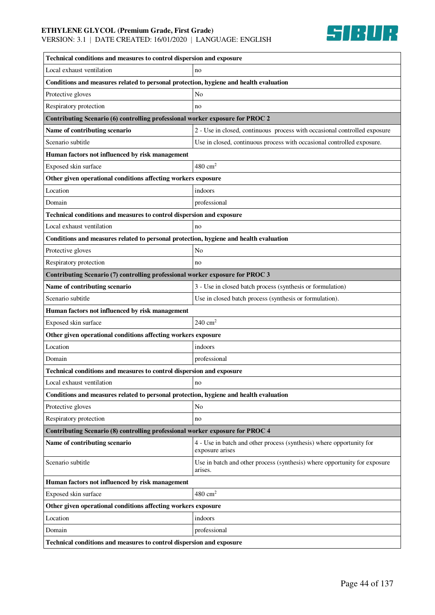

| Technical conditions and measures to control dispersion and exposure                  |                                                                                         |  |
|---------------------------------------------------------------------------------------|-----------------------------------------------------------------------------------------|--|
| Local exhaust ventilation                                                             | no                                                                                      |  |
| Conditions and measures related to personal protection, hygiene and health evaluation |                                                                                         |  |
| Protective gloves                                                                     | No                                                                                      |  |
| Respiratory protection                                                                | no                                                                                      |  |
| Contributing Scenario (6) controlling professional worker exposure for PROC 2         |                                                                                         |  |
| Name of contributing scenario                                                         | 2 - Use in closed, continuous process with occasional controlled exposure               |  |
| Scenario subtitle                                                                     | Use in closed, continuous process with occasional controlled exposure.                  |  |
| Human factors not influenced by risk management                                       |                                                                                         |  |
| Exposed skin surface                                                                  | $480$ cm <sup>2</sup>                                                                   |  |
| Other given operational conditions affecting workers exposure                         |                                                                                         |  |
| Location                                                                              | indoors                                                                                 |  |
| Domain                                                                                | professional                                                                            |  |
| Technical conditions and measures to control dispersion and exposure                  |                                                                                         |  |
| Local exhaust ventilation                                                             | no                                                                                      |  |
| Conditions and measures related to personal protection, hygiene and health evaluation |                                                                                         |  |
| Protective gloves                                                                     | No                                                                                      |  |
| Respiratory protection                                                                | no                                                                                      |  |
| Contributing Scenario (7) controlling professional worker exposure for PROC 3         |                                                                                         |  |
| Name of contributing scenario                                                         | 3 - Use in closed batch process (synthesis or formulation)                              |  |
| Scenario subtitle                                                                     | Use in closed batch process (synthesis or formulation).                                 |  |
| Human factors not influenced by risk management                                       |                                                                                         |  |
| Exposed skin surface                                                                  | $240 \text{ cm}^2$                                                                      |  |
| Other given operational conditions affecting workers exposure                         |                                                                                         |  |
| Location                                                                              | indoors                                                                                 |  |
| Domain                                                                                | professional                                                                            |  |
| Technical conditions and measures to control dispersion and exposure                  |                                                                                         |  |
| Local exhaust ventilation                                                             | no                                                                                      |  |
| Conditions and measures related to personal protection, hygiene and health evaluation |                                                                                         |  |
| Protective gloves                                                                     | No                                                                                      |  |
| Respiratory protection                                                                | no                                                                                      |  |
| Contributing Scenario (8) controlling professional worker exposure for PROC 4         |                                                                                         |  |
| Name of contributing scenario                                                         | 4 - Use in batch and other process (synthesis) where opportunity for<br>exposure arises |  |
| Scenario subtitle                                                                     | Use in batch and other process (synthesis) where opportunity for exposure<br>arises.    |  |
| Human factors not influenced by risk management                                       |                                                                                         |  |
| Exposed skin surface                                                                  | $480$ cm <sup>2</sup>                                                                   |  |
| Other given operational conditions affecting workers exposure                         |                                                                                         |  |
| Location                                                                              | indoors                                                                                 |  |
| Domain                                                                                | professional                                                                            |  |
| Technical conditions and measures to control dispersion and exposure                  |                                                                                         |  |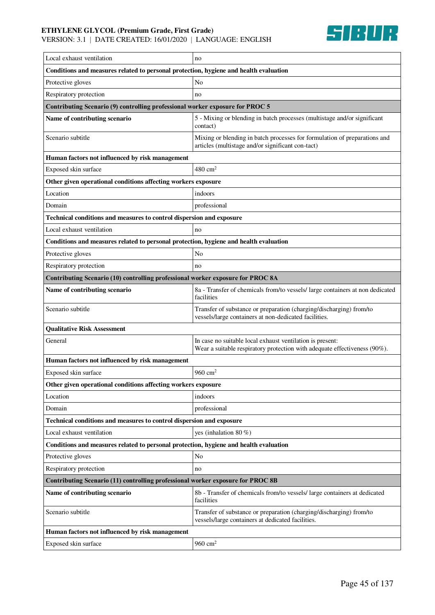

| Local exhaust ventilation                                                             | no                                                                                                                                     |  |
|---------------------------------------------------------------------------------------|----------------------------------------------------------------------------------------------------------------------------------------|--|
| Conditions and measures related to personal protection, hygiene and health evaluation |                                                                                                                                        |  |
| Protective gloves                                                                     | No                                                                                                                                     |  |
| Respiratory protection                                                                | no                                                                                                                                     |  |
| Contributing Scenario (9) controlling professional worker exposure for PROC 5         |                                                                                                                                        |  |
| Name of contributing scenario                                                         | 5 - Mixing or blending in batch processes (multistage and/or significant<br>contact)                                                   |  |
| Scenario subtitle                                                                     | Mixing or blending in batch processes for formulation of preparations and<br>articles (multistage and/or significant con-tact)         |  |
| Human factors not influenced by risk management                                       |                                                                                                                                        |  |
| Exposed skin surface                                                                  | $480 \text{ cm}^2$                                                                                                                     |  |
| Other given operational conditions affecting workers exposure                         |                                                                                                                                        |  |
| Location                                                                              | indoors                                                                                                                                |  |
| Domain                                                                                | professional                                                                                                                           |  |
| Technical conditions and measures to control dispersion and exposure                  |                                                                                                                                        |  |
| Local exhaust ventilation                                                             | no                                                                                                                                     |  |
| Conditions and measures related to personal protection, hygiene and health evaluation |                                                                                                                                        |  |
| Protective gloves                                                                     | No                                                                                                                                     |  |
| Respiratory protection                                                                | no                                                                                                                                     |  |
| Contributing Scenario (10) controlling professional worker exposure for PROC 8A       |                                                                                                                                        |  |
| Name of contributing scenario                                                         | 8a - Transfer of chemicals from/to vessels/ large containers at non dedicated<br>facilities                                            |  |
| Scenario subtitle                                                                     | Transfer of substance or preparation (charging/discharging) from/to<br>vessels/large containers at non-dedicated facilities.           |  |
| <b>Qualitative Risk Assessment</b>                                                    |                                                                                                                                        |  |
| General                                                                               | In case no suitable local exhaust ventilation is present:<br>Wear a suitable respiratory protection with adequate effectiveness (90%). |  |
| Human factors not influenced by risk management                                       |                                                                                                                                        |  |
| Exposed skin surface                                                                  | 960 $cm2$                                                                                                                              |  |
| Other given operational conditions affecting workers exposure                         |                                                                                                                                        |  |
| Location                                                                              | indoors                                                                                                                                |  |
| Domain                                                                                | professional                                                                                                                           |  |
| Technical conditions and measures to control dispersion and exposure                  |                                                                                                                                        |  |
| Local exhaust ventilation                                                             | yes (inhalation 80 $%$ )                                                                                                               |  |
| Conditions and measures related to personal protection, hygiene and health evaluation |                                                                                                                                        |  |
| Protective gloves                                                                     | No.                                                                                                                                    |  |
| Respiratory protection                                                                | no                                                                                                                                     |  |
| Contributing Scenario (11) controlling professional worker exposure for PROC 8B       |                                                                                                                                        |  |
| Name of contributing scenario                                                         | 8b - Transfer of chemicals from/to vessels/ large containers at dedicated<br>facilities                                                |  |
| Scenario subtitle                                                                     | Transfer of substance or preparation (charging/discharging) from/to<br>vessels/large containers at dedicated facilities.               |  |
| Human factors not influenced by risk management                                       |                                                                                                                                        |  |
| Exposed skin surface                                                                  | 960 $cm2$                                                                                                                              |  |
|                                                                                       |                                                                                                                                        |  |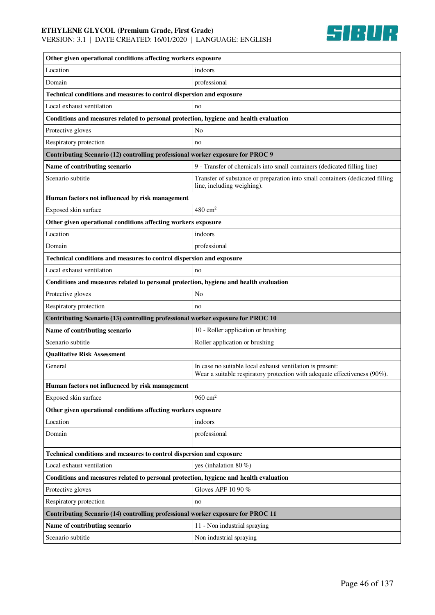

| Other given operational conditions affecting workers exposure                         |                                                                                                                                        |  |
|---------------------------------------------------------------------------------------|----------------------------------------------------------------------------------------------------------------------------------------|--|
| Location                                                                              | indoors                                                                                                                                |  |
| Domain                                                                                | professional                                                                                                                           |  |
| Technical conditions and measures to control dispersion and exposure                  |                                                                                                                                        |  |
| Local exhaust ventilation                                                             | no                                                                                                                                     |  |
| Conditions and measures related to personal protection, hygiene and health evaluation |                                                                                                                                        |  |
| Protective gloves                                                                     | No                                                                                                                                     |  |
| Respiratory protection                                                                | no                                                                                                                                     |  |
| Contributing Scenario (12) controlling professional worker exposure for PROC 9        |                                                                                                                                        |  |
| Name of contributing scenario                                                         | 9 - Transfer of chemicals into small containers (dedicated filling line)                                                               |  |
| Scenario subtitle                                                                     | Transfer of substance or preparation into small containers (dedicated filling<br>line, including weighing).                            |  |
| Human factors not influenced by risk management                                       |                                                                                                                                        |  |
| Exposed skin surface                                                                  | $480$ cm <sup>2</sup>                                                                                                                  |  |
| Other given operational conditions affecting workers exposure                         |                                                                                                                                        |  |
| Location                                                                              | indoors                                                                                                                                |  |
| Domain                                                                                | professional                                                                                                                           |  |
| Technical conditions and measures to control dispersion and exposure                  |                                                                                                                                        |  |
| Local exhaust ventilation                                                             | no                                                                                                                                     |  |
| Conditions and measures related to personal protection, hygiene and health evaluation |                                                                                                                                        |  |
| Protective gloves                                                                     | No                                                                                                                                     |  |
| Respiratory protection                                                                | no                                                                                                                                     |  |
| Contributing Scenario (13) controlling professional worker exposure for PROC 10       |                                                                                                                                        |  |
| Name of contributing scenario                                                         | 10 - Roller application or brushing                                                                                                    |  |
| Scenario subtitle                                                                     | Roller application or brushing                                                                                                         |  |
| <b>Qualitative Risk Assessment</b>                                                    |                                                                                                                                        |  |
| General                                                                               | In case no suitable local exhaust ventilation is present:<br>Wear a suitable respiratory protection with adequate effectiveness (90%). |  |
| Human factors not influenced by risk management                                       |                                                                                                                                        |  |
| Exposed skin surface                                                                  | 960 $cm2$                                                                                                                              |  |
| Other given operational conditions affecting workers exposure                         |                                                                                                                                        |  |
| Location                                                                              | indoors                                                                                                                                |  |
| Domain                                                                                | professional                                                                                                                           |  |
| Technical conditions and measures to control dispersion and exposure                  |                                                                                                                                        |  |
| Local exhaust ventilation                                                             | yes (inhalation 80 %)                                                                                                                  |  |
| Conditions and measures related to personal protection, hygiene and health evaluation |                                                                                                                                        |  |
| Protective gloves                                                                     | Gloves APF 10 90 %                                                                                                                     |  |
| Respiratory protection                                                                | no                                                                                                                                     |  |
| Contributing Scenario (14) controlling professional worker exposure for PROC 11       |                                                                                                                                        |  |
| Name of contributing scenario                                                         | 11 - Non industrial spraying                                                                                                           |  |
| Scenario subtitle                                                                     | Non industrial spraying                                                                                                                |  |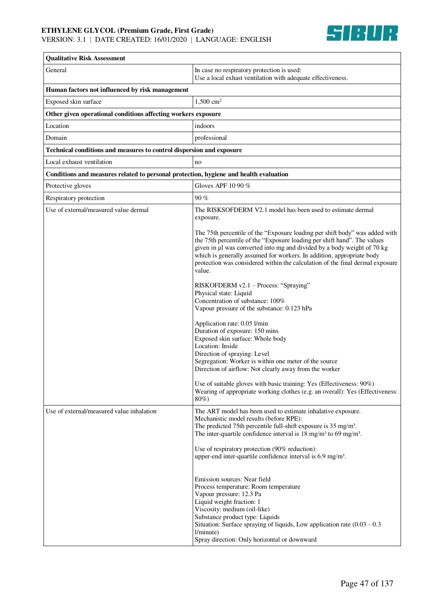

| <b>Qualitative Risk Assessment</b>                                                    |                                                                                                                                                                                                                                                                                                                                                                                                              |  |
|---------------------------------------------------------------------------------------|--------------------------------------------------------------------------------------------------------------------------------------------------------------------------------------------------------------------------------------------------------------------------------------------------------------------------------------------------------------------------------------------------------------|--|
| General                                                                               | In case no respiratory protection is used:<br>Use a local exhast ventilation with adequate effectiveness.                                                                                                                                                                                                                                                                                                    |  |
| Human factors not influenced by risk management                                       |                                                                                                                                                                                                                                                                                                                                                                                                              |  |
| Exposed skin surface                                                                  | $1,500$ cm <sup>2</sup>                                                                                                                                                                                                                                                                                                                                                                                      |  |
| Other given operational conditions affecting workers exposure                         |                                                                                                                                                                                                                                                                                                                                                                                                              |  |
| Location                                                                              | indoors                                                                                                                                                                                                                                                                                                                                                                                                      |  |
| Domain                                                                                | professional                                                                                                                                                                                                                                                                                                                                                                                                 |  |
| Technical conditions and measures to control dispersion and exposure                  |                                                                                                                                                                                                                                                                                                                                                                                                              |  |
| Local exhaust ventilation                                                             | no                                                                                                                                                                                                                                                                                                                                                                                                           |  |
| Conditions and measures related to personal protection, hygiene and health evaluation |                                                                                                                                                                                                                                                                                                                                                                                                              |  |
| Protective gloves                                                                     | Gloves APF 10 90 %                                                                                                                                                                                                                                                                                                                                                                                           |  |
| Respiratory protection                                                                | 90%                                                                                                                                                                                                                                                                                                                                                                                                          |  |
| Use of external/measured value dermal                                                 | The RISKSOFDERM V2.1 model has been used to estimate dermal<br>exposure.                                                                                                                                                                                                                                                                                                                                     |  |
|                                                                                       | The 75th percentile of the "Exposure loading per shift body" was added with<br>the 75th percentile of the "Exposure loading per shift hand". The values<br>given in µl was converted into mg and divided by a body weight of 70 kg<br>which is generally assumed for workers. In addition, appropriate body<br>protection was considered within the calculation of the final dermal exposure<br>value.       |  |
|                                                                                       | RISKOFDERM v2.1 - Process: "Spraying"<br>Physical state: Liquid<br>Concentration of substance: 100%<br>Vapour pressure of the substance: 0.123 hPa                                                                                                                                                                                                                                                           |  |
|                                                                                       | Application rate: 0.05 l/min<br>Duration of exposure: 150 mins<br>Exposed skin surface: Whole body<br>Location: Inside<br>Direction of spraying: Level<br>Segregation: Worker is within one meter of the source<br>Direction of airflow: Not clearly away from the worker                                                                                                                                    |  |
|                                                                                       | Use of suitable gloves with basic training: Yes (Effectiveness: 90%)<br>Wearing of appropriate working clothes (e.g. an overall): Yes (Effectiveness:<br>$80\%)$                                                                                                                                                                                                                                             |  |
| Use of external/measured value inhalation                                             | The ART model has been used to estimate inhalative exposure.<br>Mechanistic model results (before RPE):<br>The predicted 75th percentile full-shift exposure is $35 \text{ mg/m}^3$ .<br>The inter-quartile confidence interval is $18 \text{ mg/m}^3$ to $69 \text{ mg/m}^3$ .<br>Use of respiratory protection (90% reduction):<br>upper-end inter-quartile confidence interval is 6.9 mg/m <sup>3</sup> . |  |
|                                                                                       | Emission sources: Near field<br>Process temperature: Room temperature<br>Vapour pressure: 12.3 Pa<br>Liquid weight fraction: 1<br>Viscosity: medium (oil-like)<br>Substance product type: Liquids<br>Situation: Surface spraying of liquids, Low application rate $(0.03 - 0.3)$<br>1/minute)<br>Spray direction: Only horizontal or downward                                                                |  |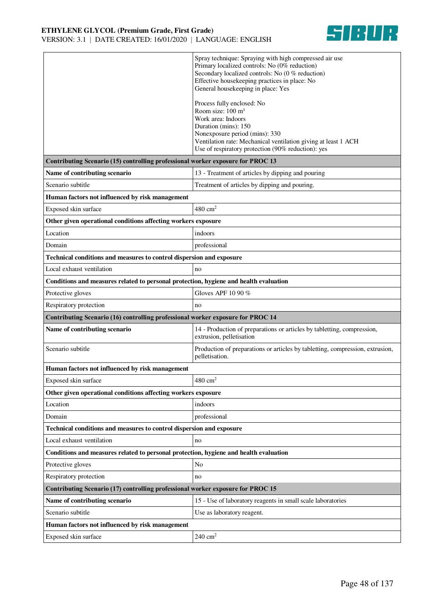

|                                                                                       | Spray technique: Spraying with high compressed air use<br>Primary localized controls: No (0% reduction)<br>Secondary localized controls: No (0 % reduction)<br>Effective housekeeping practices in place: No<br>General housekeeping in place: Yes                  |  |  |
|---------------------------------------------------------------------------------------|---------------------------------------------------------------------------------------------------------------------------------------------------------------------------------------------------------------------------------------------------------------------|--|--|
|                                                                                       | Process fully enclosed: No<br>Room size: 100 m <sup>3</sup><br>Work area: Indoors<br>Duration (mins): 150<br>Nonexposure period (mins): 330<br>Ventilation rate: Mechanical ventilation giving at least 1 ACH<br>Use of respiratory protection (90% reduction): yes |  |  |
| Contributing Scenario (15) controlling professional worker exposure for PROC 13       |                                                                                                                                                                                                                                                                     |  |  |
| Name of contributing scenario                                                         | 13 - Treatment of articles by dipping and pouring                                                                                                                                                                                                                   |  |  |
| Scenario subtitle                                                                     | Treatment of articles by dipping and pouring.                                                                                                                                                                                                                       |  |  |
| Human factors not influenced by risk management                                       |                                                                                                                                                                                                                                                                     |  |  |
| Exposed skin surface                                                                  | $480$ cm <sup>2</sup>                                                                                                                                                                                                                                               |  |  |
| Other given operational conditions affecting workers exposure                         |                                                                                                                                                                                                                                                                     |  |  |
| Location                                                                              | indoors                                                                                                                                                                                                                                                             |  |  |
| Domain                                                                                | professional                                                                                                                                                                                                                                                        |  |  |
| Technical conditions and measures to control dispersion and exposure                  |                                                                                                                                                                                                                                                                     |  |  |
| Local exhaust ventilation                                                             | no                                                                                                                                                                                                                                                                  |  |  |
| Conditions and measures related to personal protection, hygiene and health evaluation |                                                                                                                                                                                                                                                                     |  |  |
| Protective gloves                                                                     | Gloves APF 10 90 %                                                                                                                                                                                                                                                  |  |  |
| Respiratory protection                                                                | no                                                                                                                                                                                                                                                                  |  |  |
| Contributing Scenario (16) controlling professional worker exposure for PROC 14       |                                                                                                                                                                                                                                                                     |  |  |
| Name of contributing scenario                                                         | 14 - Production of preparations or articles by tabletting, compression,<br>extrusion, pelletisation                                                                                                                                                                 |  |  |
| Scenario subtitle                                                                     | Production of preparations or articles by tabletting, compression, extrusion,<br>pelletisation.                                                                                                                                                                     |  |  |
| Human factors not influenced by risk management                                       |                                                                                                                                                                                                                                                                     |  |  |
| Exposed skin surface                                                                  | 480 cm <sup>2</sup>                                                                                                                                                                                                                                                 |  |  |
| Other given operational conditions affecting workers exposure                         |                                                                                                                                                                                                                                                                     |  |  |
| Location                                                                              | indoors                                                                                                                                                                                                                                                             |  |  |
| Domain                                                                                | professional                                                                                                                                                                                                                                                        |  |  |
| Technical conditions and measures to control dispersion and exposure                  |                                                                                                                                                                                                                                                                     |  |  |
| Local exhaust ventilation                                                             | no                                                                                                                                                                                                                                                                  |  |  |
|                                                                                       | Conditions and measures related to personal protection, hygiene and health evaluation                                                                                                                                                                               |  |  |
| Protective gloves                                                                     | No                                                                                                                                                                                                                                                                  |  |  |
| Respiratory protection                                                                | no                                                                                                                                                                                                                                                                  |  |  |
| Contributing Scenario (17) controlling professional worker exposure for PROC 15       |                                                                                                                                                                                                                                                                     |  |  |
| Name of contributing scenario                                                         | 15 - Use of laboratory reagents in small scale laboratories                                                                                                                                                                                                         |  |  |
| Scenario subtitle                                                                     | Use as laboratory reagent.                                                                                                                                                                                                                                          |  |  |
| Human factors not influenced by risk management                                       |                                                                                                                                                                                                                                                                     |  |  |
| Exposed skin surface                                                                  | $240$ cm <sup>2</sup>                                                                                                                                                                                                                                               |  |  |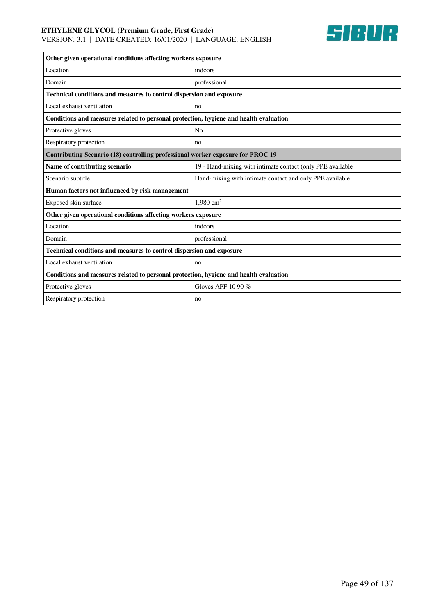

| Other given operational conditions affecting workers exposure                         |                                                            |  |
|---------------------------------------------------------------------------------------|------------------------------------------------------------|--|
| Location                                                                              | indoors                                                    |  |
| Domain                                                                                | professional                                               |  |
| Technical conditions and measures to control dispersion and exposure                  |                                                            |  |
| Local exhaust ventilation                                                             | no                                                         |  |
| Conditions and measures related to personal protection, hygiene and health evaluation |                                                            |  |
| Protective gloves                                                                     | N <sub>o</sub>                                             |  |
| Respiratory protection                                                                | no                                                         |  |
| Contributing Scenario (18) controlling professional worker exposure for PROC 19       |                                                            |  |
| Name of contributing scenario                                                         | 19 - Hand-mixing with intimate contact (only PPE available |  |
| Scenario subtitle                                                                     | Hand-mixing with intimate contact and only PPE available   |  |
| Human factors not influenced by risk management                                       |                                                            |  |
| Exposed skin surface                                                                  | $1.980 \text{ cm}^2$                                       |  |
| Other given operational conditions affecting workers exposure                         |                                                            |  |
| Location                                                                              | indoors                                                    |  |
| Domain                                                                                | professional                                               |  |
| Technical conditions and measures to control dispersion and exposure                  |                                                            |  |
| Local exhaust ventilation                                                             | no                                                         |  |
| Conditions and measures related to personal protection, hygiene and health evaluation |                                                            |  |
| Protective gloves                                                                     | Gloves APF 10.90 $%$                                       |  |
| Respiratory protection                                                                | no                                                         |  |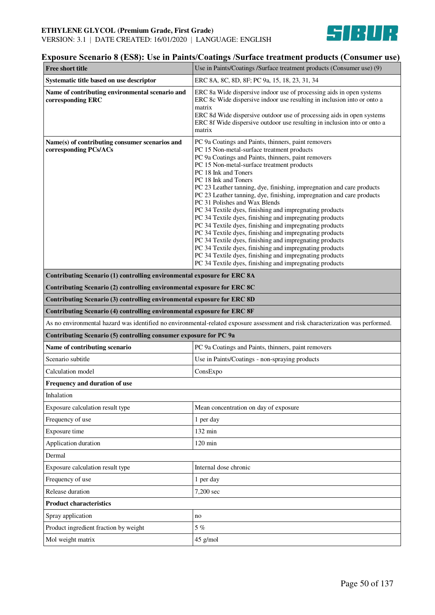

## **Exposure Scenario 8 (ES8): Use in Paints/Coatings /Surface treatment products (Consumer use)**

| <b>Free short title</b>                                                                                                         | Use in Paints/Coatings /Surface treatment products (Consumer use) (9)                                                                                                                                                                                                                                                                                                                                                                                                                                                                                                                                                                                                                                                                                                                                                                                                                                                             |
|---------------------------------------------------------------------------------------------------------------------------------|-----------------------------------------------------------------------------------------------------------------------------------------------------------------------------------------------------------------------------------------------------------------------------------------------------------------------------------------------------------------------------------------------------------------------------------------------------------------------------------------------------------------------------------------------------------------------------------------------------------------------------------------------------------------------------------------------------------------------------------------------------------------------------------------------------------------------------------------------------------------------------------------------------------------------------------|
| Systematic title based on use descriptor                                                                                        | ERC 8A, 8C, 8D, 8F; PC 9a, 15, 18, 23, 31, 34                                                                                                                                                                                                                                                                                                                                                                                                                                                                                                                                                                                                                                                                                                                                                                                                                                                                                     |
| Name of contributing environmental scenario and<br>corresponding ERC                                                            | ERC 8a Wide dispersive indoor use of processing aids in open systems<br>ERC 8c Wide dispersive indoor use resulting in inclusion into or onto a<br>matrix<br>ERC 8d Wide dispersive outdoor use of processing aids in open systems<br>ERC 8f Wide dispersive outdoor use resulting in inclusion into or onto a<br>matrix                                                                                                                                                                                                                                                                                                                                                                                                                                                                                                                                                                                                          |
| Name(s) of contributing consumer scenarios and<br>corresponding PCs/ACs                                                         | PC 9a Coatings and Paints, thinners, paint removers<br>PC 15 Non-metal-surface treatment products<br>PC 9a Coatings and Paints, thinners, paint removers<br>PC 15 Non-metal-surface treatment products<br>PC 18 Ink and Toners<br>PC 18 Ink and Toners<br>PC 23 Leather tanning, dye, finishing, impregnation and care products<br>PC 23 Leather tanning, dye, finishing, impregnation and care products<br>PC 31 Polishes and Wax Blends<br>PC 34 Textile dyes, finishing and impregnating products<br>PC 34 Textile dyes, finishing and impregnating products<br>PC 34 Textile dyes, finishing and impregnating products<br>PC 34 Textile dyes, finishing and impregnating products<br>PC 34 Textile dyes, finishing and impregnating products<br>PC 34 Textile dyes, finishing and impregnating products<br>PC 34 Textile dyes, finishing and impregnating products<br>PC 34 Textile dyes, finishing and impregnating products |
| Contributing Scenario (1) controlling environmental exposure for ERC 8A                                                         |                                                                                                                                                                                                                                                                                                                                                                                                                                                                                                                                                                                                                                                                                                                                                                                                                                                                                                                                   |
| Contributing Scenario (2) controlling environmental exposure for ERC 8C                                                         |                                                                                                                                                                                                                                                                                                                                                                                                                                                                                                                                                                                                                                                                                                                                                                                                                                                                                                                                   |
| Contributing Scenario (3) controlling environmental exposure for ERC 8D                                                         |                                                                                                                                                                                                                                                                                                                                                                                                                                                                                                                                                                                                                                                                                                                                                                                                                                                                                                                                   |
| Contributing Scenario (4) controlling environmental exposure for ERC 8F                                                         |                                                                                                                                                                                                                                                                                                                                                                                                                                                                                                                                                                                                                                                                                                                                                                                                                                                                                                                                   |
| As no environmental hazard was identified no environmental-related exposure assessment and risk characterization was performed. |                                                                                                                                                                                                                                                                                                                                                                                                                                                                                                                                                                                                                                                                                                                                                                                                                                                                                                                                   |
| Contributing Scenario (5) controlling consumer exposure for PC 9a                                                               |                                                                                                                                                                                                                                                                                                                                                                                                                                                                                                                                                                                                                                                                                                                                                                                                                                                                                                                                   |
| Name of contributing scenario                                                                                                   | PC 9a Coatings and Paints, thinners, paint removers                                                                                                                                                                                                                                                                                                                                                                                                                                                                                                                                                                                                                                                                                                                                                                                                                                                                               |
| Scenario subtitle                                                                                                               | Use in Paints/Coatings - non-spraying products                                                                                                                                                                                                                                                                                                                                                                                                                                                                                                                                                                                                                                                                                                                                                                                                                                                                                    |
| Calculation model                                                                                                               | ConsExpo                                                                                                                                                                                                                                                                                                                                                                                                                                                                                                                                                                                                                                                                                                                                                                                                                                                                                                                          |
| Frequency and duration of use                                                                                                   |                                                                                                                                                                                                                                                                                                                                                                                                                                                                                                                                                                                                                                                                                                                                                                                                                                                                                                                                   |
| Inhalation                                                                                                                      |                                                                                                                                                                                                                                                                                                                                                                                                                                                                                                                                                                                                                                                                                                                                                                                                                                                                                                                                   |
| Exposure calculation result type                                                                                                |                                                                                                                                                                                                                                                                                                                                                                                                                                                                                                                                                                                                                                                                                                                                                                                                                                                                                                                                   |
|                                                                                                                                 | Mean concentration on day of exposure                                                                                                                                                                                                                                                                                                                                                                                                                                                                                                                                                                                                                                                                                                                                                                                                                                                                                             |
| Frequency of use                                                                                                                | 1 per day                                                                                                                                                                                                                                                                                                                                                                                                                                                                                                                                                                                                                                                                                                                                                                                                                                                                                                                         |
| Exposure time                                                                                                                   | 132 min                                                                                                                                                                                                                                                                                                                                                                                                                                                                                                                                                                                                                                                                                                                                                                                                                                                                                                                           |
| Application duration                                                                                                            | $120$ min                                                                                                                                                                                                                                                                                                                                                                                                                                                                                                                                                                                                                                                                                                                                                                                                                                                                                                                         |
| Dermal                                                                                                                          |                                                                                                                                                                                                                                                                                                                                                                                                                                                                                                                                                                                                                                                                                                                                                                                                                                                                                                                                   |
| Exposure calculation result type                                                                                                | Internal dose chronic                                                                                                                                                                                                                                                                                                                                                                                                                                                                                                                                                                                                                                                                                                                                                                                                                                                                                                             |
| Frequency of use                                                                                                                | 1 per day                                                                                                                                                                                                                                                                                                                                                                                                                                                                                                                                                                                                                                                                                                                                                                                                                                                                                                                         |
| Release duration                                                                                                                | 7,200 sec                                                                                                                                                                                                                                                                                                                                                                                                                                                                                                                                                                                                                                                                                                                                                                                                                                                                                                                         |
| <b>Product characteristics</b>                                                                                                  |                                                                                                                                                                                                                                                                                                                                                                                                                                                                                                                                                                                                                                                                                                                                                                                                                                                                                                                                   |
| Spray application                                                                                                               | no                                                                                                                                                                                                                                                                                                                                                                                                                                                                                                                                                                                                                                                                                                                                                                                                                                                                                                                                |
| Product ingredient fraction by weight                                                                                           | 5%                                                                                                                                                                                                                                                                                                                                                                                                                                                                                                                                                                                                                                                                                                                                                                                                                                                                                                                                |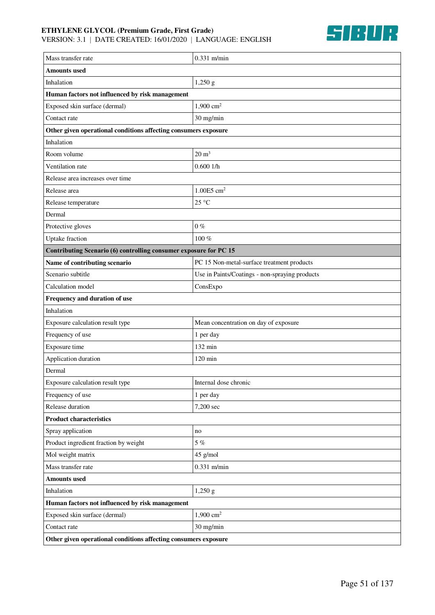

| Mass transfer rate                                                | $0.331$ m/min                                  |  |
|-------------------------------------------------------------------|------------------------------------------------|--|
| <b>Amounts</b> used                                               |                                                |  |
| Inhalation                                                        | 1,250 g                                        |  |
| Human factors not influenced by risk management                   |                                                |  |
| Exposed skin surface (dermal)                                     | $1,900$ cm <sup>2</sup>                        |  |
| Contact rate                                                      | 30 mg/min                                      |  |
| Other given operational conditions affecting consumers exposure   |                                                |  |
| Inhalation                                                        |                                                |  |
| Room volume                                                       | $20 \text{ m}^3$                               |  |
| Ventilation rate                                                  | 0.6001/h                                       |  |
| Release area increases over time                                  |                                                |  |
| Release area                                                      | $1.00E5$ cm <sup>2</sup>                       |  |
| Release temperature                                               | $25^{\circ}$ C                                 |  |
| Dermal                                                            |                                                |  |
| Protective gloves                                                 | $0\%$                                          |  |
| Uptake fraction                                                   | 100 %                                          |  |
| Contributing Scenario (6) controlling consumer exposure for PC 15 |                                                |  |
| Name of contributing scenario                                     | PC 15 Non-metal-surface treatment products     |  |
| Scenario subtitle                                                 | Use in Paints/Coatings - non-spraying products |  |
| Calculation model                                                 | ConsExpo                                       |  |
| Frequency and duration of use                                     |                                                |  |
| Inhalation                                                        |                                                |  |
| Exposure calculation result type                                  | Mean concentration on day of exposure          |  |
| Frequency of use                                                  | 1 per day                                      |  |
| Exposure time                                                     | 132 min                                        |  |
| Application duration                                              | $120 \text{ min}$                              |  |
| Dermal                                                            |                                                |  |
| Exposure calculation result type                                  | Internal dose chronic                          |  |
| Frequency of use                                                  | 1 per day                                      |  |
| Release duration                                                  | 7,200 sec                                      |  |
| <b>Product characteristics</b>                                    |                                                |  |
| Spray application                                                 | no                                             |  |
| Product ingredient fraction by weight                             | $5\ \%$                                        |  |
| Mol weight matrix                                                 | 45 g/mol                                       |  |
| Mass transfer rate                                                | $0.331$ m/min                                  |  |
| <b>Amounts used</b>                                               |                                                |  |
| Inhalation                                                        | 1,250 g                                        |  |
| Human factors not influenced by risk management                   |                                                |  |
| Exposed skin surface (dermal)                                     | $1,900$ cm <sup>2</sup>                        |  |
| Contact rate                                                      | 30 mg/min                                      |  |
| Other given operational conditions affecting consumers exposure   |                                                |  |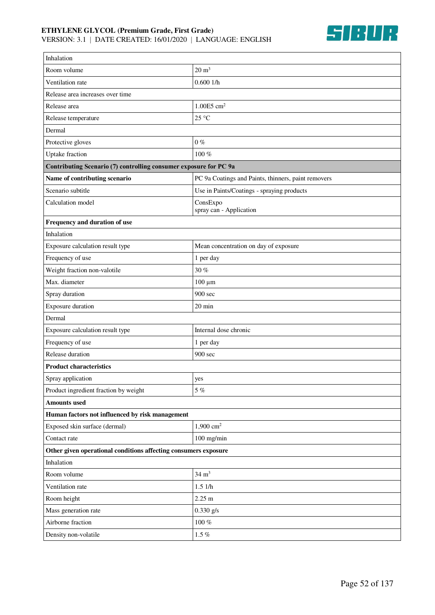

| Inhalation                                                        |                                                     |  |
|-------------------------------------------------------------------|-----------------------------------------------------|--|
| Room volume                                                       | $20 \text{ m}^3$                                    |  |
| Ventilation rate                                                  | 0.6001/h                                            |  |
| Release area increases over time                                  |                                                     |  |
| Release area                                                      | $1.00E5$ cm <sup>2</sup>                            |  |
| Release temperature                                               | $25^{\circ}$ C                                      |  |
| Dermal                                                            |                                                     |  |
| Protective gloves                                                 | $0\%$                                               |  |
| <b>Uptake</b> fraction                                            | 100 %                                               |  |
| Contributing Scenario (7) controlling consumer exposure for PC 9a |                                                     |  |
| Name of contributing scenario                                     | PC 9a Coatings and Paints, thinners, paint removers |  |
| Scenario subtitle                                                 | Use in Paints/Coatings - spraying products          |  |
| Calculation model                                                 | ConsExpo<br>spray can - Application                 |  |
| Frequency and duration of use                                     |                                                     |  |
| Inhalation                                                        |                                                     |  |
| Exposure calculation result type                                  | Mean concentration on day of exposure               |  |
| Frequency of use                                                  | 1 per day                                           |  |
| Weight fraction non-valotile                                      | 30%                                                 |  |
| Max. diameter                                                     | $100 \mu m$                                         |  |
| Spray duration                                                    | 900 sec                                             |  |
| <b>Exposure duration</b>                                          | $20 \text{ min}$                                    |  |
| Dermal                                                            |                                                     |  |
| Exposure calculation result type                                  | Internal dose chronic                               |  |
| Frequency of use                                                  | 1 per day                                           |  |
| Release duration                                                  | 900 sec                                             |  |
| <b>Product characteristics</b>                                    |                                                     |  |
| Spray application                                                 | yes                                                 |  |
| Product ingredient fraction by weight                             | $5\ \%$                                             |  |
| <b>Amounts used</b>                                               |                                                     |  |
| Human factors not influenced by risk management                   |                                                     |  |
| Exposed skin surface (dermal)                                     | 1,900 $cm2$                                         |  |
| Contact rate                                                      | 100 mg/min                                          |  |
| Other given operational conditions affecting consumers exposure   |                                                     |  |
| Inhalation                                                        |                                                     |  |
| Room volume                                                       | $34 \text{ m}^3$                                    |  |
| Ventilation rate                                                  | 1.51/h                                              |  |
| Room height                                                       | $2.25 \text{ m}$                                    |  |
| Mass generation rate                                              | $0.330$ g/s                                         |  |
| Airborne fraction                                                 | $100~\%$                                            |  |
| Density non-volatile                                              | $1.5\ \%$                                           |  |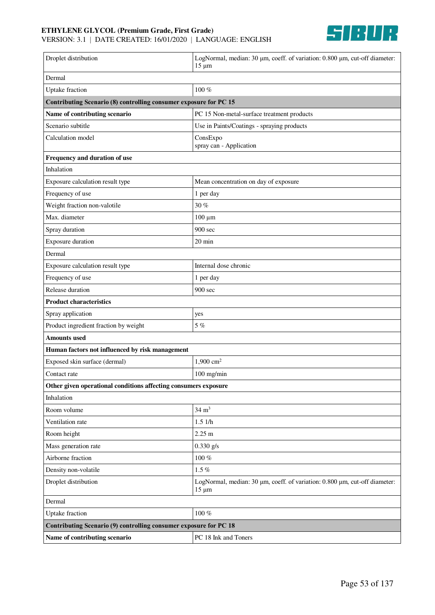

| Droplet distribution                                              | LogNormal, median: 30 µm, coeff. of variation: 0.800 µm, cut-off diameter:<br>$15 \mu m$ |  |
|-------------------------------------------------------------------|------------------------------------------------------------------------------------------|--|
| Dermal                                                            |                                                                                          |  |
| <b>Uptake</b> fraction                                            | 100 %                                                                                    |  |
| Contributing Scenario (8) controlling consumer exposure for PC 15 |                                                                                          |  |
| Name of contributing scenario                                     | PC 15 Non-metal-surface treatment products                                               |  |
| Scenario subtitle                                                 | Use in Paints/Coatings - spraying products                                               |  |
| Calculation model                                                 | ConsExpo<br>spray can - Application                                                      |  |
| Frequency and duration of use                                     |                                                                                          |  |
| Inhalation                                                        |                                                                                          |  |
| Exposure calculation result type                                  | Mean concentration on day of exposure                                                    |  |
| Frequency of use                                                  | 1 per day                                                                                |  |
| Weight fraction non-valotile                                      | 30%                                                                                      |  |
| Max. diameter                                                     | $100 \mu m$                                                                              |  |
| Spray duration                                                    | 900 sec                                                                                  |  |
| <b>Exposure duration</b>                                          | $20 \text{ min}$                                                                         |  |
| Dermal                                                            |                                                                                          |  |
| Exposure calculation result type                                  | Internal dose chronic                                                                    |  |
| Frequency of use                                                  | 1 per day                                                                                |  |
| Release duration                                                  | $900$ sec                                                                                |  |
| <b>Product characteristics</b>                                    |                                                                                          |  |
| Spray application                                                 | yes                                                                                      |  |
| Product ingredient fraction by weight                             | 5%                                                                                       |  |
| <b>Amounts</b> used                                               |                                                                                          |  |
| Human factors not influenced by risk management                   |                                                                                          |  |
| Exposed skin surface (dermal)                                     | $1,900$ cm <sup>2</sup>                                                                  |  |
| Contact rate                                                      | $100$ mg/min                                                                             |  |
| Other given operational conditions affecting consumers exposure   |                                                                                          |  |
| Inhalation                                                        |                                                                                          |  |
| Room volume                                                       | $34 \text{ m}^3$                                                                         |  |
| Ventilation rate                                                  | 1.51/h                                                                                   |  |
| Room height                                                       | $2.25 \text{ m}$                                                                         |  |
| Mass generation rate                                              | $0.330$ g/s                                                                              |  |
| Airborne fraction                                                 | $100~\%$                                                                                 |  |
| Density non-volatile                                              | $1.5\ \%$                                                                                |  |
| Droplet distribution                                              | LogNormal, median: 30 µm, coeff. of variation: 0.800 µm, cut-off diameter:<br>$15 \mu m$ |  |
| Dermal                                                            |                                                                                          |  |
| Uptake fraction                                                   | $100~\%$                                                                                 |  |
| Contributing Scenario (9) controlling consumer exposure for PC 18 |                                                                                          |  |
| Name of contributing scenario                                     | PC 18 Ink and Toners                                                                     |  |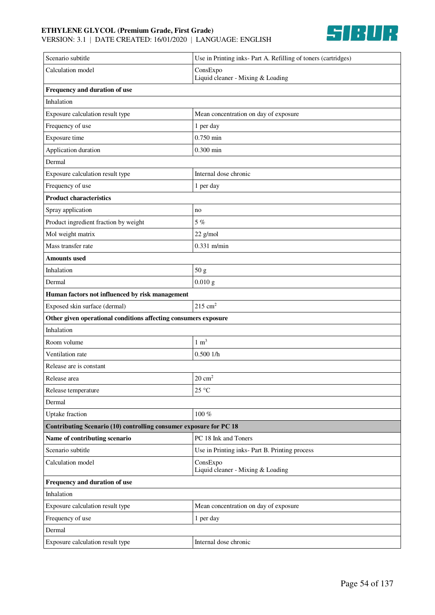

| Scenario subtitle                                                  | Use in Printing inks- Part A. Refilling of toners (cartridges) |  |
|--------------------------------------------------------------------|----------------------------------------------------------------|--|
| Calculation model                                                  | ConsExpo<br>Liquid cleaner - Mixing & Loading                  |  |
| Frequency and duration of use                                      |                                                                |  |
| Inhalation                                                         |                                                                |  |
| Exposure calculation result type                                   | Mean concentration on day of exposure                          |  |
| Frequency of use                                                   | 1 per day                                                      |  |
| Exposure time                                                      | $0.750$ min                                                    |  |
| Application duration                                               | $0.300$ min                                                    |  |
| Dermal                                                             |                                                                |  |
| Exposure calculation result type                                   | Internal dose chronic                                          |  |
| Frequency of use                                                   | 1 per day                                                      |  |
| <b>Product characteristics</b>                                     |                                                                |  |
| Spray application                                                  | no                                                             |  |
| Product ingredient fraction by weight                              | 5%                                                             |  |
| Mol weight matrix                                                  | 22 g/mol                                                       |  |
| Mass transfer rate                                                 | $0.331$ m/min                                                  |  |
| <b>Amounts used</b>                                                |                                                                |  |
| Inhalation                                                         | 50 <sub>g</sub>                                                |  |
| Dermal                                                             | $0.010$ g                                                      |  |
| Human factors not influenced by risk management                    |                                                                |  |
| Exposed skin surface (dermal)                                      | $215$ cm <sup>2</sup>                                          |  |
| Other given operational conditions affecting consumers exposure    |                                                                |  |
| Inhalation                                                         |                                                                |  |
| Room volume                                                        | $1 \text{ m}^3$                                                |  |
| Ventilation rate                                                   | 0.5001/h                                                       |  |
| Release are is constant                                            |                                                                |  |
| Release area                                                       | $20 \text{ cm}^2$                                              |  |
| Release temperature                                                | $25^{\circ}$ C                                                 |  |
| Dermal                                                             |                                                                |  |
| <b>Uptake</b> fraction                                             | $100~\%$                                                       |  |
| Contributing Scenario (10) controlling consumer exposure for PC 18 |                                                                |  |
| Name of contributing scenario                                      | PC 18 Ink and Toners                                           |  |
| Scenario subtitle                                                  | Use in Printing inks- Part B. Printing process                 |  |
| Calculation model                                                  | ConsExpo<br>Liquid cleaner - Mixing & Loading                  |  |
| Frequency and duration of use                                      |                                                                |  |
| Inhalation                                                         |                                                                |  |
| Exposure calculation result type                                   | Mean concentration on day of exposure                          |  |
| Frequency of use                                                   | 1 per day                                                      |  |
| Dermal                                                             |                                                                |  |
| Exposure calculation result type                                   | Internal dose chronic                                          |  |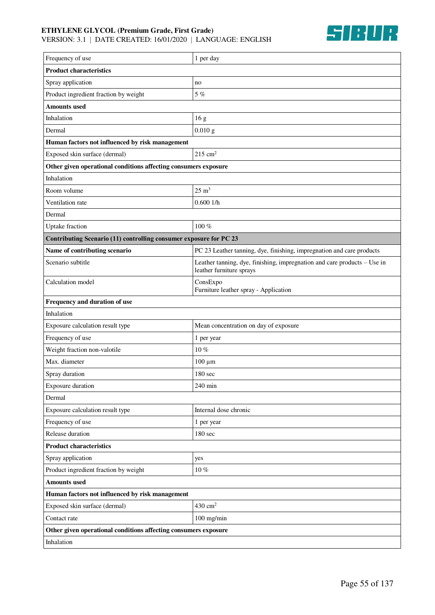

| Frequency of use                                                   | 1 per day                                                                                            |  |
|--------------------------------------------------------------------|------------------------------------------------------------------------------------------------------|--|
| <b>Product characteristics</b>                                     |                                                                                                      |  |
| Spray application                                                  | no                                                                                                   |  |
| Product ingredient fraction by weight                              | $5\ \%$                                                                                              |  |
| <b>Amounts used</b>                                                |                                                                                                      |  |
| Inhalation                                                         | 16 <sub>g</sub>                                                                                      |  |
| Dermal                                                             | $0.010$ g                                                                                            |  |
| Human factors not influenced by risk management                    |                                                                                                      |  |
| Exposed skin surface (dermal)                                      | $215$ cm <sup>2</sup>                                                                                |  |
| Other given operational conditions affecting consumers exposure    |                                                                                                      |  |
| Inhalation                                                         |                                                                                                      |  |
| Room volume                                                        | $25 \text{ m}^3$                                                                                     |  |
| Ventilation rate                                                   | 0.6001/h                                                                                             |  |
| Dermal                                                             |                                                                                                      |  |
| Uptake fraction                                                    | 100 %                                                                                                |  |
| Contributing Scenario (11) controlling consumer exposure for PC 23 |                                                                                                      |  |
| Name of contributing scenario                                      | PC 23 Leather tanning, dye, finishing, impregnation and care products                                |  |
| Scenario subtitle                                                  | Leather tanning, dye, finishing, impregnation and care products - Use in<br>leather furniture sprays |  |
| Calculation model                                                  | ConsExpo<br>Furniture leather spray - Application                                                    |  |
| Frequency and duration of use                                      |                                                                                                      |  |
| Inhalation                                                         |                                                                                                      |  |
| Exposure calculation result type                                   | Mean concentration on day of exposure                                                                |  |
| Frequency of use                                                   | 1 per year                                                                                           |  |
| Weight fraction non-valotile                                       | 10%                                                                                                  |  |
| Max. diameter                                                      | $100 \mu m$                                                                                          |  |
| Spray duration                                                     | 180 <sub>sec</sub>                                                                                   |  |
| <b>Exposure duration</b>                                           | 240 min                                                                                              |  |
| Dermal                                                             |                                                                                                      |  |
| Exposure calculation result type                                   | Internal dose chronic                                                                                |  |
| Frequency of use                                                   | 1 per year                                                                                           |  |
| Release duration                                                   | 180 sec                                                                                              |  |
| <b>Product characteristics</b>                                     |                                                                                                      |  |
| Spray application                                                  | yes                                                                                                  |  |
| Product ingredient fraction by weight                              | $10\%$                                                                                               |  |
| <b>Amounts used</b>                                                |                                                                                                      |  |
| Human factors not influenced by risk management                    |                                                                                                      |  |
| Exposed skin surface (dermal)                                      | 430 cm <sup>2</sup>                                                                                  |  |
| Contact rate                                                       | 100 mg/min                                                                                           |  |
| Other given operational conditions affecting consumers exposure    |                                                                                                      |  |
| Inhalation                                                         |                                                                                                      |  |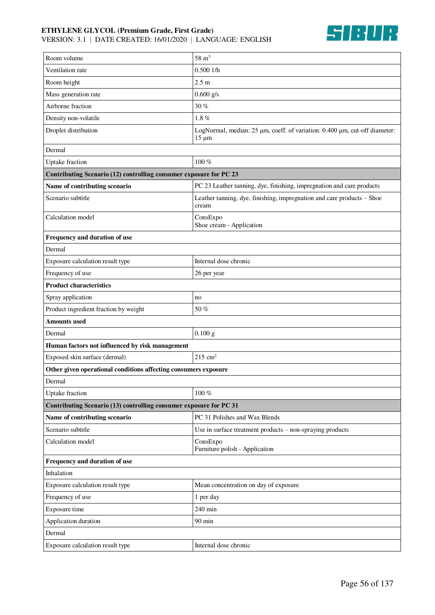

| Room volume                                                        | $58 \text{ m}^3$                                                                         |  |
|--------------------------------------------------------------------|------------------------------------------------------------------------------------------|--|
| Ventilation rate                                                   | 0.5001/h                                                                                 |  |
| Room height                                                        | 2.5 <sub>m</sub>                                                                         |  |
| Mass generation rate                                               | $0.600$ g/s                                                                              |  |
| Airborne fraction                                                  | 30%                                                                                      |  |
| Density non-volatile                                               | 1.8%                                                                                     |  |
| Droplet distribution                                               | LogNormal, median: 25 µm, coeff. of variation: 0.400 µm, cut-off diameter:<br>$15 \mu m$ |  |
| Dermal                                                             |                                                                                          |  |
| Uptake fraction                                                    | $100\%$                                                                                  |  |
| Contributing Scenario (12) controlling consumer exposure for PC 23 |                                                                                          |  |
| Name of contributing scenario                                      | PC 23 Leather tanning, dye, finishing, impregnation and care products                    |  |
| Scenario subtitle                                                  | Leather tanning, dye, finishing, impregnation and care products - Shoe<br>cream          |  |
| Calculation model                                                  | ConsExpo<br>Shoe cream - Application                                                     |  |
| Frequency and duration of use                                      |                                                                                          |  |
| Dermal                                                             |                                                                                          |  |
| Exposure calculation result type                                   | Internal dose chronic                                                                    |  |
| Frequency of use                                                   | 26 per year                                                                              |  |
| <b>Product characteristics</b>                                     |                                                                                          |  |
| Spray application                                                  | no                                                                                       |  |
| Product ingredient fraction by weight                              | 50%                                                                                      |  |
| Amounts used                                                       |                                                                                          |  |
| Dermal                                                             | 0.100 g                                                                                  |  |
| Human factors not influenced by risk management                    |                                                                                          |  |
| Exposed skin surface (dermal)                                      | $215$ cm <sup>2</sup>                                                                    |  |
| Other given operational conditions affecting consumers exposure    |                                                                                          |  |
| Dermal                                                             |                                                                                          |  |
| <b>Uptake</b> fraction                                             | 100 %                                                                                    |  |
| Contributing Scenario (13) controlling consumer exposure for PC 31 |                                                                                          |  |
| Name of contributing scenario                                      | PC 31 Polishes and Wax Blends                                                            |  |
| Scenario subtitle                                                  | Use in surface treatment products $-$ non-spraying products                              |  |
| Calculation model                                                  | ConsExpo<br>Furniture polish - Application                                               |  |
| Frequency and duration of use                                      |                                                                                          |  |
| Inhalation                                                         |                                                                                          |  |
| Exposure calculation result type                                   | Mean concentration on day of exposure                                                    |  |
| Frequency of use                                                   | 1 per day                                                                                |  |
| Exposure time                                                      | 240 min                                                                                  |  |
| Application duration                                               | $90 \text{ min}$                                                                         |  |
| Dermal                                                             |                                                                                          |  |
| Exposure calculation result type                                   | Internal dose chronic                                                                    |  |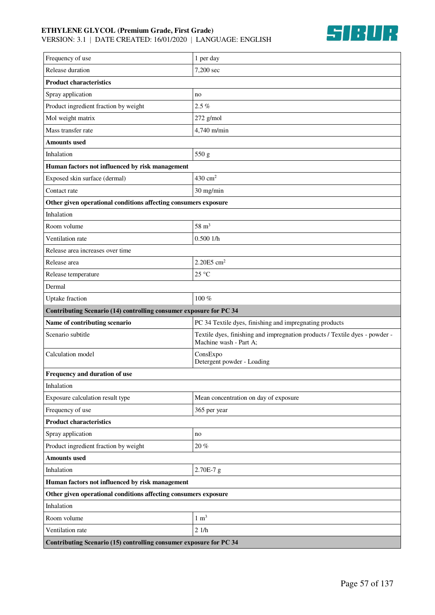

| Frequency of use                                                   | 1 per day                                                                                             |  |
|--------------------------------------------------------------------|-------------------------------------------------------------------------------------------------------|--|
| Release duration                                                   | 7,200 sec                                                                                             |  |
| <b>Product characteristics</b>                                     |                                                                                                       |  |
| Spray application                                                  | no                                                                                                    |  |
| Product ingredient fraction by weight                              | 2.5%                                                                                                  |  |
| Mol weight matrix                                                  | $272$ g/mol                                                                                           |  |
| Mass transfer rate                                                 | 4,740 m/min                                                                                           |  |
| <b>Amounts</b> used                                                |                                                                                                       |  |
| Inhalation                                                         | 550 g                                                                                                 |  |
| Human factors not influenced by risk management                    |                                                                                                       |  |
| Exposed skin surface (dermal)                                      | $430$ cm <sup>2</sup>                                                                                 |  |
| Contact rate                                                       | 30 mg/min                                                                                             |  |
| Other given operational conditions affecting consumers exposure    |                                                                                                       |  |
| Inhalation                                                         |                                                                                                       |  |
| Room volume                                                        | $58 \text{ m}^3$                                                                                      |  |
| Ventilation rate                                                   | 0.5001/h                                                                                              |  |
| Release area increases over time                                   |                                                                                                       |  |
| Release area                                                       | 2.20E5 cm <sup>2</sup>                                                                                |  |
| Release temperature                                                | 25 °C                                                                                                 |  |
| Dermal                                                             |                                                                                                       |  |
| <b>Uptake</b> fraction                                             | 100 %                                                                                                 |  |
| Contributing Scenario (14) controlling consumer exposure for PC 34 |                                                                                                       |  |
|                                                                    |                                                                                                       |  |
| Name of contributing scenario                                      | PC 34 Textile dyes, finishing and impregnating products                                               |  |
| Scenario subtitle                                                  | Textile dyes, finishing and impregnation products / Textile dyes - powder -<br>Machine wash - Part A; |  |
| Calculation model                                                  | ConsExpo<br>Detergent powder - Loading                                                                |  |
| Frequency and duration of use                                      |                                                                                                       |  |
| Inhalation                                                         |                                                                                                       |  |
| Exposure calculation result type                                   | Mean concentration on day of exposure                                                                 |  |
| Frequency of use                                                   | 365 per year                                                                                          |  |
| <b>Product characteristics</b>                                     |                                                                                                       |  |
| Spray application                                                  | no                                                                                                    |  |
| Product ingredient fraction by weight                              | 20%                                                                                                   |  |
| <b>Amounts used</b>                                                |                                                                                                       |  |
| Inhalation                                                         | 2.70E-7g                                                                                              |  |
| Human factors not influenced by risk management                    |                                                                                                       |  |
| Other given operational conditions affecting consumers exposure    |                                                                                                       |  |
| Inhalation                                                         |                                                                                                       |  |
| Room volume                                                        | $1 \text{ m}^3$                                                                                       |  |
| Ventilation rate                                                   | 21/h                                                                                                  |  |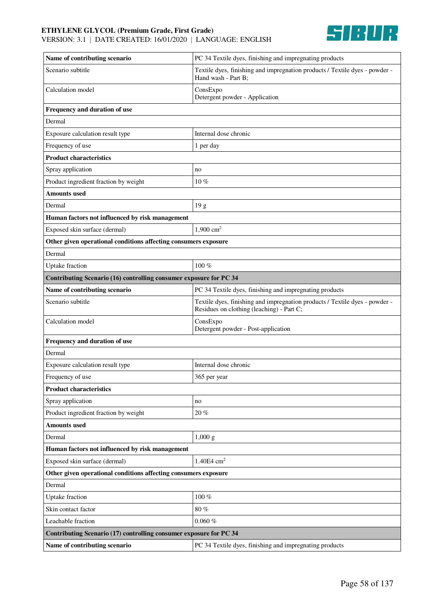

| Name of contributing scenario                                      | PC 34 Textile dyes, finishing and impregnating products                                                                  |  |
|--------------------------------------------------------------------|--------------------------------------------------------------------------------------------------------------------------|--|
| Scenario subtitle                                                  | Textile dyes, finishing and impregnation products / Textile dyes - powder -<br>Hand wash - Part B;                       |  |
| Calculation model                                                  | ConsExpo<br>Detergent powder - Application                                                                               |  |
| Frequency and duration of use                                      |                                                                                                                          |  |
| Dermal                                                             |                                                                                                                          |  |
| Exposure calculation result type                                   | Internal dose chronic                                                                                                    |  |
| Frequency of use                                                   | 1 per day                                                                                                                |  |
| <b>Product characteristics</b>                                     |                                                                                                                          |  |
| Spray application                                                  | no                                                                                                                       |  |
| Product ingredient fraction by weight                              | 10%                                                                                                                      |  |
| <b>Amounts used</b>                                                |                                                                                                                          |  |
| Dermal                                                             | 19 <sub>g</sub>                                                                                                          |  |
| Human factors not influenced by risk management                    |                                                                                                                          |  |
| Exposed skin surface (dermal)                                      | 1,900 $cm2$                                                                                                              |  |
| Other given operational conditions affecting consumers exposure    |                                                                                                                          |  |
| Dermal                                                             |                                                                                                                          |  |
| Uptake fraction                                                    | 100 %                                                                                                                    |  |
| Contributing Scenario (16) controlling consumer exposure for PC 34 |                                                                                                                          |  |
| Name of contributing scenario                                      | PC 34 Textile dyes, finishing and impregnating products                                                                  |  |
| Scenario subtitle                                                  | Textile dyes, finishing and impregnation products / Textile dyes - powder -<br>Residues on clothing (leaching) - Part C; |  |
| Calculation model                                                  | ConsExpo<br>Detergent powder - Post-application                                                                          |  |
| Frequency and duration of use                                      |                                                                                                                          |  |
| Dermal                                                             |                                                                                                                          |  |
| Exposure calculation result type                                   | Internal dose chronic                                                                                                    |  |
| Frequency of use                                                   | 365 per year                                                                                                             |  |
| <b>Product characteristics</b>                                     |                                                                                                                          |  |
| Spray application                                                  | no                                                                                                                       |  |
| Product ingredient fraction by weight                              | 20%                                                                                                                      |  |
| <b>Amounts used</b>                                                |                                                                                                                          |  |
| Dermal                                                             | 1,000 g                                                                                                                  |  |
| Human factors not influenced by risk management                    |                                                                                                                          |  |
| Exposed skin surface (dermal)                                      | 1.40E4 cm <sup>2</sup>                                                                                                   |  |
| Other given operational conditions affecting consumers exposure    |                                                                                                                          |  |
| Dermal                                                             |                                                                                                                          |  |
| Uptake fraction                                                    | $100~\%$                                                                                                                 |  |
| Skin contact factor                                                | $80\ \%$                                                                                                                 |  |
| Leachable fraction                                                 | $0.060~\%$                                                                                                               |  |
| Contributing Scenario (17) controlling consumer exposure for PC 34 |                                                                                                                          |  |
| Name of contributing scenario                                      | PC 34 Textile dyes, finishing and impregnating products                                                                  |  |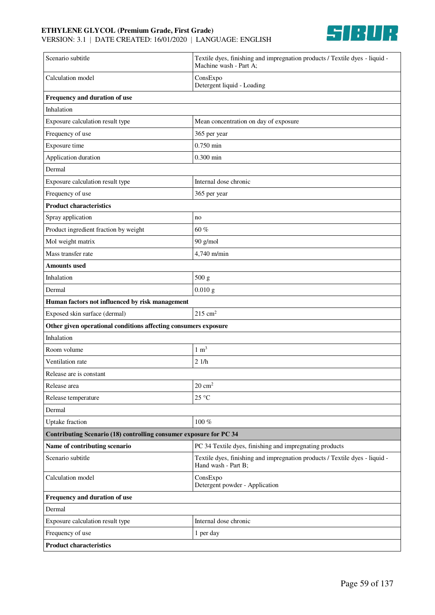

| Scenario subtitle                                                  | Textile dyes, finishing and impregnation products / Textile dyes - liquid -<br>Machine wash - Part A; |  |
|--------------------------------------------------------------------|-------------------------------------------------------------------------------------------------------|--|
| Calculation model                                                  | ConsExpo<br>Detergent liquid - Loading                                                                |  |
| Frequency and duration of use                                      |                                                                                                       |  |
| Inhalation                                                         |                                                                                                       |  |
| Exposure calculation result type                                   | Mean concentration on day of exposure                                                                 |  |
| Frequency of use                                                   | 365 per year                                                                                          |  |
| Exposure time                                                      | $0.750$ min                                                                                           |  |
| Application duration                                               | $0.300$ min                                                                                           |  |
| Dermal                                                             |                                                                                                       |  |
| Exposure calculation result type                                   | Internal dose chronic                                                                                 |  |
| Frequency of use                                                   | 365 per year                                                                                          |  |
| <b>Product characteristics</b>                                     |                                                                                                       |  |
| Spray application                                                  | no                                                                                                    |  |
| Product ingredient fraction by weight                              | 60%                                                                                                   |  |
| Mol weight matrix                                                  | 90 g/mol                                                                                              |  |
| Mass transfer rate                                                 | 4,740 m/min                                                                                           |  |
| <b>Amounts used</b>                                                |                                                                                                       |  |
| Inhalation                                                         | 500 g                                                                                                 |  |
| Dermal                                                             | $0.010$ g                                                                                             |  |
| Human factors not influenced by risk management                    |                                                                                                       |  |
| Exposed skin surface (dermal)                                      | $215$ cm <sup>2</sup>                                                                                 |  |
| Other given operational conditions affecting consumers exposure    |                                                                                                       |  |
| Inhalation                                                         |                                                                                                       |  |
| Room volume                                                        | $1 \text{ m}^3$                                                                                       |  |
| Ventilation rate                                                   | 21/h                                                                                                  |  |
| Release are is constant                                            |                                                                                                       |  |
| Release area                                                       | $20 \text{ cm}^2$                                                                                     |  |
| Release temperature                                                | 25 °C                                                                                                 |  |
| Dermal                                                             |                                                                                                       |  |
| <b>Uptake</b> fraction                                             | $100~\%$                                                                                              |  |
| Contributing Scenario (18) controlling consumer exposure for PC 34 |                                                                                                       |  |
| Name of contributing scenario                                      | PC 34 Textile dyes, finishing and impregnating products                                               |  |
| Scenario subtitle                                                  | Textile dyes, finishing and impregnation products / Textile dyes - liquid -<br>Hand wash - Part B;    |  |
| Calculation model                                                  | ConsExpo<br>Detergent powder - Application                                                            |  |
| Frequency and duration of use                                      |                                                                                                       |  |
| Dermal                                                             |                                                                                                       |  |
| Exposure calculation result type                                   | Internal dose chronic                                                                                 |  |
| Frequency of use                                                   | 1 per day                                                                                             |  |
| <b>Product characteristics</b>                                     |                                                                                                       |  |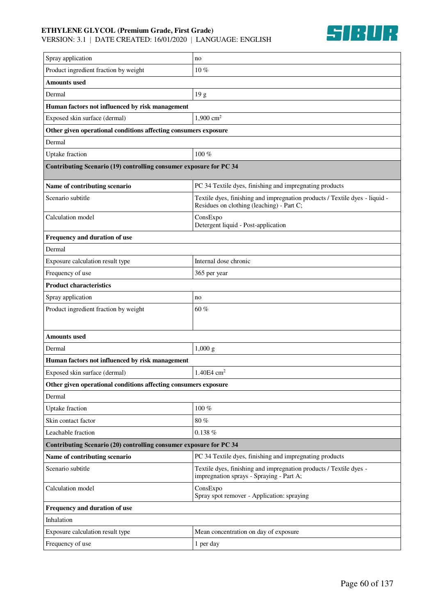

| Spray application                                                  | no                                                                                                                       |  |
|--------------------------------------------------------------------|--------------------------------------------------------------------------------------------------------------------------|--|
| Product ingredient fraction by weight                              | 10%                                                                                                                      |  |
| <b>Amounts</b> used                                                |                                                                                                                          |  |
| Dermal                                                             | 19 <sub>g</sub>                                                                                                          |  |
| Human factors not influenced by risk management                    |                                                                                                                          |  |
| Exposed skin surface (dermal)                                      | $1,900$ cm <sup>2</sup>                                                                                                  |  |
| Other given operational conditions affecting consumers exposure    |                                                                                                                          |  |
| Dermal                                                             |                                                                                                                          |  |
| Uptake fraction                                                    | 100 %                                                                                                                    |  |
| Contributing Scenario (19) controlling consumer exposure for PC 34 |                                                                                                                          |  |
| Name of contributing scenario                                      | PC 34 Textile dyes, finishing and impregnating products                                                                  |  |
| Scenario subtitle                                                  | Textile dyes, finishing and impregnation products / Textile dyes - liquid -<br>Residues on clothing (leaching) - Part C; |  |
| Calculation model                                                  | ConsExpo<br>Detergent liquid - Post-application                                                                          |  |
| Frequency and duration of use                                      |                                                                                                                          |  |
| Dermal                                                             |                                                                                                                          |  |
| Exposure calculation result type                                   | Internal dose chronic                                                                                                    |  |
| Frequency of use                                                   | 365 per year                                                                                                             |  |
| <b>Product characteristics</b>                                     |                                                                                                                          |  |
| Spray application                                                  | no                                                                                                                       |  |
| Product ingredient fraction by weight                              | 60%                                                                                                                      |  |
| <b>Amounts used</b>                                                |                                                                                                                          |  |
| Dermal                                                             | 1,000 g                                                                                                                  |  |
| Human factors not influenced by risk management                    |                                                                                                                          |  |
| Exposed skin surface (dermal)                                      | 1.40E4 $cm2$                                                                                                             |  |
| Other given operational conditions affecting consumers exposure    |                                                                                                                          |  |
| Dermal                                                             |                                                                                                                          |  |
| Uptake fraction                                                    | 100 %                                                                                                                    |  |
| Skin contact factor                                                | $80\ \%$                                                                                                                 |  |
| Leachable fraction                                                 | $0.138~\%$                                                                                                               |  |
| Contributing Scenario (20) controlling consumer exposure for PC 34 |                                                                                                                          |  |
| Name of contributing scenario                                      | PC 34 Textile dyes, finishing and impregnating products                                                                  |  |
| Scenario subtitle                                                  | Textile dyes, finishing and impregnation products / Textile dyes -<br>impregnation sprays - Spraying - Part A;           |  |
| Calculation model                                                  | ConsExpo<br>Spray spot remover - Application: spraying                                                                   |  |
| Frequency and duration of use                                      |                                                                                                                          |  |
| Inhalation                                                         |                                                                                                                          |  |
| Exposure calculation result type                                   | Mean concentration on day of exposure                                                                                    |  |
| Frequency of use                                                   | 1 per day                                                                                                                |  |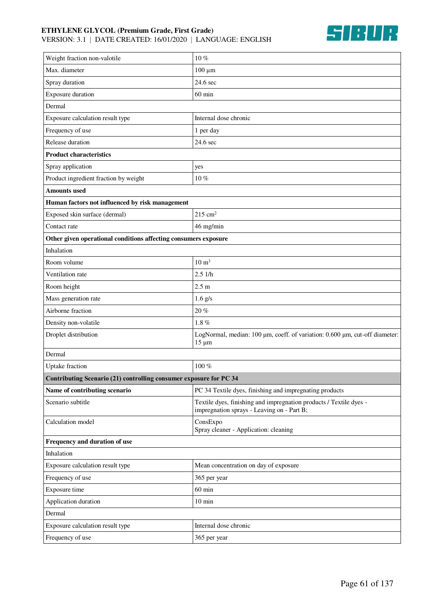

| Weight fraction non-valotile                                       | 10%                                                                                                              |  |
|--------------------------------------------------------------------|------------------------------------------------------------------------------------------------------------------|--|
| Max. diameter                                                      | $100 \mu m$                                                                                                      |  |
| Spray duration                                                     | 24.6 sec                                                                                                         |  |
| Exposure duration                                                  | $60 \text{ min}$                                                                                                 |  |
| Dermal                                                             |                                                                                                                  |  |
| Exposure calculation result type                                   | Internal dose chronic                                                                                            |  |
| Frequency of use                                                   | 1 per day                                                                                                        |  |
| Release duration                                                   | 24.6 sec                                                                                                         |  |
| <b>Product characteristics</b>                                     |                                                                                                                  |  |
| Spray application                                                  | yes                                                                                                              |  |
| Product ingredient fraction by weight                              | 10%                                                                                                              |  |
| <b>Amounts used</b>                                                |                                                                                                                  |  |
| Human factors not influenced by risk management                    |                                                                                                                  |  |
| Exposed skin surface (dermal)                                      | $215$ cm <sup>2</sup>                                                                                            |  |
| Contact rate                                                       | 46 mg/min                                                                                                        |  |
| Other given operational conditions affecting consumers exposure    |                                                                                                                  |  |
| Inhalation                                                         |                                                                                                                  |  |
| Room volume                                                        | $10 \text{ m}^3$                                                                                                 |  |
| Ventilation rate                                                   | 2.51/h                                                                                                           |  |
| Room height                                                        | 2.5 <sub>m</sub>                                                                                                 |  |
| Mass generation rate                                               | $1.6$ g/s                                                                                                        |  |
| Airborne fraction                                                  | 20%                                                                                                              |  |
| Density non-volatile                                               | 1.8%                                                                                                             |  |
| Droplet distribution                                               | LogNormal, median: 100 µm, coeff. of variation: 0.600 µm, cut-off diameter:<br>$15 \mu m$                        |  |
| Dermal                                                             |                                                                                                                  |  |
| Uptake fraction                                                    | 100 %                                                                                                            |  |
| Contributing Scenario (21) controlling consumer exposure for PC 34 |                                                                                                                  |  |
| Name of contributing scenario                                      | PC 34 Textile dyes, finishing and impregnating products                                                          |  |
| Scenario subtitle                                                  | Textile dyes, finishing and impregnation products / Textile dyes -<br>impregnation sprays - Leaving on - Part B; |  |
| Calculation model                                                  | ConsExpo<br>Spray cleaner - Application: cleaning                                                                |  |
| Frequency and duration of use                                      |                                                                                                                  |  |
| Inhalation                                                         |                                                                                                                  |  |
| Exposure calculation result type                                   | Mean concentration on day of exposure                                                                            |  |
| Frequency of use                                                   | 365 per year                                                                                                     |  |
| Exposure time                                                      | $60 \text{ min}$                                                                                                 |  |
| Application duration                                               | $10 \text{ min}$                                                                                                 |  |
| Dermal                                                             |                                                                                                                  |  |
| Exposure calculation result type                                   | Internal dose chronic                                                                                            |  |
| Frequency of use                                                   | 365 per year                                                                                                     |  |
|                                                                    |                                                                                                                  |  |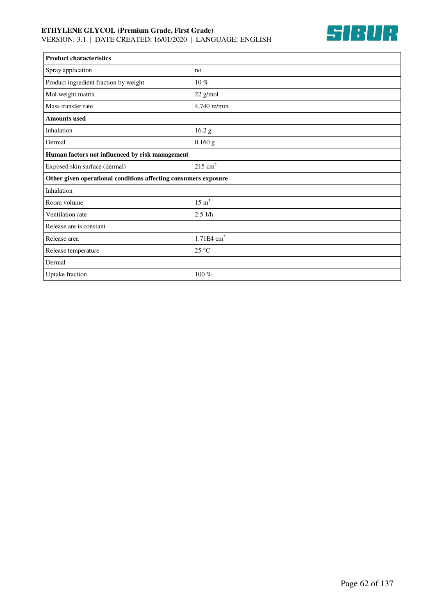

| <b>Product characteristics</b>                                  |                          |  |
|-----------------------------------------------------------------|--------------------------|--|
| Spray application                                               | no                       |  |
| Product ingredient fraction by weight                           | $10\%$                   |  |
| Mol weight matrix                                               | 22 g/mol                 |  |
| Mass transfer rate                                              | 4,740 m/min              |  |
| <b>Amounts</b> used                                             |                          |  |
| Inhalation                                                      | 16.2 g                   |  |
| Dermal                                                          | $0.160$ g                |  |
| Human factors not influenced by risk management                 |                          |  |
| Exposed skin surface (dermal)                                   | $215$ cm <sup>2</sup>    |  |
| Other given operational conditions affecting consumers exposure |                          |  |
| Inhalation                                                      |                          |  |
| Room volume                                                     | $15 \text{ m}^3$         |  |
| Ventilation rate                                                | 2.51/h                   |  |
| Release are is constant                                         |                          |  |
| Release area                                                    | $1.71E4$ cm <sup>2</sup> |  |
| Release temperature                                             | $25^{\circ}$ C           |  |
| Dermal                                                          |                          |  |
| Uptake fraction                                                 | 100 %                    |  |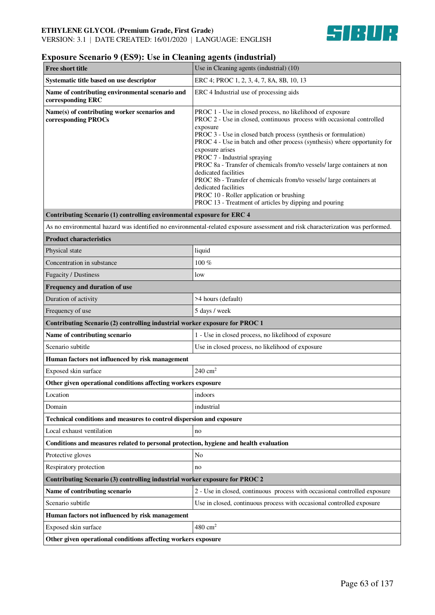

# **Exposure Scenario 9 (ES9): Use in Cleaning agents (industrial)**

| <b>Free short title</b>                                                                                                         | Use in Cleaning agents (industrial) (10)                                                                                                                                                                                                                                                                                                                                                                                                                                                                                                                                                                                                                    |
|---------------------------------------------------------------------------------------------------------------------------------|-------------------------------------------------------------------------------------------------------------------------------------------------------------------------------------------------------------------------------------------------------------------------------------------------------------------------------------------------------------------------------------------------------------------------------------------------------------------------------------------------------------------------------------------------------------------------------------------------------------------------------------------------------------|
| Systematic title based on use descriptor                                                                                        | ERC 4; PROC 1, 2, 3, 4, 7, 8A, 8B, 10, 13                                                                                                                                                                                                                                                                                                                                                                                                                                                                                                                                                                                                                   |
| Name of contributing environmental scenario and<br>corresponding ERC                                                            | ERC 4 Industrial use of processing aids                                                                                                                                                                                                                                                                                                                                                                                                                                                                                                                                                                                                                     |
| Name(s) of contributing worker scenarios and<br>corresponding PROCs                                                             | PROC 1 - Use in closed process, no likelihood of exposure<br>PROC 2 - Use in closed, continuous process with occasional controlled<br>exposure<br>PROC 3 - Use in closed batch process (synthesis or formulation)<br>PROC 4 - Use in batch and other process (synthesis) where opportunity for<br>exposure arises<br>PROC 7 - Industrial spraying<br>PROC 8a - Transfer of chemicals from/to vessels/ large containers at non<br>dedicated facilities<br>PROC 8b - Transfer of chemicals from/to vessels/ large containers at<br>dedicated facilities<br>PROC 10 - Roller application or brushing<br>PROC 13 - Treatment of articles by dipping and pouring |
| Contributing Scenario (1) controlling environmental exposure for ERC 4                                                          |                                                                                                                                                                                                                                                                                                                                                                                                                                                                                                                                                                                                                                                             |
| As no environmental hazard was identified no environmental-related exposure assessment and risk characterization was performed. |                                                                                                                                                                                                                                                                                                                                                                                                                                                                                                                                                                                                                                                             |
| <b>Product characteristics</b>                                                                                                  |                                                                                                                                                                                                                                                                                                                                                                                                                                                                                                                                                                                                                                                             |
| Physical state                                                                                                                  | liquid                                                                                                                                                                                                                                                                                                                                                                                                                                                                                                                                                                                                                                                      |
| Concentration in substance                                                                                                      | 100 %                                                                                                                                                                                                                                                                                                                                                                                                                                                                                                                                                                                                                                                       |
| Fugacity / Dustiness                                                                                                            | low                                                                                                                                                                                                                                                                                                                                                                                                                                                                                                                                                                                                                                                         |
| Frequency and duration of use                                                                                                   |                                                                                                                                                                                                                                                                                                                                                                                                                                                                                                                                                                                                                                                             |
| Duration of activity                                                                                                            | >4 hours (default)                                                                                                                                                                                                                                                                                                                                                                                                                                                                                                                                                                                                                                          |
| Frequency of use                                                                                                                | 5 days / week                                                                                                                                                                                                                                                                                                                                                                                                                                                                                                                                                                                                                                               |
| Contributing Scenario (2) controlling industrial worker exposure for PROC 1                                                     |                                                                                                                                                                                                                                                                                                                                                                                                                                                                                                                                                                                                                                                             |
| Name of contributing scenario                                                                                                   | 1 - Use in closed process, no likelihood of exposure                                                                                                                                                                                                                                                                                                                                                                                                                                                                                                                                                                                                        |
| Scenario subtitle                                                                                                               | Use in closed process, no likelihood of exposure                                                                                                                                                                                                                                                                                                                                                                                                                                                                                                                                                                                                            |
| Human factors not influenced by risk management                                                                                 |                                                                                                                                                                                                                                                                                                                                                                                                                                                                                                                                                                                                                                                             |
| Exposed skin surface                                                                                                            | $240 \text{ cm}^2$                                                                                                                                                                                                                                                                                                                                                                                                                                                                                                                                                                                                                                          |
| Other given operational conditions affecting workers exposure                                                                   |                                                                                                                                                                                                                                                                                                                                                                                                                                                                                                                                                                                                                                                             |
| Location                                                                                                                        | indoors                                                                                                                                                                                                                                                                                                                                                                                                                                                                                                                                                                                                                                                     |
| Domain                                                                                                                          | industrial                                                                                                                                                                                                                                                                                                                                                                                                                                                                                                                                                                                                                                                  |
| Technical conditions and measures to control dispersion and exposure                                                            |                                                                                                                                                                                                                                                                                                                                                                                                                                                                                                                                                                                                                                                             |
| Local exhaust ventilation                                                                                                       | no                                                                                                                                                                                                                                                                                                                                                                                                                                                                                                                                                                                                                                                          |
| Conditions and measures related to personal protection, hygiene and health evaluation                                           |                                                                                                                                                                                                                                                                                                                                                                                                                                                                                                                                                                                                                                                             |
| Protective gloves                                                                                                               | No                                                                                                                                                                                                                                                                                                                                                                                                                                                                                                                                                                                                                                                          |
| Respiratory protection                                                                                                          | no                                                                                                                                                                                                                                                                                                                                                                                                                                                                                                                                                                                                                                                          |
| Contributing Scenario (3) controlling industrial worker exposure for PROC 2                                                     |                                                                                                                                                                                                                                                                                                                                                                                                                                                                                                                                                                                                                                                             |
| Name of contributing scenario                                                                                                   | 2 - Use in closed, continuous process with occasional controlled exposure                                                                                                                                                                                                                                                                                                                                                                                                                                                                                                                                                                                   |
| Scenario subtitle                                                                                                               | Use in closed, continuous process with occasional controlled exposure                                                                                                                                                                                                                                                                                                                                                                                                                                                                                                                                                                                       |
| Human factors not influenced by risk management                                                                                 |                                                                                                                                                                                                                                                                                                                                                                                                                                                                                                                                                                                                                                                             |
| Exposed skin surface                                                                                                            | $480 \text{ cm}^2$                                                                                                                                                                                                                                                                                                                                                                                                                                                                                                                                                                                                                                          |
| Other given operational conditions affecting workers exposure                                                                   |                                                                                                                                                                                                                                                                                                                                                                                                                                                                                                                                                                                                                                                             |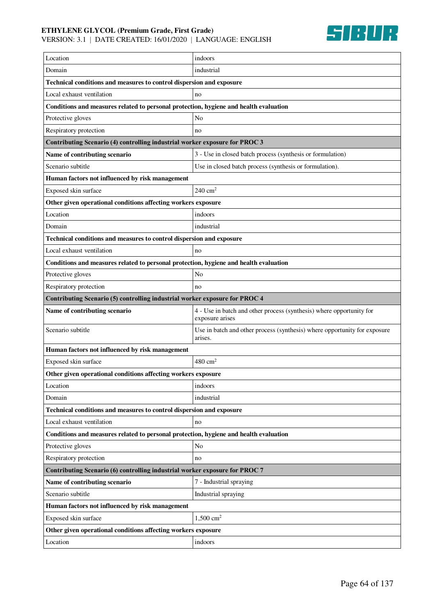

| Location                                                                              | indoors                                                                                 |  |
|---------------------------------------------------------------------------------------|-----------------------------------------------------------------------------------------|--|
| Domain                                                                                | industrial                                                                              |  |
| Technical conditions and measures to control dispersion and exposure                  |                                                                                         |  |
| Local exhaust ventilation                                                             | no                                                                                      |  |
| Conditions and measures related to personal protection, hygiene and health evaluation |                                                                                         |  |
| Protective gloves                                                                     | No                                                                                      |  |
| Respiratory protection                                                                | no                                                                                      |  |
| Contributing Scenario (4) controlling industrial worker exposure for PROC 3           |                                                                                         |  |
| Name of contributing scenario                                                         | 3 - Use in closed batch process (synthesis or formulation)                              |  |
| Scenario subtitle                                                                     | Use in closed batch process (synthesis or formulation).                                 |  |
| Human factors not influenced by risk management                                       |                                                                                         |  |
| Exposed skin surface                                                                  | $240 \text{ cm}^2$                                                                      |  |
| Other given operational conditions affecting workers exposure                         |                                                                                         |  |
| Location                                                                              | indoors                                                                                 |  |
| Domain                                                                                | industrial                                                                              |  |
| Technical conditions and measures to control dispersion and exposure                  |                                                                                         |  |
| Local exhaust ventilation                                                             | no                                                                                      |  |
| Conditions and measures related to personal protection, hygiene and health evaluation |                                                                                         |  |
| Protective gloves                                                                     | No                                                                                      |  |
| Respiratory protection                                                                | no                                                                                      |  |
| Contributing Scenario (5) controlling industrial worker exposure for PROC 4           |                                                                                         |  |
| Name of contributing scenario                                                         | 4 - Use in batch and other process (synthesis) where opportunity for<br>exposure arises |  |
| Scenario subtitle                                                                     | Use in batch and other process (synthesis) where opportunity for exposure<br>arises.    |  |
| Human factors not influenced by risk management                                       |                                                                                         |  |
| Exposed skin surface                                                                  | $480 \text{ cm}^2$                                                                      |  |
| Other given operational conditions affecting workers exposure                         |                                                                                         |  |
| Location                                                                              | indoors                                                                                 |  |
| Domain                                                                                | industrial                                                                              |  |
| Technical conditions and measures to control dispersion and exposure                  |                                                                                         |  |
| Local exhaust ventilation                                                             | no                                                                                      |  |
| Conditions and measures related to personal protection, hygiene and health evaluation |                                                                                         |  |
| Protective gloves                                                                     | No                                                                                      |  |
| Respiratory protection                                                                | no                                                                                      |  |
| Contributing Scenario (6) controlling industrial worker exposure for PROC 7           |                                                                                         |  |
| Name of contributing scenario                                                         | 7 - Industrial spraying                                                                 |  |
| Scenario subtitle                                                                     | Industrial spraying                                                                     |  |
| Human factors not influenced by risk management                                       |                                                                                         |  |
| Exposed skin surface                                                                  | $1,500$ cm <sup>2</sup>                                                                 |  |
| Other given operational conditions affecting workers exposure                         |                                                                                         |  |
| Location                                                                              | indoors                                                                                 |  |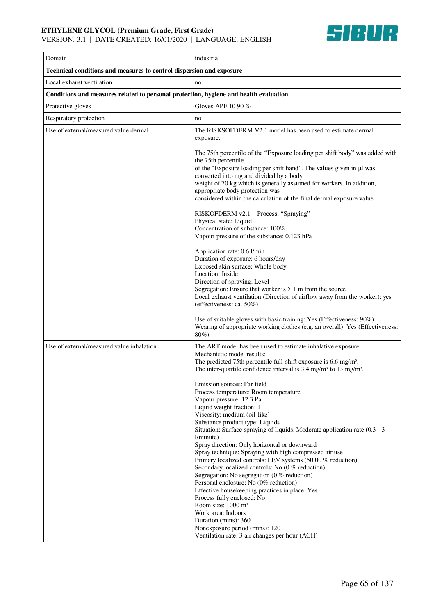## **ETHYLENE GLYCOL (Premium Grade, First Grade)**

VERSION: 3.1 DATE CREATED: 16/01/2020 LANGUAGE: ENGLISH



| Domain                                                                                | industrial                                                                                                                                                                                                                                                                                                                                                                                                                                                                                                                                                                                                                                                                                                                                                                                                                                                                |
|---------------------------------------------------------------------------------------|---------------------------------------------------------------------------------------------------------------------------------------------------------------------------------------------------------------------------------------------------------------------------------------------------------------------------------------------------------------------------------------------------------------------------------------------------------------------------------------------------------------------------------------------------------------------------------------------------------------------------------------------------------------------------------------------------------------------------------------------------------------------------------------------------------------------------------------------------------------------------|
| Technical conditions and measures to control dispersion and exposure                  |                                                                                                                                                                                                                                                                                                                                                                                                                                                                                                                                                                                                                                                                                                                                                                                                                                                                           |
| Local exhaust ventilation                                                             | no                                                                                                                                                                                                                                                                                                                                                                                                                                                                                                                                                                                                                                                                                                                                                                                                                                                                        |
| Conditions and measures related to personal protection, hygiene and health evaluation |                                                                                                                                                                                                                                                                                                                                                                                                                                                                                                                                                                                                                                                                                                                                                                                                                                                                           |
| Protective gloves                                                                     | Gloves APF 10 90 %                                                                                                                                                                                                                                                                                                                                                                                                                                                                                                                                                                                                                                                                                                                                                                                                                                                        |
| Respiratory protection                                                                | no                                                                                                                                                                                                                                                                                                                                                                                                                                                                                                                                                                                                                                                                                                                                                                                                                                                                        |
| Use of external/measured value dermal                                                 | The RISKSOFDERM V2.1 model has been used to estimate dermal<br>exposure.                                                                                                                                                                                                                                                                                                                                                                                                                                                                                                                                                                                                                                                                                                                                                                                                  |
|                                                                                       | The 75th percentile of the "Exposure loading per shift body" was added with<br>the 75th percentile<br>of the "Exposure loading per shift hand". The values given in µl was<br>converted into mg and divided by a body<br>weight of 70 kg which is generally assumed for workers. In addition,<br>appropriate body protection was<br>considered within the calculation of the final dermal exposure value.                                                                                                                                                                                                                                                                                                                                                                                                                                                                 |
|                                                                                       | RISKOFDERM v2.1 - Process: "Spraying"<br>Physical state: Liquid<br>Concentration of substance: 100%<br>Vapour pressure of the substance: 0.123 hPa                                                                                                                                                                                                                                                                                                                                                                                                                                                                                                                                                                                                                                                                                                                        |
|                                                                                       | Application rate: 0.6 l/min<br>Duration of exposure: 6 hours/day<br>Exposed skin surface: Whole body<br>Location: Inside<br>Direction of spraying: Level<br>Segregation: Ensure that worker is $> 1$ m from the source<br>Local exhaust ventilation (Direction of airflow away from the worker): yes<br>(effectiveness: ca. 50%)                                                                                                                                                                                                                                                                                                                                                                                                                                                                                                                                          |
|                                                                                       | Use of suitable gloves with basic training: Yes (Effectiveness: 90%)<br>Wearing of appropriate working clothes (e.g. an overall): Yes (Effectiveness:<br>$80\%)$                                                                                                                                                                                                                                                                                                                                                                                                                                                                                                                                                                                                                                                                                                          |
| Use of external/measured value inhalation                                             | The ART model has been used to estimate inhalative exposure.<br>Mechanistic model results:<br>The predicted 75th percentile full-shift exposure is $6.6$ mg/m <sup>3</sup> .<br>The inter-quartile confidence interval is $3.4 \text{ mg/m}^3$ to $13 \text{ mg/m}^3$ .                                                                                                                                                                                                                                                                                                                                                                                                                                                                                                                                                                                                   |
|                                                                                       | Emission sources: Far field<br>Process temperature: Room temperature<br>Vapour pressure: 12.3 Pa<br>Liquid weight fraction: 1<br>Viscosity: medium (oil-like)<br>Substance product type: Liquids<br>Situation: Surface spraying of liquids, Moderate application rate (0.3 - 3<br>l/minute)<br>Spray direction: Only horizontal or downward<br>Spray technique: Spraying with high compressed air use<br>Primary localized controls: LEV systems (50.00 % reduction)<br>Secondary localized controls: No $(0\%$ reduction)<br>Segregation: No segregation ( $0\%$ reduction)<br>Personal enclosure: No (0% reduction)<br>Effective housekeeping practices in place: Yes<br>Process fully enclosed: No<br>Room size: 1000 m <sup>3</sup><br>Work area: Indoors<br>Duration (mins): 360<br>Nonexposure period (mins): 120<br>Ventilation rate: 3 air changes per hour (ACH) |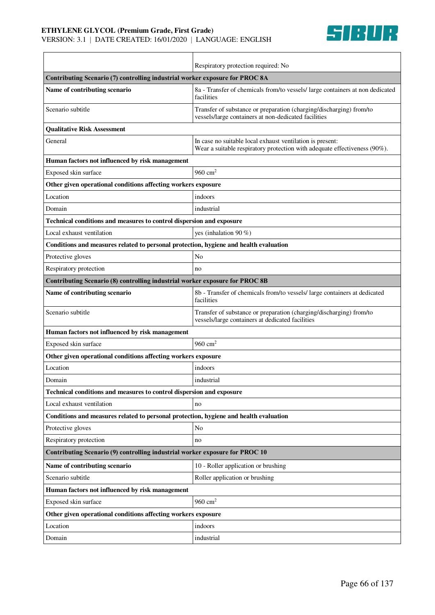SIBUR

|                                                                                       | Respiratory protection required: No                                                                                                    |  |
|---------------------------------------------------------------------------------------|----------------------------------------------------------------------------------------------------------------------------------------|--|
| Contributing Scenario (7) controlling industrial worker exposure for PROC 8A          |                                                                                                                                        |  |
| Name of contributing scenario                                                         | 8a - Transfer of chemicals from/to vessels/ large containers at non dedicated<br>facilities                                            |  |
| Scenario subtitle                                                                     | Transfer of substance or preparation (charging/discharging) from/to<br>vessels/large containers at non-dedicated facilities            |  |
| <b>Qualitative Risk Assessment</b>                                                    |                                                                                                                                        |  |
| General                                                                               | In case no suitable local exhaust ventilation is present:<br>Wear a suitable respiratory protection with adequate effectiveness (90%). |  |
| Human factors not influenced by risk management                                       |                                                                                                                                        |  |
| Exposed skin surface                                                                  | 960 $cm2$                                                                                                                              |  |
| Other given operational conditions affecting workers exposure                         |                                                                                                                                        |  |
| Location                                                                              | indoors                                                                                                                                |  |
| Domain                                                                                | industrial                                                                                                                             |  |
| Technical conditions and measures to control dispersion and exposure                  |                                                                                                                                        |  |
| Local exhaust ventilation                                                             | yes (inhalation 90 $\%$ )                                                                                                              |  |
| Conditions and measures related to personal protection, hygiene and health evaluation |                                                                                                                                        |  |
| Protective gloves                                                                     | No                                                                                                                                     |  |
| Respiratory protection                                                                | no                                                                                                                                     |  |
| Contributing Scenario (8) controlling industrial worker exposure for PROC 8B          |                                                                                                                                        |  |
| Name of contributing scenario                                                         | 8b - Transfer of chemicals from/to vessels/ large containers at dedicated<br>facilities                                                |  |
| Scenario subtitle                                                                     | Transfer of substance or preparation (charging/discharging) from/to<br>vessels/large containers at dedicated facilities                |  |
| Human factors not influenced by risk management                                       |                                                                                                                                        |  |
| Exposed skin surface                                                                  | 960 cm <sup>2</sup>                                                                                                                    |  |
| Other given operational conditions affecting workers exposure                         |                                                                                                                                        |  |
| Location                                                                              | indoors                                                                                                                                |  |
| Domain                                                                                | industrial                                                                                                                             |  |
| Technical conditions and measures to control dispersion and exposure                  |                                                                                                                                        |  |
| Local exhaust ventilation                                                             | no                                                                                                                                     |  |
| Conditions and measures related to personal protection, hygiene and health evaluation |                                                                                                                                        |  |
| Protective gloves                                                                     | No                                                                                                                                     |  |
| Respiratory protection                                                                | no                                                                                                                                     |  |
| Contributing Scenario (9) controlling industrial worker exposure for PROC 10          |                                                                                                                                        |  |
| Name of contributing scenario                                                         | 10 - Roller application or brushing                                                                                                    |  |
| Scenario subtitle                                                                     | Roller application or brushing                                                                                                         |  |
| Human factors not influenced by risk management                                       |                                                                                                                                        |  |
| Exposed skin surface                                                                  | 960 $cm2$                                                                                                                              |  |
| Other given operational conditions affecting workers exposure                         |                                                                                                                                        |  |
| Location                                                                              | indoors                                                                                                                                |  |
| Domain                                                                                | industrial                                                                                                                             |  |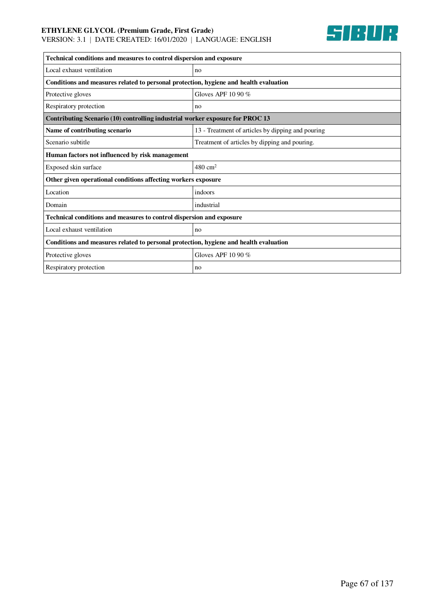

| <b>Technical conditions and measures to control dispersion and exposure</b>           |                                                   |  |
|---------------------------------------------------------------------------------------|---------------------------------------------------|--|
| Local exhaust ventilation                                                             | no                                                |  |
| Conditions and measures related to personal protection, hygiene and health evaluation |                                                   |  |
| Protective gloves                                                                     | Gloves APF $1090\%$                               |  |
| Respiratory protection                                                                | no                                                |  |
| Contributing Scenario (10) controlling industrial worker exposure for PROC 13         |                                                   |  |
| Name of contributing scenario                                                         | 13 - Treatment of articles by dipping and pouring |  |
| Scenario subtitle                                                                     | Treatment of articles by dipping and pouring.     |  |
| Human factors not influenced by risk management                                       |                                                   |  |
| Exposed skin surface                                                                  | $480 \text{ cm}^2$                                |  |
| Other given operational conditions affecting workers exposure                         |                                                   |  |
| Location                                                                              | indoors                                           |  |
| Domain                                                                                | industrial                                        |  |
| Technical conditions and measures to control dispersion and exposure                  |                                                   |  |
| Local exhaust ventilation                                                             | no                                                |  |
| Conditions and measures related to personal protection, hygiene and health evaluation |                                                   |  |
| Protective gloves                                                                     | Gloves APF 10 90 $%$                              |  |
| Respiratory protection                                                                | no                                                |  |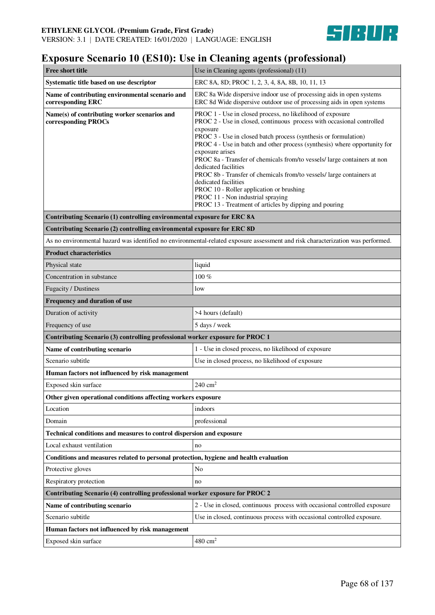

# **Exposure Scenario 10 (ES10): Use in Cleaning agents (professional)**

| <b>Free short title</b>                                                                                                         | Use in Cleaning agents (professional) (11)                                                                                                                                                                                                                                                                                                                                                                                                                                                                                                                                                                                                                       |  |
|---------------------------------------------------------------------------------------------------------------------------------|------------------------------------------------------------------------------------------------------------------------------------------------------------------------------------------------------------------------------------------------------------------------------------------------------------------------------------------------------------------------------------------------------------------------------------------------------------------------------------------------------------------------------------------------------------------------------------------------------------------------------------------------------------------|--|
| Systematic title based on use descriptor                                                                                        | ERC 8A, 8D; PROC 1, 2, 3, 4, 8A, 8B, 10, 11, 13                                                                                                                                                                                                                                                                                                                                                                                                                                                                                                                                                                                                                  |  |
| Name of contributing environmental scenario and<br>corresponding ERC                                                            | ERC 8a Wide dispersive indoor use of processing aids in open systems<br>ERC 8d Wide dispersive outdoor use of processing aids in open systems                                                                                                                                                                                                                                                                                                                                                                                                                                                                                                                    |  |
| Name(s) of contributing worker scenarios and<br>corresponding PROCs                                                             | PROC 1 - Use in closed process, no likelihood of exposure<br>PROC 2 - Use in closed, continuous process with occasional controlled<br>exposure<br>PROC 3 - Use in closed batch process (synthesis or formulation)<br>PROC 4 - Use in batch and other process (synthesis) where opportunity for<br>exposure arises<br>PROC 8a - Transfer of chemicals from/to vessels/ large containers at non<br>dedicated facilities<br>PROC 8b - Transfer of chemicals from/to vessels/ large containers at<br>dedicated facilities<br>PROC 10 - Roller application or brushing<br>PROC 11 - Non industrial spraying<br>PROC 13 - Treatment of articles by dipping and pouring |  |
| Contributing Scenario (1) controlling environmental exposure for ERC 8A                                                         |                                                                                                                                                                                                                                                                                                                                                                                                                                                                                                                                                                                                                                                                  |  |
| Contributing Scenario (2) controlling environmental exposure for ERC 8D                                                         |                                                                                                                                                                                                                                                                                                                                                                                                                                                                                                                                                                                                                                                                  |  |
| As no environmental hazard was identified no environmental-related exposure assessment and risk characterization was performed. |                                                                                                                                                                                                                                                                                                                                                                                                                                                                                                                                                                                                                                                                  |  |
| <b>Product characteristics</b>                                                                                                  |                                                                                                                                                                                                                                                                                                                                                                                                                                                                                                                                                                                                                                                                  |  |
| Physical state                                                                                                                  | liquid                                                                                                                                                                                                                                                                                                                                                                                                                                                                                                                                                                                                                                                           |  |
| Concentration in substance                                                                                                      | $100\%$                                                                                                                                                                                                                                                                                                                                                                                                                                                                                                                                                                                                                                                          |  |
| <b>Fugacity / Dustiness</b>                                                                                                     | low                                                                                                                                                                                                                                                                                                                                                                                                                                                                                                                                                                                                                                                              |  |
| Frequency and duration of use                                                                                                   |                                                                                                                                                                                                                                                                                                                                                                                                                                                                                                                                                                                                                                                                  |  |
| Duration of activity                                                                                                            | >4 hours (default)                                                                                                                                                                                                                                                                                                                                                                                                                                                                                                                                                                                                                                               |  |
| Frequency of use                                                                                                                | 5 days / week                                                                                                                                                                                                                                                                                                                                                                                                                                                                                                                                                                                                                                                    |  |
| Contributing Scenario (3) controlling professional worker exposure for PROC 1                                                   |                                                                                                                                                                                                                                                                                                                                                                                                                                                                                                                                                                                                                                                                  |  |
| Name of contributing scenario                                                                                                   | 1 - Use in closed process, no likelihood of exposure                                                                                                                                                                                                                                                                                                                                                                                                                                                                                                                                                                                                             |  |
| Scenario subtitle                                                                                                               | Use in closed process, no likelihood of exposure                                                                                                                                                                                                                                                                                                                                                                                                                                                                                                                                                                                                                 |  |
| Human factors not influenced by risk management                                                                                 |                                                                                                                                                                                                                                                                                                                                                                                                                                                                                                                                                                                                                                                                  |  |
| Exposed skin surface                                                                                                            | $240 \text{ cm}^2$                                                                                                                                                                                                                                                                                                                                                                                                                                                                                                                                                                                                                                               |  |
| Other given operational conditions affecting workers exposure                                                                   |                                                                                                                                                                                                                                                                                                                                                                                                                                                                                                                                                                                                                                                                  |  |
| Location                                                                                                                        | indoors                                                                                                                                                                                                                                                                                                                                                                                                                                                                                                                                                                                                                                                          |  |
| Domain                                                                                                                          | professional                                                                                                                                                                                                                                                                                                                                                                                                                                                                                                                                                                                                                                                     |  |
| Technical conditions and measures to control dispersion and exposure                                                            |                                                                                                                                                                                                                                                                                                                                                                                                                                                                                                                                                                                                                                                                  |  |
| Local exhaust ventilation                                                                                                       | no                                                                                                                                                                                                                                                                                                                                                                                                                                                                                                                                                                                                                                                               |  |
| Conditions and measures related to personal protection, hygiene and health evaluation                                           |                                                                                                                                                                                                                                                                                                                                                                                                                                                                                                                                                                                                                                                                  |  |
| Protective gloves                                                                                                               | No                                                                                                                                                                                                                                                                                                                                                                                                                                                                                                                                                                                                                                                               |  |
| Respiratory protection                                                                                                          | no                                                                                                                                                                                                                                                                                                                                                                                                                                                                                                                                                                                                                                                               |  |
| Contributing Scenario (4) controlling professional worker exposure for PROC 2                                                   |                                                                                                                                                                                                                                                                                                                                                                                                                                                                                                                                                                                                                                                                  |  |
| Name of contributing scenario                                                                                                   | 2 - Use in closed, continuous process with occasional controlled exposure                                                                                                                                                                                                                                                                                                                                                                                                                                                                                                                                                                                        |  |
| Scenario subtitle                                                                                                               | Use in closed, continuous process with occasional controlled exposure.                                                                                                                                                                                                                                                                                                                                                                                                                                                                                                                                                                                           |  |
| Human factors not influenced by risk management                                                                                 |                                                                                                                                                                                                                                                                                                                                                                                                                                                                                                                                                                                                                                                                  |  |
| Exposed skin surface                                                                                                            | $480$ cm <sup>2</sup>                                                                                                                                                                                                                                                                                                                                                                                                                                                                                                                                                                                                                                            |  |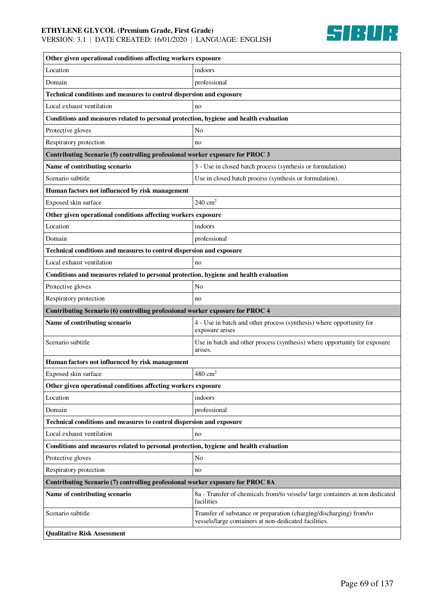

| Other given operational conditions affecting workers exposure                         |                                                                                                                              |  |
|---------------------------------------------------------------------------------------|------------------------------------------------------------------------------------------------------------------------------|--|
| Location                                                                              | indoors                                                                                                                      |  |
| Domain                                                                                | professional                                                                                                                 |  |
| Technical conditions and measures to control dispersion and exposure                  |                                                                                                                              |  |
| Local exhaust ventilation                                                             | no                                                                                                                           |  |
| Conditions and measures related to personal protection, hygiene and health evaluation |                                                                                                                              |  |
| Protective gloves                                                                     | N <sub>0</sub>                                                                                                               |  |
| Respiratory protection                                                                | no                                                                                                                           |  |
| Contributing Scenario (5) controlling professional worker exposure for PROC 3         |                                                                                                                              |  |
| Name of contributing scenario                                                         | 3 - Use in closed batch process (synthesis or formulation)                                                                   |  |
| Scenario subtitle                                                                     | Use in closed batch process (synthesis or formulation).                                                                      |  |
| Human factors not influenced by risk management                                       |                                                                                                                              |  |
| Exposed skin surface                                                                  | $240 \text{ cm}^2$                                                                                                           |  |
| Other given operational conditions affecting workers exposure                         |                                                                                                                              |  |
| Location                                                                              | indoors                                                                                                                      |  |
| Domain                                                                                | professional                                                                                                                 |  |
| Technical conditions and measures to control dispersion and exposure                  |                                                                                                                              |  |
| Local exhaust ventilation                                                             | no                                                                                                                           |  |
| Conditions and measures related to personal protection, hygiene and health evaluation |                                                                                                                              |  |
| Protective gloves                                                                     | No                                                                                                                           |  |
| Respiratory protection                                                                | no                                                                                                                           |  |
| Contributing Scenario (6) controlling professional worker exposure for PROC 4         |                                                                                                                              |  |
| Name of contributing scenario                                                         | 4 - Use in batch and other process (synthesis) where opportunity for<br>exposure arises                                      |  |
| Scenario subtitle                                                                     | Use in batch and other process (synthesis) where opportunity for exposure<br>arises.                                         |  |
| Human factors not influenced by risk management                                       |                                                                                                                              |  |
| Exposed skin surface                                                                  | $480$ cm <sup>2</sup>                                                                                                        |  |
| Other given operational conditions affecting workers exposure                         |                                                                                                                              |  |
| Location                                                                              | indoors                                                                                                                      |  |
| Domain                                                                                | professional                                                                                                                 |  |
| Technical conditions and measures to control dispersion and exposure                  |                                                                                                                              |  |
| Local exhaust ventilation                                                             | no                                                                                                                           |  |
| Conditions and measures related to personal protection, hygiene and health evaluation |                                                                                                                              |  |
| Protective gloves                                                                     | No                                                                                                                           |  |
| Respiratory protection                                                                | no                                                                                                                           |  |
| Contributing Scenario (7) controlling professional worker exposure for PROC 8A        |                                                                                                                              |  |
| Name of contributing scenario                                                         | 8a - Transfer of chemicals from/to vessels/ large containers at non dedicated<br>facilities                                  |  |
| Scenario subtitle                                                                     | Transfer of substance or preparation (charging/discharging) from/to<br>vessels/large containers at non-dedicated facilities. |  |
| <b>Qualitative Risk Assessment</b>                                                    |                                                                                                                              |  |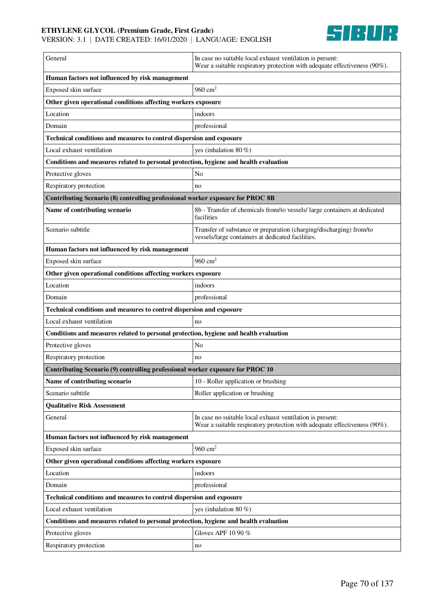

| General                                                                               | In case no suitable local exhaust ventilation is present:<br>Wear a suitable respiratory protection with adequate effectiveness (90%). |  |
|---------------------------------------------------------------------------------------|----------------------------------------------------------------------------------------------------------------------------------------|--|
| Human factors not influenced by risk management                                       |                                                                                                                                        |  |
| Exposed skin surface                                                                  | 960 $cm2$                                                                                                                              |  |
| Other given operational conditions affecting workers exposure                         |                                                                                                                                        |  |
| Location                                                                              | indoors                                                                                                                                |  |
| Domain                                                                                | professional                                                                                                                           |  |
| Technical conditions and measures to control dispersion and exposure                  |                                                                                                                                        |  |
| Local exhaust ventilation                                                             | yes (inhalation 80 %)                                                                                                                  |  |
| Conditions and measures related to personal protection, hygiene and health evaluation |                                                                                                                                        |  |
| Protective gloves                                                                     | No                                                                                                                                     |  |
| Respiratory protection                                                                | no                                                                                                                                     |  |
| Contributing Scenario (8) controlling professional worker exposure for PROC 8B        |                                                                                                                                        |  |
| Name of contributing scenario                                                         | 8b - Transfer of chemicals from/to vessels/ large containers at dedicated<br>facilities                                                |  |
| Scenario subtitle                                                                     | Transfer of substance or preparation (charging/discharging) from/to<br>vessels/large containers at dedicated facilities.               |  |
| Human factors not influenced by risk management                                       |                                                                                                                                        |  |
| Exposed skin surface                                                                  | 960 cm <sup>2</sup>                                                                                                                    |  |
| Other given operational conditions affecting workers exposure                         |                                                                                                                                        |  |
| Location                                                                              | indoors                                                                                                                                |  |
| Domain                                                                                | professional                                                                                                                           |  |
| Technical conditions and measures to control dispersion and exposure                  |                                                                                                                                        |  |
| Local exhaust ventilation                                                             | no                                                                                                                                     |  |
| Conditions and measures related to personal protection, hygiene and health evaluation |                                                                                                                                        |  |
| Protective gloves                                                                     | No                                                                                                                                     |  |
| Respiratory protection                                                                | no                                                                                                                                     |  |
| Contributing Scenario (9) controlling professional worker exposure for PROC 10        |                                                                                                                                        |  |
| Name of contributing scenario                                                         | 10 - Roller application or brushing                                                                                                    |  |
| Scenario subtitle                                                                     | Roller application or brushing                                                                                                         |  |
| <b>Qualitative Risk Assessment</b>                                                    |                                                                                                                                        |  |
| General                                                                               | In case no suitable local exhaust ventilation is present:<br>Wear a suitable respiratory protection with adequate effectiveness (90%). |  |
| Human factors not influenced by risk management                                       |                                                                                                                                        |  |
| Exposed skin surface                                                                  | 960 $cm2$                                                                                                                              |  |
| Other given operational conditions affecting workers exposure                         |                                                                                                                                        |  |
| Location                                                                              | indoors                                                                                                                                |  |
| Domain                                                                                | professional                                                                                                                           |  |
| Technical conditions and measures to control dispersion and exposure                  |                                                                                                                                        |  |
| Local exhaust ventilation                                                             | yes (inhalation 80 $\%$ )                                                                                                              |  |
| Conditions and measures related to personal protection, hygiene and health evaluation |                                                                                                                                        |  |
| Protective gloves                                                                     | Gloves APF 10 90 %                                                                                                                     |  |
| Respiratory protection                                                                | no                                                                                                                                     |  |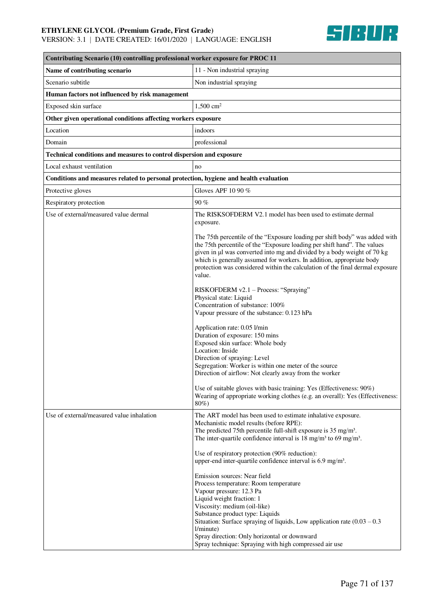### **ETHYLENE GLYCOL (Premium Grade, First Grade)**

VERSION: 3.1 DATE CREATED: 16/01/2020 LANGUAGE: ENGLISH



| Contributing Scenario (10) controlling professional worker exposure for PROC 11       |                                                                                                                                                                                                                                                                                                                                                                                                                                                                                                         |  |
|---------------------------------------------------------------------------------------|---------------------------------------------------------------------------------------------------------------------------------------------------------------------------------------------------------------------------------------------------------------------------------------------------------------------------------------------------------------------------------------------------------------------------------------------------------------------------------------------------------|--|
| Name of contributing scenario                                                         | 11 - Non industrial spraying                                                                                                                                                                                                                                                                                                                                                                                                                                                                            |  |
| Scenario subtitle                                                                     | Non industrial spraying                                                                                                                                                                                                                                                                                                                                                                                                                                                                                 |  |
| Human factors not influenced by risk management                                       |                                                                                                                                                                                                                                                                                                                                                                                                                                                                                                         |  |
| Exposed skin surface                                                                  | $1,500$ cm <sup>2</sup>                                                                                                                                                                                                                                                                                                                                                                                                                                                                                 |  |
| Other given operational conditions affecting workers exposure                         |                                                                                                                                                                                                                                                                                                                                                                                                                                                                                                         |  |
| Location                                                                              | indoors                                                                                                                                                                                                                                                                                                                                                                                                                                                                                                 |  |
| Domain                                                                                | professional                                                                                                                                                                                                                                                                                                                                                                                                                                                                                            |  |
| Technical conditions and measures to control dispersion and exposure                  |                                                                                                                                                                                                                                                                                                                                                                                                                                                                                                         |  |
| Local exhaust ventilation                                                             | no                                                                                                                                                                                                                                                                                                                                                                                                                                                                                                      |  |
| Conditions and measures related to personal protection, hygiene and health evaluation |                                                                                                                                                                                                                                                                                                                                                                                                                                                                                                         |  |
| Protective gloves                                                                     | Gloves APF 10 90 %                                                                                                                                                                                                                                                                                                                                                                                                                                                                                      |  |
| Respiratory protection                                                                | 90%                                                                                                                                                                                                                                                                                                                                                                                                                                                                                                     |  |
| Use of external/measured value dermal                                                 | The RISKSOFDERM V2.1 model has been used to estimate dermal<br>exposure.                                                                                                                                                                                                                                                                                                                                                                                                                                |  |
|                                                                                       | The 75th percentile of the "Exposure loading per shift body" was added with<br>the 75th percentile of the "Exposure loading per shift hand". The values<br>given in µl was converted into mg and divided by a body weight of 70 kg<br>which is generally assumed for workers. In addition, appropriate body<br>protection was considered within the calculation of the final dermal exposure<br>value.                                                                                                  |  |
|                                                                                       | RISKOFDERM v2.1 - Process: "Spraying"<br>Physical state: Liquid<br>Concentration of substance: 100%<br>Vapour pressure of the substance: 0.123 hPa<br>Application rate: 0.05 l/min<br>Duration of exposure: 150 mins<br>Exposed skin surface: Whole body<br>Location: Inside<br>Direction of spraying: Level<br>Segregation: Worker is within one meter of the source<br>Direction of airflow: Not clearly away from the worker<br>Use of suitable gloves with basic training: Yes (Effectiveness: 90%) |  |
|                                                                                       | Wearing of appropriate working clothes (e.g. an overall): Yes (Effectiveness:<br>80%)                                                                                                                                                                                                                                                                                                                                                                                                                   |  |
| Use of external/measured value inhalation                                             | The ART model has been used to estimate inhalative exposure.<br>Mechanistic model results (before RPE):<br>The predicted 75th percentile full-shift exposure is $35 \text{ mg/m}^3$ .<br>The inter-quartile confidence interval is $18 \text{ mg/m}^3$ to $69 \text{ mg/m}^3$ .<br>Use of respiratory protection (90% reduction):<br>upper-end inter-quartile confidence interval is 6.9 mg/m <sup>3</sup> .                                                                                            |  |
|                                                                                       | Emission sources: Near field<br>Process temperature: Room temperature<br>Vapour pressure: 12.3 Pa<br>Liquid weight fraction: 1<br>Viscosity: medium (oil-like)<br>Substance product type: Liquids<br>Situation: Surface spraying of liquids, Low application rate $(0.03 - 0.3)$<br>l/minute)<br>Spray direction: Only horizontal or downward<br>Spray technique: Spraying with high compressed air use                                                                                                 |  |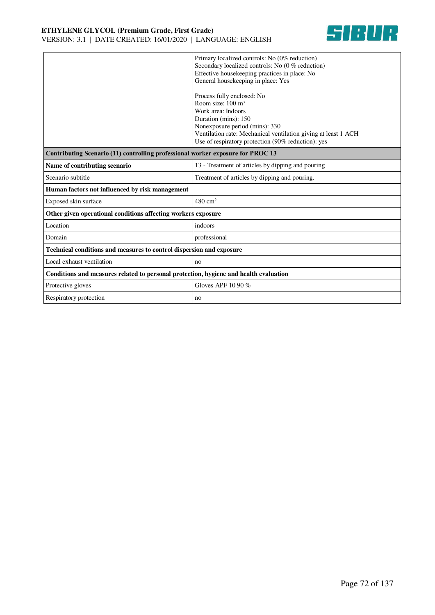

|                                                                                       | Primary localized controls: No (0% reduction)                                                                        |  |
|---------------------------------------------------------------------------------------|----------------------------------------------------------------------------------------------------------------------|--|
|                                                                                       | Secondary localized controls: No (0 % reduction)                                                                     |  |
|                                                                                       | Effective housekeeping practices in place: No                                                                        |  |
|                                                                                       | General housekeeping in place: Yes                                                                                   |  |
|                                                                                       | Process fully enclosed: No                                                                                           |  |
|                                                                                       | Room size: 100 m <sup>3</sup>                                                                                        |  |
|                                                                                       | Work area: Indoors                                                                                                   |  |
|                                                                                       | Duration (mins): 150                                                                                                 |  |
|                                                                                       | Nonexposure period (mins): 330                                                                                       |  |
|                                                                                       | Ventilation rate: Mechanical ventilation giving at least 1 ACH<br>Use of respiratory protection (90% reduction): yes |  |
|                                                                                       |                                                                                                                      |  |
| Contributing Scenario (11) controlling professional worker exposure for PROC 13       |                                                                                                                      |  |
| Name of contributing scenario                                                         | 13 - Treatment of articles by dipping and pouring                                                                    |  |
| Scenario subtitle                                                                     | Treatment of articles by dipping and pouring.                                                                        |  |
| Human factors not influenced by risk management                                       |                                                                                                                      |  |
| Exposed skin surface                                                                  | $480$ cm <sup>2</sup>                                                                                                |  |
| Other given operational conditions affecting workers exposure                         |                                                                                                                      |  |
| Location                                                                              | indoors                                                                                                              |  |
| Domain                                                                                | professional                                                                                                         |  |
| Technical conditions and measures to control dispersion and exposure                  |                                                                                                                      |  |
| Local exhaust ventilation                                                             | no                                                                                                                   |  |
| Conditions and measures related to personal protection, hygiene and health evaluation |                                                                                                                      |  |
| Protective gloves                                                                     | Gloves APF 10.90 $%$                                                                                                 |  |
| Respiratory protection                                                                | no                                                                                                                   |  |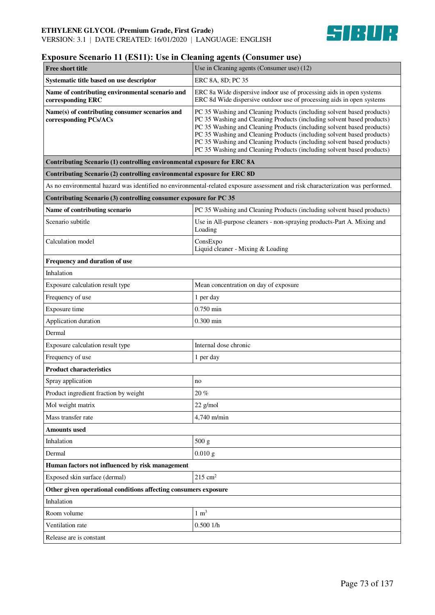

# **Exposure Scenario 11 (ES11): Use in Cleaning agents (Consumer use)**

| <b>Free short title</b>                                                                                                         | Use in Cleaning agents (Consumer use) (12)                                                                                                                                                                                                                                                                                                                                                                                                               |  |
|---------------------------------------------------------------------------------------------------------------------------------|----------------------------------------------------------------------------------------------------------------------------------------------------------------------------------------------------------------------------------------------------------------------------------------------------------------------------------------------------------------------------------------------------------------------------------------------------------|--|
| Systematic title based on use descriptor                                                                                        | ERC 8A, 8D; PC 35                                                                                                                                                                                                                                                                                                                                                                                                                                        |  |
| Name of contributing environmental scenario and<br>corresponding ERC                                                            | ERC 8a Wide dispersive indoor use of processing aids in open systems<br>ERC 8d Wide dispersive outdoor use of processing aids in open systems                                                                                                                                                                                                                                                                                                            |  |
| Name(s) of contributing consumer scenarios and<br>corresponding PCs/ACs                                                         | PC 35 Washing and Cleaning Products (including solvent based products)<br>PC 35 Washing and Cleaning Products (including solvent based products)<br>PC 35 Washing and Cleaning Products (including solvent based products)<br>PC 35 Washing and Cleaning Products (including solvent based products)<br>PC 35 Washing and Cleaning Products (including solvent based products)<br>PC 35 Washing and Cleaning Products (including solvent based products) |  |
| Contributing Scenario (1) controlling environmental exposure for ERC 8A                                                         |                                                                                                                                                                                                                                                                                                                                                                                                                                                          |  |
| Contributing Scenario (2) controlling environmental exposure for ERC 8D                                                         |                                                                                                                                                                                                                                                                                                                                                                                                                                                          |  |
| As no environmental hazard was identified no environmental-related exposure assessment and risk characterization was performed. |                                                                                                                                                                                                                                                                                                                                                                                                                                                          |  |
| Contributing Scenario (3) controlling consumer exposure for PC 35                                                               |                                                                                                                                                                                                                                                                                                                                                                                                                                                          |  |
| Name of contributing scenario                                                                                                   | PC 35 Washing and Cleaning Products (including solvent based products)                                                                                                                                                                                                                                                                                                                                                                                   |  |
| Scenario subtitle                                                                                                               | Use in All-purpose cleaners - non-spraying products-Part A. Mixing and<br>Loading                                                                                                                                                                                                                                                                                                                                                                        |  |
| Calculation model                                                                                                               | ConsExpo<br>Liquid cleaner - Mixing & Loading                                                                                                                                                                                                                                                                                                                                                                                                            |  |
| Frequency and duration of use                                                                                                   |                                                                                                                                                                                                                                                                                                                                                                                                                                                          |  |
| Inhalation                                                                                                                      |                                                                                                                                                                                                                                                                                                                                                                                                                                                          |  |
| Exposure calculation result type                                                                                                | Mean concentration on day of exposure                                                                                                                                                                                                                                                                                                                                                                                                                    |  |
| Frequency of use                                                                                                                | 1 per day                                                                                                                                                                                                                                                                                                                                                                                                                                                |  |
| Exposure time                                                                                                                   | $0.750$ min                                                                                                                                                                                                                                                                                                                                                                                                                                              |  |
| Application duration                                                                                                            | $0.300$ min                                                                                                                                                                                                                                                                                                                                                                                                                                              |  |
| Dermal                                                                                                                          |                                                                                                                                                                                                                                                                                                                                                                                                                                                          |  |
| Exposure calculation result type                                                                                                | Internal dose chronic                                                                                                                                                                                                                                                                                                                                                                                                                                    |  |
| Frequency of use                                                                                                                | 1 per day                                                                                                                                                                                                                                                                                                                                                                                                                                                |  |
| <b>Product characteristics</b>                                                                                                  |                                                                                                                                                                                                                                                                                                                                                                                                                                                          |  |
| Spray application                                                                                                               | no                                                                                                                                                                                                                                                                                                                                                                                                                                                       |  |
| Product ingredient fraction by weight                                                                                           | 20%                                                                                                                                                                                                                                                                                                                                                                                                                                                      |  |
| Mol weight matrix                                                                                                               | 22 g/mol                                                                                                                                                                                                                                                                                                                                                                                                                                                 |  |
| Mass transfer rate                                                                                                              | 4,740 m/min                                                                                                                                                                                                                                                                                                                                                                                                                                              |  |
| <b>Amounts used</b>                                                                                                             |                                                                                                                                                                                                                                                                                                                                                                                                                                                          |  |
| Inhalation                                                                                                                      | 500 g                                                                                                                                                                                                                                                                                                                                                                                                                                                    |  |
| Dermal                                                                                                                          | $0.010$ g                                                                                                                                                                                                                                                                                                                                                                                                                                                |  |
| Human factors not influenced by risk management                                                                                 |                                                                                                                                                                                                                                                                                                                                                                                                                                                          |  |
| Exposed skin surface (dermal)                                                                                                   | $215$ cm <sup>2</sup>                                                                                                                                                                                                                                                                                                                                                                                                                                    |  |
| Other given operational conditions affecting consumers exposure                                                                 |                                                                                                                                                                                                                                                                                                                                                                                                                                                          |  |
| Inhalation                                                                                                                      |                                                                                                                                                                                                                                                                                                                                                                                                                                                          |  |
| Room volume                                                                                                                     | $1 \text{ m}^3$                                                                                                                                                                                                                                                                                                                                                                                                                                          |  |
| Ventilation rate                                                                                                                | 0.5001/h                                                                                                                                                                                                                                                                                                                                                                                                                                                 |  |
| Release are is constant                                                                                                         |                                                                                                                                                                                                                                                                                                                                                                                                                                                          |  |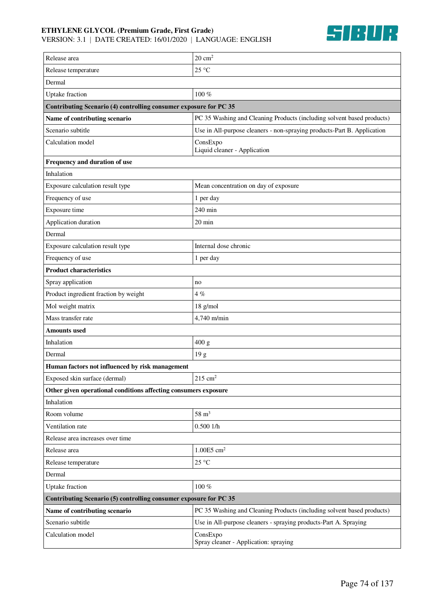

| Release area                                                      | $20 \text{ cm}^2$                                                       |  |
|-------------------------------------------------------------------|-------------------------------------------------------------------------|--|
| Release temperature                                               | $25^{\circ}$ C                                                          |  |
| Dermal                                                            |                                                                         |  |
|                                                                   | 100 %                                                                   |  |
| Uptake fraction                                                   |                                                                         |  |
| Contributing Scenario (4) controlling consumer exposure for PC 35 |                                                                         |  |
| Name of contributing scenario                                     | PC 35 Washing and Cleaning Products (including solvent based products)  |  |
| Scenario subtitle                                                 | Use in All-purpose cleaners - non-spraying products-Part B. Application |  |
| Calculation model                                                 | ConsExpo<br>Liquid cleaner - Application                                |  |
| Frequency and duration of use                                     |                                                                         |  |
| Inhalation                                                        |                                                                         |  |
| Exposure calculation result type                                  | Mean concentration on day of exposure                                   |  |
| Frequency of use                                                  | 1 per day                                                               |  |
| Exposure time                                                     | $240 \text{ min}$                                                       |  |
| Application duration                                              | $20 \text{ min}$                                                        |  |
| Dermal                                                            |                                                                         |  |
| Exposure calculation result type                                  | Internal dose chronic                                                   |  |
| Frequency of use                                                  | 1 per day                                                               |  |
| <b>Product characteristics</b>                                    |                                                                         |  |
| Spray application                                                 | no                                                                      |  |
| Product ingredient fraction by weight                             | 4%                                                                      |  |
| Mol weight matrix                                                 | 18 g/mol                                                                |  |
| Mass transfer rate                                                | 4,740 m/min                                                             |  |
| <b>Amounts used</b>                                               |                                                                         |  |
| Inhalation                                                        | 400 g                                                                   |  |
| Dermal                                                            | 19 g                                                                    |  |
| Human factors not influenced by risk management                   |                                                                         |  |
| Exposed skin surface (dermal)                                     | $215$ cm <sup>2</sup>                                                   |  |
| Other given operational conditions affecting consumers exposure   |                                                                         |  |
| Inhalation                                                        |                                                                         |  |
| Room volume                                                       | $58 \text{ m}^3$                                                        |  |
| Ventilation rate                                                  | 0.5001/h                                                                |  |
| Release area increases over time                                  |                                                                         |  |
| Release area                                                      | $1.00E5$ cm <sup>2</sup>                                                |  |
| Release temperature                                               | 25 °C                                                                   |  |
| Dermal                                                            |                                                                         |  |
| Uptake fraction                                                   | 100 %                                                                   |  |
|                                                                   | Contributing Scenario (5) controlling consumer exposure for PC 35       |  |
| Name of contributing scenario                                     | PC 35 Washing and Cleaning Products (including solvent based products)  |  |
| Scenario subtitle                                                 | Use in All-purpose cleaners - spraying products-Part A. Spraying        |  |
| Calculation model                                                 | ConsExpo<br>Spray cleaner - Application: spraying                       |  |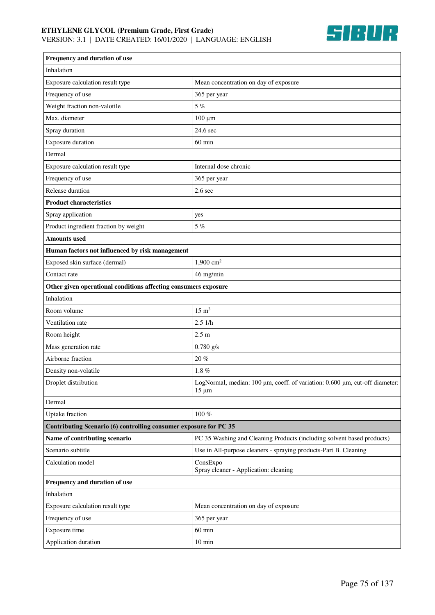

| Frequency and duration of use                                     |                                                                                           |  |
|-------------------------------------------------------------------|-------------------------------------------------------------------------------------------|--|
| Inhalation                                                        |                                                                                           |  |
| Exposure calculation result type                                  | Mean concentration on day of exposure                                                     |  |
| Frequency of use                                                  | 365 per year                                                                              |  |
| Weight fraction non-valotile                                      | 5%                                                                                        |  |
| Max. diameter                                                     | $100 \mu m$                                                                               |  |
| Spray duration                                                    | 24.6 sec                                                                                  |  |
| Exposure duration                                                 | $60 \text{ min}$                                                                          |  |
| Dermal                                                            |                                                                                           |  |
| Exposure calculation result type                                  | Internal dose chronic                                                                     |  |
| Frequency of use                                                  | 365 per year                                                                              |  |
| Release duration                                                  | $2.6$ sec                                                                                 |  |
| <b>Product characteristics</b>                                    |                                                                                           |  |
| Spray application                                                 | yes                                                                                       |  |
| Product ingredient fraction by weight                             | $5\ \%$                                                                                   |  |
| <b>Amounts used</b>                                               |                                                                                           |  |
| Human factors not influenced by risk management                   |                                                                                           |  |
| Exposed skin surface (dermal)                                     | $1,900$ cm <sup>2</sup>                                                                   |  |
| Contact rate                                                      | 46 mg/min                                                                                 |  |
| Other given operational conditions affecting consumers exposure   |                                                                                           |  |
| Inhalation                                                        |                                                                                           |  |
| Room volume                                                       | $15 \text{ m}^3$                                                                          |  |
| Ventilation rate                                                  | 2.51/h                                                                                    |  |
| Room height                                                       | 2.5 <sub>m</sub>                                                                          |  |
| Mass generation rate                                              | $0.780$ g/s                                                                               |  |
| Airborne fraction                                                 | 20%                                                                                       |  |
| Density non-volatile                                              | 1.8%                                                                                      |  |
| Droplet distribution                                              | LogNormal, median: 100 µm, coeff. of variation: 0.600 µm, cut-off diameter:<br>$15 \mu m$ |  |
| Dermal                                                            |                                                                                           |  |
| Uptake fraction                                                   | $100~\%$                                                                                  |  |
| Contributing Scenario (6) controlling consumer exposure for PC 35 |                                                                                           |  |
| Name of contributing scenario                                     | PC 35 Washing and Cleaning Products (including solvent based products)                    |  |
| Scenario subtitle                                                 | Use in All-purpose cleaners - spraying products-Part B. Cleaning                          |  |
| Calculation model                                                 | ConsExpo<br>Spray cleaner - Application: cleaning                                         |  |
| Frequency and duration of use                                     |                                                                                           |  |
| Inhalation                                                        |                                                                                           |  |
| Exposure calculation result type                                  | Mean concentration on day of exposure                                                     |  |
| Frequency of use                                                  | 365 per year                                                                              |  |
| Exposure time                                                     | $60 \text{ min}$                                                                          |  |
| Application duration                                              | $10 \text{ min}$                                                                          |  |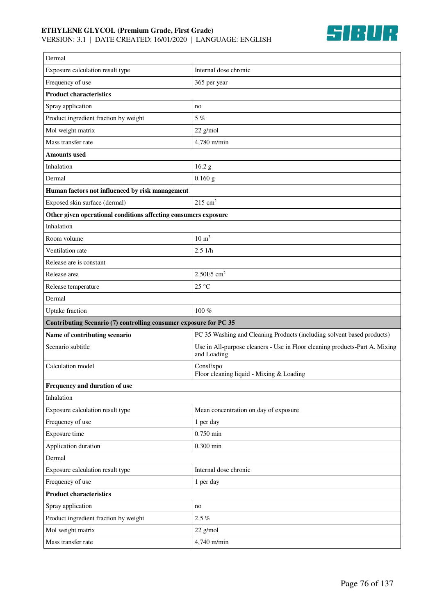

| Dermal                                                            |                                                                                            |  |
|-------------------------------------------------------------------|--------------------------------------------------------------------------------------------|--|
| Exposure calculation result type                                  | Internal dose chronic                                                                      |  |
| Frequency of use                                                  | 365 per year                                                                               |  |
| <b>Product characteristics</b>                                    |                                                                                            |  |
| Spray application                                                 | no                                                                                         |  |
| Product ingredient fraction by weight                             | 5%                                                                                         |  |
| Mol weight matrix                                                 | 22 g/mol                                                                                   |  |
| Mass transfer rate                                                | 4,780 m/min                                                                                |  |
| <b>Amounts used</b>                                               |                                                                                            |  |
| Inhalation                                                        | 16.2 <sub>g</sub>                                                                          |  |
| Dermal                                                            | $0.160$ g                                                                                  |  |
| Human factors not influenced by risk management                   |                                                                                            |  |
| Exposed skin surface (dermal)                                     | $215$ cm <sup>2</sup>                                                                      |  |
| Other given operational conditions affecting consumers exposure   |                                                                                            |  |
| Inhalation                                                        |                                                                                            |  |
| Room volume                                                       | $10 \text{ m}^3$                                                                           |  |
| Ventilation rate                                                  | 2.51/h                                                                                     |  |
| Release are is constant                                           |                                                                                            |  |
| Release area                                                      | $2.50E5$ cm <sup>2</sup>                                                                   |  |
| Release temperature                                               | 25 °C                                                                                      |  |
| Dermal                                                            |                                                                                            |  |
| <b>Uptake</b> fraction                                            | 100 %                                                                                      |  |
| Contributing Scenario (7) controlling consumer exposure for PC 35 |                                                                                            |  |
| Name of contributing scenario                                     | PC 35 Washing and Cleaning Products (including solvent based products)                     |  |
| Scenario subtitle                                                 | Use in All-purpose cleaners - Use in Floor cleaning products-Part A. Mixing<br>and Loading |  |
| Calculation model                                                 | ConsExpo<br>Floor cleaning liquid - Mixing & Loading                                       |  |
| Frequency and duration of use                                     |                                                                                            |  |
| Inhalation                                                        |                                                                                            |  |
| Exposure calculation result type                                  | Mean concentration on day of exposure                                                      |  |
| Frequency of use                                                  | 1 per day                                                                                  |  |
| Exposure time                                                     | $0.750$ min                                                                                |  |
| Application duration                                              | $0.300$ min                                                                                |  |
| Dermal                                                            |                                                                                            |  |
| Exposure calculation result type                                  | Internal dose chronic                                                                      |  |
| Frequency of use                                                  | 1 per day                                                                                  |  |
| <b>Product characteristics</b>                                    |                                                                                            |  |
| Spray application                                                 | no                                                                                         |  |
| Product ingredient fraction by weight                             | 2.5%                                                                                       |  |
| Mol weight matrix                                                 | 22 g/mol                                                                                   |  |
| Mass transfer rate                                                | 4,740 m/min                                                                                |  |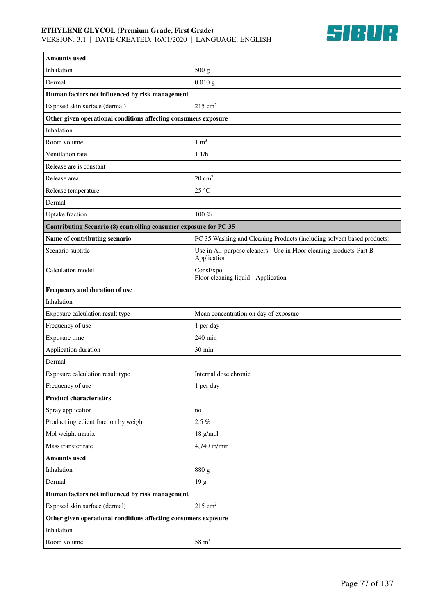

| <b>Amounts</b> used                                               |                                                                                    |  |
|-------------------------------------------------------------------|------------------------------------------------------------------------------------|--|
| Inhalation                                                        | 500 g                                                                              |  |
| Dermal                                                            | $0.010$ g                                                                          |  |
| Human factors not influenced by risk management                   |                                                                                    |  |
| Exposed skin surface (dermal)                                     | $215$ cm <sup>2</sup>                                                              |  |
| Other given operational conditions affecting consumers exposure   |                                                                                    |  |
| Inhalation                                                        |                                                                                    |  |
| Room volume                                                       | $1 \text{ m}^3$                                                                    |  |
| Ventilation rate                                                  | 11/h                                                                               |  |
| Release are is constant                                           |                                                                                    |  |
| Release area                                                      | $20 \text{ cm}^2$                                                                  |  |
| Release temperature                                               | 25 °C                                                                              |  |
| Dermal                                                            |                                                                                    |  |
| Uptake fraction                                                   | 100 %                                                                              |  |
| Contributing Scenario (8) controlling consumer exposure for PC 35 |                                                                                    |  |
| Name of contributing scenario                                     | PC 35 Washing and Cleaning Products (including solvent based products)             |  |
| Scenario subtitle                                                 | Use in All-purpose cleaners - Use in Floor cleaning products-Part B<br>Application |  |
| Calculation model                                                 | ConsExpo<br>Floor cleaning liquid - Application                                    |  |
| Frequency and duration of use                                     |                                                                                    |  |
| Inhalation                                                        |                                                                                    |  |
| Exposure calculation result type                                  | Mean concentration on day of exposure                                              |  |
| Frequency of use                                                  | 1 per day                                                                          |  |
| Exposure time                                                     | $240$ min                                                                          |  |
| Application duration                                              | 30 min                                                                             |  |
| Dermal                                                            |                                                                                    |  |
| Exposure calculation result type                                  | Internal dose chronic                                                              |  |
| Frequency of use                                                  | 1 per day                                                                          |  |
| <b>Product characteristics</b>                                    |                                                                                    |  |
| Spray application                                                 | no                                                                                 |  |
| Product ingredient fraction by weight                             | 2.5%                                                                               |  |
| Mol weight matrix                                                 | 18 g/mol                                                                           |  |
| Mass transfer rate                                                | 4,740 m/min                                                                        |  |
| <b>Amounts</b> used                                               |                                                                                    |  |
| Inhalation                                                        | 880 g                                                                              |  |
| Dermal                                                            | 19 <sub>g</sub>                                                                    |  |
| Human factors not influenced by risk management                   |                                                                                    |  |
| Exposed skin surface (dermal)                                     | $215$ cm <sup>2</sup>                                                              |  |
| Other given operational conditions affecting consumers exposure   |                                                                                    |  |
| Inhalation                                                        |                                                                                    |  |
| Room volume                                                       | $58 \text{ m}^3$                                                                   |  |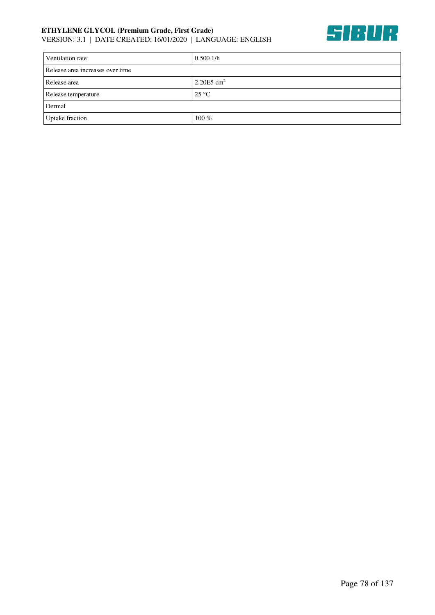

| Ventilation rate                 | 0.5001/h       |
|----------------------------------|----------------|
| Release area increases over time |                |
| Release area                     | 2.20E5 $cm2$   |
| Release temperature              | $25^{\circ}$ C |
| Dermal                           |                |
| Uptake fraction                  | $100\%$        |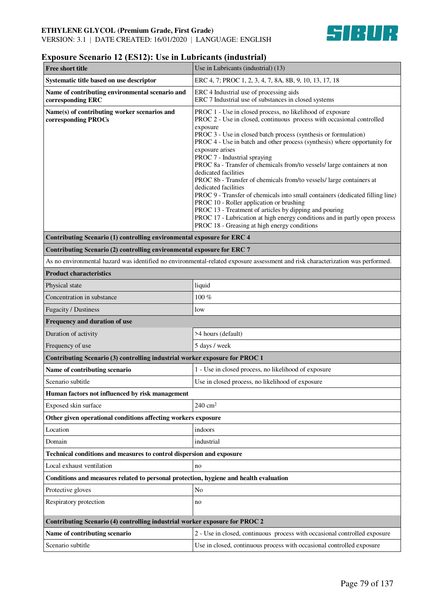

# **Exposure Scenario 12 (ES12): Use in Lubricants (industrial)**

| <b>Free short title</b>                                                                                                         | Use in Lubricants (industrial) (13)                                                                                                                                                                                                                                                                                                                                                                                                                                                                                                                                                                                                                                                                                                                                                                                                                                        |  |
|---------------------------------------------------------------------------------------------------------------------------------|----------------------------------------------------------------------------------------------------------------------------------------------------------------------------------------------------------------------------------------------------------------------------------------------------------------------------------------------------------------------------------------------------------------------------------------------------------------------------------------------------------------------------------------------------------------------------------------------------------------------------------------------------------------------------------------------------------------------------------------------------------------------------------------------------------------------------------------------------------------------------|--|
| Systematic title based on use descriptor                                                                                        | ERC 4, 7; PROC 1, 2, 3, 4, 7, 8A, 8B, 9, 10, 13, 17, 18                                                                                                                                                                                                                                                                                                                                                                                                                                                                                                                                                                                                                                                                                                                                                                                                                    |  |
| Name of contributing environmental scenario and<br>corresponding ERC                                                            | ERC 4 Industrial use of processing aids<br>ERC 7 Industrial use of substances in closed systems                                                                                                                                                                                                                                                                                                                                                                                                                                                                                                                                                                                                                                                                                                                                                                            |  |
| Name(s) of contributing worker scenarios and<br>corresponding PROCs                                                             | PROC 1 - Use in closed process, no likelihood of exposure<br>PROC 2 - Use in closed, continuous process with occasional controlled<br>exposure<br>PROC 3 - Use in closed batch process (synthesis or formulation)<br>PROC 4 - Use in batch and other process (synthesis) where opportunity for<br>exposure arises<br>PROC 7 - Industrial spraying<br>PROC 8a - Transfer of chemicals from/to vessels/ large containers at non<br>dedicated facilities<br>PROC 8b - Transfer of chemicals from/to vessels/ large containers at<br>dedicated facilities<br>PROC 9 - Transfer of chemicals into small containers (dedicated filling line)<br>PROC 10 - Roller application or brushing<br>PROC 13 - Treatment of articles by dipping and pouring<br>PROC 17 - Lubrication at high energy conditions and in partly open process<br>PROC 18 - Greasing at high energy conditions |  |
| Contributing Scenario (1) controlling environmental exposure for ERC 4                                                          |                                                                                                                                                                                                                                                                                                                                                                                                                                                                                                                                                                                                                                                                                                                                                                                                                                                                            |  |
| Contributing Scenario (2) controlling environmental exposure for ERC 7                                                          |                                                                                                                                                                                                                                                                                                                                                                                                                                                                                                                                                                                                                                                                                                                                                                                                                                                                            |  |
| As no environmental hazard was identified no environmental-related exposure assessment and risk characterization was performed. |                                                                                                                                                                                                                                                                                                                                                                                                                                                                                                                                                                                                                                                                                                                                                                                                                                                                            |  |
| <b>Product characteristics</b>                                                                                                  |                                                                                                                                                                                                                                                                                                                                                                                                                                                                                                                                                                                                                                                                                                                                                                                                                                                                            |  |
| Physical state                                                                                                                  | liquid                                                                                                                                                                                                                                                                                                                                                                                                                                                                                                                                                                                                                                                                                                                                                                                                                                                                     |  |
| Concentration in substance                                                                                                      | 100 %                                                                                                                                                                                                                                                                                                                                                                                                                                                                                                                                                                                                                                                                                                                                                                                                                                                                      |  |
| <b>Fugacity / Dustiness</b>                                                                                                     | low                                                                                                                                                                                                                                                                                                                                                                                                                                                                                                                                                                                                                                                                                                                                                                                                                                                                        |  |
| Frequency and duration of use                                                                                                   |                                                                                                                                                                                                                                                                                                                                                                                                                                                                                                                                                                                                                                                                                                                                                                                                                                                                            |  |
| Duration of activity                                                                                                            | >4 hours (default)                                                                                                                                                                                                                                                                                                                                                                                                                                                                                                                                                                                                                                                                                                                                                                                                                                                         |  |
| Frequency of use                                                                                                                | 5 days / week                                                                                                                                                                                                                                                                                                                                                                                                                                                                                                                                                                                                                                                                                                                                                                                                                                                              |  |
| Contributing Scenario (3) controlling industrial worker exposure for PROC 1                                                     |                                                                                                                                                                                                                                                                                                                                                                                                                                                                                                                                                                                                                                                                                                                                                                                                                                                                            |  |
| Name of contributing scenario                                                                                                   | 1 - Use in closed process, no likelihood of exposure                                                                                                                                                                                                                                                                                                                                                                                                                                                                                                                                                                                                                                                                                                                                                                                                                       |  |
| Scenario subtitle                                                                                                               | Use in closed process, no likelihood of exposure                                                                                                                                                                                                                                                                                                                                                                                                                                                                                                                                                                                                                                                                                                                                                                                                                           |  |
| Human factors not influenced by risk management                                                                                 |                                                                                                                                                                                                                                                                                                                                                                                                                                                                                                                                                                                                                                                                                                                                                                                                                                                                            |  |
| Exposed skin surface                                                                                                            | $240 \text{ cm}^2$                                                                                                                                                                                                                                                                                                                                                                                                                                                                                                                                                                                                                                                                                                                                                                                                                                                         |  |
| Other given operational conditions affecting workers exposure                                                                   |                                                                                                                                                                                                                                                                                                                                                                                                                                                                                                                                                                                                                                                                                                                                                                                                                                                                            |  |
| Location                                                                                                                        | indoors                                                                                                                                                                                                                                                                                                                                                                                                                                                                                                                                                                                                                                                                                                                                                                                                                                                                    |  |
| Domain                                                                                                                          | industrial                                                                                                                                                                                                                                                                                                                                                                                                                                                                                                                                                                                                                                                                                                                                                                                                                                                                 |  |
| Technical conditions and measures to control dispersion and exposure                                                            |                                                                                                                                                                                                                                                                                                                                                                                                                                                                                                                                                                                                                                                                                                                                                                                                                                                                            |  |
| Local exhaust ventilation                                                                                                       | no                                                                                                                                                                                                                                                                                                                                                                                                                                                                                                                                                                                                                                                                                                                                                                                                                                                                         |  |
| Conditions and measures related to personal protection, hygiene and health evaluation                                           |                                                                                                                                                                                                                                                                                                                                                                                                                                                                                                                                                                                                                                                                                                                                                                                                                                                                            |  |
| Protective gloves                                                                                                               | No                                                                                                                                                                                                                                                                                                                                                                                                                                                                                                                                                                                                                                                                                                                                                                                                                                                                         |  |
| Respiratory protection                                                                                                          | $\rm no$                                                                                                                                                                                                                                                                                                                                                                                                                                                                                                                                                                                                                                                                                                                                                                                                                                                                   |  |
| Contributing Scenario (4) controlling industrial worker exposure for PROC 2                                                     |                                                                                                                                                                                                                                                                                                                                                                                                                                                                                                                                                                                                                                                                                                                                                                                                                                                                            |  |
| Name of contributing scenario                                                                                                   | 2 - Use in closed, continuous process with occasional controlled exposure                                                                                                                                                                                                                                                                                                                                                                                                                                                                                                                                                                                                                                                                                                                                                                                                  |  |
| Scenario subtitle                                                                                                               | Use in closed, continuous process with occasional controlled exposure                                                                                                                                                                                                                                                                                                                                                                                                                                                                                                                                                                                                                                                                                                                                                                                                      |  |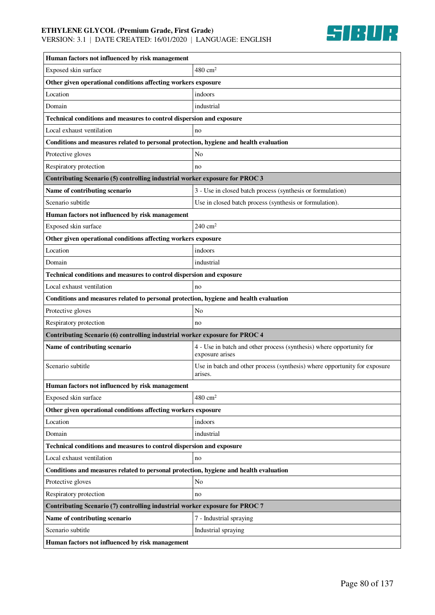

| Human factors not influenced by risk management                                       |                                                                                         |  |
|---------------------------------------------------------------------------------------|-----------------------------------------------------------------------------------------|--|
| Exposed skin surface                                                                  | $480 \text{ cm}^2$                                                                      |  |
| Other given operational conditions affecting workers exposure                         |                                                                                         |  |
| Location                                                                              | indoors                                                                                 |  |
| Domain                                                                                | industrial                                                                              |  |
| Technical conditions and measures to control dispersion and exposure                  |                                                                                         |  |
| Local exhaust ventilation                                                             | no                                                                                      |  |
| Conditions and measures related to personal protection, hygiene and health evaluation |                                                                                         |  |
| Protective gloves                                                                     | No                                                                                      |  |
| Respiratory protection                                                                | no                                                                                      |  |
| Contributing Scenario (5) controlling industrial worker exposure for PROC 3           |                                                                                         |  |
| Name of contributing scenario                                                         | 3 - Use in closed batch process (synthesis or formulation)                              |  |
| Scenario subtitle                                                                     | Use in closed batch process (synthesis or formulation).                                 |  |
| Human factors not influenced by risk management                                       |                                                                                         |  |
| Exposed skin surface                                                                  | $240 \text{ cm}^2$                                                                      |  |
| Other given operational conditions affecting workers exposure                         |                                                                                         |  |
| Location                                                                              | indoors                                                                                 |  |
| Domain                                                                                | industrial                                                                              |  |
| Technical conditions and measures to control dispersion and exposure                  |                                                                                         |  |
| Local exhaust ventilation                                                             | no                                                                                      |  |
| Conditions and measures related to personal protection, hygiene and health evaluation |                                                                                         |  |
| Protective gloves                                                                     | No                                                                                      |  |
| Respiratory protection                                                                | no                                                                                      |  |
| Contributing Scenario (6) controlling industrial worker exposure for PROC 4           |                                                                                         |  |
| Name of contributing scenario                                                         | 4 - Use in batch and other process (synthesis) where opportunity for<br>exposure arises |  |
| Scenario subtitle                                                                     | Use in batch and other process (synthesis) where opportunity for exposure<br>arises.    |  |
| Human factors not influenced by risk management                                       |                                                                                         |  |
| Exposed skin surface                                                                  | $480$ cm <sup>2</sup>                                                                   |  |
| Other given operational conditions affecting workers exposure                         |                                                                                         |  |
| Location                                                                              | indoors                                                                                 |  |
| Domain                                                                                | industrial                                                                              |  |
| Technical conditions and measures to control dispersion and exposure                  |                                                                                         |  |
| Local exhaust ventilation                                                             | no                                                                                      |  |
| Conditions and measures related to personal protection, hygiene and health evaluation |                                                                                         |  |
| Protective gloves                                                                     | No                                                                                      |  |
| Respiratory protection                                                                | no                                                                                      |  |
| Contributing Scenario (7) controlling industrial worker exposure for PROC 7           |                                                                                         |  |
| Name of contributing scenario                                                         | 7 - Industrial spraying                                                                 |  |
| Scenario subtitle                                                                     | Industrial spraying                                                                     |  |
| Human factors not influenced by risk management                                       |                                                                                         |  |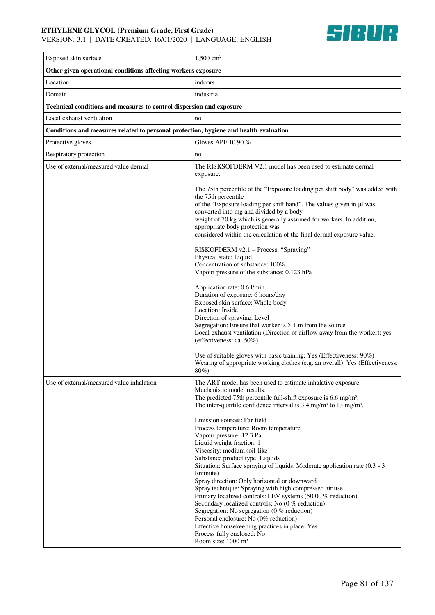

| Exposed skin surface                                                                  | $1,500$ cm <sup>2</sup>                                                                                                                                                                                                                                                                                                                                                                                                                                                                                                                                                                                                                                                                                                               |
|---------------------------------------------------------------------------------------|---------------------------------------------------------------------------------------------------------------------------------------------------------------------------------------------------------------------------------------------------------------------------------------------------------------------------------------------------------------------------------------------------------------------------------------------------------------------------------------------------------------------------------------------------------------------------------------------------------------------------------------------------------------------------------------------------------------------------------------|
| Other given operational conditions affecting workers exposure                         |                                                                                                                                                                                                                                                                                                                                                                                                                                                                                                                                                                                                                                                                                                                                       |
| Location                                                                              | indoors                                                                                                                                                                                                                                                                                                                                                                                                                                                                                                                                                                                                                                                                                                                               |
| Domain                                                                                | industrial                                                                                                                                                                                                                                                                                                                                                                                                                                                                                                                                                                                                                                                                                                                            |
| Technical conditions and measures to control dispersion and exposure                  |                                                                                                                                                                                                                                                                                                                                                                                                                                                                                                                                                                                                                                                                                                                                       |
| Local exhaust ventilation                                                             | no                                                                                                                                                                                                                                                                                                                                                                                                                                                                                                                                                                                                                                                                                                                                    |
| Conditions and measures related to personal protection, hygiene and health evaluation |                                                                                                                                                                                                                                                                                                                                                                                                                                                                                                                                                                                                                                                                                                                                       |
| Protective gloves                                                                     | Gloves APF 10 90 %                                                                                                                                                                                                                                                                                                                                                                                                                                                                                                                                                                                                                                                                                                                    |
| Respiratory protection                                                                | no                                                                                                                                                                                                                                                                                                                                                                                                                                                                                                                                                                                                                                                                                                                                    |
| Use of external/measured value dermal                                                 | The RISKSOFDERM V2.1 model has been used to estimate dermal<br>exposure.                                                                                                                                                                                                                                                                                                                                                                                                                                                                                                                                                                                                                                                              |
|                                                                                       | The 75th percentile of the "Exposure loading per shift body" was added with<br>the 75th percentile<br>of the "Exposure loading per shift hand". The values given in µl was<br>converted into mg and divided by a body<br>weight of 70 kg which is generally assumed for workers. In addition,<br>appropriate body protection was<br>considered within the calculation of the final dermal exposure value.                                                                                                                                                                                                                                                                                                                             |
|                                                                                       | RISKOFDERM v2.1 - Process: "Spraying"<br>Physical state: Liquid<br>Concentration of substance: 100%<br>Vapour pressure of the substance: 0.123 hPa                                                                                                                                                                                                                                                                                                                                                                                                                                                                                                                                                                                    |
|                                                                                       | Application rate: 0.6 l/min<br>Duration of exposure: 6 hours/day<br>Exposed skin surface: Whole body<br>Location: Inside<br>Direction of spraying: Level<br>Segregation: Ensure that worker is $> 1$ m from the source<br>Local exhaust ventilation (Direction of airflow away from the worker): yes<br>(effectiveness: ca. 50%)                                                                                                                                                                                                                                                                                                                                                                                                      |
|                                                                                       | Use of suitable gloves with basic training: Yes (Effectiveness: 90%)<br>Wearing of appropriate working clothes (e.g. an overall): Yes (Effectiveness:<br>$80\%)$                                                                                                                                                                                                                                                                                                                                                                                                                                                                                                                                                                      |
| Use of external/measured value inhalation                                             | The ART model has been used to estimate inhalative exposure.<br>Mechanistic model results:<br>The predicted 75th percentile full-shift exposure is $6.6$ mg/m <sup>3</sup> .<br>The inter-quartile confidence interval is $3.4 \text{ mg/m}^3$ to $13 \text{ mg/m}^3$ .                                                                                                                                                                                                                                                                                                                                                                                                                                                               |
|                                                                                       | Emission sources: Far field<br>Process temperature: Room temperature<br>Vapour pressure: 12.3 Pa<br>Liquid weight fraction: 1<br>Viscosity: medium (oil-like)<br>Substance product type: Liquids<br>Situation: Surface spraying of liquids, Moderate application rate (0.3 - 3)<br>l/minute)<br>Spray direction: Only horizontal or downward<br>Spray technique: Spraying with high compressed air use<br>Primary localized controls: LEV systems (50.00 % reduction)<br>Secondary localized controls: No (0 % reduction)<br>Segregation: No segregation $(0 %$ reduction)<br>Personal enclosure: No (0% reduction)<br>Effective housekeeping practices in place: Yes<br>Process fully enclosed: No<br>Room size: 1000 m <sup>3</sup> |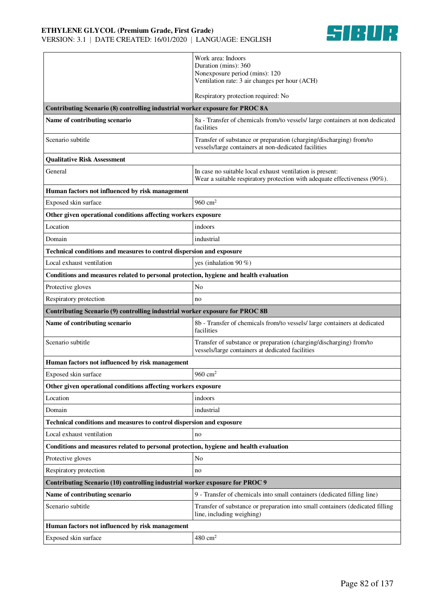

|                                                                                       | Work area: Indoors                                                                                                                     |  |  |
|---------------------------------------------------------------------------------------|----------------------------------------------------------------------------------------------------------------------------------------|--|--|
|                                                                                       | Duration (mins): 360<br>Nonexposure period (mins): 120                                                                                 |  |  |
|                                                                                       | Ventilation rate: 3 air changes per hour (ACH)                                                                                         |  |  |
|                                                                                       | Respiratory protection required: No                                                                                                    |  |  |
| Contributing Scenario (8) controlling industrial worker exposure for PROC 8A          |                                                                                                                                        |  |  |
| Name of contributing scenario                                                         | 8a - Transfer of chemicals from/to vessels/ large containers at non dedicated<br>facilities                                            |  |  |
| Scenario subtitle                                                                     | Transfer of substance or preparation (charging/discharging) from/to                                                                    |  |  |
|                                                                                       | vessels/large containers at non-dedicated facilities                                                                                   |  |  |
| <b>Qualitative Risk Assessment</b>                                                    |                                                                                                                                        |  |  |
| General                                                                               | In case no suitable local exhaust ventilation is present:<br>Wear a suitable respiratory protection with adequate effectiveness (90%). |  |  |
| Human factors not influenced by risk management                                       |                                                                                                                                        |  |  |
| Exposed skin surface                                                                  | 960 $cm2$                                                                                                                              |  |  |
| Other given operational conditions affecting workers exposure                         |                                                                                                                                        |  |  |
| Location                                                                              | indoors                                                                                                                                |  |  |
| Domain                                                                                | industrial                                                                                                                             |  |  |
| Technical conditions and measures to control dispersion and exposure                  |                                                                                                                                        |  |  |
| Local exhaust ventilation                                                             | yes (inhalation 90 $\%$ )                                                                                                              |  |  |
| Conditions and measures related to personal protection, hygiene and health evaluation |                                                                                                                                        |  |  |
| Protective gloves                                                                     | N <sub>o</sub>                                                                                                                         |  |  |
| Respiratory protection                                                                | no                                                                                                                                     |  |  |
| Contributing Scenario (9) controlling industrial worker exposure for PROC 8B          |                                                                                                                                        |  |  |
| Name of contributing scenario                                                         | 8b - Transfer of chemicals from/to vessels/ large containers at dedicated<br>facilities                                                |  |  |
| Scenario subtitle                                                                     | Transfer of substance or preparation (charging/discharging) from/to<br>vessels/large containers at dedicated facilities                |  |  |
| Human factors not influenced by risk management                                       |                                                                                                                                        |  |  |
| Exposed skin surface                                                                  | 960 cm <sup>2</sup>                                                                                                                    |  |  |
| Other given operational conditions affecting workers exposure                         |                                                                                                                                        |  |  |
| Location                                                                              | indoors                                                                                                                                |  |  |
| Domain                                                                                | industrial                                                                                                                             |  |  |
| Technical conditions and measures to control dispersion and exposure                  |                                                                                                                                        |  |  |
| Local exhaust ventilation                                                             | no                                                                                                                                     |  |  |
| Conditions and measures related to personal protection, hygiene and health evaluation |                                                                                                                                        |  |  |
| Protective gloves                                                                     | No                                                                                                                                     |  |  |
| Respiratory protection                                                                | no                                                                                                                                     |  |  |
| Contributing Scenario (10) controlling industrial worker exposure for PROC 9          |                                                                                                                                        |  |  |
| Name of contributing scenario                                                         | 9 - Transfer of chemicals into small containers (dedicated filling line)                                                               |  |  |
| Scenario subtitle                                                                     | Transfer of substance or preparation into small containers (dedicated filling<br>line, including weighing)                             |  |  |
| Human factors not influenced by risk management                                       |                                                                                                                                        |  |  |
| Exposed skin surface                                                                  | $480$ cm <sup>2</sup>                                                                                                                  |  |  |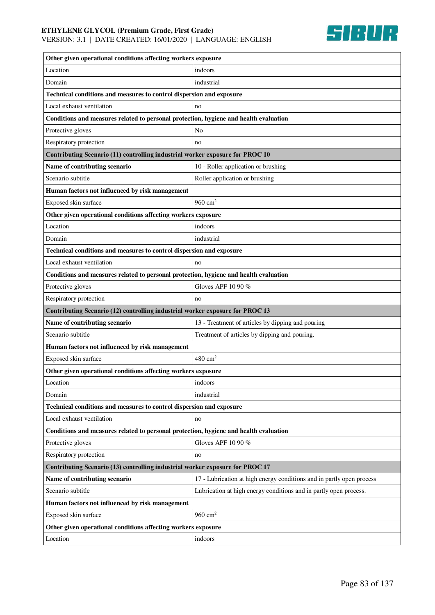

| Other given operational conditions affecting workers exposure                         |                                                                       |  |
|---------------------------------------------------------------------------------------|-----------------------------------------------------------------------|--|
| Location                                                                              | indoors                                                               |  |
| Domain                                                                                | industrial                                                            |  |
| Technical conditions and measures to control dispersion and exposure                  |                                                                       |  |
| Local exhaust ventilation                                                             | no                                                                    |  |
| Conditions and measures related to personal protection, hygiene and health evaluation |                                                                       |  |
| Protective gloves                                                                     | N <sub>0</sub>                                                        |  |
| Respiratory protection                                                                | no                                                                    |  |
| Contributing Scenario (11) controlling industrial worker exposure for PROC 10         |                                                                       |  |
| Name of contributing scenario                                                         | 10 - Roller application or brushing                                   |  |
| Scenario subtitle                                                                     | Roller application or brushing                                        |  |
| Human factors not influenced by risk management                                       |                                                                       |  |
| Exposed skin surface                                                                  | 960 $cm2$                                                             |  |
| Other given operational conditions affecting workers exposure                         |                                                                       |  |
| Location                                                                              | indoors                                                               |  |
| Domain                                                                                | industrial                                                            |  |
| Technical conditions and measures to control dispersion and exposure                  |                                                                       |  |
| Local exhaust ventilation                                                             | no                                                                    |  |
| Conditions and measures related to personal protection, hygiene and health evaluation |                                                                       |  |
| Protective gloves                                                                     | Gloves APF 10 90 %                                                    |  |
| Respiratory protection                                                                | no                                                                    |  |
| Contributing Scenario (12) controlling industrial worker exposure for PROC 13         |                                                                       |  |
| Name of contributing scenario                                                         | 13 - Treatment of articles by dipping and pouring                     |  |
| Scenario subtitle                                                                     | Treatment of articles by dipping and pouring.                         |  |
| Human factors not influenced by risk management                                       |                                                                       |  |
| Exposed skin surface                                                                  | $480 \text{ cm}^2$                                                    |  |
| Other given operational conditions affecting workers exposure                         |                                                                       |  |
| Location                                                                              | indoors                                                               |  |
| Domain                                                                                | industrial                                                            |  |
| Technical conditions and measures to control dispersion and exposure                  |                                                                       |  |
| Local exhaust ventilation                                                             | no                                                                    |  |
| Conditions and measures related to personal protection, hygiene and health evaluation |                                                                       |  |
| Protective gloves                                                                     | Gloves APF 10 90 %                                                    |  |
| Respiratory protection                                                                | no                                                                    |  |
| Contributing Scenario (13) controlling industrial worker exposure for PROC 17         |                                                                       |  |
| Name of contributing scenario                                                         | 17 - Lubrication at high energy conditions and in partly open process |  |
| Scenario subtitle                                                                     | Lubrication at high energy conditions and in partly open process.     |  |
| Human factors not influenced by risk management                                       |                                                                       |  |
| Exposed skin surface                                                                  | 960 $cm2$                                                             |  |
| Other given operational conditions affecting workers exposure                         |                                                                       |  |
|                                                                                       |                                                                       |  |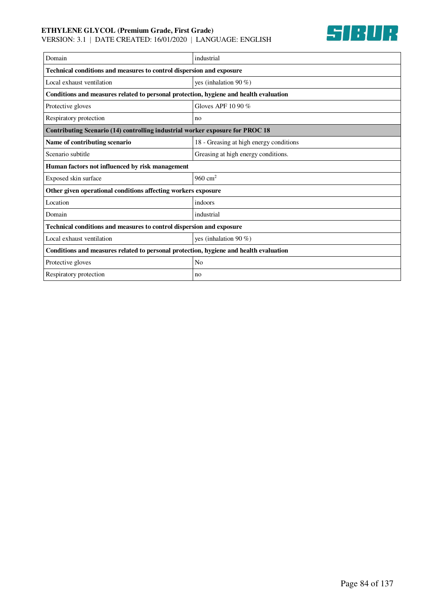

| Domain                                                                                | industrial                                                           |  |  |
|---------------------------------------------------------------------------------------|----------------------------------------------------------------------|--|--|
|                                                                                       | Technical conditions and measures to control dispersion and exposure |  |  |
| Local exhaust ventilation                                                             | yes (inhalation 90 %)                                                |  |  |
| Conditions and measures related to personal protection, hygiene and health evaluation |                                                                      |  |  |
| Protective gloves                                                                     | Gloves APF 10.90 $%$                                                 |  |  |
| Respiratory protection                                                                | no                                                                   |  |  |
| Contributing Scenario (14) controlling industrial worker exposure for PROC 18         |                                                                      |  |  |
| Name of contributing scenario                                                         | 18 - Greasing at high energy conditions                              |  |  |
| Scenario subtitle                                                                     | Greasing at high energy conditions.                                  |  |  |
| Human factors not influenced by risk management                                       |                                                                      |  |  |
| Exposed skin surface                                                                  | 960 $cm2$                                                            |  |  |
| Other given operational conditions affecting workers exposure                         |                                                                      |  |  |
| Location                                                                              | indoors                                                              |  |  |
| Domain                                                                                | industrial                                                           |  |  |
| Technical conditions and measures to control dispersion and exposure                  |                                                                      |  |  |
| Local exhaust ventilation                                                             | yes (inhalation 90 %)                                                |  |  |
| Conditions and measures related to personal protection, hygiene and health evaluation |                                                                      |  |  |
| Protective gloves                                                                     | N <sub>0</sub>                                                       |  |  |
| Respiratory protection                                                                | no                                                                   |  |  |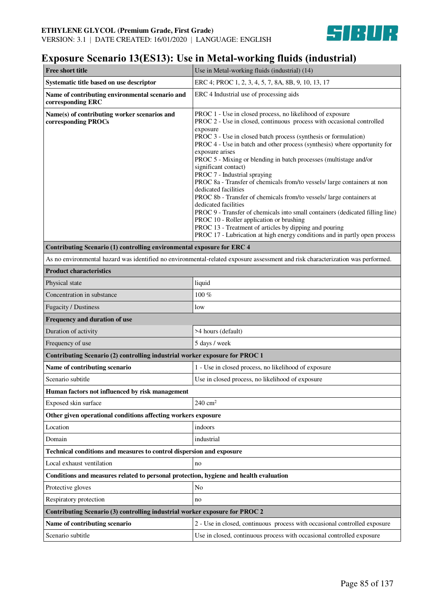

# **Exposure Scenario 13(ES13): Use in Metal-working fluids (industrial)**

| <b>Free short title</b>                                                                                                         | Use in Metal-working fluids (industrial) (14)                                                                                                                                                                                                                                                                                                                                                                                                                                                                                                                                                                                                                                                                                                                                                                                                                                                                           |
|---------------------------------------------------------------------------------------------------------------------------------|-------------------------------------------------------------------------------------------------------------------------------------------------------------------------------------------------------------------------------------------------------------------------------------------------------------------------------------------------------------------------------------------------------------------------------------------------------------------------------------------------------------------------------------------------------------------------------------------------------------------------------------------------------------------------------------------------------------------------------------------------------------------------------------------------------------------------------------------------------------------------------------------------------------------------|
| Systematic title based on use descriptor                                                                                        | ERC 4; PROC 1, 2, 3, 4, 5, 7, 8A, 8B, 9, 10, 13, 17                                                                                                                                                                                                                                                                                                                                                                                                                                                                                                                                                                                                                                                                                                                                                                                                                                                                     |
| Name of contributing environmental scenario and<br>corresponding ERC                                                            | ERC 4 Industrial use of processing aids                                                                                                                                                                                                                                                                                                                                                                                                                                                                                                                                                                                                                                                                                                                                                                                                                                                                                 |
| Name(s) of contributing worker scenarios and<br>corresponding PROCs                                                             | PROC 1 - Use in closed process, no likelihood of exposure<br>PROC 2 - Use in closed, continuous process with occasional controlled<br>exposure<br>PROC 3 - Use in closed batch process (synthesis or formulation)<br>PROC 4 - Use in batch and other process (synthesis) where opportunity for<br>exposure arises<br>PROC 5 - Mixing or blending in batch processes (multistage and/or<br>significant contact)<br>PROC 7 - Industrial spraying<br>PROC 8a - Transfer of chemicals from/to vessels/ large containers at non<br>dedicated facilities<br>PROC 8b - Transfer of chemicals from/to vessels/ large containers at<br>dedicated facilities<br>PROC 9 - Transfer of chemicals into small containers (dedicated filling line)<br>PROC 10 - Roller application or brushing<br>PROC 13 - Treatment of articles by dipping and pouring<br>PROC 17 - Lubrication at high energy conditions and in partly open process |
| Contributing Scenario (1) controlling environmental exposure for ERC 4                                                          |                                                                                                                                                                                                                                                                                                                                                                                                                                                                                                                                                                                                                                                                                                                                                                                                                                                                                                                         |
| As no environmental hazard was identified no environmental-related exposure assessment and risk characterization was performed. |                                                                                                                                                                                                                                                                                                                                                                                                                                                                                                                                                                                                                                                                                                                                                                                                                                                                                                                         |
| <b>Product characteristics</b>                                                                                                  |                                                                                                                                                                                                                                                                                                                                                                                                                                                                                                                                                                                                                                                                                                                                                                                                                                                                                                                         |
| Physical state                                                                                                                  | liquid                                                                                                                                                                                                                                                                                                                                                                                                                                                                                                                                                                                                                                                                                                                                                                                                                                                                                                                  |
| Concentration in substance                                                                                                      | $100\%$                                                                                                                                                                                                                                                                                                                                                                                                                                                                                                                                                                                                                                                                                                                                                                                                                                                                                                                 |
| <b>Fugacity / Dustiness</b>                                                                                                     | low                                                                                                                                                                                                                                                                                                                                                                                                                                                                                                                                                                                                                                                                                                                                                                                                                                                                                                                     |
| Frequency and duration of use                                                                                                   |                                                                                                                                                                                                                                                                                                                                                                                                                                                                                                                                                                                                                                                                                                                                                                                                                                                                                                                         |
| Duration of activity                                                                                                            | >4 hours (default)                                                                                                                                                                                                                                                                                                                                                                                                                                                                                                                                                                                                                                                                                                                                                                                                                                                                                                      |
| Frequency of use                                                                                                                | 5 days / week                                                                                                                                                                                                                                                                                                                                                                                                                                                                                                                                                                                                                                                                                                                                                                                                                                                                                                           |
| Contributing Scenario (2) controlling industrial worker exposure for PROC 1                                                     |                                                                                                                                                                                                                                                                                                                                                                                                                                                                                                                                                                                                                                                                                                                                                                                                                                                                                                                         |
| Name of contributing scenario                                                                                                   | 1 - Use in closed process, no likelihood of exposure                                                                                                                                                                                                                                                                                                                                                                                                                                                                                                                                                                                                                                                                                                                                                                                                                                                                    |
| Scenario subtitle                                                                                                               | Use in closed process, no likelihood of exposure                                                                                                                                                                                                                                                                                                                                                                                                                                                                                                                                                                                                                                                                                                                                                                                                                                                                        |
| Human factors not influenced by risk management                                                                                 |                                                                                                                                                                                                                                                                                                                                                                                                                                                                                                                                                                                                                                                                                                                                                                                                                                                                                                                         |
| Exposed skin surface                                                                                                            | $240 \text{ cm}^2$                                                                                                                                                                                                                                                                                                                                                                                                                                                                                                                                                                                                                                                                                                                                                                                                                                                                                                      |
| Other given operational conditions affecting workers exposure                                                                   |                                                                                                                                                                                                                                                                                                                                                                                                                                                                                                                                                                                                                                                                                                                                                                                                                                                                                                                         |
| Location                                                                                                                        | indoors                                                                                                                                                                                                                                                                                                                                                                                                                                                                                                                                                                                                                                                                                                                                                                                                                                                                                                                 |
| Domain                                                                                                                          | industrial                                                                                                                                                                                                                                                                                                                                                                                                                                                                                                                                                                                                                                                                                                                                                                                                                                                                                                              |
| Technical conditions and measures to control dispersion and exposure                                                            |                                                                                                                                                                                                                                                                                                                                                                                                                                                                                                                                                                                                                                                                                                                                                                                                                                                                                                                         |
| Local exhaust ventilation                                                                                                       | no                                                                                                                                                                                                                                                                                                                                                                                                                                                                                                                                                                                                                                                                                                                                                                                                                                                                                                                      |
| Conditions and measures related to personal protection, hygiene and health evaluation                                           |                                                                                                                                                                                                                                                                                                                                                                                                                                                                                                                                                                                                                                                                                                                                                                                                                                                                                                                         |
| Protective gloves                                                                                                               | No                                                                                                                                                                                                                                                                                                                                                                                                                                                                                                                                                                                                                                                                                                                                                                                                                                                                                                                      |
| Respiratory protection                                                                                                          | no                                                                                                                                                                                                                                                                                                                                                                                                                                                                                                                                                                                                                                                                                                                                                                                                                                                                                                                      |
| Contributing Scenario (3) controlling industrial worker exposure for PROC 2                                                     |                                                                                                                                                                                                                                                                                                                                                                                                                                                                                                                                                                                                                                                                                                                                                                                                                                                                                                                         |
| Name of contributing scenario                                                                                                   | 2 - Use in closed, continuous process with occasional controlled exposure                                                                                                                                                                                                                                                                                                                                                                                                                                                                                                                                                                                                                                                                                                                                                                                                                                               |
| Scenario subtitle                                                                                                               | Use in closed, continuous process with occasional controlled exposure                                                                                                                                                                                                                                                                                                                                                                                                                                                                                                                                                                                                                                                                                                                                                                                                                                                   |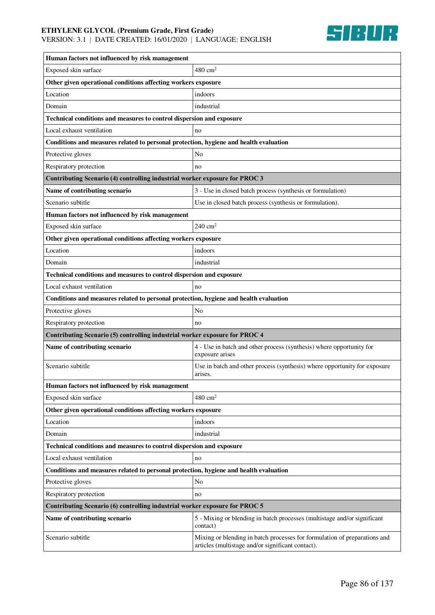

| Human factors not influenced by risk management                                       |                                                                                                                                |  |
|---------------------------------------------------------------------------------------|--------------------------------------------------------------------------------------------------------------------------------|--|
| Exposed skin surface                                                                  | $480 \text{ cm}^2$                                                                                                             |  |
| Other given operational conditions affecting workers exposure                         |                                                                                                                                |  |
| Location                                                                              | indoors                                                                                                                        |  |
| Domain                                                                                | industrial                                                                                                                     |  |
| Technical conditions and measures to control dispersion and exposure                  |                                                                                                                                |  |
| Local exhaust ventilation                                                             | no                                                                                                                             |  |
| Conditions and measures related to personal protection, hygiene and health evaluation |                                                                                                                                |  |
| Protective gloves                                                                     | No                                                                                                                             |  |
| Respiratory protection                                                                | no                                                                                                                             |  |
| Contributing Scenario (4) controlling industrial worker exposure for PROC 3           |                                                                                                                                |  |
| Name of contributing scenario                                                         | 3 - Use in closed batch process (synthesis or formulation)                                                                     |  |
| Scenario subtitle                                                                     | Use in closed batch process (synthesis or formulation).                                                                        |  |
| Human factors not influenced by risk management                                       |                                                                                                                                |  |
| Exposed skin surface                                                                  | $240$ cm <sup>2</sup>                                                                                                          |  |
| Other given operational conditions affecting workers exposure                         |                                                                                                                                |  |
| Location                                                                              | indoors                                                                                                                        |  |
| Domain                                                                                | industrial                                                                                                                     |  |
| Technical conditions and measures to control dispersion and exposure                  |                                                                                                                                |  |
| Local exhaust ventilation                                                             | no                                                                                                                             |  |
| Conditions and measures related to personal protection, hygiene and health evaluation |                                                                                                                                |  |
| Protective gloves                                                                     | No                                                                                                                             |  |
| Respiratory protection                                                                | no                                                                                                                             |  |
| Contributing Scenario (5) controlling industrial worker exposure for PROC 4           |                                                                                                                                |  |
| Name of contributing scenario                                                         | 4 - Use in batch and other process (synthesis) where opportunity for<br>exposure arises                                        |  |
| Scenario subtitle                                                                     | Use in batch and other process (synthesis) where opportunity for exposure<br>arises.                                           |  |
| Human factors not influenced by risk management                                       |                                                                                                                                |  |
| Exposed skin surface                                                                  | $480$ cm <sup>2</sup>                                                                                                          |  |
| Other given operational conditions affecting workers exposure                         |                                                                                                                                |  |
| Location                                                                              | indoors                                                                                                                        |  |
| Domain                                                                                | industrial                                                                                                                     |  |
| Technical conditions and measures to control dispersion and exposure                  |                                                                                                                                |  |
| Local exhaust ventilation                                                             | no                                                                                                                             |  |
| Conditions and measures related to personal protection, hygiene and health evaluation |                                                                                                                                |  |
| Protective gloves                                                                     | No                                                                                                                             |  |
| Respiratory protection                                                                | no                                                                                                                             |  |
| Contributing Scenario (6) controlling industrial worker exposure for PROC 5           |                                                                                                                                |  |
| Name of contributing scenario                                                         | 5 - Mixing or blending in batch processes (multistage and/or significant<br>contact)                                           |  |
| Scenario subtitle                                                                     | Mixing or blending in batch processes for formulation of preparations and<br>articles (multistage and/or significant contact). |  |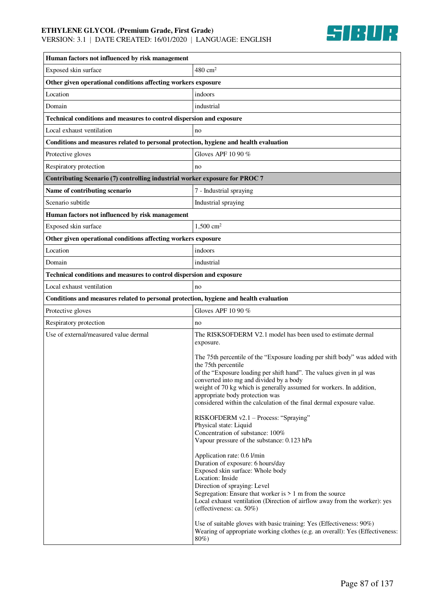

| Human factors not influenced by risk management                                       |                                                                                                                                                                                                                                                                                                                                                                                                           |  |
|---------------------------------------------------------------------------------------|-----------------------------------------------------------------------------------------------------------------------------------------------------------------------------------------------------------------------------------------------------------------------------------------------------------------------------------------------------------------------------------------------------------|--|
| Exposed skin surface                                                                  | 480 cm <sup>2</sup>                                                                                                                                                                                                                                                                                                                                                                                       |  |
| Other given operational conditions affecting workers exposure                         |                                                                                                                                                                                                                                                                                                                                                                                                           |  |
| Location                                                                              | indoors                                                                                                                                                                                                                                                                                                                                                                                                   |  |
| Domain                                                                                | industrial                                                                                                                                                                                                                                                                                                                                                                                                |  |
| Technical conditions and measures to control dispersion and exposure                  |                                                                                                                                                                                                                                                                                                                                                                                                           |  |
| Local exhaust ventilation                                                             | no                                                                                                                                                                                                                                                                                                                                                                                                        |  |
| Conditions and measures related to personal protection, hygiene and health evaluation |                                                                                                                                                                                                                                                                                                                                                                                                           |  |
| Protective gloves                                                                     | Gloves APF 10 90 %                                                                                                                                                                                                                                                                                                                                                                                        |  |
| Respiratory protection                                                                | no                                                                                                                                                                                                                                                                                                                                                                                                        |  |
| Contributing Scenario (7) controlling industrial worker exposure for PROC 7           |                                                                                                                                                                                                                                                                                                                                                                                                           |  |
| Name of contributing scenario                                                         | 7 - Industrial spraying                                                                                                                                                                                                                                                                                                                                                                                   |  |
| Scenario subtitle                                                                     | Industrial spraying                                                                                                                                                                                                                                                                                                                                                                                       |  |
| Human factors not influenced by risk management                                       |                                                                                                                                                                                                                                                                                                                                                                                                           |  |
| Exposed skin surface                                                                  | $1,500$ cm <sup>2</sup>                                                                                                                                                                                                                                                                                                                                                                                   |  |
| Other given operational conditions affecting workers exposure                         |                                                                                                                                                                                                                                                                                                                                                                                                           |  |
| Location                                                                              | indoors                                                                                                                                                                                                                                                                                                                                                                                                   |  |
| Domain                                                                                | industrial                                                                                                                                                                                                                                                                                                                                                                                                |  |
| Technical conditions and measures to control dispersion and exposure                  |                                                                                                                                                                                                                                                                                                                                                                                                           |  |
| Local exhaust ventilation                                                             | no                                                                                                                                                                                                                                                                                                                                                                                                        |  |
| Conditions and measures related to personal protection, hygiene and health evaluation |                                                                                                                                                                                                                                                                                                                                                                                                           |  |
| Protective gloves                                                                     | Gloves APF 10 90 %                                                                                                                                                                                                                                                                                                                                                                                        |  |
| Respiratory protection                                                                | no                                                                                                                                                                                                                                                                                                                                                                                                        |  |
| Use of external/measured value dermal                                                 | The RISKSOFDERM V2.1 model has been used to estimate dermal<br>exposure.                                                                                                                                                                                                                                                                                                                                  |  |
|                                                                                       | The 75th percentile of the "Exposure loading per shift body" was added with<br>the 75th percentile<br>of the "Exposure loading per shift hand". The values given in µl was<br>converted into mg and divided by a body<br>weight of 70 kg which is generally assumed for workers. In addition,<br>appropriate body protection was<br>considered within the calculation of the final dermal exposure value. |  |
|                                                                                       | RISKOFDERM v2.1 - Process: "Spraying"<br>Physical state: Liquid<br>Concentration of substance: 100%<br>Vapour pressure of the substance: 0.123 hPa                                                                                                                                                                                                                                                        |  |
|                                                                                       | Application rate: 0.6 l/min<br>Duration of exposure: 6 hours/day<br>Exposed skin surface: Whole body<br>Location: Inside<br>Direction of spraying: Level<br>Segregation: Ensure that worker is $> 1$ m from the source<br>Local exhaust ventilation (Direction of airflow away from the worker): yes<br>(effectiveness: ca. 50%)                                                                          |  |
|                                                                                       | Use of suitable gloves with basic training: Yes (Effectiveness: 90%)<br>Wearing of appropriate working clothes (e.g. an overall): Yes (Effectiveness:<br>$80\%)$                                                                                                                                                                                                                                          |  |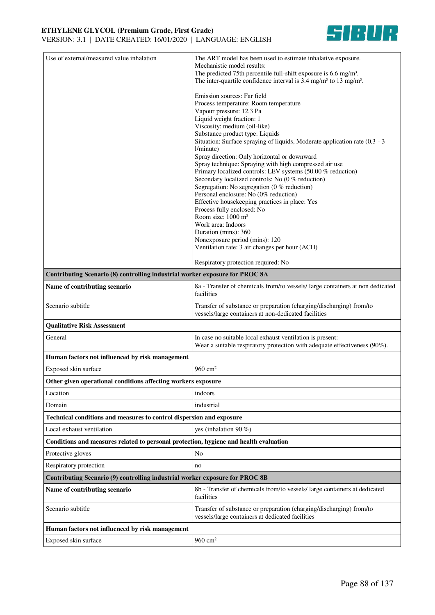

| Use of external/measured value inhalation                                             | The ART model has been used to estimate inhalative exposure.<br>Mechanistic model results:                                  |  |
|---------------------------------------------------------------------------------------|-----------------------------------------------------------------------------------------------------------------------------|--|
|                                                                                       | The predicted 75th percentile full-shift exposure is 6.6 mg/m <sup>3</sup> .                                                |  |
|                                                                                       | The inter-quartile confidence interval is $3.4 \text{ mg/m}^3$ to $13 \text{ mg/m}^3$ .                                     |  |
|                                                                                       |                                                                                                                             |  |
|                                                                                       | Emission sources: Far field<br>Process temperature: Room temperature                                                        |  |
|                                                                                       | Vapour pressure: 12.3 Pa                                                                                                    |  |
|                                                                                       | Liquid weight fraction: 1                                                                                                   |  |
|                                                                                       | Viscosity: medium (oil-like)                                                                                                |  |
|                                                                                       | Substance product type: Liquids                                                                                             |  |
|                                                                                       | Situation: Surface spraying of liquids, Moderate application rate (0.3 - 3                                                  |  |
|                                                                                       | l/minute)<br>Spray direction: Only horizontal or downward                                                                   |  |
|                                                                                       | Spray technique: Spraying with high compressed air use                                                                      |  |
|                                                                                       | Primary localized controls: LEV systems (50.00 % reduction)                                                                 |  |
|                                                                                       | Secondary localized controls: No (0 % reduction)                                                                            |  |
|                                                                                       | Segregation: No segregation $(0 %$ reduction)                                                                               |  |
|                                                                                       | Personal enclosure: No (0% reduction)                                                                                       |  |
|                                                                                       | Effective housekeeping practices in place: Yes<br>Process fully enclosed: No                                                |  |
|                                                                                       | Room size: 1000 m <sup>3</sup>                                                                                              |  |
|                                                                                       | Work area: Indoors                                                                                                          |  |
|                                                                                       | Duration (mins): 360                                                                                                        |  |
|                                                                                       | Nonexposure period (mins): 120                                                                                              |  |
|                                                                                       | Ventilation rate: 3 air changes per hour (ACH)                                                                              |  |
|                                                                                       | Respiratory protection required: No                                                                                         |  |
| Contributing Scenario (8) controlling industrial worker exposure for PROC 8A          |                                                                                                                             |  |
|                                                                                       |                                                                                                                             |  |
| Name of contributing scenario                                                         | 8a - Transfer of chemicals from/to vessels/ large containers at non dedicated<br>facilities                                 |  |
|                                                                                       |                                                                                                                             |  |
| Scenario subtitle                                                                     | Transfer of substance or preparation (charging/discharging) from/to<br>vessels/large containers at non-dedicated facilities |  |
| <b>Qualitative Risk Assessment</b>                                                    |                                                                                                                             |  |
| General                                                                               | In case no suitable local exhaust ventilation is present:                                                                   |  |
|                                                                                       | Wear a suitable respiratory protection with adequate effectiveness (90%).                                                   |  |
| Human factors not influenced by risk management                                       |                                                                                                                             |  |
| Exposed skin surface                                                                  | $960 \text{ cm}^2$                                                                                                          |  |
| Other given operational conditions affecting workers exposure                         |                                                                                                                             |  |
| Location                                                                              | indoors                                                                                                                     |  |
| Domain                                                                                | industrial                                                                                                                  |  |
| Technical conditions and measures to control dispersion and exposure                  |                                                                                                                             |  |
| Local exhaust ventilation                                                             | yes (inhalation 90 $\%$ )                                                                                                   |  |
| Conditions and measures related to personal protection, hygiene and health evaluation |                                                                                                                             |  |
| Protective gloves                                                                     | No                                                                                                                          |  |
| Respiratory protection                                                                | no                                                                                                                          |  |
| Contributing Scenario (9) controlling industrial worker exposure for PROC 8B          |                                                                                                                             |  |
| Name of contributing scenario                                                         | 8b - Transfer of chemicals from/to vessels/ large containers at dedicated<br>facilities                                     |  |
| Scenario subtitle                                                                     | Transfer of substance or preparation (charging/discharging) from/to<br>vessels/large containers at dedicated facilities     |  |
| Human factors not influenced by risk management                                       |                                                                                                                             |  |
| Exposed skin surface                                                                  | $960 \text{ cm}^2$                                                                                                          |  |
|                                                                                       |                                                                                                                             |  |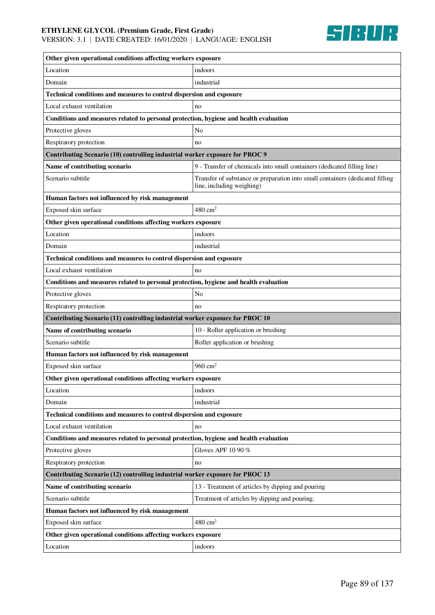

|                                                                                       | Other given operational conditions affecting workers exposure                                              |  |  |
|---------------------------------------------------------------------------------------|------------------------------------------------------------------------------------------------------------|--|--|
| Location                                                                              | indoors                                                                                                    |  |  |
| Domain                                                                                | industrial                                                                                                 |  |  |
| Technical conditions and measures to control dispersion and exposure                  |                                                                                                            |  |  |
| Local exhaust ventilation                                                             | no                                                                                                         |  |  |
| Conditions and measures related to personal protection, hygiene and health evaluation |                                                                                                            |  |  |
| Protective gloves                                                                     | No                                                                                                         |  |  |
| Respiratory protection                                                                | no                                                                                                         |  |  |
| Contributing Scenario (10) controlling industrial worker exposure for PROC 9          |                                                                                                            |  |  |
| Name of contributing scenario                                                         | 9 - Transfer of chemicals into small containers (dedicated filling line)                                   |  |  |
| Scenario subtitle                                                                     | Transfer of substance or preparation into small containers (dedicated filling<br>line, including weighing) |  |  |
| Human factors not influenced by risk management                                       |                                                                                                            |  |  |
| Exposed skin surface                                                                  | $480$ cm <sup>2</sup>                                                                                      |  |  |
| Other given operational conditions affecting workers exposure                         |                                                                                                            |  |  |
| Location                                                                              | indoors                                                                                                    |  |  |
| Domain                                                                                | industrial                                                                                                 |  |  |
| Technical conditions and measures to control dispersion and exposure                  |                                                                                                            |  |  |
| Local exhaust ventilation                                                             | no                                                                                                         |  |  |
| Conditions and measures related to personal protection, hygiene and health evaluation |                                                                                                            |  |  |
| Protective gloves                                                                     | No                                                                                                         |  |  |
| Respiratory protection                                                                | no                                                                                                         |  |  |
| Contributing Scenario (11) controlling industrial worker exposure for PROC 10         |                                                                                                            |  |  |
| Name of contributing scenario                                                         | 10 - Roller application or brushing                                                                        |  |  |
| Scenario subtitle                                                                     | Roller application or brushing                                                                             |  |  |
| Human factors not influenced by risk management                                       |                                                                                                            |  |  |
| Exposed skin surface                                                                  | 960 $cm2$                                                                                                  |  |  |
| Other given operational conditions affecting workers exposure                         |                                                                                                            |  |  |
| Location                                                                              | indoors                                                                                                    |  |  |
| Domain                                                                                | industrial                                                                                                 |  |  |
| Technical conditions and measures to control dispersion and exposure                  |                                                                                                            |  |  |
| Local exhaust ventilation                                                             | no                                                                                                         |  |  |
| Conditions and measures related to personal protection, hygiene and health evaluation |                                                                                                            |  |  |
| Protective gloves                                                                     | Gloves APF 10 90 %                                                                                         |  |  |
| Respiratory protection                                                                | no                                                                                                         |  |  |
| Contributing Scenario (12) controlling industrial worker exposure for PROC 13         |                                                                                                            |  |  |
| Name of contributing scenario                                                         | 13 - Treatment of articles by dipping and pouring                                                          |  |  |
| Scenario subtitle                                                                     | Treatment of articles by dipping and pouring.                                                              |  |  |
| Human factors not influenced by risk management                                       |                                                                                                            |  |  |
| Exposed skin surface                                                                  | $480$ cm <sup>2</sup>                                                                                      |  |  |
| Other given operational conditions affecting workers exposure                         |                                                                                                            |  |  |
| Location                                                                              | indoors                                                                                                    |  |  |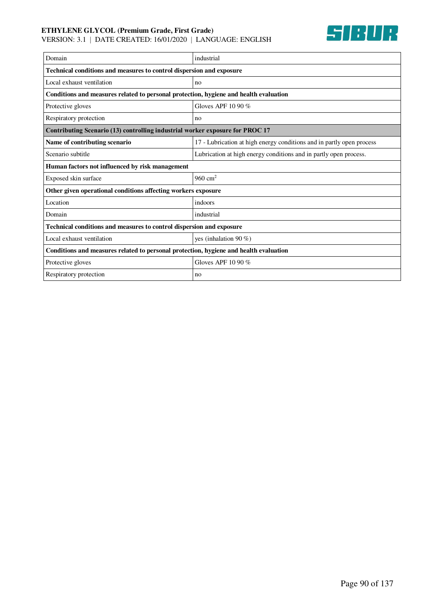

| Domain                                                                                | industrial                                                            |  |
|---------------------------------------------------------------------------------------|-----------------------------------------------------------------------|--|
| Technical conditions and measures to control dispersion and exposure                  |                                                                       |  |
| Local exhaust ventilation                                                             | no                                                                    |  |
| Conditions and measures related to personal protection, hygiene and health evaluation |                                                                       |  |
| Protective gloves                                                                     | Gloves APF 10.90 $%$                                                  |  |
| Respiratory protection                                                                | no                                                                    |  |
| Contributing Scenario (13) controlling industrial worker exposure for PROC 17         |                                                                       |  |
| Name of contributing scenario                                                         | 17 - Lubrication at high energy conditions and in partly open process |  |
| Scenario subtitle                                                                     | Lubrication at high energy conditions and in partly open process.     |  |
| Human factors not influenced by risk management                                       |                                                                       |  |
| Exposed skin surface                                                                  | $960 \text{ cm}^2$                                                    |  |
| Other given operational conditions affecting workers exposure                         |                                                                       |  |
| Location                                                                              | indoors                                                               |  |
| Domain                                                                                | industrial                                                            |  |
| Technical conditions and measures to control dispersion and exposure                  |                                                                       |  |
| Local exhaust ventilation                                                             | yes (inhalation 90 %)                                                 |  |
| Conditions and measures related to personal protection, hygiene and health evaluation |                                                                       |  |
| Protective gloves                                                                     | Gloves APF $1090\%$                                                   |  |
| Respiratory protection                                                                | no                                                                    |  |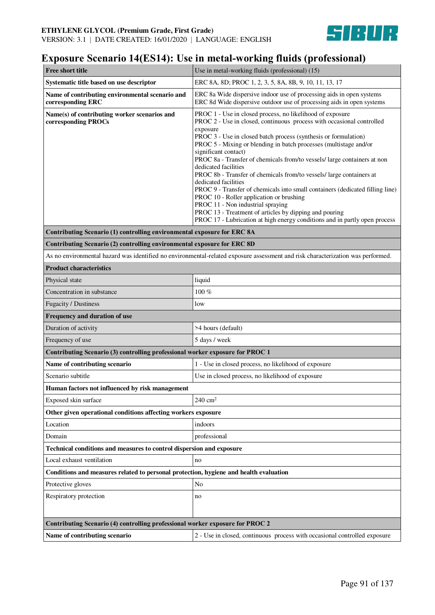

# **Exposure Scenario 14(ES14): Use in metal-working fluids (professional)**

| <b>Free short title</b>                                                                                                         | Use in metal-working fluids (professional) (15)                                                                                                                                                                                                                                                                                                                                                                                                                                                                                                                                                                                                                                        |  |
|---------------------------------------------------------------------------------------------------------------------------------|----------------------------------------------------------------------------------------------------------------------------------------------------------------------------------------------------------------------------------------------------------------------------------------------------------------------------------------------------------------------------------------------------------------------------------------------------------------------------------------------------------------------------------------------------------------------------------------------------------------------------------------------------------------------------------------|--|
| Systematic title based on use descriptor                                                                                        | ERC 8A, 8D; PROC 1, 2, 3, 5, 8A, 8B, 9, 10, 11, 13, 17                                                                                                                                                                                                                                                                                                                                                                                                                                                                                                                                                                                                                                 |  |
| Name of contributing environmental scenario and<br>corresponding ERC                                                            | ERC 8a Wide dispersive indoor use of processing aids in open systems<br>ERC 8d Wide dispersive outdoor use of processing aids in open systems                                                                                                                                                                                                                                                                                                                                                                                                                                                                                                                                          |  |
| Name(s) of contributing worker scenarios and<br>corresponding PROCs                                                             | PROC 1 - Use in closed process, no likelihood of exposure<br>PROC 2 - Use in closed, continuous process with occasional controlled                                                                                                                                                                                                                                                                                                                                                                                                                                                                                                                                                     |  |
|                                                                                                                                 | exposure<br>PROC 3 - Use in closed batch process (synthesis or formulation)<br>PROC 5 - Mixing or blending in batch processes (multistage and/or<br>significant contact)<br>PROC 8a - Transfer of chemicals from/to vessels/ large containers at non<br>dedicated facilities<br>PROC 8b - Transfer of chemicals from/to vessels/ large containers at<br>dedicated facilities<br>PROC 9 - Transfer of chemicals into small containers (dedicated filling line)<br>PROC 10 - Roller application or brushing<br>PROC 11 - Non industrial spraying<br>PROC 13 - Treatment of articles by dipping and pouring<br>PROC 17 - Lubrication at high energy conditions and in partly open process |  |
| Contributing Scenario (1) controlling environmental exposure for ERC 8A                                                         |                                                                                                                                                                                                                                                                                                                                                                                                                                                                                                                                                                                                                                                                                        |  |
| Contributing Scenario (2) controlling environmental exposure for ERC 8D                                                         |                                                                                                                                                                                                                                                                                                                                                                                                                                                                                                                                                                                                                                                                                        |  |
| As no environmental hazard was identified no environmental-related exposure assessment and risk characterization was performed. |                                                                                                                                                                                                                                                                                                                                                                                                                                                                                                                                                                                                                                                                                        |  |
| <b>Product characteristics</b>                                                                                                  |                                                                                                                                                                                                                                                                                                                                                                                                                                                                                                                                                                                                                                                                                        |  |
| Physical state                                                                                                                  | liquid                                                                                                                                                                                                                                                                                                                                                                                                                                                                                                                                                                                                                                                                                 |  |
| Concentration in substance                                                                                                      | 100 %                                                                                                                                                                                                                                                                                                                                                                                                                                                                                                                                                                                                                                                                                  |  |
| Fugacity / Dustiness                                                                                                            | low                                                                                                                                                                                                                                                                                                                                                                                                                                                                                                                                                                                                                                                                                    |  |
| Frequency and duration of use                                                                                                   |                                                                                                                                                                                                                                                                                                                                                                                                                                                                                                                                                                                                                                                                                        |  |
| Duration of activity                                                                                                            | >4 hours (default)                                                                                                                                                                                                                                                                                                                                                                                                                                                                                                                                                                                                                                                                     |  |
| Frequency of use                                                                                                                | 5 days / week                                                                                                                                                                                                                                                                                                                                                                                                                                                                                                                                                                                                                                                                          |  |
| Contributing Scenario (3) controlling professional worker exposure for PROC 1                                                   |                                                                                                                                                                                                                                                                                                                                                                                                                                                                                                                                                                                                                                                                                        |  |
| Name of contributing scenario                                                                                                   | 1 - Use in closed process, no likelihood of exposure                                                                                                                                                                                                                                                                                                                                                                                                                                                                                                                                                                                                                                   |  |
| Scenario subtitle                                                                                                               | Use in closed process, no likelihood of exposure                                                                                                                                                                                                                                                                                                                                                                                                                                                                                                                                                                                                                                       |  |
| Human factors not influenced by risk management                                                                                 |                                                                                                                                                                                                                                                                                                                                                                                                                                                                                                                                                                                                                                                                                        |  |
| Exposed skin surface                                                                                                            | $240 \text{ cm}^2$                                                                                                                                                                                                                                                                                                                                                                                                                                                                                                                                                                                                                                                                     |  |
| Other given operational conditions affecting workers exposure                                                                   |                                                                                                                                                                                                                                                                                                                                                                                                                                                                                                                                                                                                                                                                                        |  |
| Location                                                                                                                        | indoors                                                                                                                                                                                                                                                                                                                                                                                                                                                                                                                                                                                                                                                                                |  |
| Domain                                                                                                                          | professional                                                                                                                                                                                                                                                                                                                                                                                                                                                                                                                                                                                                                                                                           |  |
| Technical conditions and measures to control dispersion and exposure                                                            |                                                                                                                                                                                                                                                                                                                                                                                                                                                                                                                                                                                                                                                                                        |  |
| Local exhaust ventilation                                                                                                       | no                                                                                                                                                                                                                                                                                                                                                                                                                                                                                                                                                                                                                                                                                     |  |
|                                                                                                                                 | Conditions and measures related to personal protection, hygiene and health evaluation                                                                                                                                                                                                                                                                                                                                                                                                                                                                                                                                                                                                  |  |
| Protective gloves                                                                                                               | N <sub>o</sub>                                                                                                                                                                                                                                                                                                                                                                                                                                                                                                                                                                                                                                                                         |  |
| Respiratory protection                                                                                                          | no                                                                                                                                                                                                                                                                                                                                                                                                                                                                                                                                                                                                                                                                                     |  |
| Contributing Scenario (4) controlling professional worker exposure for PROC 2                                                   |                                                                                                                                                                                                                                                                                                                                                                                                                                                                                                                                                                                                                                                                                        |  |
| Name of contributing scenario                                                                                                   | 2 - Use in closed, continuous process with occasional controlled exposure                                                                                                                                                                                                                                                                                                                                                                                                                                                                                                                                                                                                              |  |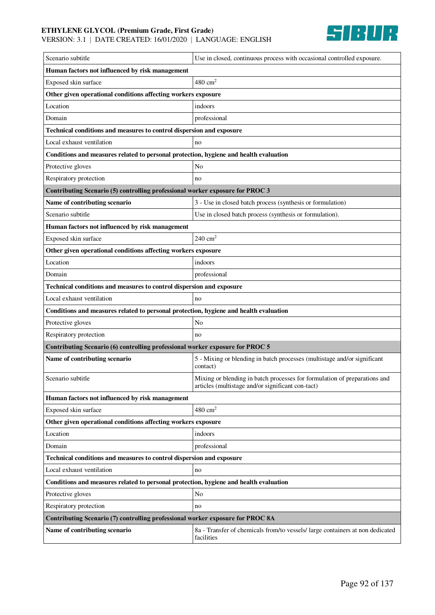

| Scenario subtitle                                                                     |                                                                                                                                |  |
|---------------------------------------------------------------------------------------|--------------------------------------------------------------------------------------------------------------------------------|--|
|                                                                                       | Use in closed, continuous process with occasional controlled exposure.                                                         |  |
| Human factors not influenced by risk management                                       |                                                                                                                                |  |
| Exposed skin surface                                                                  | $480 \text{ cm}^2$                                                                                                             |  |
| Other given operational conditions affecting workers exposure                         |                                                                                                                                |  |
| Location                                                                              | indoors                                                                                                                        |  |
| Domain                                                                                | professional                                                                                                                   |  |
| Technical conditions and measures to control dispersion and exposure                  |                                                                                                                                |  |
| Local exhaust ventilation                                                             | no                                                                                                                             |  |
| Conditions and measures related to personal protection, hygiene and health evaluation |                                                                                                                                |  |
| Protective gloves                                                                     | No                                                                                                                             |  |
| Respiratory protection                                                                | no                                                                                                                             |  |
| Contributing Scenario (5) controlling professional worker exposure for PROC 3         |                                                                                                                                |  |
| Name of contributing scenario                                                         | 3 - Use in closed batch process (synthesis or formulation)                                                                     |  |
| Scenario subtitle                                                                     | Use in closed batch process (synthesis or formulation).                                                                        |  |
| Human factors not influenced by risk management                                       |                                                                                                                                |  |
| Exposed skin surface                                                                  | $240$ cm <sup>2</sup>                                                                                                          |  |
| Other given operational conditions affecting workers exposure                         |                                                                                                                                |  |
| Location                                                                              | indoors                                                                                                                        |  |
| Domain                                                                                | professional                                                                                                                   |  |
| Technical conditions and measures to control dispersion and exposure                  |                                                                                                                                |  |
| Local exhaust ventilation                                                             | no                                                                                                                             |  |
| Conditions and measures related to personal protection, hygiene and health evaluation |                                                                                                                                |  |
| Protective gloves                                                                     | No                                                                                                                             |  |
| Respiratory protection                                                                | no                                                                                                                             |  |
| Contributing Scenario (6) controlling professional worker exposure for PROC 5         |                                                                                                                                |  |
| Name of contributing scenario                                                         | 5 - Mixing or blending in batch processes (multistage and/or significant<br>contact)                                           |  |
| Scenario subtitle                                                                     | Mixing or blending in batch processes for formulation of preparations and<br>articles (multistage and/or significant con-tact) |  |
| Human factors not influenced by risk management                                       |                                                                                                                                |  |
| Exposed skin surface                                                                  | $480$ cm <sup>2</sup>                                                                                                          |  |
| Other given operational conditions affecting workers exposure                         |                                                                                                                                |  |
| Location                                                                              | indoors                                                                                                                        |  |
| Domain                                                                                | professional                                                                                                                   |  |
| Technical conditions and measures to control dispersion and exposure                  |                                                                                                                                |  |
| Local exhaust ventilation                                                             | no                                                                                                                             |  |
| Conditions and measures related to personal protection, hygiene and health evaluation |                                                                                                                                |  |
| Protective gloves                                                                     | No                                                                                                                             |  |
| Respiratory protection                                                                | no                                                                                                                             |  |
| Contributing Scenario (7) controlling professional worker exposure for PROC 8A        |                                                                                                                                |  |
| Name of contributing scenario                                                         | 8a - Transfer of chemicals from/to vessels/ large containers at non dedicated<br>facilities                                    |  |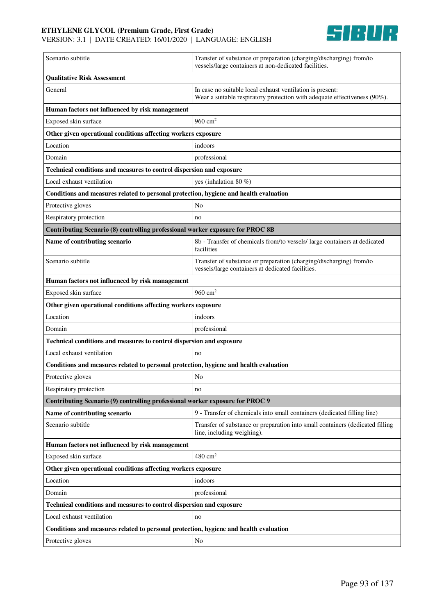

| Scenario subtitle                                                                     | Transfer of substance or preparation (charging/discharging) from/to<br>vessels/large containers at non-dedicated facilities.           |  |
|---------------------------------------------------------------------------------------|----------------------------------------------------------------------------------------------------------------------------------------|--|
| <b>Qualitative Risk Assessment</b>                                                    |                                                                                                                                        |  |
| General                                                                               | In case no suitable local exhaust ventilation is present:<br>Wear a suitable respiratory protection with adequate effectiveness (90%). |  |
| Human factors not influenced by risk management                                       |                                                                                                                                        |  |
| Exposed skin surface                                                                  | 960 $cm2$                                                                                                                              |  |
| Other given operational conditions affecting workers exposure                         |                                                                                                                                        |  |
| Location                                                                              | indoors                                                                                                                                |  |
| Domain                                                                                | professional                                                                                                                           |  |
| Technical conditions and measures to control dispersion and exposure                  |                                                                                                                                        |  |
| Local exhaust ventilation                                                             | yes (inhalation 80 $\%$ )                                                                                                              |  |
| Conditions and measures related to personal protection, hygiene and health evaluation |                                                                                                                                        |  |
| Protective gloves                                                                     | No                                                                                                                                     |  |
| Respiratory protection                                                                | no                                                                                                                                     |  |
| Contributing Scenario (8) controlling professional worker exposure for PROC 8B        |                                                                                                                                        |  |
| Name of contributing scenario                                                         | 8b - Transfer of chemicals from/to vessels/ large containers at dedicated<br>facilities                                                |  |
| Scenario subtitle                                                                     | Transfer of substance or preparation (charging/discharging) from/to<br>vessels/large containers at dedicated facilities.               |  |
| Human factors not influenced by risk management                                       |                                                                                                                                        |  |
| Exposed skin surface                                                                  | 960 cm <sup>2</sup>                                                                                                                    |  |
| Other given operational conditions affecting workers exposure                         |                                                                                                                                        |  |
| Location                                                                              | indoors                                                                                                                                |  |
| Domain                                                                                | professional                                                                                                                           |  |
| Technical conditions and measures to control dispersion and exposure                  |                                                                                                                                        |  |
| Local exhaust ventilation                                                             | no                                                                                                                                     |  |
| Conditions and measures related to personal protection, hygiene and health evaluation |                                                                                                                                        |  |
| Protective gloves                                                                     | No                                                                                                                                     |  |
| Respiratory protection                                                                | no                                                                                                                                     |  |
| Contributing Scenario (9) controlling professional worker exposure for PROC 9         |                                                                                                                                        |  |
| Name of contributing scenario                                                         | 9 - Transfer of chemicals into small containers (dedicated filling line)                                                               |  |
| Scenario subtitle                                                                     | Transfer of substance or preparation into small containers (dedicated filling<br>line, including weighing).                            |  |
| Human factors not influenced by risk management                                       |                                                                                                                                        |  |
| Exposed skin surface                                                                  | $480 \text{ cm}^2$                                                                                                                     |  |
| Other given operational conditions affecting workers exposure                         |                                                                                                                                        |  |
| Location                                                                              | indoors                                                                                                                                |  |
| Domain                                                                                | professional                                                                                                                           |  |
| Technical conditions and measures to control dispersion and exposure                  |                                                                                                                                        |  |
| Local exhaust ventilation                                                             | no                                                                                                                                     |  |
| Conditions and measures related to personal protection, hygiene and health evaluation |                                                                                                                                        |  |
| Protective gloves                                                                     | No                                                                                                                                     |  |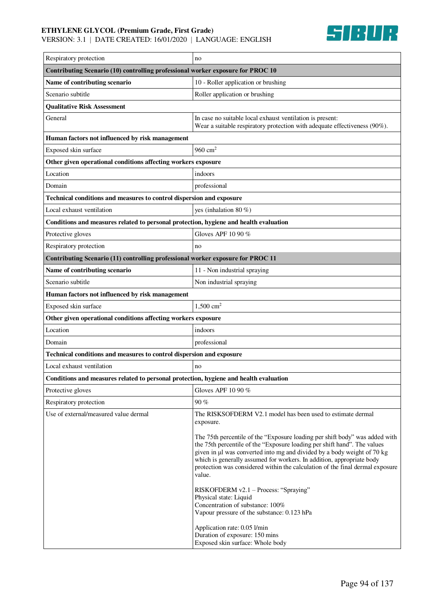

| Respiratory protection                                                                | no                                                                                                                                                                                                                                                                                                                                                                                                     |  |
|---------------------------------------------------------------------------------------|--------------------------------------------------------------------------------------------------------------------------------------------------------------------------------------------------------------------------------------------------------------------------------------------------------------------------------------------------------------------------------------------------------|--|
| Contributing Scenario (10) controlling professional worker exposure for PROC 10       |                                                                                                                                                                                                                                                                                                                                                                                                        |  |
| Name of contributing scenario                                                         | 10 - Roller application or brushing                                                                                                                                                                                                                                                                                                                                                                    |  |
| Scenario subtitle                                                                     | Roller application or brushing                                                                                                                                                                                                                                                                                                                                                                         |  |
| <b>Qualitative Risk Assessment</b>                                                    |                                                                                                                                                                                                                                                                                                                                                                                                        |  |
| General                                                                               | In case no suitable local exhaust ventilation is present:<br>Wear a suitable respiratory protection with adequate effectiveness (90%).                                                                                                                                                                                                                                                                 |  |
| Human factors not influenced by risk management                                       |                                                                                                                                                                                                                                                                                                                                                                                                        |  |
| Exposed skin surface                                                                  | 960 $cm2$                                                                                                                                                                                                                                                                                                                                                                                              |  |
| Other given operational conditions affecting workers exposure                         |                                                                                                                                                                                                                                                                                                                                                                                                        |  |
| Location                                                                              | indoors                                                                                                                                                                                                                                                                                                                                                                                                |  |
| Domain                                                                                | professional                                                                                                                                                                                                                                                                                                                                                                                           |  |
| Technical conditions and measures to control dispersion and exposure                  |                                                                                                                                                                                                                                                                                                                                                                                                        |  |
| Local exhaust ventilation                                                             | yes (inhalation 80 %)                                                                                                                                                                                                                                                                                                                                                                                  |  |
| Conditions and measures related to personal protection, hygiene and health evaluation |                                                                                                                                                                                                                                                                                                                                                                                                        |  |
| Protective gloves                                                                     | Gloves APF 10 90 %                                                                                                                                                                                                                                                                                                                                                                                     |  |
| Respiratory protection                                                                | no                                                                                                                                                                                                                                                                                                                                                                                                     |  |
| Contributing Scenario (11) controlling professional worker exposure for PROC 11       |                                                                                                                                                                                                                                                                                                                                                                                                        |  |
| Name of contributing scenario                                                         | 11 - Non industrial spraying                                                                                                                                                                                                                                                                                                                                                                           |  |
| Scenario subtitle                                                                     | Non industrial spraying                                                                                                                                                                                                                                                                                                                                                                                |  |
| Human factors not influenced by risk management                                       |                                                                                                                                                                                                                                                                                                                                                                                                        |  |
| Exposed skin surface                                                                  | $1,500$ cm <sup>2</sup>                                                                                                                                                                                                                                                                                                                                                                                |  |
| Other given operational conditions affecting workers exposure                         |                                                                                                                                                                                                                                                                                                                                                                                                        |  |
| Location                                                                              | indoors                                                                                                                                                                                                                                                                                                                                                                                                |  |
| Domain                                                                                | professional                                                                                                                                                                                                                                                                                                                                                                                           |  |
| Technical conditions and measures to control dispersion and exposure                  |                                                                                                                                                                                                                                                                                                                                                                                                        |  |
| Local exhaust ventilation                                                             | no                                                                                                                                                                                                                                                                                                                                                                                                     |  |
| Conditions and measures related to personal protection, hygiene and health evaluation |                                                                                                                                                                                                                                                                                                                                                                                                        |  |
| Protective gloves                                                                     | Gloves APF 10 90 %                                                                                                                                                                                                                                                                                                                                                                                     |  |
| Respiratory protection                                                                | 90%                                                                                                                                                                                                                                                                                                                                                                                                    |  |
| Use of external/measured value dermal                                                 | The RISKSOFDERM V2.1 model has been used to estimate dermal<br>exposure.                                                                                                                                                                                                                                                                                                                               |  |
|                                                                                       | The 75th percentile of the "Exposure loading per shift body" was added with<br>the 75th percentile of the "Exposure loading per shift hand". The values<br>given in µl was converted into mg and divided by a body weight of 70 kg<br>which is generally assumed for workers. In addition, appropriate body<br>protection was considered within the calculation of the final dermal exposure<br>value. |  |
|                                                                                       | RISKOFDERM v2.1 - Process: "Spraying"<br>Physical state: Liquid<br>Concentration of substance: 100%<br>Vapour pressure of the substance: 0.123 hPa                                                                                                                                                                                                                                                     |  |
|                                                                                       | Application rate: 0.05 l/min<br>Duration of exposure: 150 mins<br>Exposed skin surface: Whole body                                                                                                                                                                                                                                                                                                     |  |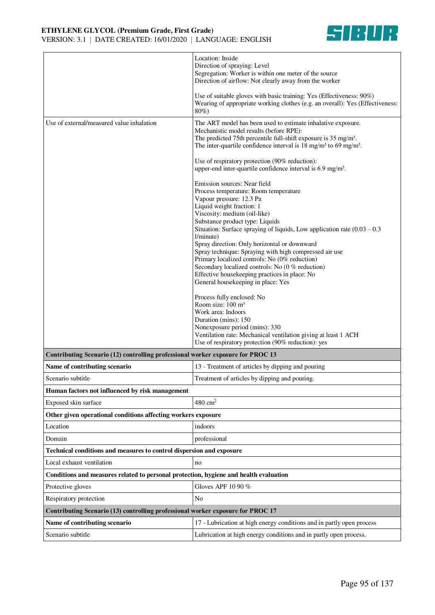

|                                                                                       | Location: Inside                                                                                                                                                     |  |
|---------------------------------------------------------------------------------------|----------------------------------------------------------------------------------------------------------------------------------------------------------------------|--|
|                                                                                       | Direction of spraying: Level                                                                                                                                         |  |
|                                                                                       | Segregation: Worker is within one meter of the source                                                                                                                |  |
|                                                                                       | Direction of airflow: Not clearly away from the worker                                                                                                               |  |
|                                                                                       | Use of suitable gloves with basic training: Yes (Effectiveness: 90%)<br>Wearing of appropriate working clothes (e.g. an overall): Yes (Effectiveness:<br>80%)        |  |
| Use of external/measured value inhalation                                             | The ART model has been used to estimate inhalative exposure.<br>Mechanistic model results (before RPE):                                                              |  |
|                                                                                       | The predicted 75th percentile full-shift exposure is $35 \text{ mg/m}^3$ .<br>The inter-quartile confidence interval is $18 \text{ mg/m}^3$ to $69 \text{ mg/m}^3$ . |  |
|                                                                                       | Use of respiratory protection (90% reduction):<br>upper-end inter-quartile confidence interval is 6.9 mg/m <sup>3</sup> .                                            |  |
|                                                                                       | Emission sources: Near field                                                                                                                                         |  |
|                                                                                       | Process temperature: Room temperature                                                                                                                                |  |
|                                                                                       | Vapour pressure: 12.3 Pa<br>Liquid weight fraction: 1                                                                                                                |  |
|                                                                                       | Viscosity: medium (oil-like)                                                                                                                                         |  |
|                                                                                       | Substance product type: Liquids<br>Situation: Surface spraying of liquids, Low application rate $(0.03 - 0.3)$                                                       |  |
|                                                                                       | l/minute)                                                                                                                                                            |  |
|                                                                                       | Spray direction: Only horizontal or downward                                                                                                                         |  |
|                                                                                       | Spray technique: Spraying with high compressed air use<br>Primary localized controls: No (0% reduction)                                                              |  |
|                                                                                       | Secondary localized controls: No (0 % reduction)                                                                                                                     |  |
|                                                                                       | Effective housekeeping practices in place: No<br>General housekeeping in place: Yes                                                                                  |  |
|                                                                                       |                                                                                                                                                                      |  |
|                                                                                       | Process fully enclosed: No                                                                                                                                           |  |
|                                                                                       | Room size: 100 m <sup>3</sup><br>Work area: Indoors                                                                                                                  |  |
|                                                                                       | Duration (mins): 150                                                                                                                                                 |  |
|                                                                                       | Nonexposure period (mins): 330                                                                                                                                       |  |
|                                                                                       | Ventilation rate: Mechanical ventilation giving at least 1 ACH<br>Use of respiratory protection (90% reduction): yes                                                 |  |
| Contributing Scenario (12) controlling professional worker exposure for PROC 13       |                                                                                                                                                                      |  |
| Name of contributing scenario                                                         | 13 - Treatment of articles by dipping and pouring                                                                                                                    |  |
| Scenario subtitle                                                                     | Treatment of articles by dipping and pouring.                                                                                                                        |  |
| Human factors not influenced by risk management                                       |                                                                                                                                                                      |  |
| Exposed skin surface                                                                  | $480$ cm <sup>2</sup>                                                                                                                                                |  |
| Other given operational conditions affecting workers exposure                         |                                                                                                                                                                      |  |
| Location                                                                              | indoors                                                                                                                                                              |  |
| Domain                                                                                | professional                                                                                                                                                         |  |
| Technical conditions and measures to control dispersion and exposure                  |                                                                                                                                                                      |  |
| Local exhaust ventilation                                                             | no                                                                                                                                                                   |  |
| Conditions and measures related to personal protection, hygiene and health evaluation |                                                                                                                                                                      |  |
| Protective gloves                                                                     | Gloves APF 10 90 %                                                                                                                                                   |  |
| Respiratory protection                                                                | No                                                                                                                                                                   |  |
| Contributing Scenario (13) controlling professional worker exposure for PROC 17       |                                                                                                                                                                      |  |
| Name of contributing scenario                                                         | 17 - Lubrication at high energy conditions and in partly open process                                                                                                |  |
| Scenario subtitle                                                                     | Lubrication at high energy conditions and in partly open process.                                                                                                    |  |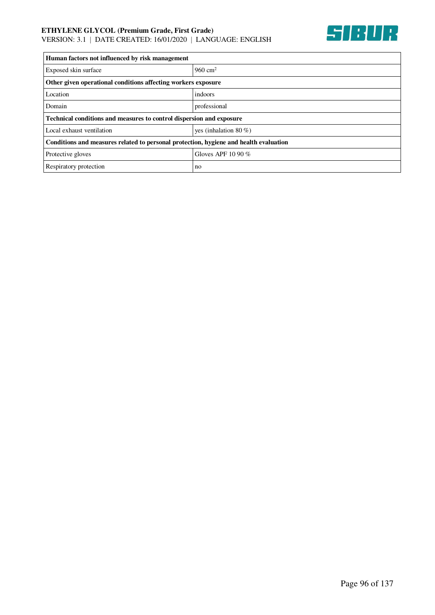

| Human factors not influenced by risk management                                       |                           |  |
|---------------------------------------------------------------------------------------|---------------------------|--|
| Exposed skin surface                                                                  | $960 \text{ cm}^2$        |  |
| Other given operational conditions affecting workers exposure                         |                           |  |
| Location                                                                              | indoors                   |  |
| Domain                                                                                | professional              |  |
| Technical conditions and measures to control dispersion and exposure                  |                           |  |
| Local exhaust ventilation                                                             | yes (inhalation 80 $\%$ ) |  |
| Conditions and measures related to personal protection, hygiene and health evaluation |                           |  |
| Protective gloves                                                                     | Gloves APF 10 90 $%$      |  |
| Respiratory protection                                                                | no                        |  |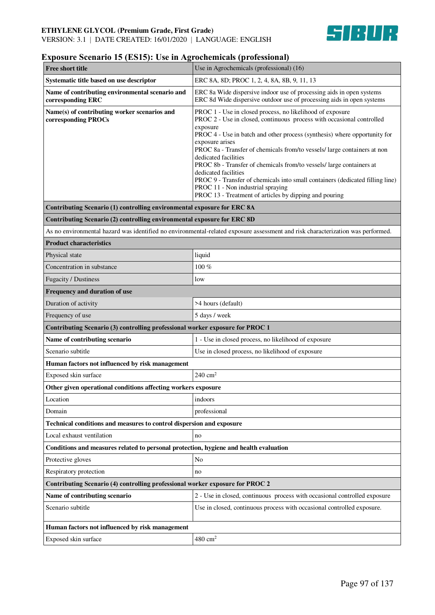

# **Exposure Scenario 15 (ES15): Use in Agrochemicals (professional)**

| <b>Free short title</b>                                                                                                         | Use in Agrochemicals (professional) (16)                                                                                                                                                                                                                                                                                                                                                                                                                                                                                                                                                                                           |  |
|---------------------------------------------------------------------------------------------------------------------------------|------------------------------------------------------------------------------------------------------------------------------------------------------------------------------------------------------------------------------------------------------------------------------------------------------------------------------------------------------------------------------------------------------------------------------------------------------------------------------------------------------------------------------------------------------------------------------------------------------------------------------------|--|
| Systematic title based on use descriptor                                                                                        | ERC 8A, 8D; PROC 1, 2, 4, 8A, 8B, 9, 11, 13                                                                                                                                                                                                                                                                                                                                                                                                                                                                                                                                                                                        |  |
| Name of contributing environmental scenario and<br>corresponding ERC                                                            | ERC 8a Wide dispersive indoor use of processing aids in open systems<br>ERC 8d Wide dispersive outdoor use of processing aids in open systems                                                                                                                                                                                                                                                                                                                                                                                                                                                                                      |  |
| Name(s) of contributing worker scenarios and<br>corresponding PROCs                                                             | PROC 1 - Use in closed process, no likelihood of exposure<br>PROC 2 - Use in closed, continuous process with occasional controlled<br>exposure<br>PROC 4 - Use in batch and other process (synthesis) where opportunity for<br>exposure arises<br>PROC 8a - Transfer of chemicals from/to vessels/ large containers at non<br>dedicated facilities<br>PROC 8b - Transfer of chemicals from/to vessels/ large containers at<br>dedicated facilities<br>PROC 9 - Transfer of chemicals into small containers (dedicated filling line)<br>PROC 11 - Non industrial spraying<br>PROC 13 - Treatment of articles by dipping and pouring |  |
| Contributing Scenario (1) controlling environmental exposure for ERC 8A                                                         |                                                                                                                                                                                                                                                                                                                                                                                                                                                                                                                                                                                                                                    |  |
| Contributing Scenario (2) controlling environmental exposure for ERC 8D                                                         |                                                                                                                                                                                                                                                                                                                                                                                                                                                                                                                                                                                                                                    |  |
| As no environmental hazard was identified no environmental-related exposure assessment and risk characterization was performed. |                                                                                                                                                                                                                                                                                                                                                                                                                                                                                                                                                                                                                                    |  |
| <b>Product characteristics</b>                                                                                                  |                                                                                                                                                                                                                                                                                                                                                                                                                                                                                                                                                                                                                                    |  |
| Physical state                                                                                                                  | liquid                                                                                                                                                                                                                                                                                                                                                                                                                                                                                                                                                                                                                             |  |
| Concentration in substance                                                                                                      | 100 %                                                                                                                                                                                                                                                                                                                                                                                                                                                                                                                                                                                                                              |  |
| Fugacity / Dustiness                                                                                                            | low                                                                                                                                                                                                                                                                                                                                                                                                                                                                                                                                                                                                                                |  |
| <b>Frequency and duration of use</b>                                                                                            |                                                                                                                                                                                                                                                                                                                                                                                                                                                                                                                                                                                                                                    |  |
| Duration of activity                                                                                                            | >4 hours (default)                                                                                                                                                                                                                                                                                                                                                                                                                                                                                                                                                                                                                 |  |
| Frequency of use                                                                                                                | 5 days / week                                                                                                                                                                                                                                                                                                                                                                                                                                                                                                                                                                                                                      |  |
| Contributing Scenario (3) controlling professional worker exposure for PROC 1                                                   |                                                                                                                                                                                                                                                                                                                                                                                                                                                                                                                                                                                                                                    |  |
| Name of contributing scenario                                                                                                   | 1 - Use in closed process, no likelihood of exposure                                                                                                                                                                                                                                                                                                                                                                                                                                                                                                                                                                               |  |
| Scenario subtitle                                                                                                               | Use in closed process, no likelihood of exposure                                                                                                                                                                                                                                                                                                                                                                                                                                                                                                                                                                                   |  |
| Human factors not influenced by risk management                                                                                 |                                                                                                                                                                                                                                                                                                                                                                                                                                                                                                                                                                                                                                    |  |
| Exposed skin surface                                                                                                            | $240$ cm <sup>2</sup>                                                                                                                                                                                                                                                                                                                                                                                                                                                                                                                                                                                                              |  |
| Other given operational conditions affecting workers exposure                                                                   |                                                                                                                                                                                                                                                                                                                                                                                                                                                                                                                                                                                                                                    |  |
| Location                                                                                                                        | indoors                                                                                                                                                                                                                                                                                                                                                                                                                                                                                                                                                                                                                            |  |
| Domain                                                                                                                          | professional                                                                                                                                                                                                                                                                                                                                                                                                                                                                                                                                                                                                                       |  |
| Technical conditions and measures to control dispersion and exposure                                                            |                                                                                                                                                                                                                                                                                                                                                                                                                                                                                                                                                                                                                                    |  |
| Local exhaust ventilation                                                                                                       | no                                                                                                                                                                                                                                                                                                                                                                                                                                                                                                                                                                                                                                 |  |
| Conditions and measures related to personal protection, hygiene and health evaluation                                           |                                                                                                                                                                                                                                                                                                                                                                                                                                                                                                                                                                                                                                    |  |
| Protective gloves                                                                                                               | No                                                                                                                                                                                                                                                                                                                                                                                                                                                                                                                                                                                                                                 |  |
| Respiratory protection                                                                                                          | no                                                                                                                                                                                                                                                                                                                                                                                                                                                                                                                                                                                                                                 |  |
| Contributing Scenario (4) controlling professional worker exposure for PROC 2                                                   |                                                                                                                                                                                                                                                                                                                                                                                                                                                                                                                                                                                                                                    |  |
| Name of contributing scenario                                                                                                   | 2 - Use in closed, continuous process with occasional controlled exposure                                                                                                                                                                                                                                                                                                                                                                                                                                                                                                                                                          |  |
| Scenario subtitle                                                                                                               | Use in closed, continuous process with occasional controlled exposure.                                                                                                                                                                                                                                                                                                                                                                                                                                                                                                                                                             |  |
| Human factors not influenced by risk management                                                                                 |                                                                                                                                                                                                                                                                                                                                                                                                                                                                                                                                                                                                                                    |  |
| Exposed skin surface                                                                                                            | $480$ cm <sup>2</sup>                                                                                                                                                                                                                                                                                                                                                                                                                                                                                                                                                                                                              |  |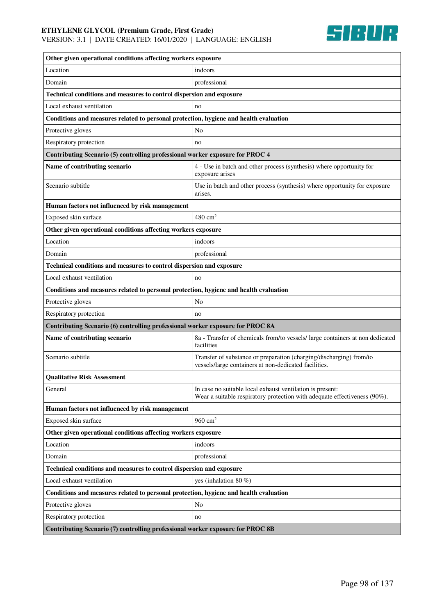

| Other given operational conditions affecting workers exposure                         |                                                                                                                                        |  |
|---------------------------------------------------------------------------------------|----------------------------------------------------------------------------------------------------------------------------------------|--|
| Location                                                                              | indoors                                                                                                                                |  |
| Domain                                                                                | professional                                                                                                                           |  |
| Technical conditions and measures to control dispersion and exposure                  |                                                                                                                                        |  |
| Local exhaust ventilation                                                             | no                                                                                                                                     |  |
| Conditions and measures related to personal protection, hygiene and health evaluation |                                                                                                                                        |  |
| Protective gloves                                                                     | No                                                                                                                                     |  |
| Respiratory protection                                                                | no                                                                                                                                     |  |
| Contributing Scenario (5) controlling professional worker exposure for PROC 4         |                                                                                                                                        |  |
| Name of contributing scenario                                                         | 4 - Use in batch and other process (synthesis) where opportunity for<br>exposure arises                                                |  |
| Scenario subtitle                                                                     | Use in batch and other process (synthesis) where opportunity for exposure<br>arises.                                                   |  |
| Human factors not influenced by risk management                                       |                                                                                                                                        |  |
| Exposed skin surface                                                                  | $480$ cm <sup>2</sup>                                                                                                                  |  |
| Other given operational conditions affecting workers exposure                         |                                                                                                                                        |  |
| Location                                                                              | indoors                                                                                                                                |  |
| Domain                                                                                | professional                                                                                                                           |  |
| Technical conditions and measures to control dispersion and exposure                  |                                                                                                                                        |  |
| Local exhaust ventilation                                                             | no                                                                                                                                     |  |
| Conditions and measures related to personal protection, hygiene and health evaluation |                                                                                                                                        |  |
| Protective gloves                                                                     | No                                                                                                                                     |  |
| Respiratory protection                                                                | no                                                                                                                                     |  |
| Contributing Scenario (6) controlling professional worker exposure for PROC 8A        |                                                                                                                                        |  |
| Name of contributing scenario                                                         | 8a - Transfer of chemicals from/to vessels/ large containers at non dedicated<br>facilities                                            |  |
| Scenario subtitle                                                                     | Transfer of substance or preparation (charging/discharging) from/to<br>vessels/large containers at non-dedicated facilities.           |  |
| <b>Qualitative Risk Assessment</b>                                                    |                                                                                                                                        |  |
| General                                                                               | In case no suitable local exhaust ventilation is present:<br>Wear a suitable respiratory protection with adequate effectiveness (90%). |  |
| Human factors not influenced by risk management                                       |                                                                                                                                        |  |
| Exposed skin surface                                                                  | $960 \text{ cm}^2$                                                                                                                     |  |
| Other given operational conditions affecting workers exposure                         |                                                                                                                                        |  |
| Location                                                                              | indoors                                                                                                                                |  |
| Domain                                                                                | professional                                                                                                                           |  |
| Technical conditions and measures to control dispersion and exposure                  |                                                                                                                                        |  |
| Local exhaust ventilation                                                             | yes (inhalation 80 $\%$ )                                                                                                              |  |
| Conditions and measures related to personal protection, hygiene and health evaluation |                                                                                                                                        |  |
| Protective gloves                                                                     | N <sub>o</sub>                                                                                                                         |  |
| Respiratory protection                                                                | no                                                                                                                                     |  |
| Contributing Scenario (7) controlling professional worker exposure for PROC 8B        |                                                                                                                                        |  |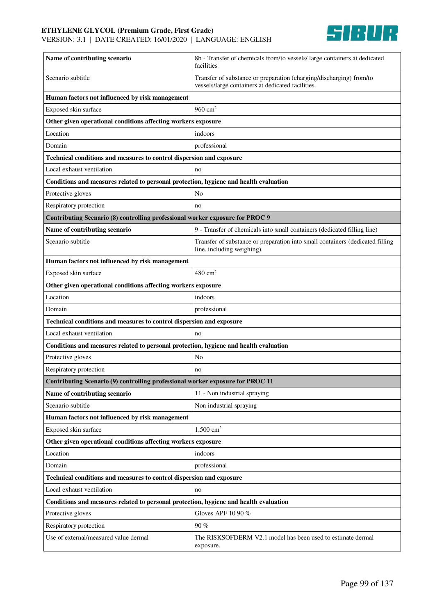

| Name of contributing scenario                                                         | 8b - Transfer of chemicals from/to vessels/ large containers at dedicated<br>facilities                                  |  |
|---------------------------------------------------------------------------------------|--------------------------------------------------------------------------------------------------------------------------|--|
| Scenario subtitle                                                                     | Transfer of substance or preparation (charging/discharging) from/to<br>vessels/large containers at dedicated facilities. |  |
| Human factors not influenced by risk management                                       |                                                                                                                          |  |
| Exposed skin surface                                                                  | 960 cm <sup>2</sup>                                                                                                      |  |
| Other given operational conditions affecting workers exposure                         |                                                                                                                          |  |
| Location                                                                              | indoors                                                                                                                  |  |
| Domain                                                                                | professional                                                                                                             |  |
| Technical conditions and measures to control dispersion and exposure                  |                                                                                                                          |  |
| Local exhaust ventilation                                                             | no                                                                                                                       |  |
| Conditions and measures related to personal protection, hygiene and health evaluation |                                                                                                                          |  |
| Protective gloves                                                                     | No                                                                                                                       |  |
| Respiratory protection                                                                | no                                                                                                                       |  |
| Contributing Scenario (8) controlling professional worker exposure for PROC 9         |                                                                                                                          |  |
| Name of contributing scenario                                                         | 9 - Transfer of chemicals into small containers (dedicated filling line)                                                 |  |
| Scenario subtitle                                                                     | Transfer of substance or preparation into small containers (dedicated filling<br>line, including weighing).              |  |
| Human factors not influenced by risk management                                       |                                                                                                                          |  |
| Exposed skin surface                                                                  | $480$ cm <sup>2</sup>                                                                                                    |  |
| Other given operational conditions affecting workers exposure                         |                                                                                                                          |  |
| Location                                                                              | indoors                                                                                                                  |  |
| Domain                                                                                | professional                                                                                                             |  |
| Technical conditions and measures to control dispersion and exposure                  |                                                                                                                          |  |
| Local exhaust ventilation                                                             | no                                                                                                                       |  |
| Conditions and measures related to personal protection, hygiene and health evaluation |                                                                                                                          |  |
| Protective gloves                                                                     | No                                                                                                                       |  |
| Respiratory protection                                                                | no                                                                                                                       |  |
| Contributing Scenario (9) controlling professional worker exposure for PROC 11        |                                                                                                                          |  |
| Name of contributing scenario                                                         | 11 - Non industrial spraying                                                                                             |  |
| Scenario subtitle                                                                     | Non industrial spraying                                                                                                  |  |
| Human factors not influenced by risk management                                       |                                                                                                                          |  |
| Exposed skin surface                                                                  | $1,500$ cm <sup>2</sup>                                                                                                  |  |
| Other given operational conditions affecting workers exposure                         |                                                                                                                          |  |
| Location                                                                              | indoors                                                                                                                  |  |
| Domain                                                                                | professional                                                                                                             |  |
| Technical conditions and measures to control dispersion and exposure                  |                                                                                                                          |  |
| Local exhaust ventilation                                                             | no                                                                                                                       |  |
| Conditions and measures related to personal protection, hygiene and health evaluation |                                                                                                                          |  |
| Protective gloves                                                                     | Gloves APF 10 90 %                                                                                                       |  |
| Respiratory protection                                                                | 90%                                                                                                                      |  |
| Use of external/measured value dermal                                                 | The RISKSOFDERM V2.1 model has been used to estimate dermal<br>exposure.                                                 |  |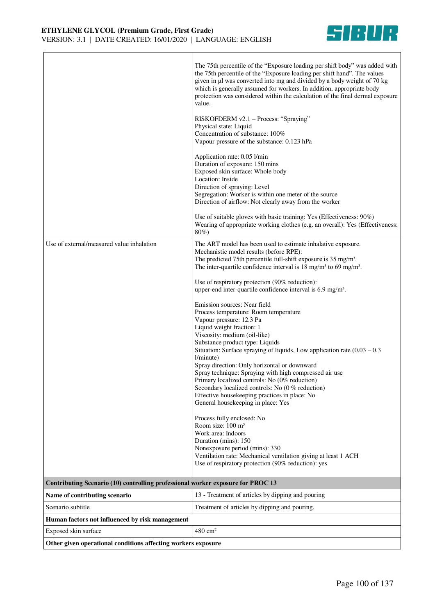

|                                                                                 | The 75th percentile of the "Exposure loading per shift body" was added with<br>the 75th percentile of the "Exposure loading per shift hand". The values<br>given in µl was converted into mg and divided by a body weight of 70 kg<br>which is generally assumed for workers. In addition, appropriate body<br>protection was considered within the calculation of the final dermal exposure<br>value.<br>RISKOFDERM v2.1 - Process: "Spraying"<br>Physical state: Liquid<br>Concentration of substance: 100%<br>Vapour pressure of the substance: 0.123 hPa<br>Application rate: 0.05 l/min<br>Duration of exposure: 150 mins<br>Exposed skin surface: Whole body<br>Location: Inside<br>Direction of spraying: Level<br>Segregation: Worker is within one meter of the source<br>Direction of airflow: Not clearly away from the worker<br>Use of suitable gloves with basic training: Yes (Effectiveness: 90%)<br>Wearing of appropriate working clothes (e.g. an overall): Yes (Effectiveness:<br>80%)                                                                                                                                                                                                                                                                                     |
|---------------------------------------------------------------------------------|------------------------------------------------------------------------------------------------------------------------------------------------------------------------------------------------------------------------------------------------------------------------------------------------------------------------------------------------------------------------------------------------------------------------------------------------------------------------------------------------------------------------------------------------------------------------------------------------------------------------------------------------------------------------------------------------------------------------------------------------------------------------------------------------------------------------------------------------------------------------------------------------------------------------------------------------------------------------------------------------------------------------------------------------------------------------------------------------------------------------------------------------------------------------------------------------------------------------------------------------------------------------------------------------|
| Use of external/measured value inhalation                                       | The ART model has been used to estimate inhalative exposure.<br>Mechanistic model results (before RPE):<br>The predicted 75th percentile full-shift exposure is $35 \text{ mg/m}^3$ .<br>The inter-quartile confidence interval is 18 mg/m <sup>3</sup> to 69 mg/m <sup>3</sup> .<br>Use of respiratory protection (90% reduction):<br>upper-end inter-quartile confidence interval is 6.9 mg/m <sup>3</sup> .<br>Emission sources: Near field<br>Process temperature: Room temperature<br>Vapour pressure: 12.3 Pa<br>Liquid weight fraction: 1<br>Viscosity: medium (oil-like)<br>Substance product type: Liquids<br>Situation: Surface spraying of liquids, Low application rate $(0.03 - 0.3)$<br>$1/minute$ )<br>Spray direction: Only horizontal or downward<br>Spray technique: Spraying with high compressed air use<br>Primary localized controls: No (0% reduction)<br>Secondary localized controls: No (0 % reduction)<br>Effective housekeeping practices in place: No<br>General housekeeping in place: Yes<br>Process fully enclosed: No<br>Room size: $100 \text{ m}^3$<br>Work area: Indoors<br>Duration (mins): 150<br>Nonexposure period (mins): 330<br>Ventilation rate: Mechanical ventilation giving at least 1 ACH<br>Use of respiratory protection (90% reduction): yes |
| Contributing Scenario (10) controlling professional worker exposure for PROC 13 |                                                                                                                                                                                                                                                                                                                                                                                                                                                                                                                                                                                                                                                                                                                                                                                                                                                                                                                                                                                                                                                                                                                                                                                                                                                                                                |
| Name of contributing scenario                                                   | 13 - Treatment of articles by dipping and pouring                                                                                                                                                                                                                                                                                                                                                                                                                                                                                                                                                                                                                                                                                                                                                                                                                                                                                                                                                                                                                                                                                                                                                                                                                                              |
| Scenario subtitle                                                               | Treatment of articles by dipping and pouring.                                                                                                                                                                                                                                                                                                                                                                                                                                                                                                                                                                                                                                                                                                                                                                                                                                                                                                                                                                                                                                                                                                                                                                                                                                                  |
| Human factors not influenced by risk management                                 |                                                                                                                                                                                                                                                                                                                                                                                                                                                                                                                                                                                                                                                                                                                                                                                                                                                                                                                                                                                                                                                                                                                                                                                                                                                                                                |
| Exposed skin surface                                                            | $480 \text{ cm}^2$                                                                                                                                                                                                                                                                                                                                                                                                                                                                                                                                                                                                                                                                                                                                                                                                                                                                                                                                                                                                                                                                                                                                                                                                                                                                             |
| Other given operational conditions affecting workers exposure                   |                                                                                                                                                                                                                                                                                                                                                                                                                                                                                                                                                                                                                                                                                                                                                                                                                                                                                                                                                                                                                                                                                                                                                                                                                                                                                                |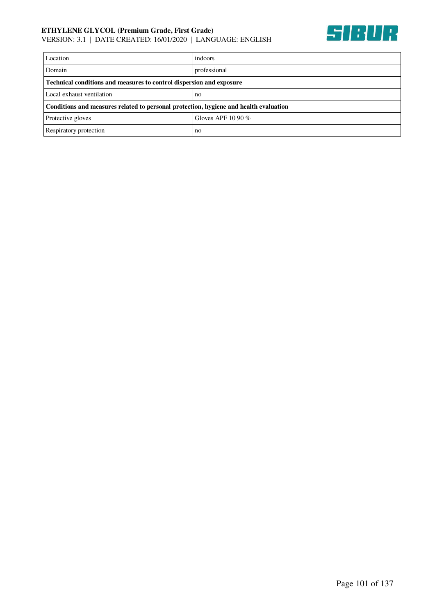

| Location                                                                              | indoors              |  |
|---------------------------------------------------------------------------------------|----------------------|--|
| Domain                                                                                | professional         |  |
| Technical conditions and measures to control dispersion and exposure                  |                      |  |
| Local exhaust ventilation                                                             | no                   |  |
| Conditions and measures related to personal protection, hygiene and health evaluation |                      |  |
| Protective gloves                                                                     | Gloves APF 10 90 $%$ |  |
| Respiratory protection                                                                | no                   |  |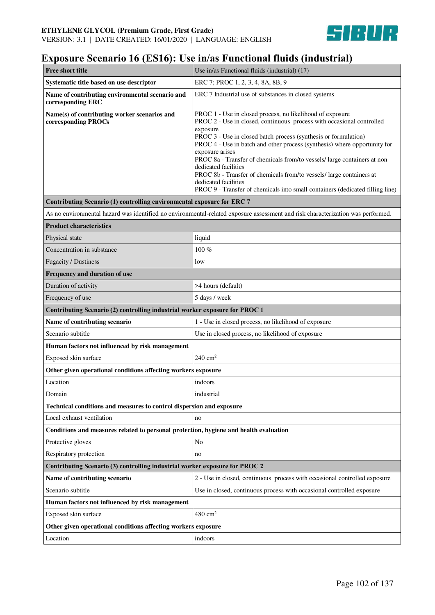

# **Exposure Scenario 16 (ES16): Use in/as Functional fluids (industrial)**

| <b>Free short title</b>                                                               | Use in/as Functional fluids (industrial) (17)                                                                                                                                                                                                                                                                                                                                                                                                                                                                                                                                                          |
|---------------------------------------------------------------------------------------|--------------------------------------------------------------------------------------------------------------------------------------------------------------------------------------------------------------------------------------------------------------------------------------------------------------------------------------------------------------------------------------------------------------------------------------------------------------------------------------------------------------------------------------------------------------------------------------------------------|
| Systematic title based on use descriptor                                              | ERC 7; PROC 1, 2, 3, 4, 8A, 8B, 9                                                                                                                                                                                                                                                                                                                                                                                                                                                                                                                                                                      |
| Name of contributing environmental scenario and<br>corresponding ERC                  | ERC 7 Industrial use of substances in closed systems                                                                                                                                                                                                                                                                                                                                                                                                                                                                                                                                                   |
| Name(s) of contributing worker scenarios and<br>corresponding PROCs                   | PROC 1 - Use in closed process, no likelihood of exposure<br>PROC 2 - Use in closed, continuous process with occasional controlled<br>exposure<br>PROC 3 - Use in closed batch process (synthesis or formulation)<br>PROC 4 - Use in batch and other process (synthesis) where opportunity for<br>exposure arises<br>PROC 8a - Transfer of chemicals from/to vessels/ large containers at non<br>dedicated facilities<br>PROC 8b - Transfer of chemicals from/to vessels/ large containers at<br>dedicated facilities<br>PROC 9 - Transfer of chemicals into small containers (dedicated filling line) |
| Contributing Scenario (1) controlling environmental exposure for ERC 7                |                                                                                                                                                                                                                                                                                                                                                                                                                                                                                                                                                                                                        |
|                                                                                       | As no environmental hazard was identified no environmental-related exposure assessment and risk characterization was performed.                                                                                                                                                                                                                                                                                                                                                                                                                                                                        |
| <b>Product characteristics</b>                                                        |                                                                                                                                                                                                                                                                                                                                                                                                                                                                                                                                                                                                        |
| Physical state                                                                        | liquid                                                                                                                                                                                                                                                                                                                                                                                                                                                                                                                                                                                                 |
| Concentration in substance                                                            | 100 %                                                                                                                                                                                                                                                                                                                                                                                                                                                                                                                                                                                                  |
| <b>Fugacity / Dustiness</b>                                                           | low                                                                                                                                                                                                                                                                                                                                                                                                                                                                                                                                                                                                    |
| <b>Frequency and duration of use</b>                                                  |                                                                                                                                                                                                                                                                                                                                                                                                                                                                                                                                                                                                        |
| Duration of activity                                                                  | >4 hours (default)                                                                                                                                                                                                                                                                                                                                                                                                                                                                                                                                                                                     |
| Frequency of use                                                                      | 5 days / week                                                                                                                                                                                                                                                                                                                                                                                                                                                                                                                                                                                          |
| Contributing Scenario (2) controlling industrial worker exposure for PROC 1           |                                                                                                                                                                                                                                                                                                                                                                                                                                                                                                                                                                                                        |
| Name of contributing scenario                                                         | 1 - Use in closed process, no likelihood of exposure                                                                                                                                                                                                                                                                                                                                                                                                                                                                                                                                                   |
| Scenario subtitle                                                                     | Use in closed process, no likelihood of exposure                                                                                                                                                                                                                                                                                                                                                                                                                                                                                                                                                       |
| Human factors not influenced by risk management                                       |                                                                                                                                                                                                                                                                                                                                                                                                                                                                                                                                                                                                        |
| Exposed skin surface                                                                  | $240 \text{ cm}^2$                                                                                                                                                                                                                                                                                                                                                                                                                                                                                                                                                                                     |
| Other given operational conditions affecting workers exposure                         |                                                                                                                                                                                                                                                                                                                                                                                                                                                                                                                                                                                                        |
| Location                                                                              | indoors                                                                                                                                                                                                                                                                                                                                                                                                                                                                                                                                                                                                |
| Domain                                                                                | industrial                                                                                                                                                                                                                                                                                                                                                                                                                                                                                                                                                                                             |
| Technical conditions and measures to control dispersion and exposure                  |                                                                                                                                                                                                                                                                                                                                                                                                                                                                                                                                                                                                        |
| Local exhaust ventilation                                                             | no                                                                                                                                                                                                                                                                                                                                                                                                                                                                                                                                                                                                     |
| Conditions and measures related to personal protection, hygiene and health evaluation |                                                                                                                                                                                                                                                                                                                                                                                                                                                                                                                                                                                                        |
| Protective gloves                                                                     | No                                                                                                                                                                                                                                                                                                                                                                                                                                                                                                                                                                                                     |
| Respiratory protection                                                                | no                                                                                                                                                                                                                                                                                                                                                                                                                                                                                                                                                                                                     |
| Contributing Scenario (3) controlling industrial worker exposure for PROC 2           |                                                                                                                                                                                                                                                                                                                                                                                                                                                                                                                                                                                                        |
| Name of contributing scenario                                                         | 2 - Use in closed, continuous process with occasional controlled exposure                                                                                                                                                                                                                                                                                                                                                                                                                                                                                                                              |
| Scenario subtitle                                                                     | Use in closed, continuous process with occasional controlled exposure                                                                                                                                                                                                                                                                                                                                                                                                                                                                                                                                  |
| Human factors not influenced by risk management                                       |                                                                                                                                                                                                                                                                                                                                                                                                                                                                                                                                                                                                        |
| Exposed skin surface                                                                  | $480$ cm <sup>2</sup>                                                                                                                                                                                                                                                                                                                                                                                                                                                                                                                                                                                  |
| Other given operational conditions affecting workers exposure                         |                                                                                                                                                                                                                                                                                                                                                                                                                                                                                                                                                                                                        |
|                                                                                       |                                                                                                                                                                                                                                                                                                                                                                                                                                                                                                                                                                                                        |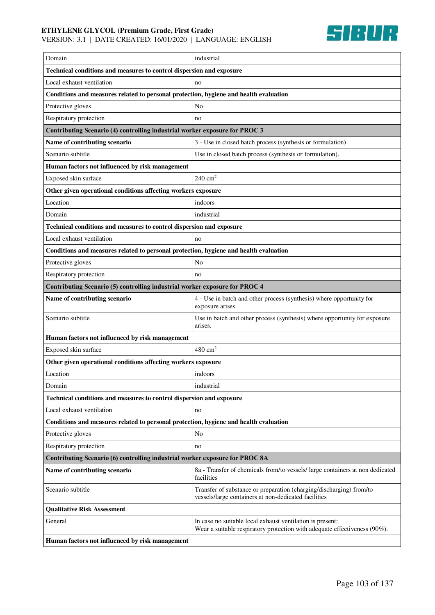

| Domain                                                                                | industrial                                                                                                                             |  |
|---------------------------------------------------------------------------------------|----------------------------------------------------------------------------------------------------------------------------------------|--|
| Technical conditions and measures to control dispersion and exposure                  |                                                                                                                                        |  |
| Local exhaust ventilation                                                             | no                                                                                                                                     |  |
| Conditions and measures related to personal protection, hygiene and health evaluation |                                                                                                                                        |  |
| Protective gloves                                                                     | No                                                                                                                                     |  |
| Respiratory protection                                                                | no                                                                                                                                     |  |
| Contributing Scenario (4) controlling industrial worker exposure for PROC 3           |                                                                                                                                        |  |
| Name of contributing scenario                                                         | 3 - Use in closed batch process (synthesis or formulation)                                                                             |  |
| Scenario subtitle                                                                     | Use in closed batch process (synthesis or formulation).                                                                                |  |
| Human factors not influenced by risk management                                       |                                                                                                                                        |  |
| Exposed skin surface                                                                  | $240$ cm <sup>2</sup>                                                                                                                  |  |
| Other given operational conditions affecting workers exposure                         |                                                                                                                                        |  |
| Location                                                                              | indoors                                                                                                                                |  |
| Domain                                                                                | industrial                                                                                                                             |  |
| Technical conditions and measures to control dispersion and exposure                  |                                                                                                                                        |  |
| Local exhaust ventilation                                                             | no                                                                                                                                     |  |
| Conditions and measures related to personal protection, hygiene and health evaluation |                                                                                                                                        |  |
| Protective gloves                                                                     | No                                                                                                                                     |  |
| Respiratory protection                                                                | no                                                                                                                                     |  |
| Contributing Scenario (5) controlling industrial worker exposure for PROC 4           |                                                                                                                                        |  |
| Name of contributing scenario                                                         | 4 - Use in batch and other process (synthesis) where opportunity for<br>exposure arises                                                |  |
| Scenario subtitle                                                                     | Use in batch and other process (synthesis) where opportunity for exposure<br>arises.                                                   |  |
| Human factors not influenced by risk management                                       |                                                                                                                                        |  |
| Exposed skin surface                                                                  | $480 \text{ cm}^2$                                                                                                                     |  |
| Other given operational conditions affecting workers exposure                         |                                                                                                                                        |  |
| Location                                                                              | indoors                                                                                                                                |  |
| Domain                                                                                | industrial                                                                                                                             |  |
| Technical conditions and measures to control dispersion and exposure                  |                                                                                                                                        |  |
| Local exhaust ventilation                                                             | no                                                                                                                                     |  |
| Conditions and measures related to personal protection, hygiene and health evaluation |                                                                                                                                        |  |
| Protective gloves                                                                     | No                                                                                                                                     |  |
| Respiratory protection                                                                | no                                                                                                                                     |  |
| Contributing Scenario (6) controlling industrial worker exposure for PROC 8A          |                                                                                                                                        |  |
| Name of contributing scenario                                                         | 8a - Transfer of chemicals from/to vessels/ large containers at non dedicated<br>facilities                                            |  |
| Scenario subtitle                                                                     | Transfer of substance or preparation (charging/discharging) from/to<br>vessels/large containers at non-dedicated facilities            |  |
| <b>Qualitative Risk Assessment</b>                                                    |                                                                                                                                        |  |
| General                                                                               | In case no suitable local exhaust ventilation is present:<br>Wear a suitable respiratory protection with adequate effectiveness (90%). |  |
| Human factors not influenced by risk management                                       |                                                                                                                                        |  |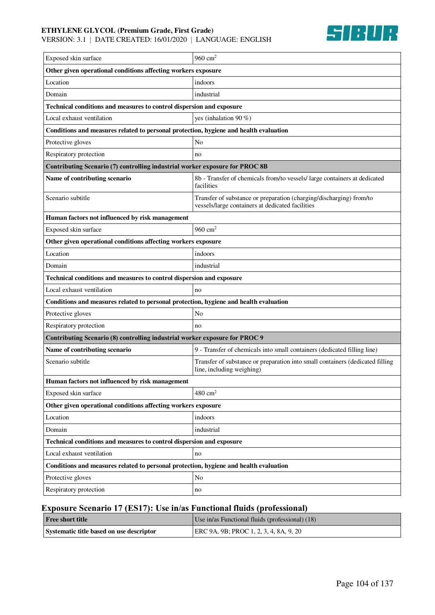

| Exposed skin surface                                                                  | $960 \text{ cm}^2$                                                                                                      |  |
|---------------------------------------------------------------------------------------|-------------------------------------------------------------------------------------------------------------------------|--|
| Other given operational conditions affecting workers exposure                         |                                                                                                                         |  |
| Location                                                                              | indoors                                                                                                                 |  |
| Domain                                                                                | industrial                                                                                                              |  |
| Technical conditions and measures to control dispersion and exposure                  |                                                                                                                         |  |
| Local exhaust ventilation                                                             | yes (inhalation 90 %)                                                                                                   |  |
| Conditions and measures related to personal protection, hygiene and health evaluation |                                                                                                                         |  |
| Protective gloves                                                                     | No                                                                                                                      |  |
| Respiratory protection                                                                | no                                                                                                                      |  |
| Contributing Scenario (7) controlling industrial worker exposure for PROC 8B          |                                                                                                                         |  |
| Name of contributing scenario                                                         | 8b - Transfer of chemicals from/to vessels/ large containers at dedicated<br>facilities                                 |  |
| Scenario subtitle                                                                     | Transfer of substance or preparation (charging/discharging) from/to<br>vessels/large containers at dedicated facilities |  |
| Human factors not influenced by risk management                                       |                                                                                                                         |  |
| Exposed skin surface                                                                  | 960 $cm2$                                                                                                               |  |
| Other given operational conditions affecting workers exposure                         |                                                                                                                         |  |
| Location                                                                              | indoors                                                                                                                 |  |
| Domain                                                                                | industrial                                                                                                              |  |
| Technical conditions and measures to control dispersion and exposure                  |                                                                                                                         |  |
| Local exhaust ventilation                                                             | no                                                                                                                      |  |
| Conditions and measures related to personal protection, hygiene and health evaluation |                                                                                                                         |  |
| Protective gloves                                                                     | No                                                                                                                      |  |
| Respiratory protection                                                                | no                                                                                                                      |  |
| Contributing Scenario (8) controlling industrial worker exposure for PROC 9           |                                                                                                                         |  |
| Name of contributing scenario                                                         | 9 - Transfer of chemicals into small containers (dedicated filling line)                                                |  |
| Scenario subtitle                                                                     | Transfer of substance or preparation into small containers (dedicated filling<br>line, including weighing)              |  |
| Human factors not influenced by risk management                                       |                                                                                                                         |  |
| Exposed skin surface                                                                  | $480$ cm <sup>2</sup>                                                                                                   |  |
| Other given operational conditions affecting workers exposure                         |                                                                                                                         |  |
| Location                                                                              | indoors                                                                                                                 |  |
| Domain                                                                                | industrial                                                                                                              |  |
| Technical conditions and measures to control dispersion and exposure                  |                                                                                                                         |  |
| Local exhaust ventilation                                                             | no                                                                                                                      |  |
| Conditions and measures related to personal protection, hygiene and health evaluation |                                                                                                                         |  |
| Protective gloves                                                                     | No                                                                                                                      |  |
| Respiratory protection                                                                | no                                                                                                                      |  |

# **Exposure Scenario 17 (ES17): Use in/as Functional fluids (professional)**

| <b>Free short title</b>                  | Use in/as Functional fluids (professional) (18) |
|------------------------------------------|-------------------------------------------------|
| Systematic title based on use descriptor | ERC 9A, 9B; PROC 1, 2, 3, 4, 8A, 9, 20          |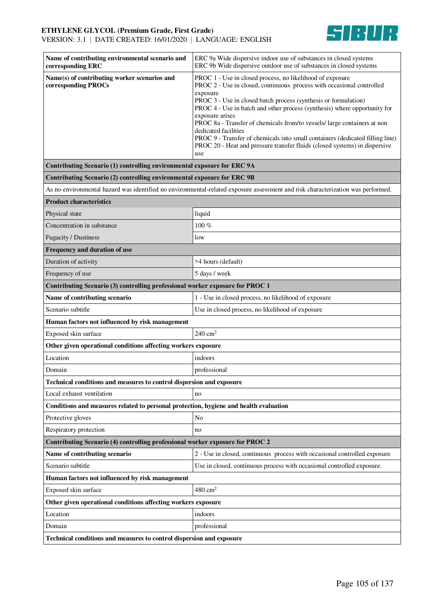

| Name of contributing environmental scenario and                                       | ERC 9a Wide dispersive indoor use of substances in closed systems                                                                                                                                                                                                                                                                                                                                                                                                                                                                                                                           |  |
|---------------------------------------------------------------------------------------|---------------------------------------------------------------------------------------------------------------------------------------------------------------------------------------------------------------------------------------------------------------------------------------------------------------------------------------------------------------------------------------------------------------------------------------------------------------------------------------------------------------------------------------------------------------------------------------------|--|
| corresponding ERC                                                                     | ERC 9b Wide dispersive outdoor use of substances in closed systems                                                                                                                                                                                                                                                                                                                                                                                                                                                                                                                          |  |
| Name(s) of contributing worker scenarios and<br>corresponding PROCs                   | PROC 1 - Use in closed process, no likelihood of exposure<br>PROC 2 - Use in closed, continuous process with occasional controlled<br>exposure<br>PROC 3 - Use in closed batch process (synthesis or formulation)<br>PROC 4 - Use in batch and other process (synthesis) where opportunity for<br>exposure arises<br>PROC 8a - Transfer of chemicals from/to vessels/ large containers at non<br>dedicated facilities<br>PROC 9 - Transfer of chemicals into small containers (dedicated filling line)<br>PROC 20 - Heat and pressure transfer fluids (closed systems) in dispersive<br>use |  |
| Contributing Scenario (1) controlling environmental exposure for ERC 9A               |                                                                                                                                                                                                                                                                                                                                                                                                                                                                                                                                                                                             |  |
| Contributing Scenario (2) controlling environmental exposure for ERC 9B               |                                                                                                                                                                                                                                                                                                                                                                                                                                                                                                                                                                                             |  |
|                                                                                       | As no environmental hazard was identified no environmental-related exposure assessment and risk characterization was performed.                                                                                                                                                                                                                                                                                                                                                                                                                                                             |  |
| <b>Product characteristics</b>                                                        |                                                                                                                                                                                                                                                                                                                                                                                                                                                                                                                                                                                             |  |
| Physical state                                                                        | liquid                                                                                                                                                                                                                                                                                                                                                                                                                                                                                                                                                                                      |  |
| Concentration in substance                                                            | 100 %                                                                                                                                                                                                                                                                                                                                                                                                                                                                                                                                                                                       |  |
| <b>Fugacity / Dustiness</b>                                                           | low                                                                                                                                                                                                                                                                                                                                                                                                                                                                                                                                                                                         |  |
| Frequency and duration of use                                                         |                                                                                                                                                                                                                                                                                                                                                                                                                                                                                                                                                                                             |  |
| Duration of activity                                                                  | >4 hours (default)                                                                                                                                                                                                                                                                                                                                                                                                                                                                                                                                                                          |  |
| Frequency of use                                                                      | 5 days / week                                                                                                                                                                                                                                                                                                                                                                                                                                                                                                                                                                               |  |
| Contributing Scenario (3) controlling professional worker exposure for PROC 1         |                                                                                                                                                                                                                                                                                                                                                                                                                                                                                                                                                                                             |  |
| Name of contributing scenario                                                         | 1 - Use in closed process, no likelihood of exposure                                                                                                                                                                                                                                                                                                                                                                                                                                                                                                                                        |  |
| Scenario subtitle                                                                     | Use in closed process, no likelihood of exposure                                                                                                                                                                                                                                                                                                                                                                                                                                                                                                                                            |  |
| Human factors not influenced by risk management                                       |                                                                                                                                                                                                                                                                                                                                                                                                                                                                                                                                                                                             |  |
| Exposed skin surface                                                                  | $240$ cm <sup>2</sup>                                                                                                                                                                                                                                                                                                                                                                                                                                                                                                                                                                       |  |
| Other given operational conditions affecting workers exposure                         |                                                                                                                                                                                                                                                                                                                                                                                                                                                                                                                                                                                             |  |
| Location                                                                              | indoors                                                                                                                                                                                                                                                                                                                                                                                                                                                                                                                                                                                     |  |
| Domain                                                                                | professional                                                                                                                                                                                                                                                                                                                                                                                                                                                                                                                                                                                |  |
| Technical conditions and measures to control dispersion and exposure                  |                                                                                                                                                                                                                                                                                                                                                                                                                                                                                                                                                                                             |  |
| Local exhaust ventilation                                                             | no                                                                                                                                                                                                                                                                                                                                                                                                                                                                                                                                                                                          |  |
| Conditions and measures related to personal protection, hygiene and health evaluation |                                                                                                                                                                                                                                                                                                                                                                                                                                                                                                                                                                                             |  |
| Protective gloves                                                                     | No                                                                                                                                                                                                                                                                                                                                                                                                                                                                                                                                                                                          |  |
| Respiratory protection                                                                | no                                                                                                                                                                                                                                                                                                                                                                                                                                                                                                                                                                                          |  |
| Contributing Scenario (4) controlling professional worker exposure for PROC 2         |                                                                                                                                                                                                                                                                                                                                                                                                                                                                                                                                                                                             |  |
| Name of contributing scenario                                                         | 2 - Use in closed, continuous process with occasional controlled exposure                                                                                                                                                                                                                                                                                                                                                                                                                                                                                                                   |  |
| Scenario subtitle                                                                     | Use in closed, continuous process with occasional controlled exposure.                                                                                                                                                                                                                                                                                                                                                                                                                                                                                                                      |  |
| Human factors not influenced by risk management                                       |                                                                                                                                                                                                                                                                                                                                                                                                                                                                                                                                                                                             |  |
| Exposed skin surface                                                                  | $480 \text{ cm}^2$                                                                                                                                                                                                                                                                                                                                                                                                                                                                                                                                                                          |  |
| Other given operational conditions affecting workers exposure                         |                                                                                                                                                                                                                                                                                                                                                                                                                                                                                                                                                                                             |  |
| Location                                                                              | indoors                                                                                                                                                                                                                                                                                                                                                                                                                                                                                                                                                                                     |  |
| Domain                                                                                | professional                                                                                                                                                                                                                                                                                                                                                                                                                                                                                                                                                                                |  |
| Technical conditions and measures to control dispersion and exposure                  |                                                                                                                                                                                                                                                                                                                                                                                                                                                                                                                                                                                             |  |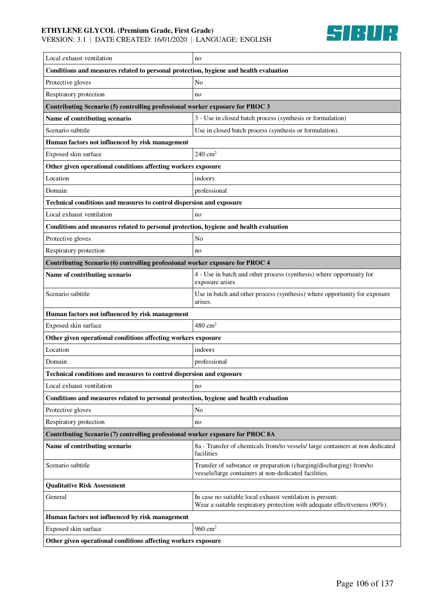

| Local exhaust ventilation                                                             | no                                                                                                                                     |  |
|---------------------------------------------------------------------------------------|----------------------------------------------------------------------------------------------------------------------------------------|--|
| Conditions and measures related to personal protection, hygiene and health evaluation |                                                                                                                                        |  |
| Protective gloves                                                                     | No                                                                                                                                     |  |
| Respiratory protection                                                                | no                                                                                                                                     |  |
| Contributing Scenario (5) controlling professional worker exposure for PROC 3         |                                                                                                                                        |  |
| Name of contributing scenario                                                         | 3 - Use in closed batch process (synthesis or formulation)                                                                             |  |
| Scenario subtitle                                                                     | Use in closed batch process (synthesis or formulation).                                                                                |  |
| Human factors not influenced by risk management                                       |                                                                                                                                        |  |
| Exposed skin surface                                                                  | $240 \text{ cm}^2$                                                                                                                     |  |
| Other given operational conditions affecting workers exposure                         |                                                                                                                                        |  |
| Location                                                                              | indoors                                                                                                                                |  |
| Domain                                                                                | professional                                                                                                                           |  |
| Technical conditions and measures to control dispersion and exposure                  |                                                                                                                                        |  |
| Local exhaust ventilation                                                             | no                                                                                                                                     |  |
| Conditions and measures related to personal protection, hygiene and health evaluation |                                                                                                                                        |  |
| Protective gloves                                                                     | No                                                                                                                                     |  |
| Respiratory protection                                                                | no                                                                                                                                     |  |
| Contributing Scenario (6) controlling professional worker exposure for PROC 4         |                                                                                                                                        |  |
| Name of contributing scenario                                                         | 4 - Use in batch and other process (synthesis) where opportunity for<br>exposure arises                                                |  |
| Scenario subtitle                                                                     | Use in batch and other process (synthesis) where opportunity for exposure<br>arises.                                                   |  |
| Human factors not influenced by risk management                                       |                                                                                                                                        |  |
| Exposed skin surface                                                                  | $480$ cm <sup>2</sup>                                                                                                                  |  |
| Other given operational conditions affecting workers exposure                         |                                                                                                                                        |  |
| Location                                                                              | indoors                                                                                                                                |  |
| Domain                                                                                | professional                                                                                                                           |  |
| Technical conditions and measures to control dispersion and exposure                  |                                                                                                                                        |  |
| Local exhaust ventilation                                                             | no                                                                                                                                     |  |
| Conditions and measures related to personal protection, hygiene and health evaluation |                                                                                                                                        |  |
| Protective gloves                                                                     | No                                                                                                                                     |  |
| Respiratory protection                                                                | no                                                                                                                                     |  |
| Contributing Scenario (7) controlling professional worker exposure for PROC 8A        |                                                                                                                                        |  |
| Name of contributing scenario                                                         | 8a - Transfer of chemicals from/to vessels/ large containers at non dedicated<br>facilities                                            |  |
| Scenario subtitle                                                                     | Transfer of substance or preparation (charging/discharging) from/to<br>vessels/large containers at non-dedicated facilities.           |  |
| <b>Qualitative Risk Assessment</b>                                                    |                                                                                                                                        |  |
| General                                                                               | In case no suitable local exhaust ventilation is present:<br>Wear a suitable respiratory protection with adequate effectiveness (90%). |  |
| Human factors not influenced by risk management                                       |                                                                                                                                        |  |
| Exposed skin surface                                                                  | 960 $cm2$                                                                                                                              |  |
| Other given operational conditions affecting workers exposure                         |                                                                                                                                        |  |
|                                                                                       |                                                                                                                                        |  |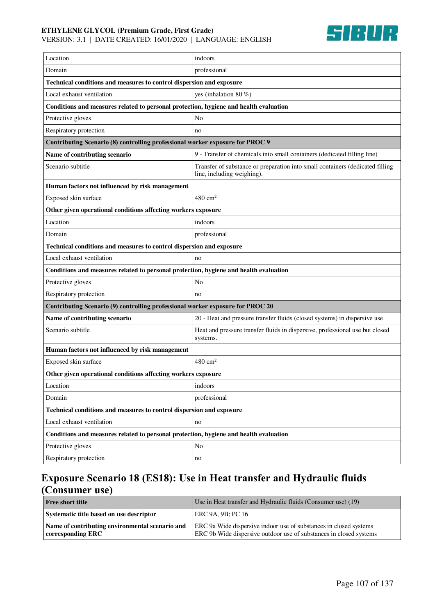

| Location                                                                              | indoors                                                                                                     |  |
|---------------------------------------------------------------------------------------|-------------------------------------------------------------------------------------------------------------|--|
| Domain                                                                                | professional                                                                                                |  |
| Technical conditions and measures to control dispersion and exposure                  |                                                                                                             |  |
| Local exhaust ventilation                                                             | yes (inhalation 80 %)                                                                                       |  |
| Conditions and measures related to personal protection, hygiene and health evaluation |                                                                                                             |  |
| Protective gloves                                                                     | No                                                                                                          |  |
| Respiratory protection                                                                | no                                                                                                          |  |
| Contributing Scenario (8) controlling professional worker exposure for PROC 9         |                                                                                                             |  |
| Name of contributing scenario                                                         | 9 - Transfer of chemicals into small containers (dedicated filling line)                                    |  |
| Scenario subtitle                                                                     | Transfer of substance or preparation into small containers (dedicated filling<br>line, including weighing). |  |
| Human factors not influenced by risk management                                       |                                                                                                             |  |
| Exposed skin surface                                                                  | $480$ cm <sup>2</sup>                                                                                       |  |
| Other given operational conditions affecting workers exposure                         |                                                                                                             |  |
| Location                                                                              | indoors                                                                                                     |  |
| Domain                                                                                | professional                                                                                                |  |
| Technical conditions and measures to control dispersion and exposure                  |                                                                                                             |  |
| Local exhaust ventilation                                                             | no                                                                                                          |  |
| Conditions and measures related to personal protection, hygiene and health evaluation |                                                                                                             |  |
| Protective gloves                                                                     | No                                                                                                          |  |
| Respiratory protection                                                                | no                                                                                                          |  |
| Contributing Scenario (9) controlling professional worker exposure for PROC 20        |                                                                                                             |  |
| Name of contributing scenario                                                         | 20 - Heat and pressure transfer fluids (closed systems) in dispersive use                                   |  |
| Scenario subtitle                                                                     | Heat and pressure transfer fluids in dispersive, professional use but closed<br>systems.                    |  |
| Human factors not influenced by risk management                                       |                                                                                                             |  |
| Exposed skin surface                                                                  | $480$ cm <sup>2</sup>                                                                                       |  |
| Other given operational conditions affecting workers exposure                         |                                                                                                             |  |
| Location                                                                              | indoors                                                                                                     |  |
| Domain                                                                                | professional                                                                                                |  |
| Technical conditions and measures to control dispersion and exposure                  |                                                                                                             |  |
| Local exhaust ventilation                                                             | no                                                                                                          |  |
| Conditions and measures related to personal protection, hygiene and health evaluation |                                                                                                             |  |
| Protective gloves                                                                     | N <sub>o</sub>                                                                                              |  |
| Respiratory protection                                                                | no                                                                                                          |  |

# **Exposure Scenario 18 (ES18): Use in Heat transfer and Hydraulic fluids (Consumer use)**

| <b>Free short title</b>                                                     | Use in Heat transfer and Hydraulic fluids (Consumer use) (19)                                                                           |
|-----------------------------------------------------------------------------|-----------------------------------------------------------------------------------------------------------------------------------------|
| Systematic title based on use descriptor                                    | ERC 9A, 9B; PC 16                                                                                                                       |
| Name of contributing environmental scenario and<br><b>corresponding ERC</b> | ERC 9a Wide dispersive indoor use of substances in closed systems<br>ERC 9b Wide dispersive outdoor use of substances in closed systems |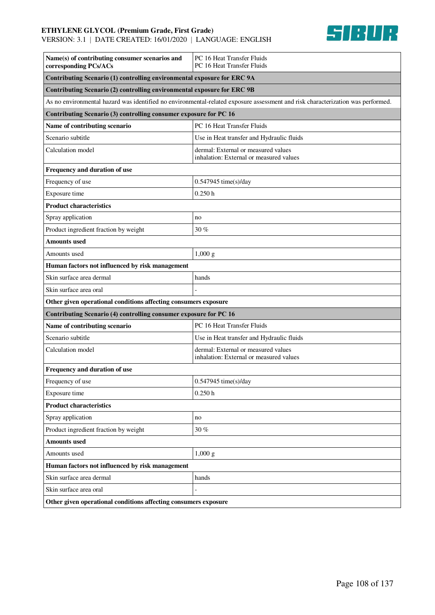

| Name(s) of contributing consumer scenarios and<br>corresponding PCs/ACs                                                         | PC 16 Heat Transfer Fluids<br>PC 16 Heat Transfer Fluids                       |  |
|---------------------------------------------------------------------------------------------------------------------------------|--------------------------------------------------------------------------------|--|
| Contributing Scenario (1) controlling environmental exposure for ERC 9A                                                         |                                                                                |  |
| Contributing Scenario (2) controlling environmental exposure for ERC 9B                                                         |                                                                                |  |
| As no environmental hazard was identified no environmental-related exposure assessment and risk characterization was performed. |                                                                                |  |
| Contributing Scenario (3) controlling consumer exposure for PC 16                                                               |                                                                                |  |
| Name of contributing scenario                                                                                                   | PC 16 Heat Transfer Fluids                                                     |  |
| Scenario subtitle                                                                                                               | Use in Heat transfer and Hydraulic fluids                                      |  |
| Calculation model                                                                                                               | dermal: External or measured values<br>inhalation: External or measured values |  |
| Frequency and duration of use                                                                                                   |                                                                                |  |
| Frequency of use                                                                                                                | $0.547945$ time(s)/day                                                         |  |
| Exposure time                                                                                                                   | 0.250h                                                                         |  |
| <b>Product characteristics</b>                                                                                                  |                                                                                |  |
| Spray application                                                                                                               | no                                                                             |  |
| Product ingredient fraction by weight                                                                                           | 30 %                                                                           |  |
| Amounts used                                                                                                                    |                                                                                |  |
| Amounts used                                                                                                                    | 1,000 g                                                                        |  |
| Human factors not influenced by risk management                                                                                 |                                                                                |  |
| Skin surface area dermal                                                                                                        | hands                                                                          |  |
| Skin surface area oral                                                                                                          |                                                                                |  |
| Other given operational conditions affecting consumers exposure                                                                 |                                                                                |  |
| Contributing Scenario (4) controlling consumer exposure for PC 16                                                               |                                                                                |  |
| Name of contributing scenario                                                                                                   | PC 16 Heat Transfer Fluids                                                     |  |
| Scenario subtitle                                                                                                               | Use in Heat transfer and Hydraulic fluids                                      |  |
| Calculation model                                                                                                               | dermal: External or measured values                                            |  |
|                                                                                                                                 | inhalation: External or measured values                                        |  |
| Frequency and duration of use                                                                                                   |                                                                                |  |
| Frequency of use                                                                                                                | $0.547945$ time(s)/day                                                         |  |
| Exposure time                                                                                                                   | 0.250h                                                                         |  |
| <b>Product characteristics</b>                                                                                                  |                                                                                |  |
| Spray application                                                                                                               | no                                                                             |  |
| Product ingredient fraction by weight                                                                                           | $30\,\%$                                                                       |  |
| <b>Amounts used</b>                                                                                                             |                                                                                |  |
| Amounts used                                                                                                                    | 1,000 g                                                                        |  |
| Human factors not influenced by risk management                                                                                 |                                                                                |  |
| Skin surface area dermal                                                                                                        | hands                                                                          |  |
| Skin surface area oral                                                                                                          |                                                                                |  |
| Other given operational conditions affecting consumers exposure                                                                 |                                                                                |  |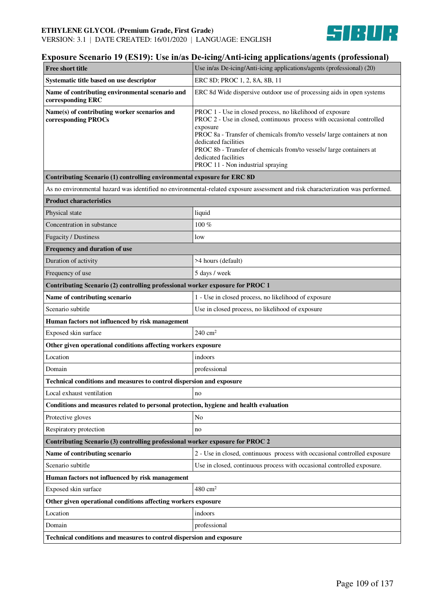

## **Exposure Scenario 19 (ES19): Use in/as De-icing/Anti-icing applications/agents (professional)**

| <b>Free short title</b>                                                                                                         | Use in/as De-icing/Anti-icing applications/agents (professional) (20)                                                                                                                                                                              |  |
|---------------------------------------------------------------------------------------------------------------------------------|----------------------------------------------------------------------------------------------------------------------------------------------------------------------------------------------------------------------------------------------------|--|
| Systematic title based on use descriptor                                                                                        | ERC 8D; PROC 1, 2, 8A, 8B, 11                                                                                                                                                                                                                      |  |
| Name of contributing environmental scenario and<br>corresponding ERC                                                            | ERC 8d Wide dispersive outdoor use of processing aids in open systems                                                                                                                                                                              |  |
| Name(s) of contributing worker scenarios and<br>corresponding PROCs                                                             | PROC 1 - Use in closed process, no likelihood of exposure<br>PROC 2 - Use in closed, continuous process with occasional controlled<br>exposure<br>PROC 8a - Transfer of chemicals from/to vessels/ large containers at non<br>dedicated facilities |  |
|                                                                                                                                 | PROC 8b - Transfer of chemicals from/to vessels/ large containers at<br>dedicated facilities<br>PROC 11 - Non industrial spraying                                                                                                                  |  |
| Contributing Scenario (1) controlling environmental exposure for ERC 8D                                                         |                                                                                                                                                                                                                                                    |  |
| As no environmental hazard was identified no environmental-related exposure assessment and risk characterization was performed. |                                                                                                                                                                                                                                                    |  |
| <b>Product characteristics</b>                                                                                                  |                                                                                                                                                                                                                                                    |  |
| Physical state                                                                                                                  | liquid                                                                                                                                                                                                                                             |  |
| Concentration in substance                                                                                                      | $100\%$                                                                                                                                                                                                                                            |  |
| Fugacity / Dustiness                                                                                                            | low                                                                                                                                                                                                                                                |  |
| Frequency and duration of use                                                                                                   |                                                                                                                                                                                                                                                    |  |
| Duration of activity                                                                                                            | >4 hours (default)                                                                                                                                                                                                                                 |  |
| Frequency of use                                                                                                                | 5 days / week                                                                                                                                                                                                                                      |  |
| Contributing Scenario (2) controlling professional worker exposure for PROC 1                                                   |                                                                                                                                                                                                                                                    |  |
| Name of contributing scenario                                                                                                   | 1 - Use in closed process, no likelihood of exposure                                                                                                                                                                                               |  |
| Scenario subtitle                                                                                                               | Use in closed process, no likelihood of exposure                                                                                                                                                                                                   |  |
| Human factors not influenced by risk management                                                                                 |                                                                                                                                                                                                                                                    |  |
| Exposed skin surface                                                                                                            | $240$ cm <sup>2</sup>                                                                                                                                                                                                                              |  |
| Other given operational conditions affecting workers exposure                                                                   |                                                                                                                                                                                                                                                    |  |
| Location                                                                                                                        | indoors                                                                                                                                                                                                                                            |  |
| Domain                                                                                                                          | professional                                                                                                                                                                                                                                       |  |
| Technical conditions and measures to control dispersion and exposure                                                            |                                                                                                                                                                                                                                                    |  |
| Local exhaust ventilation                                                                                                       | no                                                                                                                                                                                                                                                 |  |
| Conditions and measures related to personal protection, hygiene and health evaluation                                           |                                                                                                                                                                                                                                                    |  |
| Protective gloves                                                                                                               | No                                                                                                                                                                                                                                                 |  |
| Respiratory protection                                                                                                          | no                                                                                                                                                                                                                                                 |  |
| Contributing Scenario (3) controlling professional worker exposure for PROC 2                                                   |                                                                                                                                                                                                                                                    |  |
| Name of contributing scenario                                                                                                   | 2 - Use in closed, continuous process with occasional controlled exposure                                                                                                                                                                          |  |
| Scenario subtitle                                                                                                               | Use in closed, continuous process with occasional controlled exposure.                                                                                                                                                                             |  |
| Human factors not influenced by risk management                                                                                 |                                                                                                                                                                                                                                                    |  |
| Exposed skin surface                                                                                                            | 480 cm <sup>2</sup>                                                                                                                                                                                                                                |  |
| Other given operational conditions affecting workers exposure                                                                   |                                                                                                                                                                                                                                                    |  |
| Location                                                                                                                        | indoors                                                                                                                                                                                                                                            |  |
| Domain                                                                                                                          | professional                                                                                                                                                                                                                                       |  |
| Technical conditions and measures to control dispersion and exposure                                                            |                                                                                                                                                                                                                                                    |  |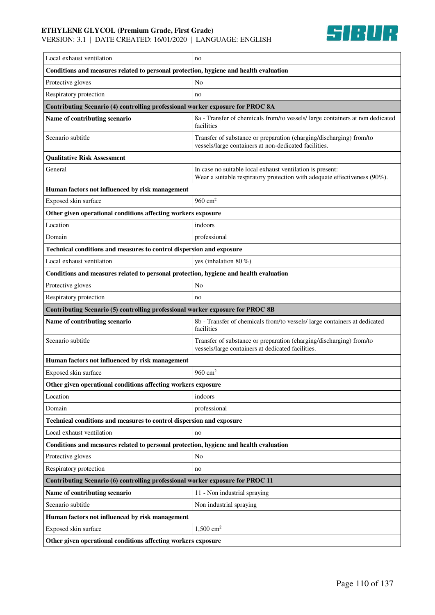

| Local exhaust ventilation                                                             | no                                                                                                                                     |  |
|---------------------------------------------------------------------------------------|----------------------------------------------------------------------------------------------------------------------------------------|--|
| Conditions and measures related to personal protection, hygiene and health evaluation |                                                                                                                                        |  |
| Protective gloves                                                                     | No                                                                                                                                     |  |
| Respiratory protection                                                                | no                                                                                                                                     |  |
| Contributing Scenario (4) controlling professional worker exposure for PROC 8A        |                                                                                                                                        |  |
| Name of contributing scenario                                                         | 8a - Transfer of chemicals from/to vessels/ large containers at non dedicated<br>facilities                                            |  |
| Scenario subtitle                                                                     | Transfer of substance or preparation (charging/discharging) from/to<br>vessels/large containers at non-dedicated facilities.           |  |
| <b>Qualitative Risk Assessment</b>                                                    |                                                                                                                                        |  |
| General                                                                               | In case no suitable local exhaust ventilation is present:<br>Wear a suitable respiratory protection with adequate effectiveness (90%). |  |
| Human factors not influenced by risk management                                       |                                                                                                                                        |  |
| Exposed skin surface                                                                  | 960 cm <sup>2</sup>                                                                                                                    |  |
| Other given operational conditions affecting workers exposure                         |                                                                                                                                        |  |
| Location                                                                              | indoors                                                                                                                                |  |
| Domain                                                                                | professional                                                                                                                           |  |
| Technical conditions and measures to control dispersion and exposure                  |                                                                                                                                        |  |
| Local exhaust ventilation                                                             | yes (inhalation 80 $\%$ )                                                                                                              |  |
| Conditions and measures related to personal protection, hygiene and health evaluation |                                                                                                                                        |  |
| Protective gloves                                                                     | No                                                                                                                                     |  |
| Respiratory protection                                                                | no                                                                                                                                     |  |
| Contributing Scenario (5) controlling professional worker exposure for PROC 8B        |                                                                                                                                        |  |
| Name of contributing scenario                                                         | 8b - Transfer of chemicals from/to vessels/ large containers at dedicated<br>facilities                                                |  |
|                                                                                       |                                                                                                                                        |  |
| Scenario subtitle                                                                     | Transfer of substance or preparation (charging/discharging) from/to<br>vessels/large containers at dedicated facilities.               |  |
| Human factors not influenced by risk management                                       |                                                                                                                                        |  |
| Exposed skin surface                                                                  | 960 $cm2$                                                                                                                              |  |
| Other given operational conditions affecting workers exposure                         |                                                                                                                                        |  |
| Location                                                                              | indoors                                                                                                                                |  |
| Domain                                                                                | professional                                                                                                                           |  |
| Technical conditions and measures to control dispersion and exposure                  |                                                                                                                                        |  |
| Local exhaust ventilation                                                             | no                                                                                                                                     |  |
| Conditions and measures related to personal protection, hygiene and health evaluation |                                                                                                                                        |  |
| Protective gloves                                                                     | No                                                                                                                                     |  |
| Respiratory protection                                                                | no                                                                                                                                     |  |
| Contributing Scenario (6) controlling professional worker exposure for PROC 11        |                                                                                                                                        |  |
| Name of contributing scenario                                                         | 11 - Non industrial spraying                                                                                                           |  |
| Scenario subtitle                                                                     | Non industrial spraying                                                                                                                |  |
| Human factors not influenced by risk management                                       |                                                                                                                                        |  |
| Exposed skin surface                                                                  | $1,500$ cm <sup>2</sup>                                                                                                                |  |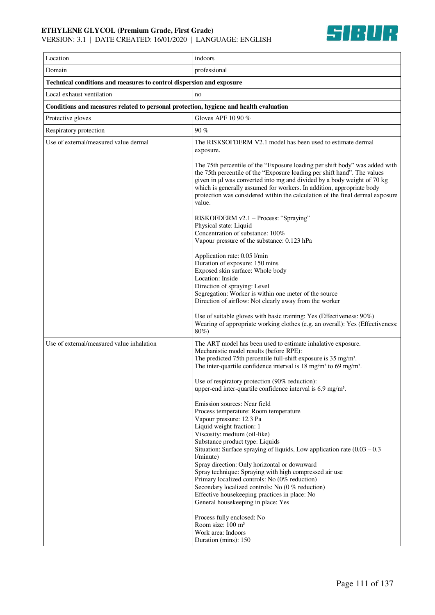

| Location                                                                              | indoors                                                                                                                                                                                                                                                                                                                                                                                                                                                                                                                                                                                                                           |
|---------------------------------------------------------------------------------------|-----------------------------------------------------------------------------------------------------------------------------------------------------------------------------------------------------------------------------------------------------------------------------------------------------------------------------------------------------------------------------------------------------------------------------------------------------------------------------------------------------------------------------------------------------------------------------------------------------------------------------------|
| Domain                                                                                | professional                                                                                                                                                                                                                                                                                                                                                                                                                                                                                                                                                                                                                      |
| Technical conditions and measures to control dispersion and exposure                  |                                                                                                                                                                                                                                                                                                                                                                                                                                                                                                                                                                                                                                   |
| Local exhaust ventilation                                                             | no                                                                                                                                                                                                                                                                                                                                                                                                                                                                                                                                                                                                                                |
| Conditions and measures related to personal protection, hygiene and health evaluation |                                                                                                                                                                                                                                                                                                                                                                                                                                                                                                                                                                                                                                   |
| Protective gloves                                                                     | Gloves APF 10 90 %                                                                                                                                                                                                                                                                                                                                                                                                                                                                                                                                                                                                                |
| Respiratory protection                                                                | $90\,\%$                                                                                                                                                                                                                                                                                                                                                                                                                                                                                                                                                                                                                          |
| Use of external/measured value dermal                                                 | The RISKSOFDERM V2.1 model has been used to estimate dermal<br>exposure.                                                                                                                                                                                                                                                                                                                                                                                                                                                                                                                                                          |
|                                                                                       | The 75th percentile of the "Exposure loading per shift body" was added with<br>the 75th percentile of the "Exposure loading per shift hand". The values<br>given in µl was converted into mg and divided by a body weight of 70 kg<br>which is generally assumed for workers. In addition, appropriate body<br>protection was considered within the calculation of the final dermal exposure<br>value.                                                                                                                                                                                                                            |
|                                                                                       | RISKOFDERM v2.1 - Process: "Spraying"<br>Physical state: Liquid<br>Concentration of substance: 100%<br>Vapour pressure of the substance: 0.123 hPa                                                                                                                                                                                                                                                                                                                                                                                                                                                                                |
|                                                                                       | Application rate: 0.05 l/min<br>Duration of exposure: 150 mins<br>Exposed skin surface: Whole body<br>Location: Inside<br>Direction of spraying: Level<br>Segregation: Worker is within one meter of the source<br>Direction of airflow: Not clearly away from the worker                                                                                                                                                                                                                                                                                                                                                         |
|                                                                                       | Use of suitable gloves with basic training: Yes (Effectiveness: 90%)<br>Wearing of appropriate working clothes (e.g. an overall): Yes (Effectiveness:<br>$80\%$                                                                                                                                                                                                                                                                                                                                                                                                                                                                   |
| Use of external/measured value inhalation                                             | The ART model has been used to estimate inhalative exposure.<br>Mechanistic model results (before RPE):<br>The predicted 75th percentile full-shift exposure is 35 mg/m <sup>3</sup> .<br>The inter-quartile confidence interval is $18 \text{ mg/m}^3$ to $69 \text{ mg/m}^3$ .                                                                                                                                                                                                                                                                                                                                                  |
|                                                                                       | Use of respiratory protection (90% reduction):<br>upper-end inter-quartile confidence interval is 6.9 mg/m <sup>3</sup> .                                                                                                                                                                                                                                                                                                                                                                                                                                                                                                         |
|                                                                                       | Emission sources: Near field<br>Process temperature: Room temperature<br>Vapour pressure: 12.3 Pa<br>Liquid weight fraction: 1<br>Viscosity: medium (oil-like)<br>Substance product type: Liquids<br>Situation: Surface spraying of liquids, Low application rate $(0.03 - 0.3)$<br>l/minute)<br>Spray direction: Only horizontal or downward<br>Spray technique: Spraying with high compressed air use<br>Primary localized controls: No (0% reduction)<br>Secondary localized controls: No (0 % reduction)<br>Effective housekeeping practices in place: No<br>General housekeeping in place: Yes<br>Process fully enclosed: No |
|                                                                                       | Room size: 100 m <sup>3</sup><br>Work area: Indoors<br>Duration (mins): 150                                                                                                                                                                                                                                                                                                                                                                                                                                                                                                                                                       |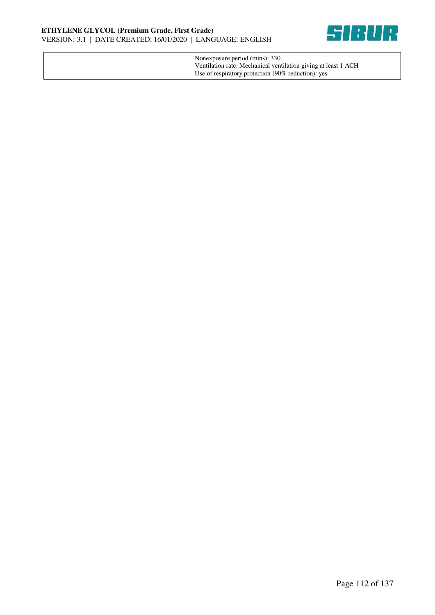

|  | Nonexposure period (mins): 330<br>Ventilation rate: Mechanical ventilation giving at least 1 ACH<br>Use of respiratory protection (90% reduction): yes |
|--|--------------------------------------------------------------------------------------------------------------------------------------------------------|
|--|--------------------------------------------------------------------------------------------------------------------------------------------------------|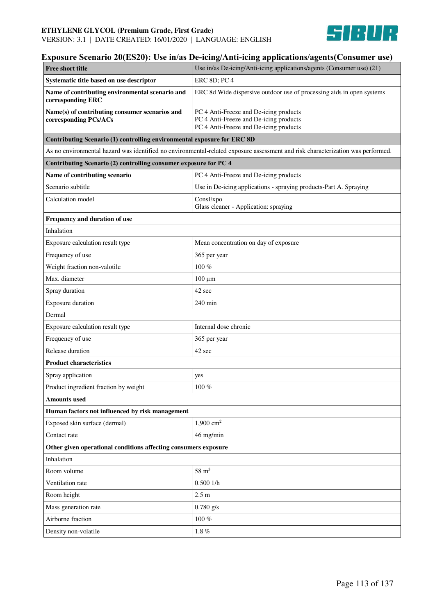

## **Exposure Scenario 20(ES20): Use in/as De-icing/Anti-icing applications/agents(Consumer use)**

| <b>Free short title</b>                                                                                                         | Use in/as De-icing/Anti-icing applications/agents (Consumer use) (21)                                                      |  |
|---------------------------------------------------------------------------------------------------------------------------------|----------------------------------------------------------------------------------------------------------------------------|--|
| Systematic title based on use descriptor                                                                                        | ERC 8D; PC 4                                                                                                               |  |
| Name of contributing environmental scenario and<br>corresponding ERC                                                            | ERC 8d Wide dispersive outdoor use of processing aids in open systems                                                      |  |
| Name(s) of contributing consumer scenarios and<br>corresponding PCs/ACs                                                         | PC 4 Anti-Freeze and De-icing products<br>PC 4 Anti-Freeze and De-icing products<br>PC 4 Anti-Freeze and De-icing products |  |
| Contributing Scenario (1) controlling environmental exposure for ERC 8D                                                         |                                                                                                                            |  |
| As no environmental hazard was identified no environmental-related exposure assessment and risk characterization was performed. |                                                                                                                            |  |
| Contributing Scenario (2) controlling consumer exposure for PC 4                                                                |                                                                                                                            |  |
| Name of contributing scenario                                                                                                   | PC 4 Anti-Freeze and De-icing products                                                                                     |  |
| Scenario subtitle                                                                                                               | Use in De-icing applications - spraying products-Part A. Spraying                                                          |  |
| Calculation model                                                                                                               | ConsExpo<br>Glass cleaner - Application: spraying                                                                          |  |
| Frequency and duration of use                                                                                                   |                                                                                                                            |  |
| Inhalation                                                                                                                      |                                                                                                                            |  |
| Exposure calculation result type                                                                                                | Mean concentration on day of exposure                                                                                      |  |
| Frequency of use                                                                                                                | 365 per year                                                                                                               |  |
| Weight fraction non-valotile                                                                                                    | 100 %                                                                                                                      |  |
| Max. diameter                                                                                                                   | $100 \mu m$                                                                                                                |  |
| Spray duration                                                                                                                  | 42 sec                                                                                                                     |  |
| <b>Exposure duration</b>                                                                                                        | 240 min                                                                                                                    |  |
| Dermal                                                                                                                          |                                                                                                                            |  |
| Exposure calculation result type                                                                                                | Internal dose chronic                                                                                                      |  |
| Frequency of use                                                                                                                | 365 per year                                                                                                               |  |
| Release duration                                                                                                                | 42 sec                                                                                                                     |  |
| <b>Product characteristics</b>                                                                                                  |                                                                                                                            |  |
| Spray application                                                                                                               | yes                                                                                                                        |  |
| Product ingredient fraction by weight                                                                                           | $100\%$                                                                                                                    |  |
| <b>Amounts</b> used                                                                                                             |                                                                                                                            |  |
| Human factors not influenced by risk management                                                                                 |                                                                                                                            |  |
| Exposed skin surface (dermal)                                                                                                   | $1,900$ cm <sup>2</sup>                                                                                                    |  |
| Contact rate                                                                                                                    | 46 mg/min                                                                                                                  |  |
| Other given operational conditions affecting consumers exposure                                                                 |                                                                                                                            |  |
| Inhalation                                                                                                                      |                                                                                                                            |  |
| Room volume                                                                                                                     | $58 \text{ m}^3$                                                                                                           |  |
| Ventilation rate                                                                                                                | 0.5001/h                                                                                                                   |  |
| Room height                                                                                                                     | 2.5 m                                                                                                                      |  |
| Mass generation rate                                                                                                            | $0.780$ g/s                                                                                                                |  |
| Airborne fraction                                                                                                               | $100~\%$                                                                                                                   |  |
| Density non-volatile                                                                                                            | $1.8\ \%$                                                                                                                  |  |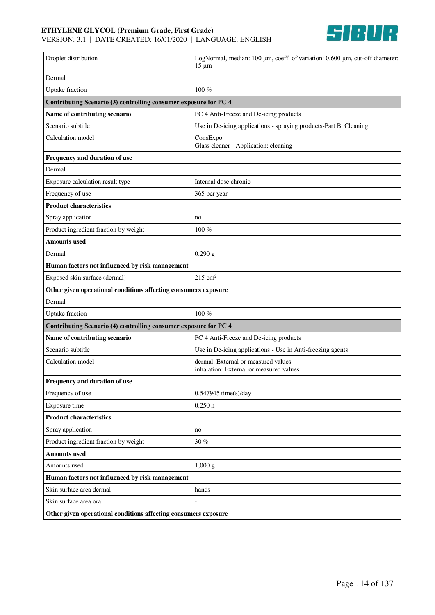

| Droplet distribution                                             | LogNormal, median: 100 µm, coeff. of variation: 0.600 µm, cut-off diameter:<br>$15 \mu m$ |  |
|------------------------------------------------------------------|-------------------------------------------------------------------------------------------|--|
| Dermal                                                           |                                                                                           |  |
| Uptake fraction                                                  | 100 %                                                                                     |  |
| Contributing Scenario (3) controlling consumer exposure for PC 4 |                                                                                           |  |
| Name of contributing scenario                                    | PC 4 Anti-Freeze and De-icing products                                                    |  |
| Scenario subtitle                                                | Use in De-icing applications - spraying products-Part B. Cleaning                         |  |
| Calculation model                                                | ConsExpo<br>Glass cleaner - Application: cleaning                                         |  |
| Frequency and duration of use                                    |                                                                                           |  |
| Dermal                                                           |                                                                                           |  |
| Exposure calculation result type                                 | Internal dose chronic                                                                     |  |
| Frequency of use                                                 | 365 per year                                                                              |  |
| <b>Product characteristics</b>                                   |                                                                                           |  |
| Spray application                                                | no                                                                                        |  |
| Product ingredient fraction by weight                            | 100 %                                                                                     |  |
| Amounts used                                                     |                                                                                           |  |
| Dermal                                                           | 0.290 g                                                                                   |  |
| Human factors not influenced by risk management                  |                                                                                           |  |
| Exposed skin surface (dermal)                                    | $215$ cm <sup>2</sup>                                                                     |  |
| Other given operational conditions affecting consumers exposure  |                                                                                           |  |
| Dermal                                                           |                                                                                           |  |
| <b>Uptake</b> fraction                                           | 100 %                                                                                     |  |
| Contributing Scenario (4) controlling consumer exposure for PC 4 |                                                                                           |  |
| Name of contributing scenario                                    | PC 4 Anti-Freeze and De-icing products                                                    |  |
| Scenario subtitle                                                | Use in De-icing applications - Use in Anti-freezing agents                                |  |
| Calculation model                                                | dermal: External or measured values<br>inhalation: External or measured values            |  |
| Frequency and duration of use                                    |                                                                                           |  |
| Frequency of use                                                 | $0.547945$ time(s)/day                                                                    |  |
| Exposure time                                                    | 0.250h                                                                                    |  |
| <b>Product characteristics</b>                                   |                                                                                           |  |
| Spray application                                                | no                                                                                        |  |
| Product ingredient fraction by weight                            | $30\ \%$                                                                                  |  |
| <b>Amounts used</b>                                              |                                                                                           |  |
| Amounts used                                                     | 1,000 g                                                                                   |  |
| Human factors not influenced by risk management                  |                                                                                           |  |
| Skin surface area dermal                                         | hands                                                                                     |  |
| Skin surface area oral                                           | $\overline{a}$                                                                            |  |
| Other given operational conditions affecting consumers exposure  |                                                                                           |  |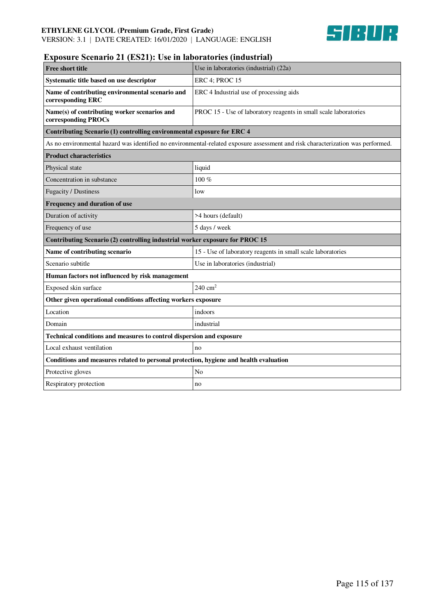

## **Exposure Scenario 21 (ES21): Use in laboratories (industrial)**

| <b>Free short title</b>                                                                                                         | Use in laboratories (industrial) (22a)                           |  |
|---------------------------------------------------------------------------------------------------------------------------------|------------------------------------------------------------------|--|
| Systematic title based on use descriptor                                                                                        | ERC 4; PROC 15                                                   |  |
| Name of contributing environmental scenario and<br>corresponding ERC                                                            | ERC 4 Industrial use of processing aids                          |  |
| Name(s) of contributing worker scenarios and<br>corresponding PROCs                                                             | PROC 15 - Use of laboratory reagents in small scale laboratories |  |
| Contributing Scenario (1) controlling environmental exposure for ERC 4                                                          |                                                                  |  |
| As no environmental hazard was identified no environmental-related exposure assessment and risk characterization was performed. |                                                                  |  |
| <b>Product characteristics</b>                                                                                                  |                                                                  |  |
| Physical state                                                                                                                  | liquid                                                           |  |
| Concentration in substance                                                                                                      | 100 %                                                            |  |
| Fugacity / Dustiness                                                                                                            | low                                                              |  |
| <b>Frequency and duration of use</b>                                                                                            |                                                                  |  |
| Duration of activity                                                                                                            | >4 hours (default)                                               |  |
| Frequency of use                                                                                                                | 5 days / week                                                    |  |
| Contributing Scenario (2) controlling industrial worker exposure for PROC 15                                                    |                                                                  |  |
| Name of contributing scenario                                                                                                   | 15 - Use of laboratory reagents in small scale laboratories      |  |
| Scenario subtitle                                                                                                               | Use in laboratories (industrial)                                 |  |
| Human factors not influenced by risk management                                                                                 |                                                                  |  |
| Exposed skin surface                                                                                                            | $240 \text{ cm}^2$                                               |  |
| Other given operational conditions affecting workers exposure                                                                   |                                                                  |  |
| Location                                                                                                                        | indoors                                                          |  |
| Domain                                                                                                                          | industrial                                                       |  |
| Technical conditions and measures to control dispersion and exposure                                                            |                                                                  |  |
| Local exhaust ventilation                                                                                                       | no                                                               |  |
| Conditions and measures related to personal protection, hygiene and health evaluation                                           |                                                                  |  |
| Protective gloves                                                                                                               | N <sub>0</sub>                                                   |  |
| Respiratory protection                                                                                                          | no                                                               |  |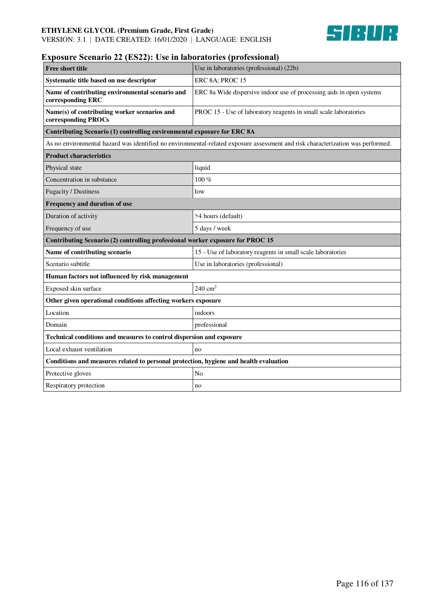

## **Exposure Scenario 22 (ES22): Use in laboratories (professional)**

| <b>Free short title</b>                                                                                                         | Use in laboratories (professional) (22b)                             |  |
|---------------------------------------------------------------------------------------------------------------------------------|----------------------------------------------------------------------|--|
| Systematic title based on use descriptor                                                                                        | ERC 8A; PROC 15                                                      |  |
| Name of contributing environmental scenario and<br>corresponding ERC                                                            | ERC 8a Wide dispersive indoor use of processing aids in open systems |  |
| Name(s) of contributing worker scenarios and<br>corresponding PROCs                                                             | PROC 15 - Use of laboratory reagents in small scale laboratories     |  |
| Contributing Scenario (1) controlling environmental exposure for ERC 8A                                                         |                                                                      |  |
| As no environmental hazard was identified no environmental-related exposure assessment and risk characterization was performed. |                                                                      |  |
| <b>Product characteristics</b>                                                                                                  |                                                                      |  |
| Physical state                                                                                                                  | liquid                                                               |  |
| Concentration in substance                                                                                                      | $100\%$                                                              |  |
| <b>Fugacity / Dustiness</b>                                                                                                     | low                                                                  |  |
| <b>Frequency and duration of use</b>                                                                                            |                                                                      |  |
| Duration of activity                                                                                                            | >4 hours (default)                                                   |  |
| Frequency of use                                                                                                                | 5 days / week                                                        |  |
| Contributing Scenario (2) controlling professional worker exposure for PROC 15                                                  |                                                                      |  |
| Name of contributing scenario                                                                                                   | 15 - Use of laboratory reagents in small scale laboratories          |  |
| Scenario subtitle                                                                                                               | Use in laboratories (professional)                                   |  |
| Human factors not influenced by risk management                                                                                 |                                                                      |  |
| Exposed skin surface                                                                                                            | $240$ cm <sup>2</sup>                                                |  |
| Other given operational conditions affecting workers exposure                                                                   |                                                                      |  |
| Location                                                                                                                        | indoors                                                              |  |
| Domain                                                                                                                          | professional                                                         |  |
| Technical conditions and measures to control dispersion and exposure                                                            |                                                                      |  |
| Local exhaust ventilation                                                                                                       | no                                                                   |  |
| Conditions and measures related to personal protection, hygiene and health evaluation                                           |                                                                      |  |
| Protective gloves                                                                                                               | No                                                                   |  |
| Respiratory protection                                                                                                          | no                                                                   |  |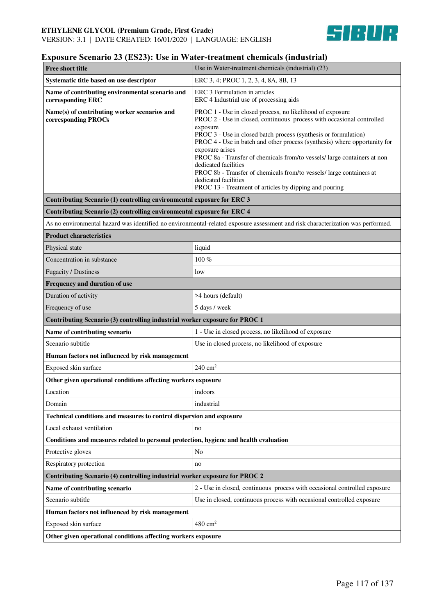

#### **Exposure Scenario 23 (ES23): Use in Water-treatment chemicals (industrial)**

| <b>Free short title</b>                                                                                                         | Use in Water-treatment chemicals (industrial) (23)                                                                                                                                                                                                                                                                                                                                                                                        |
|---------------------------------------------------------------------------------------------------------------------------------|-------------------------------------------------------------------------------------------------------------------------------------------------------------------------------------------------------------------------------------------------------------------------------------------------------------------------------------------------------------------------------------------------------------------------------------------|
| Systematic title based on use descriptor                                                                                        | ERC 3, 4; PROC 1, 2, 3, 4, 8A, 8B, 13                                                                                                                                                                                                                                                                                                                                                                                                     |
| Name of contributing environmental scenario and<br>corresponding ERC                                                            | ERC 3 Formulation in articles<br>ERC 4 Industrial use of processing aids                                                                                                                                                                                                                                                                                                                                                                  |
| Name(s) of contributing worker scenarios and<br>corresponding PROCs                                                             | PROC 1 - Use in closed process, no likelihood of exposure<br>PROC 2 - Use in closed, continuous process with occasional controlled                                                                                                                                                                                                                                                                                                        |
|                                                                                                                                 | exposure<br>PROC 3 - Use in closed batch process (synthesis or formulation)<br>PROC 4 - Use in batch and other process (synthesis) where opportunity for<br>exposure arises<br>PROC 8a - Transfer of chemicals from/to vessels/ large containers at non<br>dedicated facilities<br>PROC 8b - Transfer of chemicals from/to vessels/ large containers at<br>dedicated facilities<br>PROC 13 - Treatment of articles by dipping and pouring |
| Contributing Scenario (1) controlling environmental exposure for ERC 3                                                          |                                                                                                                                                                                                                                                                                                                                                                                                                                           |
| Contributing Scenario (2) controlling environmental exposure for ERC 4                                                          |                                                                                                                                                                                                                                                                                                                                                                                                                                           |
| As no environmental hazard was identified no environmental-related exposure assessment and risk characterization was performed. |                                                                                                                                                                                                                                                                                                                                                                                                                                           |
| <b>Product characteristics</b>                                                                                                  |                                                                                                                                                                                                                                                                                                                                                                                                                                           |
| Physical state                                                                                                                  | liquid                                                                                                                                                                                                                                                                                                                                                                                                                                    |
| Concentration in substance                                                                                                      | 100 %                                                                                                                                                                                                                                                                                                                                                                                                                                     |
| Fugacity / Dustiness                                                                                                            | low                                                                                                                                                                                                                                                                                                                                                                                                                                       |
| <b>Frequency and duration of use</b>                                                                                            |                                                                                                                                                                                                                                                                                                                                                                                                                                           |
| Duration of activity                                                                                                            | >4 hours (default)                                                                                                                                                                                                                                                                                                                                                                                                                        |
| Frequency of use                                                                                                                | 5 days / week                                                                                                                                                                                                                                                                                                                                                                                                                             |
| Contributing Scenario (3) controlling industrial worker exposure for PROC 1                                                     |                                                                                                                                                                                                                                                                                                                                                                                                                                           |
| Name of contributing scenario                                                                                                   | 1 - Use in closed process, no likelihood of exposure                                                                                                                                                                                                                                                                                                                                                                                      |
| Scenario subtitle                                                                                                               | Use in closed process, no likelihood of exposure                                                                                                                                                                                                                                                                                                                                                                                          |
| Human factors not influenced by risk management                                                                                 |                                                                                                                                                                                                                                                                                                                                                                                                                                           |
| Exposed skin surface                                                                                                            | $240$ cm <sup>2</sup>                                                                                                                                                                                                                                                                                                                                                                                                                     |
| Other given operational conditions affecting workers exposure                                                                   |                                                                                                                                                                                                                                                                                                                                                                                                                                           |
| Location                                                                                                                        | indoors                                                                                                                                                                                                                                                                                                                                                                                                                                   |
| Domain                                                                                                                          | industrial                                                                                                                                                                                                                                                                                                                                                                                                                                |
| Technical conditions and measures to control dispersion and exposure                                                            |                                                                                                                                                                                                                                                                                                                                                                                                                                           |
| Local exhaust ventilation                                                                                                       | no                                                                                                                                                                                                                                                                                                                                                                                                                                        |
| Conditions and measures related to personal protection, hygiene and health evaluation                                           |                                                                                                                                                                                                                                                                                                                                                                                                                                           |
| Protective gloves                                                                                                               | No                                                                                                                                                                                                                                                                                                                                                                                                                                        |
| Respiratory protection                                                                                                          | no                                                                                                                                                                                                                                                                                                                                                                                                                                        |
| Contributing Scenario (4) controlling industrial worker exposure for PROC 2                                                     |                                                                                                                                                                                                                                                                                                                                                                                                                                           |
| Name of contributing scenario                                                                                                   | 2 - Use in closed, continuous process with occasional controlled exposure                                                                                                                                                                                                                                                                                                                                                                 |
| Scenario subtitle                                                                                                               | Use in closed, continuous process with occasional controlled exposure                                                                                                                                                                                                                                                                                                                                                                     |
| Human factors not influenced by risk management                                                                                 |                                                                                                                                                                                                                                                                                                                                                                                                                                           |
| Exposed skin surface                                                                                                            | 480 cm <sup>2</sup>                                                                                                                                                                                                                                                                                                                                                                                                                       |
| Other given operational conditions affecting workers exposure                                                                   |                                                                                                                                                                                                                                                                                                                                                                                                                                           |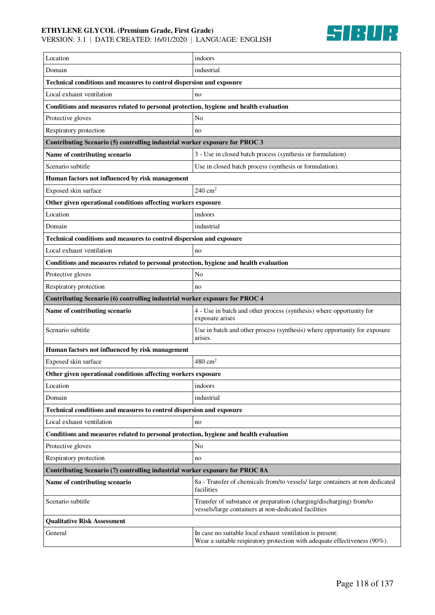

| Location                                                                              | indoors                                                                                                                     |  |
|---------------------------------------------------------------------------------------|-----------------------------------------------------------------------------------------------------------------------------|--|
| Domain                                                                                | industrial                                                                                                                  |  |
| Technical conditions and measures to control dispersion and exposure                  |                                                                                                                             |  |
| Local exhaust ventilation                                                             | no                                                                                                                          |  |
| Conditions and measures related to personal protection, hygiene and health evaluation |                                                                                                                             |  |
| Protective gloves                                                                     | No                                                                                                                          |  |
| Respiratory protection                                                                | no                                                                                                                          |  |
| Contributing Scenario (5) controlling industrial worker exposure for PROC 3           |                                                                                                                             |  |
| Name of contributing scenario                                                         | 3 - Use in closed batch process (synthesis or formulation)                                                                  |  |
| Scenario subtitle                                                                     | Use in closed batch process (synthesis or formulation).                                                                     |  |
| Human factors not influenced by risk management                                       |                                                                                                                             |  |
| Exposed skin surface                                                                  | $240$ cm <sup>2</sup>                                                                                                       |  |
| Other given operational conditions affecting workers exposure                         |                                                                                                                             |  |
| Location                                                                              | indoors                                                                                                                     |  |
| Domain                                                                                | industrial                                                                                                                  |  |
| Technical conditions and measures to control dispersion and exposure                  |                                                                                                                             |  |
| Local exhaust ventilation                                                             | no                                                                                                                          |  |
| Conditions and measures related to personal protection, hygiene and health evaluation |                                                                                                                             |  |
| Protective gloves                                                                     | No                                                                                                                          |  |
| Respiratory protection                                                                | no                                                                                                                          |  |
| Contributing Scenario (6) controlling industrial worker exposure for PROC 4           |                                                                                                                             |  |
| Name of contributing scenario                                                         | 4 - Use in batch and other process (synthesis) where opportunity for<br>exposure arises                                     |  |
| Scenario subtitle                                                                     | Use in batch and other process (synthesis) where opportunity for exposure<br>arises.                                        |  |
| Human factors not influenced by risk management                                       |                                                                                                                             |  |
| Exposed skin surface                                                                  | $480 \text{ cm}^2$                                                                                                          |  |
| Other given operational conditions affecting workers exposure                         |                                                                                                                             |  |
| Location                                                                              | indoors                                                                                                                     |  |
| Domain                                                                                | industrial                                                                                                                  |  |
| Technical conditions and measures to control dispersion and exposure                  |                                                                                                                             |  |
|                                                                                       |                                                                                                                             |  |
| Local exhaust ventilation                                                             | no                                                                                                                          |  |
| Conditions and measures related to personal protection, hygiene and health evaluation |                                                                                                                             |  |
| Protective gloves                                                                     | No                                                                                                                          |  |
| Respiratory protection                                                                | no                                                                                                                          |  |
| Contributing Scenario (7) controlling industrial worker exposure for PROC 8A          |                                                                                                                             |  |
| Name of contributing scenario                                                         | 8a - Transfer of chemicals from/to vessels/ large containers at non dedicated<br>facilities                                 |  |
| Scenario subtitle                                                                     | Transfer of substance or preparation (charging/discharging) from/to<br>vessels/large containers at non-dedicated facilities |  |
| <b>Qualitative Risk Assessment</b>                                                    |                                                                                                                             |  |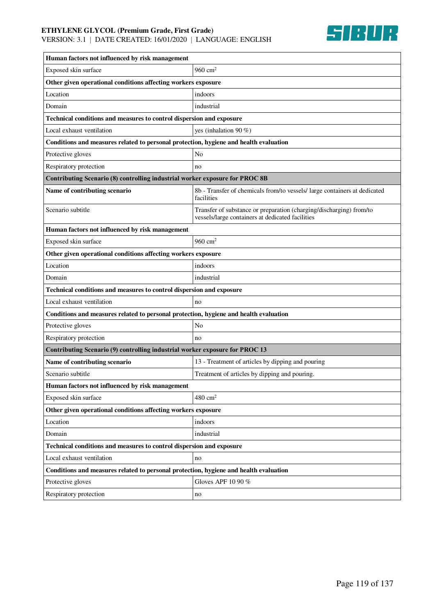

| Human factors not influenced by risk management                                       |                                                                                                                         |  |
|---------------------------------------------------------------------------------------|-------------------------------------------------------------------------------------------------------------------------|--|
| Exposed skin surface                                                                  | $960 \text{ cm}^2$                                                                                                      |  |
| Other given operational conditions affecting workers exposure                         |                                                                                                                         |  |
| Location                                                                              | indoors                                                                                                                 |  |
| Domain                                                                                | industrial                                                                                                              |  |
| Technical conditions and measures to control dispersion and exposure                  |                                                                                                                         |  |
| Local exhaust ventilation                                                             | yes (inhalation 90 $\%$ )                                                                                               |  |
| Conditions and measures related to personal protection, hygiene and health evaluation |                                                                                                                         |  |
| Protective gloves                                                                     | N <sub>o</sub>                                                                                                          |  |
| Respiratory protection                                                                | no                                                                                                                      |  |
| Contributing Scenario (8) controlling industrial worker exposure for PROC 8B          |                                                                                                                         |  |
| Name of contributing scenario                                                         | 8b - Transfer of chemicals from/to vessels/ large containers at dedicated<br>facilities                                 |  |
| Scenario subtitle                                                                     | Transfer of substance or preparation (charging/discharging) from/to<br>vessels/large containers at dedicated facilities |  |
| Human factors not influenced by risk management                                       |                                                                                                                         |  |
| Exposed skin surface                                                                  | $960 \text{ cm}^2$                                                                                                      |  |
| Other given operational conditions affecting workers exposure                         |                                                                                                                         |  |
| Location                                                                              | indoors                                                                                                                 |  |
| Domain                                                                                | industrial                                                                                                              |  |
| Technical conditions and measures to control dispersion and exposure                  |                                                                                                                         |  |
| Local exhaust ventilation                                                             | no                                                                                                                      |  |
| Conditions and measures related to personal protection, hygiene and health evaluation |                                                                                                                         |  |
| Protective gloves                                                                     | No                                                                                                                      |  |
| Respiratory protection                                                                | no                                                                                                                      |  |
| Contributing Scenario (9) controlling industrial worker exposure for PROC 13          |                                                                                                                         |  |
| Name of contributing scenario                                                         | 13 - Treatment of articles by dipping and pouring                                                                       |  |
| Scenario subtitle                                                                     | Treatment of articles by dipping and pouring.                                                                           |  |
| Human factors not influenced by risk management                                       |                                                                                                                         |  |
| Exposed skin surface                                                                  | $480 \text{ cm}^2$                                                                                                      |  |
| Other given operational conditions affecting workers exposure                         |                                                                                                                         |  |
| Location                                                                              | indoors                                                                                                                 |  |
| Domain                                                                                | industrial                                                                                                              |  |
| Technical conditions and measures to control dispersion and exposure                  |                                                                                                                         |  |
| Local exhaust ventilation                                                             | no                                                                                                                      |  |
| Conditions and measures related to personal protection, hygiene and health evaluation |                                                                                                                         |  |
| Protective gloves                                                                     | Gloves APF 10 90 %                                                                                                      |  |
| Respiratory protection                                                                | no                                                                                                                      |  |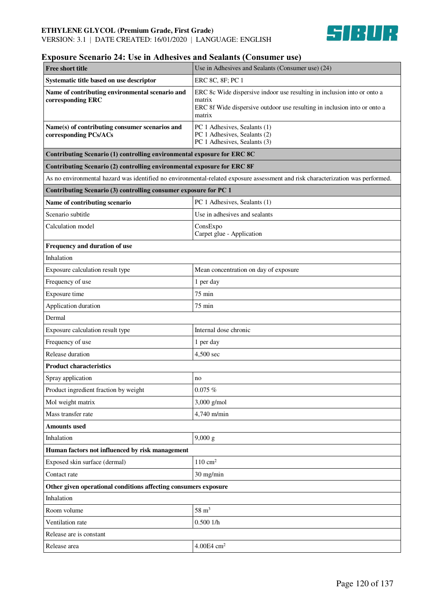

## **Exposure Scenario 24: Use in Adhesives and Sealants (Consumer use)**

| <b>Free short title</b>                                                                                                         | Use in Adhesives and Sealants (Consumer use) (24)                                                                                                                       |  |
|---------------------------------------------------------------------------------------------------------------------------------|-------------------------------------------------------------------------------------------------------------------------------------------------------------------------|--|
| Systematic title based on use descriptor                                                                                        | ERC 8C, 8F; PC 1                                                                                                                                                        |  |
| Name of contributing environmental scenario and<br>corresponding ERC                                                            | ERC 8c Wide dispersive indoor use resulting in inclusion into or onto a<br>matrix<br>ERC 8f Wide dispersive outdoor use resulting in inclusion into or onto a<br>matrix |  |
| Name(s) of contributing consumer scenarios and<br>corresponding PCs/ACs                                                         | PC 1 Adhesives, Sealants (1)<br>PC 1 Adhesives, Sealants (2)<br>PC 1 Adhesives, Sealants (3)                                                                            |  |
| Contributing Scenario (1) controlling environmental exposure for ERC 8C                                                         |                                                                                                                                                                         |  |
| Contributing Scenario (2) controlling environmental exposure for ERC 8F                                                         |                                                                                                                                                                         |  |
| As no environmental hazard was identified no environmental-related exposure assessment and risk characterization was performed. |                                                                                                                                                                         |  |
| Contributing Scenario (3) controlling consumer exposure for PC 1                                                                |                                                                                                                                                                         |  |
| Name of contributing scenario                                                                                                   | PC 1 Adhesives, Sealants (1)                                                                                                                                            |  |
| Scenario subtitle                                                                                                               | Use in adhesives and sealants                                                                                                                                           |  |
| Calculation model                                                                                                               | ConsExpo<br>Carpet glue - Application                                                                                                                                   |  |
| Frequency and duration of use                                                                                                   |                                                                                                                                                                         |  |
| Inhalation                                                                                                                      |                                                                                                                                                                         |  |
| Exposure calculation result type                                                                                                | Mean concentration on day of exposure                                                                                                                                   |  |
| Frequency of use                                                                                                                | 1 per day                                                                                                                                                               |  |
| Exposure time                                                                                                                   | $75 \text{ min}$                                                                                                                                                        |  |
| Application duration                                                                                                            | 75 min                                                                                                                                                                  |  |
| Dermal                                                                                                                          |                                                                                                                                                                         |  |
| Exposure calculation result type                                                                                                | Internal dose chronic                                                                                                                                                   |  |
| Frequency of use                                                                                                                | 1 per day                                                                                                                                                               |  |
| Release duration                                                                                                                | 4,500 sec                                                                                                                                                               |  |
| <b>Product characteristics</b>                                                                                                  |                                                                                                                                                                         |  |
| Spray application                                                                                                               | no                                                                                                                                                                      |  |
| Product ingredient fraction by weight                                                                                           | $0.075~\%$                                                                                                                                                              |  |
| Mol weight matrix                                                                                                               | $3,000$ g/mol                                                                                                                                                           |  |
| Mass transfer rate                                                                                                              | 4,740 m/min                                                                                                                                                             |  |
| <b>Amounts used</b>                                                                                                             |                                                                                                                                                                         |  |
| Inhalation                                                                                                                      | 9,000 g                                                                                                                                                                 |  |
| Human factors not influenced by risk management                                                                                 |                                                                                                                                                                         |  |
| Exposed skin surface (dermal)                                                                                                   | $110 \text{ cm}^2$                                                                                                                                                      |  |
| Contact rate                                                                                                                    | 30 mg/min                                                                                                                                                               |  |
| Other given operational conditions affecting consumers exposure                                                                 |                                                                                                                                                                         |  |
| Inhalation                                                                                                                      |                                                                                                                                                                         |  |
| Room volume                                                                                                                     | $58 \text{ m}^3$                                                                                                                                                        |  |
| Ventilation rate                                                                                                                | 0.5001/h                                                                                                                                                                |  |
| Release are is constant                                                                                                         |                                                                                                                                                                         |  |
| Release area                                                                                                                    | 4.00E4 cm <sup>2</sup>                                                                                                                                                  |  |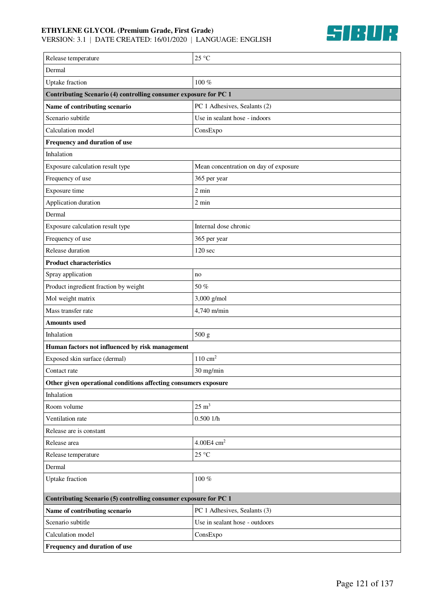

| Release temperature                                              | $25^{\circ}$ C                        |
|------------------------------------------------------------------|---------------------------------------|
| Dermal                                                           |                                       |
| <b>Uptake</b> fraction                                           | 100 %                                 |
| Contributing Scenario (4) controlling consumer exposure for PC 1 |                                       |
| Name of contributing scenario                                    | PC 1 Adhesives, Sealants (2)          |
| Scenario subtitle                                                | Use in sealant hose - indoors         |
| Calculation model                                                | ConsExpo                              |
| Frequency and duration of use                                    |                                       |
| Inhalation                                                       |                                       |
| Exposure calculation result type                                 | Mean concentration on day of exposure |
| Frequency of use                                                 | 365 per year                          |
| Exposure time                                                    | 2 min                                 |
| Application duration                                             | $2 \text{ min}$                       |
| Dermal                                                           |                                       |
| Exposure calculation result type                                 | Internal dose chronic                 |
| Frequency of use                                                 | 365 per year                          |
| Release duration                                                 | 120 sec                               |
| <b>Product characteristics</b>                                   |                                       |
| Spray application                                                | no                                    |
| Product ingredient fraction by weight                            | $50\ \%$                              |
| Mol weight matrix                                                | 3,000 g/mol                           |
| Mass transfer rate                                               | 4,740 m/min                           |
| <b>Amounts</b> used                                              |                                       |
| Inhalation                                                       | 500 g                                 |
| Human factors not influenced by risk management                  |                                       |
| Exposed skin surface (dermal)                                    | $110 \text{ cm}^2$                    |
| Contact rate                                                     | 30 mg/min                             |
| Other given operational conditions affecting consumers exposure  |                                       |
| Inhalation                                                       |                                       |
| Room volume                                                      | $25 \text{ m}^3$                      |
| Ventilation rate                                                 | 0.5001/h                              |
| Release are is constant                                          |                                       |
| Release area                                                     | 4.00E4 cm <sup>2</sup>                |
| Release temperature                                              | $25^{\circ}$ C                        |
| Dermal                                                           |                                       |
| Uptake fraction                                                  | 100 %                                 |
| Contributing Scenario (5) controlling consumer exposure for PC 1 |                                       |
| Name of contributing scenario                                    | PC 1 Adhesives, Sealants (3)          |
| Scenario subtitle                                                | Use in sealant hose - outdoors        |
| Calculation model                                                | ConsExpo                              |
| Frequency and duration of use                                    |                                       |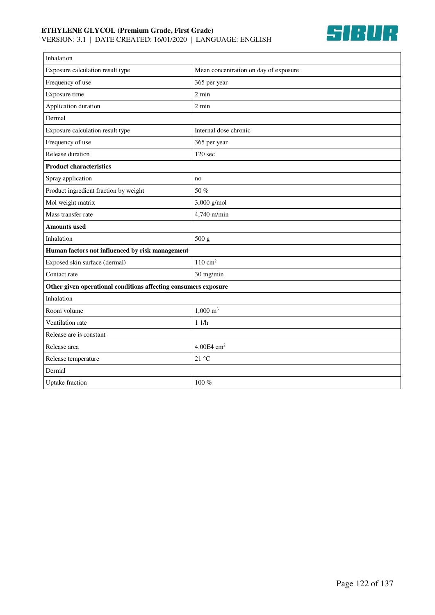

| Inhalation                                                      |                                       |
|-----------------------------------------------------------------|---------------------------------------|
| Exposure calculation result type                                | Mean concentration on day of exposure |
| Frequency of use                                                | 365 per year                          |
| Exposure time                                                   | $2 \text{ min}$                       |
| Application duration                                            | $2 \text{ min}$                       |
| Dermal                                                          |                                       |
| Exposure calculation result type                                | Internal dose chronic                 |
| Frequency of use                                                | 365 per year                          |
| Release duration                                                | 120 sec                               |
| <b>Product characteristics</b>                                  |                                       |
| Spray application                                               | no                                    |
| Product ingredient fraction by weight                           | 50%                                   |
| Mol weight matrix                                               | $3,000$ g/mol                         |
| Mass transfer rate                                              | 4,740 m/min                           |
| <b>Amounts</b> used                                             |                                       |
|                                                                 |                                       |
| Inhalation                                                      | 500 g                                 |
| Human factors not influenced by risk management                 |                                       |
| Exposed skin surface (dermal)                                   | $110 \text{ cm}^2$                    |
| Contact rate                                                    | 30 mg/min                             |
| Other given operational conditions affecting consumers exposure |                                       |
| Inhalation                                                      |                                       |
| Room volume                                                     | $1,000 \text{ m}^3$                   |
| Ventilation rate                                                | 11/h                                  |
| Release are is constant                                         |                                       |
| Release area                                                    | 4.00E4 cm <sup>2</sup>                |
| Release temperature                                             | 21 °C                                 |
| Dermal                                                          |                                       |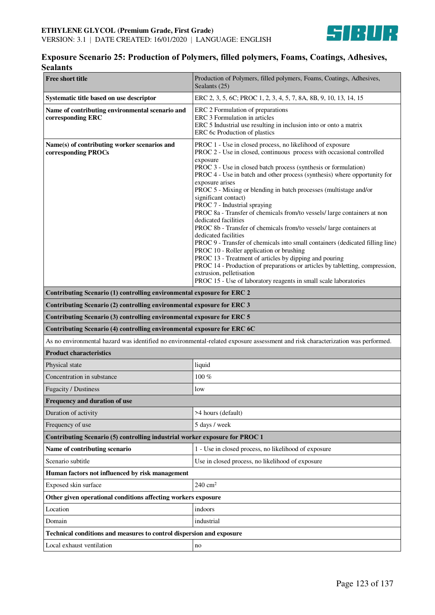

## **Exposure Scenario 25: Production of Polymers, filled polymers, Foams, Coatings, Adhesives, Sealants**

| <b>Free short title</b>                                                     | Production of Polymers, filled polymers, Foams, Coatings, Adhesives,<br>Sealants (25)                                                                                                                                                                                                                                                                                                                                                                                                                                                                                                                                                                                                                                                                                                                                                                                                                                                                                                                                     |
|-----------------------------------------------------------------------------|---------------------------------------------------------------------------------------------------------------------------------------------------------------------------------------------------------------------------------------------------------------------------------------------------------------------------------------------------------------------------------------------------------------------------------------------------------------------------------------------------------------------------------------------------------------------------------------------------------------------------------------------------------------------------------------------------------------------------------------------------------------------------------------------------------------------------------------------------------------------------------------------------------------------------------------------------------------------------------------------------------------------------|
| Systematic title based on use descriptor                                    | ERC 2, 3, 5, 6C; PROC 1, 2, 3, 4, 5, 7, 8A, 8B, 9, 10, 13, 14, 15                                                                                                                                                                                                                                                                                                                                                                                                                                                                                                                                                                                                                                                                                                                                                                                                                                                                                                                                                         |
| Name of contributing environmental scenario and<br>corresponding ERC        | ERC 2 Formulation of preparations<br>ERC 3 Formulation in articles<br>ERC 5 Industrial use resulting in inclusion into or onto a matrix<br>ERC 6c Production of plastics                                                                                                                                                                                                                                                                                                                                                                                                                                                                                                                                                                                                                                                                                                                                                                                                                                                  |
| Name(s) of contributing worker scenarios and<br>corresponding PROCs         | PROC 1 - Use in closed process, no likelihood of exposure<br>PROC 2 - Use in closed, continuous process with occasional controlled<br>exposure<br>PROC 3 - Use in closed batch process (synthesis or formulation)<br>PROC 4 - Use in batch and other process (synthesis) where opportunity for<br>exposure arises<br>PROC 5 - Mixing or blending in batch processes (multistage and/or<br>significant contact)<br>PROC 7 - Industrial spraying<br>PROC 8a - Transfer of chemicals from/to vessels/ large containers at non<br>dedicated facilities<br>PROC 8b - Transfer of chemicals from/to vessels/ large containers at<br>dedicated facilities<br>PROC 9 - Transfer of chemicals into small containers (dedicated filling line)<br>PROC 10 - Roller application or brushing<br>PROC 13 - Treatment of articles by dipping and pouring<br>PROC 14 - Production of preparations or articles by tabletting, compression,<br>extrusion, pelletisation<br>PROC 15 - Use of laboratory reagents in small scale laboratories |
| Contributing Scenario (1) controlling environmental exposure for ERC 2      |                                                                                                                                                                                                                                                                                                                                                                                                                                                                                                                                                                                                                                                                                                                                                                                                                                                                                                                                                                                                                           |
| Contributing Scenario (2) controlling environmental exposure for ERC 3      |                                                                                                                                                                                                                                                                                                                                                                                                                                                                                                                                                                                                                                                                                                                                                                                                                                                                                                                                                                                                                           |
| Contributing Scenario (3) controlling environmental exposure for ERC 5      |                                                                                                                                                                                                                                                                                                                                                                                                                                                                                                                                                                                                                                                                                                                                                                                                                                                                                                                                                                                                                           |
| Contributing Scenario (4) controlling environmental exposure for ERC 6C     |                                                                                                                                                                                                                                                                                                                                                                                                                                                                                                                                                                                                                                                                                                                                                                                                                                                                                                                                                                                                                           |
|                                                                             | As no environmental hazard was identified no environmental-related exposure assessment and risk characterization was performed.                                                                                                                                                                                                                                                                                                                                                                                                                                                                                                                                                                                                                                                                                                                                                                                                                                                                                           |
| <b>Product characteristics</b>                                              |                                                                                                                                                                                                                                                                                                                                                                                                                                                                                                                                                                                                                                                                                                                                                                                                                                                                                                                                                                                                                           |
| Physical state                                                              | liquid                                                                                                                                                                                                                                                                                                                                                                                                                                                                                                                                                                                                                                                                                                                                                                                                                                                                                                                                                                                                                    |
| Concentration in substance                                                  | 100 %                                                                                                                                                                                                                                                                                                                                                                                                                                                                                                                                                                                                                                                                                                                                                                                                                                                                                                                                                                                                                     |
| <b>Fugacity / Dustiness</b>                                                 | low                                                                                                                                                                                                                                                                                                                                                                                                                                                                                                                                                                                                                                                                                                                                                                                                                                                                                                                                                                                                                       |
| <b>Frequency and duration of use</b>                                        |                                                                                                                                                                                                                                                                                                                                                                                                                                                                                                                                                                                                                                                                                                                                                                                                                                                                                                                                                                                                                           |
| Duration of activity                                                        | >4 hours (default)                                                                                                                                                                                                                                                                                                                                                                                                                                                                                                                                                                                                                                                                                                                                                                                                                                                                                                                                                                                                        |
| Frequency of use                                                            | 5 days / week                                                                                                                                                                                                                                                                                                                                                                                                                                                                                                                                                                                                                                                                                                                                                                                                                                                                                                                                                                                                             |
| Contributing Scenario (5) controlling industrial worker exposure for PROC 1 |                                                                                                                                                                                                                                                                                                                                                                                                                                                                                                                                                                                                                                                                                                                                                                                                                                                                                                                                                                                                                           |
| Name of contributing scenario                                               | 1 - Use in closed process, no likelihood of exposure                                                                                                                                                                                                                                                                                                                                                                                                                                                                                                                                                                                                                                                                                                                                                                                                                                                                                                                                                                      |
| Scenario subtitle                                                           | Use in closed process, no likelihood of exposure                                                                                                                                                                                                                                                                                                                                                                                                                                                                                                                                                                                                                                                                                                                                                                                                                                                                                                                                                                          |
| Human factors not influenced by risk management                             |                                                                                                                                                                                                                                                                                                                                                                                                                                                                                                                                                                                                                                                                                                                                                                                                                                                                                                                                                                                                                           |
| Exposed skin surface                                                        | $240 \text{ cm}^2$                                                                                                                                                                                                                                                                                                                                                                                                                                                                                                                                                                                                                                                                                                                                                                                                                                                                                                                                                                                                        |
| Other given operational conditions affecting workers exposure               |                                                                                                                                                                                                                                                                                                                                                                                                                                                                                                                                                                                                                                                                                                                                                                                                                                                                                                                                                                                                                           |
| Location                                                                    |                                                                                                                                                                                                                                                                                                                                                                                                                                                                                                                                                                                                                                                                                                                                                                                                                                                                                                                                                                                                                           |
|                                                                             | indoors                                                                                                                                                                                                                                                                                                                                                                                                                                                                                                                                                                                                                                                                                                                                                                                                                                                                                                                                                                                                                   |
| Domain                                                                      | industrial                                                                                                                                                                                                                                                                                                                                                                                                                                                                                                                                                                                                                                                                                                                                                                                                                                                                                                                                                                                                                |
| Technical conditions and measures to control dispersion and exposure        |                                                                                                                                                                                                                                                                                                                                                                                                                                                                                                                                                                                                                                                                                                                                                                                                                                                                                                                                                                                                                           |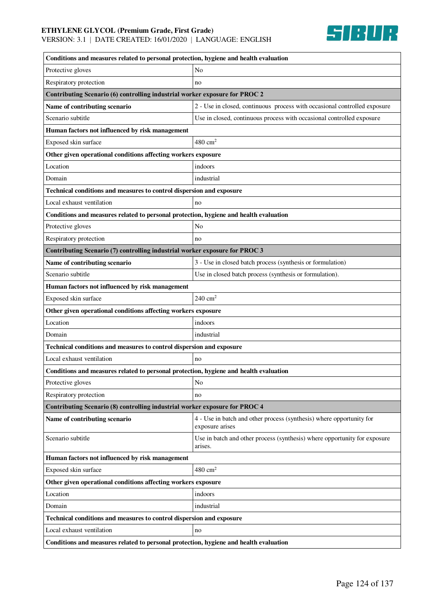

| Conditions and measures related to personal protection, hygiene and health evaluation |                                                                                         |  |
|---------------------------------------------------------------------------------------|-----------------------------------------------------------------------------------------|--|
| Protective gloves                                                                     | No                                                                                      |  |
| Respiratory protection                                                                | no                                                                                      |  |
| Contributing Scenario (6) controlling industrial worker exposure for PROC 2           |                                                                                         |  |
| Name of contributing scenario                                                         | 2 - Use in closed, continuous process with occasional controlled exposure               |  |
| Scenario subtitle                                                                     | Use in closed, continuous process with occasional controlled exposure                   |  |
| Human factors not influenced by risk management                                       |                                                                                         |  |
| Exposed skin surface                                                                  | $480 \text{ cm}^2$                                                                      |  |
| Other given operational conditions affecting workers exposure                         |                                                                                         |  |
| Location                                                                              | indoors                                                                                 |  |
| Domain                                                                                | industrial                                                                              |  |
| Technical conditions and measures to control dispersion and exposure                  |                                                                                         |  |
| Local exhaust ventilation                                                             | no                                                                                      |  |
| Conditions and measures related to personal protection, hygiene and health evaluation |                                                                                         |  |
| Protective gloves                                                                     | No                                                                                      |  |
| Respiratory protection                                                                | no                                                                                      |  |
| Contributing Scenario (7) controlling industrial worker exposure for PROC 3           |                                                                                         |  |
| Name of contributing scenario                                                         | 3 - Use in closed batch process (synthesis or formulation)                              |  |
| Scenario subtitle                                                                     | Use in closed batch process (synthesis or formulation).                                 |  |
| Human factors not influenced by risk management                                       |                                                                                         |  |
| Exposed skin surface                                                                  | $240$ cm <sup>2</sup>                                                                   |  |
| Other given operational conditions affecting workers exposure                         |                                                                                         |  |
| Location                                                                              | indoors                                                                                 |  |
| Domain                                                                                | industrial                                                                              |  |
| Technical conditions and measures to control dispersion and exposure                  |                                                                                         |  |
| Local exhaust ventilation                                                             | no                                                                                      |  |
| Conditions and measures related to personal protection, hygiene and health evaluation |                                                                                         |  |
| Protective gloves                                                                     | No                                                                                      |  |
| Respiratory protection                                                                | no                                                                                      |  |
| Contributing Scenario (8) controlling industrial worker exposure for PROC 4           |                                                                                         |  |
| Name of contributing scenario                                                         | 4 - Use in batch and other process (synthesis) where opportunity for<br>exposure arises |  |
| Scenario subtitle                                                                     | Use in batch and other process (synthesis) where opportunity for exposure<br>arises.    |  |
| Human factors not influenced by risk management                                       |                                                                                         |  |
| Exposed skin surface                                                                  | $480~{\rm cm}^2$                                                                        |  |
| Other given operational conditions affecting workers exposure                         |                                                                                         |  |
| Location                                                                              | indoors                                                                                 |  |
| Domain                                                                                | industrial                                                                              |  |
| Technical conditions and measures to control dispersion and exposure                  |                                                                                         |  |
| Local exhaust ventilation                                                             | no                                                                                      |  |
| Conditions and measures related to personal protection, hygiene and health evaluation |                                                                                         |  |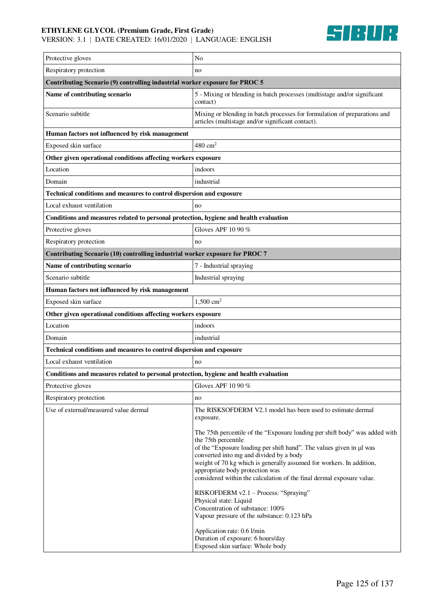

| Protective gloves                                                                     | No                                                                                                                                                                                                                                                                                                                                                                                                                                                                                                                                                                                                                                                                      |
|---------------------------------------------------------------------------------------|-------------------------------------------------------------------------------------------------------------------------------------------------------------------------------------------------------------------------------------------------------------------------------------------------------------------------------------------------------------------------------------------------------------------------------------------------------------------------------------------------------------------------------------------------------------------------------------------------------------------------------------------------------------------------|
| Respiratory protection                                                                | no                                                                                                                                                                                                                                                                                                                                                                                                                                                                                                                                                                                                                                                                      |
| Contributing Scenario (9) controlling industrial worker exposure for PROC 5           |                                                                                                                                                                                                                                                                                                                                                                                                                                                                                                                                                                                                                                                                         |
| Name of contributing scenario                                                         | 5 - Mixing or blending in batch processes (multistage and/or significant<br>contact)                                                                                                                                                                                                                                                                                                                                                                                                                                                                                                                                                                                    |
| Scenario subtitle                                                                     | Mixing or blending in batch processes for formulation of preparations and<br>articles (multistage and/or significant contact).                                                                                                                                                                                                                                                                                                                                                                                                                                                                                                                                          |
| Human factors not influenced by risk management                                       |                                                                                                                                                                                                                                                                                                                                                                                                                                                                                                                                                                                                                                                                         |
| Exposed skin surface                                                                  | $480$ cm <sup>2</sup>                                                                                                                                                                                                                                                                                                                                                                                                                                                                                                                                                                                                                                                   |
| Other given operational conditions affecting workers exposure                         |                                                                                                                                                                                                                                                                                                                                                                                                                                                                                                                                                                                                                                                                         |
| Location                                                                              | indoors                                                                                                                                                                                                                                                                                                                                                                                                                                                                                                                                                                                                                                                                 |
| Domain                                                                                | industrial                                                                                                                                                                                                                                                                                                                                                                                                                                                                                                                                                                                                                                                              |
| Technical conditions and measures to control dispersion and exposure                  |                                                                                                                                                                                                                                                                                                                                                                                                                                                                                                                                                                                                                                                                         |
| Local exhaust ventilation                                                             | no                                                                                                                                                                                                                                                                                                                                                                                                                                                                                                                                                                                                                                                                      |
| Conditions and measures related to personal protection, hygiene and health evaluation |                                                                                                                                                                                                                                                                                                                                                                                                                                                                                                                                                                                                                                                                         |
| Protective gloves                                                                     | Gloves APF 10 90 %                                                                                                                                                                                                                                                                                                                                                                                                                                                                                                                                                                                                                                                      |
| Respiratory protection                                                                | no                                                                                                                                                                                                                                                                                                                                                                                                                                                                                                                                                                                                                                                                      |
| Contributing Scenario (10) controlling industrial worker exposure for PROC 7          |                                                                                                                                                                                                                                                                                                                                                                                                                                                                                                                                                                                                                                                                         |
| Name of contributing scenario                                                         | 7 - Industrial spraying                                                                                                                                                                                                                                                                                                                                                                                                                                                                                                                                                                                                                                                 |
| Scenario subtitle                                                                     | Industrial spraying                                                                                                                                                                                                                                                                                                                                                                                                                                                                                                                                                                                                                                                     |
| Human factors not influenced by risk management                                       |                                                                                                                                                                                                                                                                                                                                                                                                                                                                                                                                                                                                                                                                         |
| Exposed skin surface                                                                  | $1,500$ cm <sup>2</sup>                                                                                                                                                                                                                                                                                                                                                                                                                                                                                                                                                                                                                                                 |
| Other given operational conditions affecting workers exposure                         |                                                                                                                                                                                                                                                                                                                                                                                                                                                                                                                                                                                                                                                                         |
| Location                                                                              | indoors                                                                                                                                                                                                                                                                                                                                                                                                                                                                                                                                                                                                                                                                 |
| Domain                                                                                | industrial                                                                                                                                                                                                                                                                                                                                                                                                                                                                                                                                                                                                                                                              |
| Technical conditions and measures to control dispersion and exposure                  |                                                                                                                                                                                                                                                                                                                                                                                                                                                                                                                                                                                                                                                                         |
| Local exhaust ventilation                                                             | no                                                                                                                                                                                                                                                                                                                                                                                                                                                                                                                                                                                                                                                                      |
| Conditions and measures related to personal protection, hygiene and health evaluation |                                                                                                                                                                                                                                                                                                                                                                                                                                                                                                                                                                                                                                                                         |
| Protective gloves                                                                     | Gloves APF 10 90 %                                                                                                                                                                                                                                                                                                                                                                                                                                                                                                                                                                                                                                                      |
| Respiratory protection                                                                | no                                                                                                                                                                                                                                                                                                                                                                                                                                                                                                                                                                                                                                                                      |
| Use of external/measured value dermal                                                 | The RISKSOFDERM V2.1 model has been used to estimate dermal<br>exposure.                                                                                                                                                                                                                                                                                                                                                                                                                                                                                                                                                                                                |
|                                                                                       | The 75th percentile of the "Exposure loading per shift body" was added with<br>the 75th percentile<br>of the "Exposure loading per shift hand". The values given in µl was<br>converted into mg and divided by a body<br>weight of 70 kg which is generally assumed for workers. In addition,<br>appropriate body protection was<br>considered within the calculation of the final dermal exposure value.<br>RISKOFDERM v2.1 - Process: "Spraying"<br>Physical state: Liquid<br>Concentration of substance: 100%<br>Vapour pressure of the substance: 0.123 hPa<br>Application rate: 0.6 l/min<br>Duration of exposure: 6 hours/day<br>Exposed skin surface: Whole body |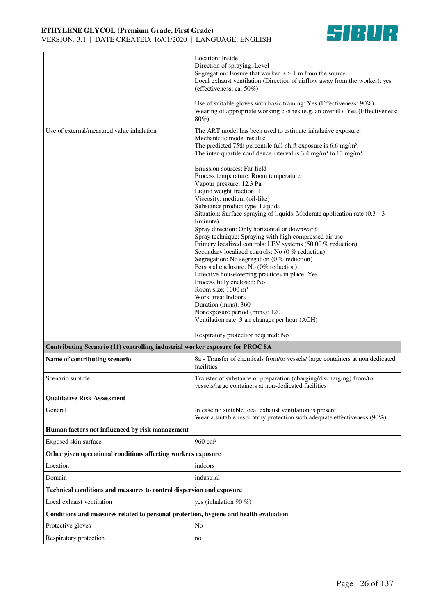

|                                                                                       | Location: Inside<br>Direction of spraying: Level<br>Segregation: Ensure that worker is $> 1$ m from the source<br>Local exhaust ventilation (Direction of airflow away from the worker): yes<br>(effectiveness: ca. 50%)<br>Use of suitable gloves with basic training: Yes (Effectiveness: 90%)<br>Wearing of appropriate working clothes (e.g. an overall): Yes (Effectiveness:<br>80%)                                                                                                                                                                                                                                                                                                                                                                                                                                                                                                                     |
|---------------------------------------------------------------------------------------|---------------------------------------------------------------------------------------------------------------------------------------------------------------------------------------------------------------------------------------------------------------------------------------------------------------------------------------------------------------------------------------------------------------------------------------------------------------------------------------------------------------------------------------------------------------------------------------------------------------------------------------------------------------------------------------------------------------------------------------------------------------------------------------------------------------------------------------------------------------------------------------------------------------|
|                                                                                       |                                                                                                                                                                                                                                                                                                                                                                                                                                                                                                                                                                                                                                                                                                                                                                                                                                                                                                               |
| Use of external/measured value inhalation                                             | The ART model has been used to estimate inhalative exposure.<br>Mechanistic model results:<br>The predicted 75th percentile full-shift exposure is $6.6$ mg/m <sup>3</sup> .<br>The inter-quartile confidence interval is $3.4 \text{ mg/m}^3$ to $13 \text{ mg/m}^3$ .                                                                                                                                                                                                                                                                                                                                                                                                                                                                                                                                                                                                                                       |
|                                                                                       | Emission sources: Far field<br>Process temperature: Room temperature<br>Vapour pressure: 12.3 Pa<br>Liquid weight fraction: 1<br>Viscosity: medium (oil-like)<br>Substance product type: Liquids<br>Situation: Surface spraying of liquids, Moderate application rate (0.3 - 3<br>l/minute)<br>Spray direction: Only horizontal or downward<br>Spray technique: Spraying with high compressed air use<br>Primary localized controls: LEV systems (50.00 % reduction)<br>Secondary localized controls: No (0 % reduction)<br>Segregation: No segregation $(0 %$ reduction)<br>Personal enclosure: No (0% reduction)<br>Effective housekeeping practices in place: Yes<br>Process fully enclosed: No<br>Room size: 1000 m <sup>3</sup><br>Work area: Indoors<br>Duration (mins): 360<br>Nonexposure period (mins): 120<br>Ventilation rate: 3 air changes per hour (ACH)<br>Respiratory protection required: No |
| Contributing Scenario (11) controlling industrial worker exposure for PROC 8A         |                                                                                                                                                                                                                                                                                                                                                                                                                                                                                                                                                                                                                                                                                                                                                                                                                                                                                                               |
| Name of contributing scenario                                                         | 8a - Transfer of chemicals from/to vessels/ large containers at non dedicated<br>facilities                                                                                                                                                                                                                                                                                                                                                                                                                                                                                                                                                                                                                                                                                                                                                                                                                   |
| Scenario subtitle                                                                     | Transfer of substance or preparation (charging/discharging) from/to<br>vessels/large containers at non-dedicated facilities                                                                                                                                                                                                                                                                                                                                                                                                                                                                                                                                                                                                                                                                                                                                                                                   |
| <b>Qualitative Risk Assessment</b>                                                    |                                                                                                                                                                                                                                                                                                                                                                                                                                                                                                                                                                                                                                                                                                                                                                                                                                                                                                               |
| General                                                                               | In case no suitable local exhaust ventilation is present:<br>Wear a suitable respiratory protection with adequate effectiveness (90%).                                                                                                                                                                                                                                                                                                                                                                                                                                                                                                                                                                                                                                                                                                                                                                        |
| Human factors not influenced by risk management                                       |                                                                                                                                                                                                                                                                                                                                                                                                                                                                                                                                                                                                                                                                                                                                                                                                                                                                                                               |
| Exposed skin surface                                                                  | 960 $cm2$                                                                                                                                                                                                                                                                                                                                                                                                                                                                                                                                                                                                                                                                                                                                                                                                                                                                                                     |
| Other given operational conditions affecting workers exposure                         |                                                                                                                                                                                                                                                                                                                                                                                                                                                                                                                                                                                                                                                                                                                                                                                                                                                                                                               |
| Location                                                                              | indoors                                                                                                                                                                                                                                                                                                                                                                                                                                                                                                                                                                                                                                                                                                                                                                                                                                                                                                       |
| Domain                                                                                | industrial                                                                                                                                                                                                                                                                                                                                                                                                                                                                                                                                                                                                                                                                                                                                                                                                                                                                                                    |
| Technical conditions and measures to control dispersion and exposure                  |                                                                                                                                                                                                                                                                                                                                                                                                                                                                                                                                                                                                                                                                                                                                                                                                                                                                                                               |
| Local exhaust ventilation                                                             | yes (inhalation 90 $\%$ )                                                                                                                                                                                                                                                                                                                                                                                                                                                                                                                                                                                                                                                                                                                                                                                                                                                                                     |
| Conditions and measures related to personal protection, hygiene and health evaluation |                                                                                                                                                                                                                                                                                                                                                                                                                                                                                                                                                                                                                                                                                                                                                                                                                                                                                                               |
| Protective gloves                                                                     | No                                                                                                                                                                                                                                                                                                                                                                                                                                                                                                                                                                                                                                                                                                                                                                                                                                                                                                            |
| Respiratory protection                                                                | no                                                                                                                                                                                                                                                                                                                                                                                                                                                                                                                                                                                                                                                                                                                                                                                                                                                                                                            |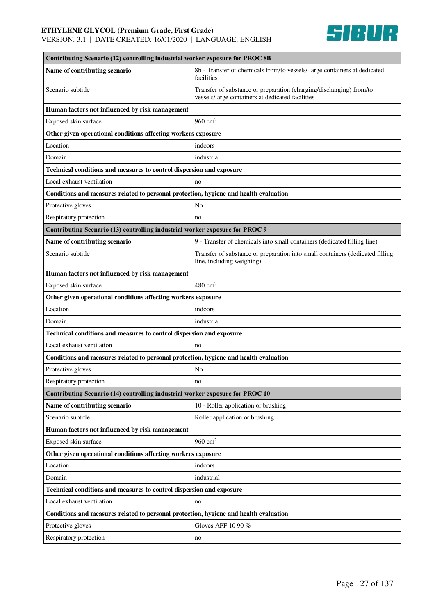

| Contributing Scenario (12) controlling industrial worker exposure for PROC 8B         |                                                                                                                         |
|---------------------------------------------------------------------------------------|-------------------------------------------------------------------------------------------------------------------------|
| Name of contributing scenario                                                         | 8b - Transfer of chemicals from/to vessels/ large containers at dedicated<br>facilities                                 |
| Scenario subtitle                                                                     | Transfer of substance or preparation (charging/discharging) from/to<br>vessels/large containers at dedicated facilities |
| Human factors not influenced by risk management                                       |                                                                                                                         |
| Exposed skin surface                                                                  | 960 $cm2$                                                                                                               |
| Other given operational conditions affecting workers exposure                         |                                                                                                                         |
| Location                                                                              | indoors                                                                                                                 |
| Domain                                                                                | industrial                                                                                                              |
| Technical conditions and measures to control dispersion and exposure                  |                                                                                                                         |
| Local exhaust ventilation                                                             | no                                                                                                                      |
| Conditions and measures related to personal protection, hygiene and health evaluation |                                                                                                                         |
| Protective gloves                                                                     | No                                                                                                                      |
| Respiratory protection                                                                | no                                                                                                                      |
| Contributing Scenario (13) controlling industrial worker exposure for PROC 9          |                                                                                                                         |
| Name of contributing scenario                                                         | 9 - Transfer of chemicals into small containers (dedicated filling line)                                                |
| Scenario subtitle                                                                     | Transfer of substance or preparation into small containers (dedicated filling<br>line, including weighing)              |
| Human factors not influenced by risk management                                       |                                                                                                                         |
| Exposed skin surface                                                                  | 480 $cm2$                                                                                                               |
| Other given operational conditions affecting workers exposure                         |                                                                                                                         |
| Location                                                                              | indoors                                                                                                                 |
| Domain                                                                                | industrial                                                                                                              |
| Technical conditions and measures to control dispersion and exposure                  |                                                                                                                         |
| Local exhaust ventilation                                                             | no                                                                                                                      |
| Conditions and measures related to personal protection, hygiene and health evaluation |                                                                                                                         |
| Protective gloves                                                                     | N <sub>o</sub>                                                                                                          |
| Respiratory protection                                                                | no                                                                                                                      |
| Contributing Scenario (14) controlling industrial worker exposure for PROC 10         |                                                                                                                         |
| Name of contributing scenario                                                         | 10 - Roller application or brushing                                                                                     |
| Scenario subtitle                                                                     | Roller application or brushing                                                                                          |
| Human factors not influenced by risk management                                       |                                                                                                                         |
| Exposed skin surface                                                                  | 960 cm <sup>2</sup>                                                                                                     |
| Other given operational conditions affecting workers exposure                         |                                                                                                                         |
| Location                                                                              | indoors                                                                                                                 |
| Domain                                                                                | industrial                                                                                                              |
| Technical conditions and measures to control dispersion and exposure                  |                                                                                                                         |
| Local exhaust ventilation                                                             | no                                                                                                                      |
| Conditions and measures related to personal protection, hygiene and health evaluation |                                                                                                                         |
| Protective gloves                                                                     | Gloves APF 10 90 %                                                                                                      |
| Respiratory protection                                                                | no                                                                                                                      |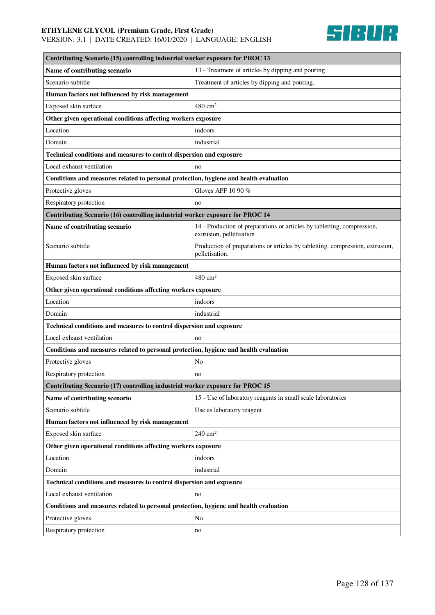#### **ETHYLENE GLYCOL (Premium Grade, First Grade)**

VERSION: 3.1 DATE CREATED: 16/01/2020 LANGUAGE: ENGLISH



| Contributing Scenario (15) controlling industrial worker exposure for PROC 13         |                                                                                                     |
|---------------------------------------------------------------------------------------|-----------------------------------------------------------------------------------------------------|
| Name of contributing scenario                                                         | 13 - Treatment of articles by dipping and pouring                                                   |
| Scenario subtitle                                                                     | Treatment of articles by dipping and pouring.                                                       |
| Human factors not influenced by risk management                                       |                                                                                                     |
| Exposed skin surface                                                                  | $480 \text{ cm}^2$                                                                                  |
| Other given operational conditions affecting workers exposure                         |                                                                                                     |
| Location                                                                              | indoors                                                                                             |
| Domain                                                                                | industrial                                                                                          |
| Technical conditions and measures to control dispersion and exposure                  |                                                                                                     |
| Local exhaust ventilation                                                             | no                                                                                                  |
| Conditions and measures related to personal protection, hygiene and health evaluation |                                                                                                     |
| Protective gloves                                                                     | Gloves APF 10 90 %                                                                                  |
| Respiratory protection                                                                | no                                                                                                  |
| Contributing Scenario (16) controlling industrial worker exposure for PROC 14         |                                                                                                     |
| Name of contributing scenario                                                         | 14 - Production of preparations or articles by tabletting, compression,<br>extrusion, pelletisation |
| Scenario subtitle                                                                     | Production of preparations or articles by tabletting, compression, extrusion,<br>pelletisation.     |
| Human factors not influenced by risk management                                       |                                                                                                     |
| Exposed skin surface                                                                  | $480$ cm <sup>2</sup>                                                                               |
| Other given operational conditions affecting workers exposure                         |                                                                                                     |
| Location                                                                              | indoors                                                                                             |
| Domain                                                                                | industrial                                                                                          |
| Technical conditions and measures to control dispersion and exposure                  |                                                                                                     |
| Local exhaust ventilation                                                             | no                                                                                                  |
| Conditions and measures related to personal protection, hygiene and health evaluation |                                                                                                     |
| Protective gloves                                                                     | No                                                                                                  |
| Respiratory protection                                                                | no                                                                                                  |
| Contributing Scenario (17) controlling industrial worker exposure for PROC 15         |                                                                                                     |
| Name of contributing scenario                                                         | 15 - Use of laboratory reagents in small scale laboratories                                         |
| Scenario subtitle                                                                     | Use as laboratory reagent                                                                           |
| Human factors not influenced by risk management                                       |                                                                                                     |
| Exposed skin surface                                                                  | $240$ cm <sup>2</sup>                                                                               |
| Other given operational conditions affecting workers exposure                         |                                                                                                     |
| Location                                                                              | indoors                                                                                             |
| Domain                                                                                | industrial                                                                                          |
| Technical conditions and measures to control dispersion and exposure                  |                                                                                                     |
| Local exhaust ventilation                                                             | no                                                                                                  |
| Conditions and measures related to personal protection, hygiene and health evaluation |                                                                                                     |
| Protective gloves                                                                     | No                                                                                                  |
| Respiratory protection                                                                | no                                                                                                  |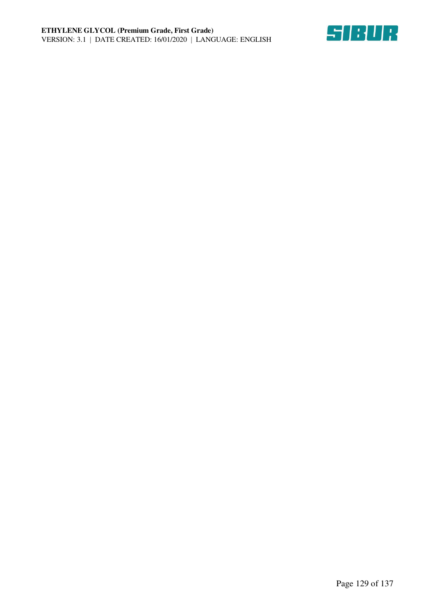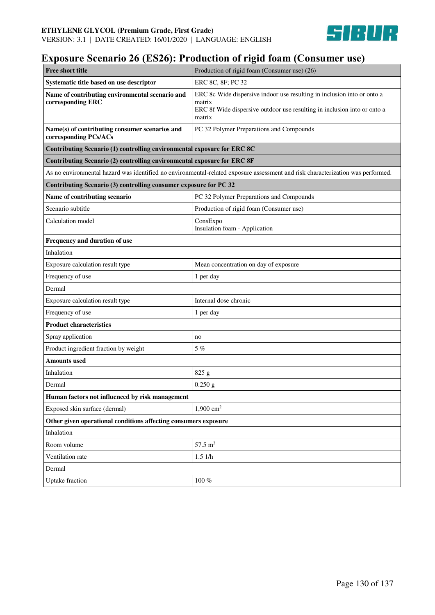

# **Exposure Scenario 26 (ES26): Production of rigid foam (Consumer use)**

| <b>Free short title</b>                                                 | Production of rigid foam (Consumer use) (26)                                                                                                                            |
|-------------------------------------------------------------------------|-------------------------------------------------------------------------------------------------------------------------------------------------------------------------|
| Systematic title based on use descriptor                                | ERC 8C, 8F; PC 32                                                                                                                                                       |
| Name of contributing environmental scenario and<br>corresponding ERC    | ERC 8c Wide dispersive indoor use resulting in inclusion into or onto a<br>matrix<br>ERC 8f Wide dispersive outdoor use resulting in inclusion into or onto a<br>matrix |
| Name(s) of contributing consumer scenarios and<br>corresponding PCs/ACs | PC 32 Polymer Preparations and Compounds                                                                                                                                |
| Contributing Scenario (1) controlling environmental exposure for ERC 8C |                                                                                                                                                                         |
| Contributing Scenario (2) controlling environmental exposure for ERC 8F |                                                                                                                                                                         |
|                                                                         | As no environmental hazard was identified no environmental-related exposure assessment and risk characterization was performed.                                         |
| Contributing Scenario (3) controlling consumer exposure for PC 32       |                                                                                                                                                                         |
| Name of contributing scenario                                           | PC 32 Polymer Preparations and Compounds                                                                                                                                |
| Scenario subtitle                                                       | Production of rigid foam (Consumer use)                                                                                                                                 |
| Calculation model                                                       | ConsExpo<br>Insulation foam - Application                                                                                                                               |
| Frequency and duration of use                                           |                                                                                                                                                                         |
| Inhalation                                                              |                                                                                                                                                                         |
| Exposure calculation result type                                        | Mean concentration on day of exposure                                                                                                                                   |
| Frequency of use                                                        | 1 per day                                                                                                                                                               |
| Dermal                                                                  |                                                                                                                                                                         |
| Exposure calculation result type                                        | Internal dose chronic                                                                                                                                                   |
| Frequency of use                                                        | 1 per day                                                                                                                                                               |
| <b>Product characteristics</b>                                          |                                                                                                                                                                         |
| Spray application                                                       | no                                                                                                                                                                      |
| Product ingredient fraction by weight                                   | $5\%$                                                                                                                                                                   |
| <b>Amounts</b> used                                                     |                                                                                                                                                                         |
| Inhalation                                                              | 825 g                                                                                                                                                                   |
| Dermal                                                                  | $0.250$ g                                                                                                                                                               |
| Human factors not influenced by risk management                         |                                                                                                                                                                         |
| Exposed skin surface (dermal)                                           | $1,900$ cm <sup>2</sup>                                                                                                                                                 |
| Other given operational conditions affecting consumers exposure         |                                                                                                                                                                         |
| Inhalation                                                              |                                                                                                                                                                         |
| Room volume                                                             | $57.5 \text{ m}^3$                                                                                                                                                      |
| Ventilation rate                                                        | 1.51/h                                                                                                                                                                  |
| Dermal                                                                  |                                                                                                                                                                         |
| Uptake fraction                                                         | $100~\%$                                                                                                                                                                |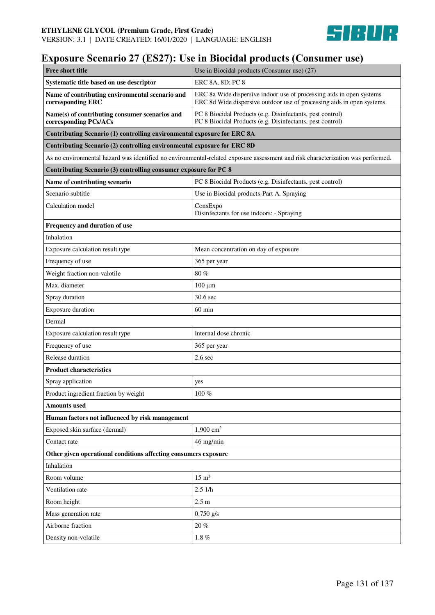

## **Exposure Scenario 27 (ES27): Use in Biocidal products (Consumer use)**

| <b>Free short title</b>                                                 | Use in Biocidal products (Consumer use) (27)                                                                                                  |
|-------------------------------------------------------------------------|-----------------------------------------------------------------------------------------------------------------------------------------------|
| Systematic title based on use descriptor                                | ERC 8A, 8D; PC 8                                                                                                                              |
| Name of contributing environmental scenario and<br>corresponding ERC    | ERC 8a Wide dispersive indoor use of processing aids in open systems<br>ERC 8d Wide dispersive outdoor use of processing aids in open systems |
| Name(s) of contributing consumer scenarios and<br>corresponding PCs/ACs | PC 8 Biocidal Products (e.g. Disinfectants, pest control)<br>PC 8 Biocidal Products (e.g. Disinfectants, pest control)                        |
| Contributing Scenario (1) controlling environmental exposure for ERC 8A |                                                                                                                                               |
| Contributing Scenario (2) controlling environmental exposure for ERC 8D |                                                                                                                                               |
|                                                                         | As no environmental hazard was identified no environmental-related exposure assessment and risk characterization was performed.               |
| Contributing Scenario (3) controlling consumer exposure for PC 8        |                                                                                                                                               |
| Name of contributing scenario                                           | PC 8 Biocidal Products (e.g. Disinfectants, pest control)                                                                                     |
| Scenario subtitle                                                       | Use in Biocidal products-Part A. Spraying                                                                                                     |
| Calculation model                                                       | ConsExpo<br>Disinfectants for use indoors: - Spraying                                                                                         |
| Frequency and duration of use                                           |                                                                                                                                               |
| Inhalation                                                              |                                                                                                                                               |
| Exposure calculation result type                                        | Mean concentration on day of exposure                                                                                                         |
| Frequency of use                                                        | 365 per year                                                                                                                                  |
| Weight fraction non-valotile                                            | $80\%$                                                                                                                                        |
| Max. diameter                                                           | $100 \mu m$                                                                                                                                   |
| Spray duration                                                          | 30.6 sec                                                                                                                                      |
| <b>Exposure duration</b>                                                | $60 \text{ min}$                                                                                                                              |
| Dermal                                                                  |                                                                                                                                               |
| Exposure calculation result type                                        | Internal dose chronic                                                                                                                         |
| Frequency of use                                                        | 365 per year                                                                                                                                  |
| Release duration                                                        | $2.6$ sec                                                                                                                                     |
| Product characteristics                                                 |                                                                                                                                               |
| Spray application                                                       | yes                                                                                                                                           |
| Product ingredient fraction by weight                                   | $100~\%$                                                                                                                                      |
| <b>Amounts used</b>                                                     |                                                                                                                                               |
| Human factors not influenced by risk management                         |                                                                                                                                               |
| Exposed skin surface (dermal)                                           | $1,900$ cm <sup>2</sup>                                                                                                                       |
| Contact rate                                                            | 46 mg/min                                                                                                                                     |
| Other given operational conditions affecting consumers exposure         |                                                                                                                                               |
| Inhalation                                                              |                                                                                                                                               |
| Room volume                                                             | $15 \text{ m}^3$                                                                                                                              |
| Ventilation rate                                                        | $2.5$ $1/h$                                                                                                                                   |
| Room height                                                             | 2.5 <sub>m</sub>                                                                                                                              |
| Mass generation rate                                                    | $0.750$ g/s                                                                                                                                   |
| Airborne fraction                                                       | $20\ \%$                                                                                                                                      |
| Density non-volatile                                                    | $1.8\ \%$                                                                                                                                     |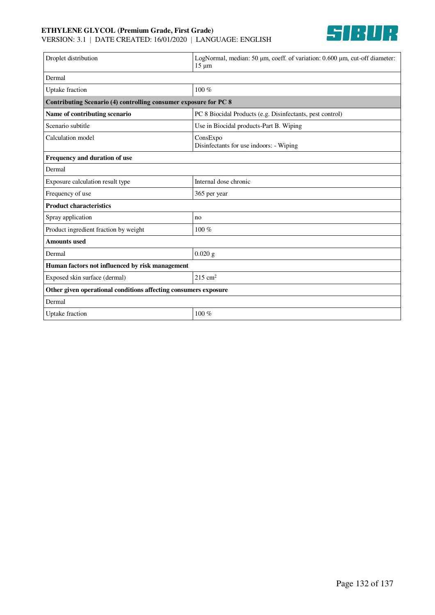

| Droplet distribution                                             | LogNormal, median: 50 µm, coeff. of variation: 0.600 µm, cut-off diameter:<br>$15 \mu m$ |  |
|------------------------------------------------------------------|------------------------------------------------------------------------------------------|--|
| Dermal                                                           |                                                                                          |  |
| Uptake fraction                                                  | 100 %                                                                                    |  |
| Contributing Scenario (4) controlling consumer exposure for PC 8 |                                                                                          |  |
| Name of contributing scenario                                    | PC 8 Biocidal Products (e.g. Disinfectants, pest control)                                |  |
| Scenario subtitle                                                | Use in Biocidal products-Part B. Wiping                                                  |  |
| Calculation model                                                | ConsExpo<br>Disinfectants for use indoors: - Wiping                                      |  |
| Frequency and duration of use                                    |                                                                                          |  |
| Dermal                                                           |                                                                                          |  |
| Exposure calculation result type                                 | Internal dose chronic                                                                    |  |
| Frequency of use                                                 | 365 per year                                                                             |  |
| <b>Product characteristics</b>                                   |                                                                                          |  |
| Spray application                                                | no                                                                                       |  |
| Product ingredient fraction by weight                            | 100 %                                                                                    |  |
| <b>Amounts used</b>                                              |                                                                                          |  |
| Dermal                                                           | $0.020$ g                                                                                |  |
| Human factors not influenced by risk management                  |                                                                                          |  |
| Exposed skin surface (dermal)                                    | $215$ cm <sup>2</sup>                                                                    |  |
| Other given operational conditions affecting consumers exposure  |                                                                                          |  |
| Dermal                                                           |                                                                                          |  |
| Uptake fraction                                                  | $100\%$                                                                                  |  |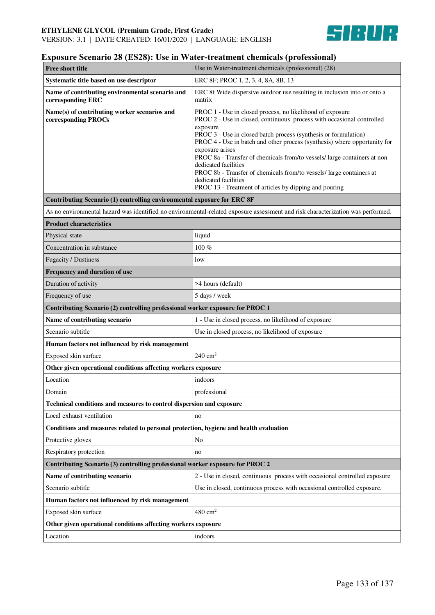

## **Exposure Scenario 28 (ES28): Use in Water-treatment chemicals (professional)**

| <b>Free short title</b>                                                               | Use in Water-treatment chemicals (professional) (28)                                                                                                                                                                                                                                                                                                                                                                                      |
|---------------------------------------------------------------------------------------|-------------------------------------------------------------------------------------------------------------------------------------------------------------------------------------------------------------------------------------------------------------------------------------------------------------------------------------------------------------------------------------------------------------------------------------------|
| Systematic title based on use descriptor                                              | ERC 8F; PROC 1, 2, 3, 4, 8A, 8B, 13                                                                                                                                                                                                                                                                                                                                                                                                       |
| Name of contributing environmental scenario and<br>corresponding ERC                  | ERC 8f Wide dispersive outdoor use resulting in inclusion into or onto a<br>matrix                                                                                                                                                                                                                                                                                                                                                        |
| Name(s) of contributing worker scenarios and<br>corresponding PROCs                   | PROC 1 - Use in closed process, no likelihood of exposure<br>PROC 2 - Use in closed, continuous process with occasional controlled                                                                                                                                                                                                                                                                                                        |
|                                                                                       | exposure<br>PROC 3 - Use in closed batch process (synthesis or formulation)<br>PROC 4 - Use in batch and other process (synthesis) where opportunity for<br>exposure arises<br>PROC 8a - Transfer of chemicals from/to vessels/ large containers at non<br>dedicated facilities<br>PROC 8b - Transfer of chemicals from/to vessels/ large containers at<br>dedicated facilities<br>PROC 13 - Treatment of articles by dipping and pouring |
| Contributing Scenario (1) controlling environmental exposure for ERC 8F               |                                                                                                                                                                                                                                                                                                                                                                                                                                           |
|                                                                                       | As no environmental hazard was identified no environmental-related exposure assessment and risk characterization was performed.                                                                                                                                                                                                                                                                                                           |
| <b>Product characteristics</b>                                                        |                                                                                                                                                                                                                                                                                                                                                                                                                                           |
| Physical state                                                                        | liquid                                                                                                                                                                                                                                                                                                                                                                                                                                    |
| Concentration in substance                                                            | 100 %                                                                                                                                                                                                                                                                                                                                                                                                                                     |
| <b>Fugacity / Dustiness</b>                                                           | low                                                                                                                                                                                                                                                                                                                                                                                                                                       |
| Frequency and duration of use                                                         |                                                                                                                                                                                                                                                                                                                                                                                                                                           |
| Duration of activity                                                                  | >4 hours (default)                                                                                                                                                                                                                                                                                                                                                                                                                        |
| Frequency of use                                                                      | 5 days / week                                                                                                                                                                                                                                                                                                                                                                                                                             |
| Contributing Scenario (2) controlling professional worker exposure for PROC 1         |                                                                                                                                                                                                                                                                                                                                                                                                                                           |
|                                                                                       |                                                                                                                                                                                                                                                                                                                                                                                                                                           |
| Name of contributing scenario                                                         | 1 - Use in closed process, no likelihood of exposure                                                                                                                                                                                                                                                                                                                                                                                      |
| Scenario subtitle                                                                     | Use in closed process, no likelihood of exposure                                                                                                                                                                                                                                                                                                                                                                                          |
| Human factors not influenced by risk management                                       |                                                                                                                                                                                                                                                                                                                                                                                                                                           |
| Exposed skin surface                                                                  | $240$ cm <sup>2</sup>                                                                                                                                                                                                                                                                                                                                                                                                                     |
| Other given operational conditions affecting workers exposure                         |                                                                                                                                                                                                                                                                                                                                                                                                                                           |
| Location                                                                              | indoors                                                                                                                                                                                                                                                                                                                                                                                                                                   |
| Domain                                                                                | professional                                                                                                                                                                                                                                                                                                                                                                                                                              |
| Technical conditions and measures to control dispersion and exposure                  |                                                                                                                                                                                                                                                                                                                                                                                                                                           |
| Local exhaust ventilation                                                             | no                                                                                                                                                                                                                                                                                                                                                                                                                                        |
| Conditions and measures related to personal protection, hygiene and health evaluation |                                                                                                                                                                                                                                                                                                                                                                                                                                           |
| Protective gloves                                                                     | No                                                                                                                                                                                                                                                                                                                                                                                                                                        |
| Respiratory protection                                                                | no                                                                                                                                                                                                                                                                                                                                                                                                                                        |
| Contributing Scenario (3) controlling professional worker exposure for PROC 2         |                                                                                                                                                                                                                                                                                                                                                                                                                                           |
| Name of contributing scenario                                                         | 2 - Use in closed, continuous process with occasional controlled exposure                                                                                                                                                                                                                                                                                                                                                                 |
| Scenario subtitle                                                                     | Use in closed, continuous process with occasional controlled exposure.                                                                                                                                                                                                                                                                                                                                                                    |
| Human factors not influenced by risk management                                       |                                                                                                                                                                                                                                                                                                                                                                                                                                           |
| Exposed skin surface                                                                  | 480 cm <sup>2</sup>                                                                                                                                                                                                                                                                                                                                                                                                                       |
| Other given operational conditions affecting workers exposure                         |                                                                                                                                                                                                                                                                                                                                                                                                                                           |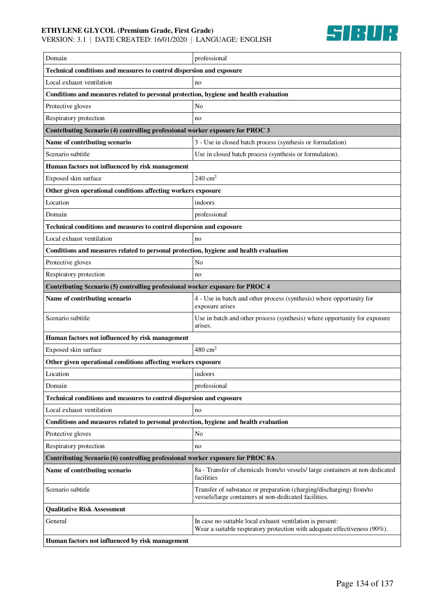### **ETHYLENE GLYCOL (Premium Grade, First Grade)**

VERSION: 3.1 DATE CREATED: 16/01/2020 LANGUAGE: ENGLISH



| Domain                                                                                | professional                                                                                                                           |  |  |
|---------------------------------------------------------------------------------------|----------------------------------------------------------------------------------------------------------------------------------------|--|--|
| Technical conditions and measures to control dispersion and exposure                  |                                                                                                                                        |  |  |
| Local exhaust ventilation                                                             | no                                                                                                                                     |  |  |
| Conditions and measures related to personal protection, hygiene and health evaluation |                                                                                                                                        |  |  |
| Protective gloves                                                                     | No                                                                                                                                     |  |  |
| Respiratory protection                                                                | no                                                                                                                                     |  |  |
| Contributing Scenario (4) controlling professional worker exposure for PROC 3         |                                                                                                                                        |  |  |
| Name of contributing scenario                                                         | 3 - Use in closed batch process (synthesis or formulation)                                                                             |  |  |
| Scenario subtitle                                                                     | Use in closed batch process (synthesis or formulation).                                                                                |  |  |
| Human factors not influenced by risk management                                       |                                                                                                                                        |  |  |
| Exposed skin surface                                                                  | $240 \text{ cm}^2$                                                                                                                     |  |  |
| Other given operational conditions affecting workers exposure                         |                                                                                                                                        |  |  |
| Location                                                                              | indoors                                                                                                                                |  |  |
| Domain                                                                                | professional                                                                                                                           |  |  |
| Technical conditions and measures to control dispersion and exposure                  |                                                                                                                                        |  |  |
| Local exhaust ventilation                                                             | no                                                                                                                                     |  |  |
| Conditions and measures related to personal protection, hygiene and health evaluation |                                                                                                                                        |  |  |
| Protective gloves                                                                     | No                                                                                                                                     |  |  |
| Respiratory protection                                                                | no                                                                                                                                     |  |  |
| Contributing Scenario (5) controlling professional worker exposure for PROC 4         |                                                                                                                                        |  |  |
| Name of contributing scenario                                                         | 4 - Use in batch and other process (synthesis) where opportunity for<br>exposure arises                                                |  |  |
| Scenario subtitle                                                                     | Use in batch and other process (synthesis) where opportunity for exposure<br>arises.                                                   |  |  |
| Human factors not influenced by risk management                                       |                                                                                                                                        |  |  |
| Exposed skin surface                                                                  | $480$ cm <sup>2</sup>                                                                                                                  |  |  |
| Other given operational conditions affecting workers exposure                         |                                                                                                                                        |  |  |
| Location                                                                              | indoors                                                                                                                                |  |  |
| Domain                                                                                | professional                                                                                                                           |  |  |
| Technical conditions and measures to control dispersion and exposure                  |                                                                                                                                        |  |  |
| Local exhaust ventilation                                                             | no                                                                                                                                     |  |  |
| Conditions and measures related to personal protection, hygiene and health evaluation |                                                                                                                                        |  |  |
| Protective gloves                                                                     | No                                                                                                                                     |  |  |
| Respiratory protection                                                                | no                                                                                                                                     |  |  |
|                                                                                       | Contributing Scenario (6) controlling professional worker exposure for PROC 8A                                                         |  |  |
| Name of contributing scenario                                                         | 8a - Transfer of chemicals from/to vessels/ large containers at non dedicated<br>facilities                                            |  |  |
| Scenario subtitle                                                                     | Transfer of substance or preparation (charging/discharging) from/to<br>vessels/large containers at non-dedicated facilities.           |  |  |
| <b>Qualitative Risk Assessment</b>                                                    |                                                                                                                                        |  |  |
| General                                                                               | In case no suitable local exhaust ventilation is present:<br>Wear a suitable respiratory protection with adequate effectiveness (90%). |  |  |
| Human factors not influenced by risk management                                       |                                                                                                                                        |  |  |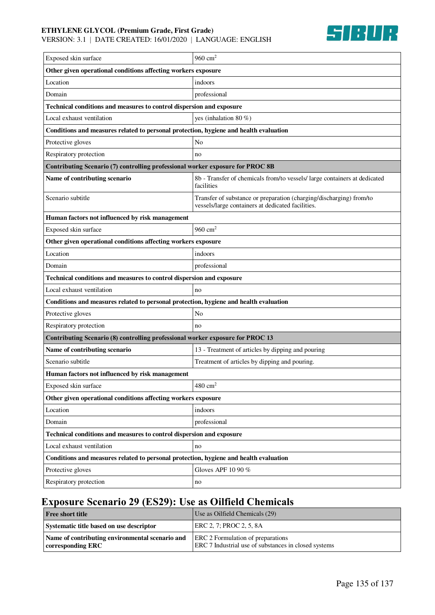

| Exposed skin surface                                                                  | 960 $cm2$                                                                                                                |  |
|---------------------------------------------------------------------------------------|--------------------------------------------------------------------------------------------------------------------------|--|
| Other given operational conditions affecting workers exposure                         |                                                                                                                          |  |
| Location                                                                              | indoors                                                                                                                  |  |
| Domain                                                                                | professional                                                                                                             |  |
| Technical conditions and measures to control dispersion and exposure                  |                                                                                                                          |  |
| Local exhaust ventilation                                                             | yes (inhalation 80 %)                                                                                                    |  |
| Conditions and measures related to personal protection, hygiene and health evaluation |                                                                                                                          |  |
| Protective gloves                                                                     | No                                                                                                                       |  |
| Respiratory protection                                                                | no                                                                                                                       |  |
| Contributing Scenario (7) controlling professional worker exposure for PROC 8B        |                                                                                                                          |  |
| Name of contributing scenario                                                         | 8b - Transfer of chemicals from/to vessels/ large containers at dedicated<br>facilities                                  |  |
| Scenario subtitle                                                                     | Transfer of substance or preparation (charging/discharging) from/to<br>vessels/large containers at dedicated facilities. |  |
| Human factors not influenced by risk management                                       |                                                                                                                          |  |
| Exposed skin surface                                                                  | 960 $cm2$                                                                                                                |  |
| Other given operational conditions affecting workers exposure                         |                                                                                                                          |  |
| Location                                                                              | indoors                                                                                                                  |  |
| Domain                                                                                | professional                                                                                                             |  |
| Technical conditions and measures to control dispersion and exposure                  |                                                                                                                          |  |
| Local exhaust ventilation                                                             | no                                                                                                                       |  |
| Conditions and measures related to personal protection, hygiene and health evaluation |                                                                                                                          |  |
| Protective gloves                                                                     | No                                                                                                                       |  |
| Respiratory protection                                                                | no                                                                                                                       |  |
| Contributing Scenario (8) controlling professional worker exposure for PROC 13        |                                                                                                                          |  |
| Name of contributing scenario                                                         | 13 - Treatment of articles by dipping and pouring                                                                        |  |
| Scenario subtitle                                                                     | Treatment of articles by dipping and pouring.                                                                            |  |
| Human factors not influenced by risk management                                       |                                                                                                                          |  |
| Exposed skin surface                                                                  | 480 cm <sup>2</sup>                                                                                                      |  |
| Other given operational conditions affecting workers exposure                         |                                                                                                                          |  |
| Location                                                                              | indoors                                                                                                                  |  |
| Domain                                                                                | professional                                                                                                             |  |
| Technical conditions and measures to control dispersion and exposure                  |                                                                                                                          |  |
| Local exhaust ventilation                                                             | no                                                                                                                       |  |
| Conditions and measures related to personal protection, hygiene and health evaluation |                                                                                                                          |  |
| Protective gloves                                                                     | Gloves APF 10 90 %                                                                                                       |  |
| Respiratory protection                                                                | no                                                                                                                       |  |

# **Exposure Scenario 29 (ES29): Use as Oilfield Chemicals**

| <b>Free short title</b>                                              | Use as Oilfield Chemicals (29)                                                                   |
|----------------------------------------------------------------------|--------------------------------------------------------------------------------------------------|
| Systematic title based on use descriptor                             | ERC 2, 7; PROC 2, 5, 8A                                                                          |
| Name of contributing environmental scenario and<br>corresponding ERC | <b>ERC</b> 2 Formulation of preparations<br>ERC 7 Industrial use of substances in closed systems |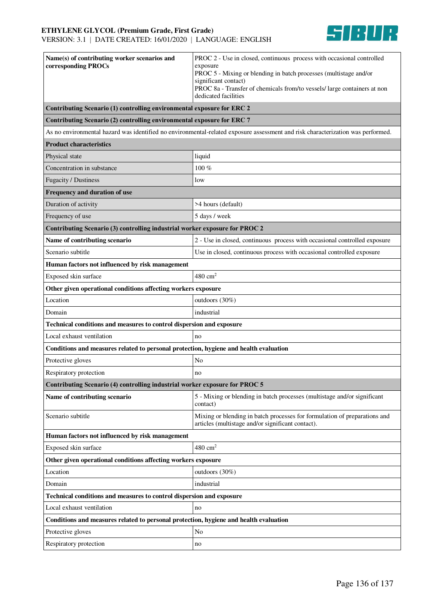

| Name(s) of contributing worker scenarios and<br>corresponding PROCs                                                             | PROC 2 - Use in closed, continuous process with occasional controlled<br>exposure                                              |  |
|---------------------------------------------------------------------------------------------------------------------------------|--------------------------------------------------------------------------------------------------------------------------------|--|
|                                                                                                                                 | PROC 5 - Mixing or blending in batch processes (multistage and/or<br>significant contact)                                      |  |
|                                                                                                                                 | PROC 8a - Transfer of chemicals from/to vessels/ large containers at non<br>dedicated facilities                               |  |
| Contributing Scenario (1) controlling environmental exposure for ERC 2                                                          |                                                                                                                                |  |
| Contributing Scenario (2) controlling environmental exposure for ERC 7                                                          |                                                                                                                                |  |
| As no environmental hazard was identified no environmental-related exposure assessment and risk characterization was performed. |                                                                                                                                |  |
| <b>Product characteristics</b>                                                                                                  |                                                                                                                                |  |
| Physical state                                                                                                                  | liquid                                                                                                                         |  |
| Concentration in substance                                                                                                      | 100 %                                                                                                                          |  |
| Fugacity / Dustiness                                                                                                            | low                                                                                                                            |  |
| Frequency and duration of use                                                                                                   |                                                                                                                                |  |
| Duration of activity                                                                                                            | >4 hours (default)                                                                                                             |  |
| Frequency of use                                                                                                                | 5 days / week                                                                                                                  |  |
| Contributing Scenario (3) controlling industrial worker exposure for PROC 2                                                     |                                                                                                                                |  |
| Name of contributing scenario                                                                                                   | 2 - Use in closed, continuous process with occasional controlled exposure                                                      |  |
| Scenario subtitle                                                                                                               | Use in closed, continuous process with occasional controlled exposure                                                          |  |
| Human factors not influenced by risk management                                                                                 |                                                                                                                                |  |
| Exposed skin surface                                                                                                            | $480$ cm <sup>2</sup>                                                                                                          |  |
| Other given operational conditions affecting workers exposure                                                                   |                                                                                                                                |  |
| Location                                                                                                                        | outdoors (30%)                                                                                                                 |  |
| Domain                                                                                                                          | industrial                                                                                                                     |  |
| Technical conditions and measures to control dispersion and exposure                                                            |                                                                                                                                |  |
| Local exhaust ventilation                                                                                                       | no                                                                                                                             |  |
| Conditions and measures related to personal protection, hygiene and health evaluation                                           |                                                                                                                                |  |
| Protective gloves                                                                                                               | No                                                                                                                             |  |
| Respiratory protection                                                                                                          | no                                                                                                                             |  |
| Contributing Scenario (4) controlling industrial worker exposure for PROC 5                                                     |                                                                                                                                |  |
| Name of contributing scenario                                                                                                   | 5 - Mixing or blending in batch processes (multistage and/or significant<br>contact)                                           |  |
| Scenario subtitle                                                                                                               | Mixing or blending in batch processes for formulation of preparations and<br>articles (multistage and/or significant contact). |  |
| Human factors not influenced by risk management                                                                                 |                                                                                                                                |  |
| Exposed skin surface                                                                                                            | 480 cm <sup>2</sup>                                                                                                            |  |
| Other given operational conditions affecting workers exposure                                                                   |                                                                                                                                |  |
| Location                                                                                                                        | outdoors (30%)                                                                                                                 |  |
| Domain                                                                                                                          | industrial                                                                                                                     |  |
| Technical conditions and measures to control dispersion and exposure                                                            |                                                                                                                                |  |
| Local exhaust ventilation                                                                                                       | no                                                                                                                             |  |
| Conditions and measures related to personal protection, hygiene and health evaluation                                           |                                                                                                                                |  |
| Protective gloves                                                                                                               | No                                                                                                                             |  |
| Respiratory protection                                                                                                          | no                                                                                                                             |  |